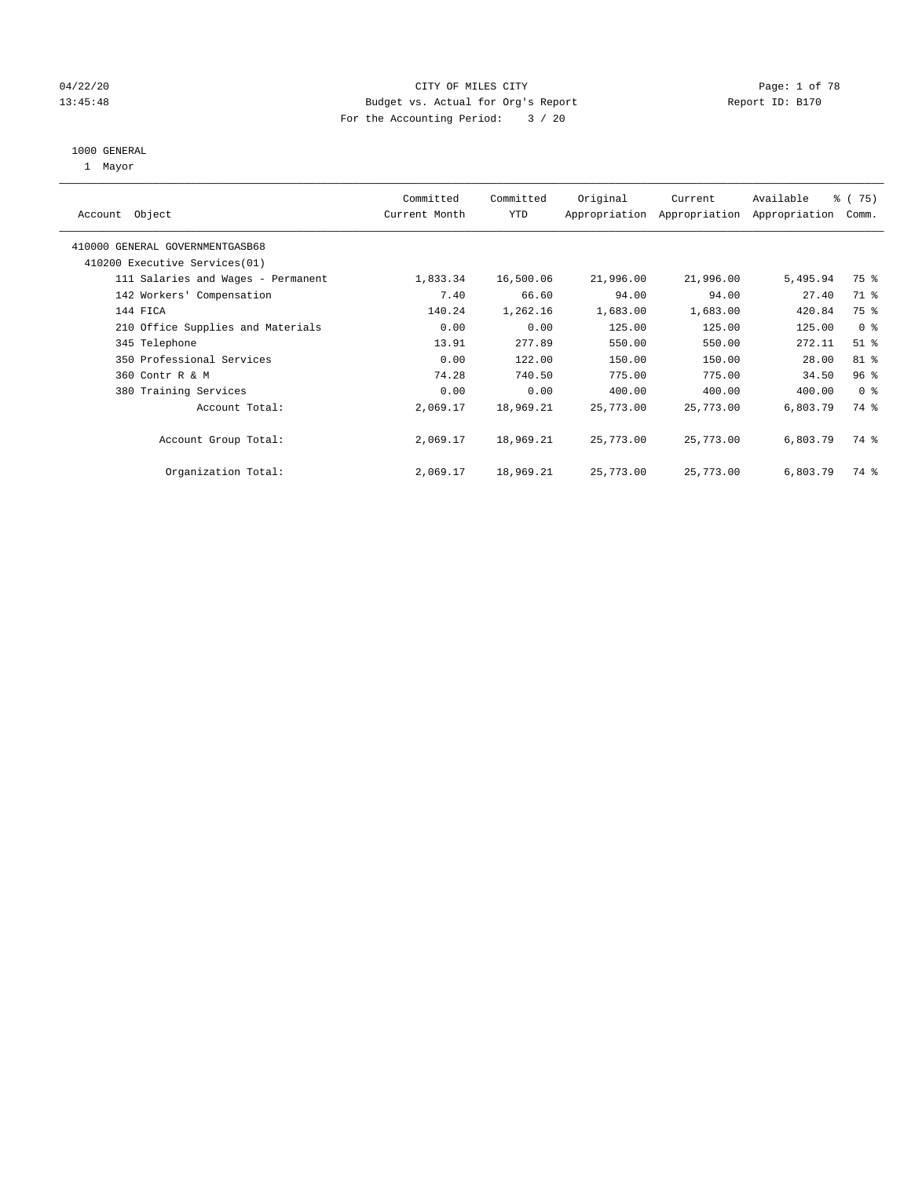# 04/22/20 **CITY OF MILES CITY CITY CITY CITY Page: 1 of 78** 13:45:48 Budget vs. Actual for Org's Report Report ID: B170 For the Accounting Period: 3 / 20

#### 1000 GENERAL

1 Mayor

| Object<br>Account                  | Committed<br>Current Month | Committed<br><b>YTD</b> | Original  | Current<br>Appropriation Appropriation | Available<br>Appropriation | % (75)<br>Comm. |
|------------------------------------|----------------------------|-------------------------|-----------|----------------------------------------|----------------------------|-----------------|
| 410000 GENERAL GOVERNMENTGASB68    |                            |                         |           |                                        |                            |                 |
| 410200 Executive Services (01)     |                            |                         |           |                                        |                            |                 |
| 111 Salaries and Wages - Permanent | 1,833.34                   | 16,500.06               | 21,996.00 | 21,996.00                              | 5,495.94                   | 75 %            |
| 142 Workers' Compensation          | 7.40                       | 66.60                   | 94.00     | 94.00                                  | 27.40                      | 71 %            |
| 144 FICA                           | 140.24                     | 1,262.16                | 1,683.00  | 1,683.00                               | 420.84                     | 75 %            |
| 210 Office Supplies and Materials  | 0.00                       | 0.00                    | 125.00    | 125.00                                 | 125.00                     | 0 <sup>8</sup>  |
| 345 Telephone                      | 13.91                      | 277.89                  | 550.00    | 550.00                                 | 272.11                     | $51$ %          |
| 350 Professional Services          | 0.00                       | 122.00                  | 150.00    | 150.00                                 | 28.00                      | 81 %            |
| 360 Contr R & M                    | 74.28                      | 740.50                  | 775.00    | 775.00                                 | 34.50                      | 96%             |
| 380 Training Services              | 0.00                       | 0.00                    | 400.00    | 400.00                                 | 400.00                     | 0 <sup>8</sup>  |
| Account Total:                     | 2,069.17                   | 18,969.21               | 25,773.00 | 25,773.00                              | 6,803.79                   | 74 %            |
| Account Group Total:               | 2,069.17                   | 18,969.21               | 25,773.00 | 25,773.00                              | 6,803.79                   | 74 %            |
| Organization Total:                | 2,069.17                   | 18,969.21               | 25,773.00 | 25,773.00                              | 6,803.79                   | 74 %            |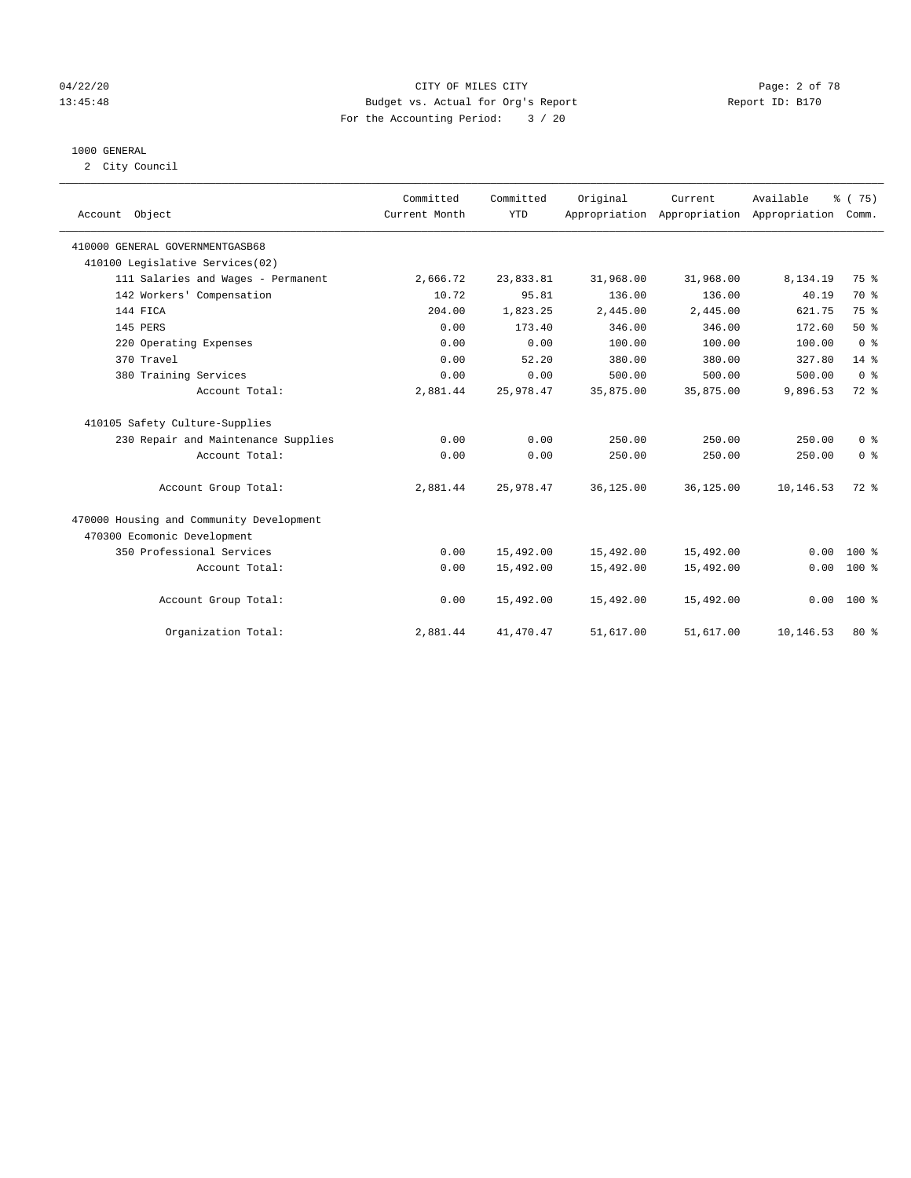## 04/22/20 CITY OF MILES CITY Page: 2 of 78 13:45:48 Budget vs. Actual for Org's Report Report ID: B170 For the Accounting Period: 3 / 20

#### 1000 GENERAL

2 City Council

|                                          | Committed     | Committed  | Original  | Current                                   | Available | % (75)         |
|------------------------------------------|---------------|------------|-----------|-------------------------------------------|-----------|----------------|
| Account Object                           | Current Month | <b>YTD</b> |           | Appropriation Appropriation Appropriation |           | Comm.          |
|                                          |               |            |           |                                           |           |                |
| 410000 GENERAL GOVERNMENTGASB68          |               |            |           |                                           |           |                |
| 410100 Legislative Services(02)          |               |            |           |                                           |           |                |
| 111 Salaries and Wages - Permanent       | 2,666.72      | 23,833.81  | 31,968.00 | 31,968.00                                 | 8,134.19  | 75 %           |
| 142 Workers' Compensation                | 10.72         | 95.81      | 136.00    | 136.00                                    | 40.19     | 70 %           |
| 144 FICA                                 | 204.00        | 1,823.25   | 2,445.00  | 2,445.00                                  | 621.75    | 75 %           |
| 145 PERS                                 | 0.00          | 173.40     | 346.00    | 346.00                                    | 172.60    | 50%            |
| 220 Operating Expenses                   | 0.00          | 0.00       | 100.00    | 100.00                                    | 100.00    | 0 <sup>8</sup> |
| 370 Travel                               | 0.00          | 52.20      | 380.00    | 380.00                                    | 327.80    | $14*$          |
| 380 Training Services                    | 0.00          | 0.00       | 500.00    | 500.00                                    | 500.00    | 0 <sup>8</sup> |
| Account Total:                           | 2,881.44      | 25,978.47  | 35,875.00 | 35,875.00                                 | 9,896.53  | 72 %           |
| 410105 Safety Culture-Supplies           |               |            |           |                                           |           |                |
| 230 Repair and Maintenance Supplies      | 0.00          | 0.00       | 250.00    | 250.00                                    | 250.00    | 0 <sup>8</sup> |
| Account Total:                           | 0.00          | 0.00       | 250.00    | 250.00                                    | 250.00    | 0 <sup>8</sup> |
| Account Group Total:                     | 2,881.44      | 25,978.47  | 36,125.00 | 36,125.00                                 | 10,146.53 | 72 %           |
| 470000 Housing and Community Development |               |            |           |                                           |           |                |
| 470300 Ecomonic Development              |               |            |           |                                           |           |                |
| 350 Professional Services                | 0.00          | 15,492.00  | 15,492.00 | 15,492.00                                 | 0.00      | $100*$         |
| Account Total:                           | 0.00          | 15,492.00  | 15,492.00 | 15,492.00                                 | 0.00      | $100*$         |
| Account Group Total:                     | 0.00          | 15,492.00  | 15,492.00 | 15,492.00                                 | 0.00      | $100*$         |
| Organization Total:                      | 2,881.44      | 41, 470.47 | 51,617.00 | 51,617.00                                 | 10,146.53 | $80*$          |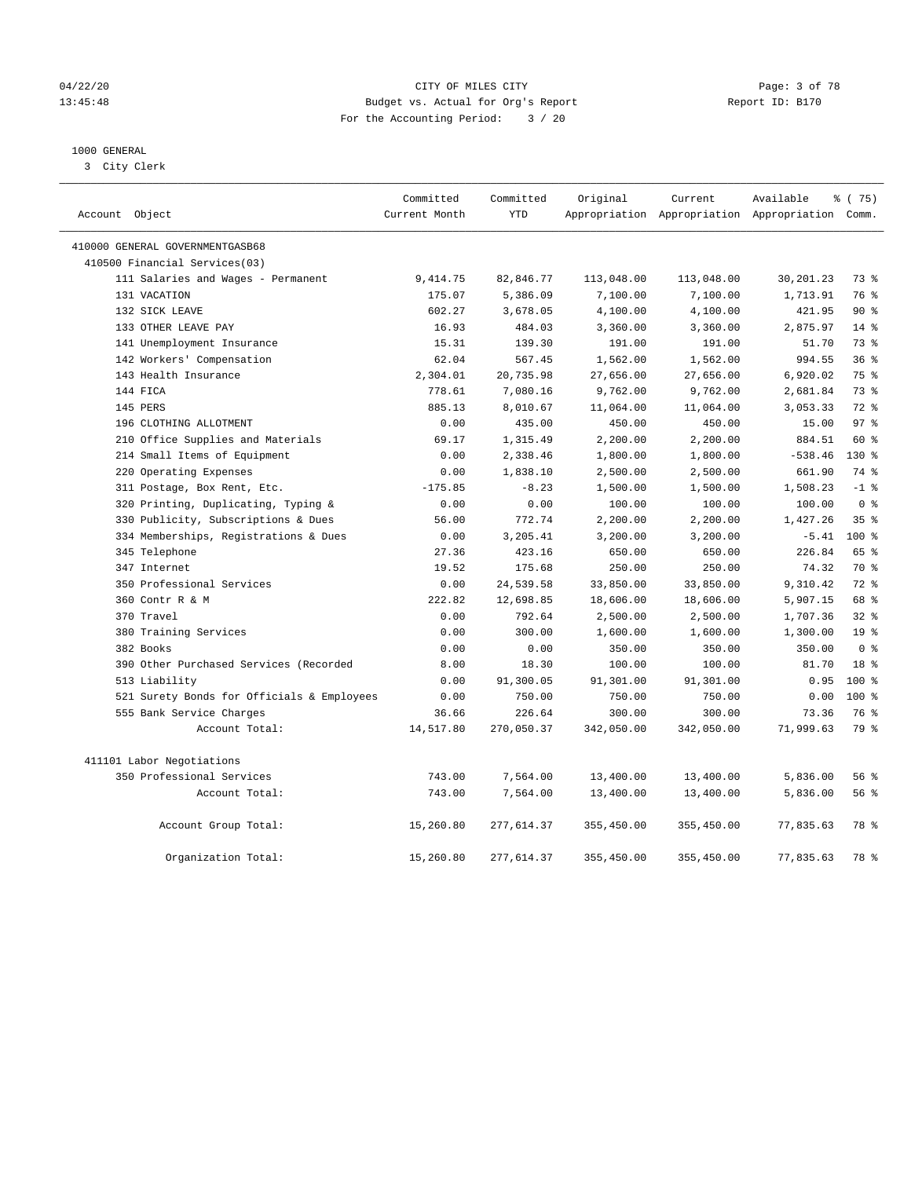## 04/22/20 CITY OF MILES CITY Page: 3 of 78 13:45:48 Budget vs. Actual for Org's Report Report ID: B170 For the Accounting Period: 3 / 20

# 1000 GENERAL

3 City Clerk

| Account Object                             | Committed<br>Current Month | Committed<br><b>YTD</b> | Original   | Current    | Available<br>Appropriation Appropriation Appropriation Comm. | % (75)          |
|--------------------------------------------|----------------------------|-------------------------|------------|------------|--------------------------------------------------------------|-----------------|
| 410000 GENERAL GOVERNMENTGASB68            |                            |                         |            |            |                                                              |                 |
| 410500 Financial Services(03)              |                            |                         |            |            |                                                              |                 |
| 111 Salaries and Wages - Permanent         | 9, 414.75                  | 82,846.77               | 113,048.00 | 113,048.00 | 30,201.23                                                    | 73 %            |
| 131 VACATION                               | 175.07                     | 5,386.09                | 7,100.00   | 7,100.00   | 1,713.91                                                     | 76 %            |
| 132 SICK LEAVE                             | 602.27                     | 3,678.05                | 4,100.00   | 4,100.00   | 421.95                                                       | 90%             |
| 133 OTHER LEAVE PAY                        | 16.93                      | 484.03                  | 3,360.00   | 3,360.00   | 2,875.97                                                     | $14$ %          |
| 141 Unemployment Insurance                 | 15.31                      | 139.30                  | 191.00     | 191.00     | 51.70                                                        | 73 %            |
| 142 Workers' Compensation                  | 62.04                      | 567.45                  | 1,562.00   | 1,562.00   | 994.55                                                       | 36%             |
| 143 Health Insurance                       | 2,304.01                   | 20,735.98               | 27,656.00  | 27,656.00  | 6,920.02                                                     | 75 %            |
| 144 FICA                                   | 778.61                     | 7,080.16                | 9,762.00   | 9,762.00   | 2,681.84                                                     | 73%             |
| 145 PERS                                   | 885.13                     | 8,010.67                | 11,064.00  | 11,064.00  | 3,053.33                                                     | $72$ $%$        |
| 196 CLOTHING ALLOTMENT                     | 0.00                       | 435.00                  | 450.00     | 450.00     | 15.00                                                        | 97 <sub>8</sub> |
| 210 Office Supplies and Materials          | 69.17                      | 1,315.49                | 2,200.00   | 2,200.00   | 884.51                                                       | 60 %            |
| 214 Small Items of Equipment               | 0.00                       | 2,338.46                | 1,800.00   | 1,800.00   | $-538.46$                                                    | 130 %           |
| 220 Operating Expenses                     | 0.00                       | 1,838.10                | 2,500.00   | 2,500.00   | 661.90                                                       | 74 %            |
| 311 Postage, Box Rent, Etc.                | $-175.85$                  | $-8.23$                 | 1,500.00   | 1,500.00   | 1,508.23                                                     | $-1$ %          |
| 320 Printing, Duplicating, Typing &        | 0.00                       | 0.00                    | 100.00     | 100.00     | 100.00                                                       | 0 <sup>8</sup>  |
| 330 Publicity, Subscriptions & Dues        | 56.00                      | 772.74                  | 2,200.00   | 2,200.00   | 1,427.26                                                     | 35%             |
| 334 Memberships, Registrations & Dues      | 0.00                       | 3,205.41                | 3,200.00   | 3,200.00   | $-5.41$                                                      | $100*$          |
| 345 Telephone                              | 27.36                      | 423.16                  | 650.00     | 650.00     | 226.84                                                       | 65 %            |
| 347 Internet                               | 19.52                      | 175.68                  | 250.00     | 250.00     | 74.32                                                        | 70 %            |
| 350 Professional Services                  | 0.00                       | 24,539.58               | 33,850.00  | 33,850.00  | 9,310.42                                                     | $72$ $%$        |
| 360 Contr R & M                            | 222.82                     | 12,698.85               | 18,606.00  | 18,606.00  | 5,907.15                                                     | 68 %            |
| 370 Travel                                 | 0.00                       | 792.64                  | 2,500.00   | 2,500.00   | 1,707.36                                                     | 32%             |
| 380 Training Services                      | 0.00                       | 300.00                  | 1,600.00   | 1,600.00   | 1,300.00                                                     | 19 <sup>°</sup> |
| 382 Books                                  | 0.00                       | 0.00                    | 350.00     | 350.00     | 350.00                                                       | 0 <sup>8</sup>  |
| 390 Other Purchased Services (Recorded     | 8.00                       | 18.30                   | 100.00     | 100.00     | 81.70                                                        | 18 <sup>8</sup> |
| 513 Liability                              | 0.00                       | 91,300.05               | 91,301.00  | 91,301.00  | 0.95                                                         | $100*$          |
| 521 Surety Bonds for Officials & Employees | 0.00                       | 750.00                  | 750.00     | 750.00     | 0.00                                                         | $100*$          |
| 555 Bank Service Charges                   | 36.66                      | 226.64                  | 300.00     | 300.00     | 73.36                                                        | 76 %            |
| Account Total:                             | 14,517.80                  | 270,050.37              | 342,050.00 | 342,050.00 | 71,999.63                                                    | 79 %            |
| 411101 Labor Negotiations                  |                            |                         |            |            |                                                              |                 |
| 350 Professional Services                  | 743.00                     | 7,564.00                | 13,400.00  | 13,400.00  | 5,836.00                                                     | 56%             |
| Account Total:                             | 743.00                     | 7,564.00                | 13,400.00  | 13,400.00  | 5,836.00                                                     | 56%             |
| Account Group Total:                       | 15,260.80                  | 277,614.37              | 355,450.00 | 355,450.00 | 77,835.63                                                    | 78 %            |
| Organization Total:                        | 15,260.80                  | 277,614.37              | 355,450.00 | 355,450.00 | 77,835.63                                                    | 78 %            |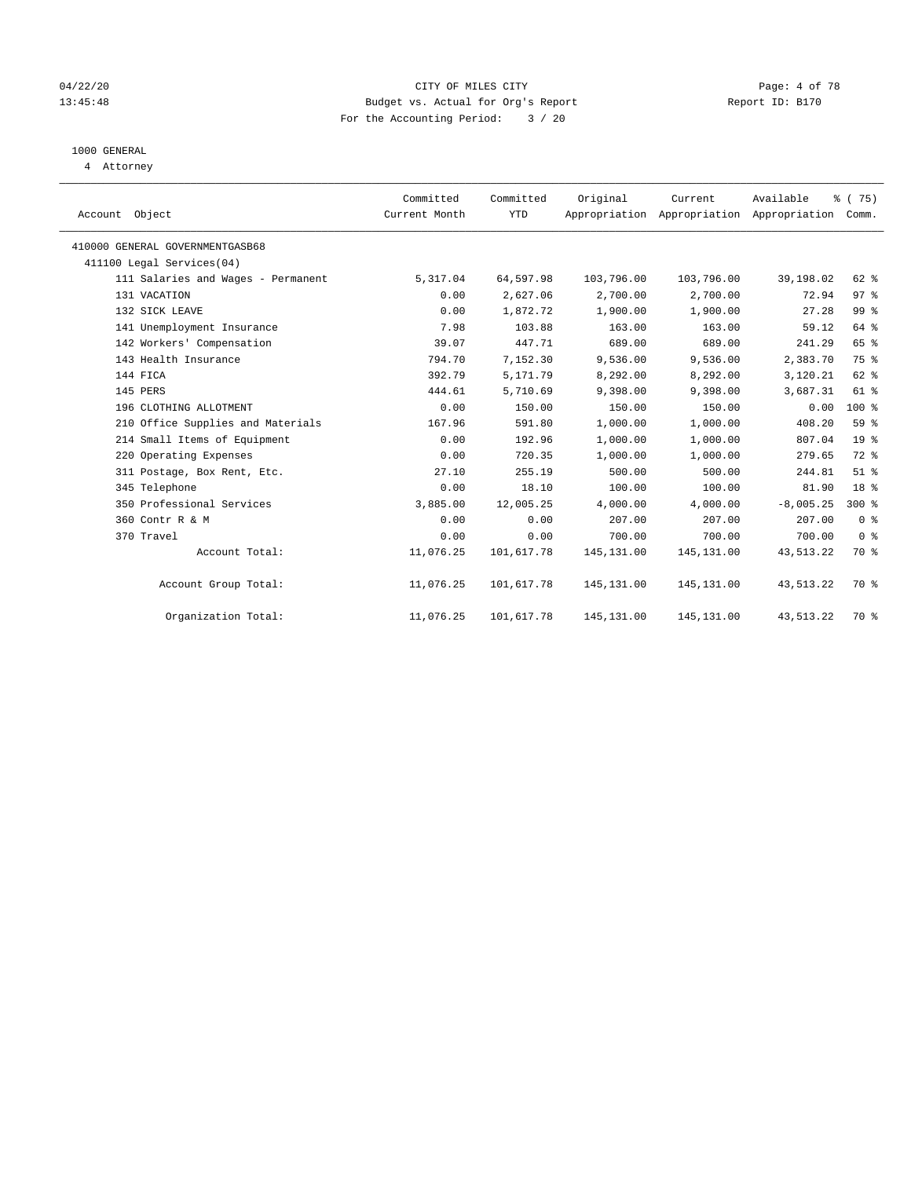## 04/22/20 CITY OF MILES CITY Page: 4 of 78 13:45:48 Budget vs. Actual for Org's Report Report ID: B170 For the Accounting Period: 3 / 20

# 1000 GENERAL

4 Attorney

| Account Object                     | Committed<br>Current Month | Committed<br>YTD | Original    | Current     | Available<br>Appropriation Appropriation Appropriation | % (75)<br>Comm. |  |
|------------------------------------|----------------------------|------------------|-------------|-------------|--------------------------------------------------------|-----------------|--|
| 410000 GENERAL GOVERNMENTGASB68    |                            |                  |             |             |                                                        |                 |  |
| 411100 Legal Services(04)          |                            |                  |             |             |                                                        |                 |  |
| 111 Salaries and Wages - Permanent | 5,317.04                   | 64,597.98        | 103,796.00  | 103,796.00  | 39,198.02                                              | 62 %            |  |
| 131 VACATION                       | 0.00                       | 2,627.06         | 2,700.00    | 2,700.00    | 72.94                                                  | 97%             |  |
| 132 SICK LEAVE                     | 0.00                       | 1,872.72         | 1,900.00    | 1,900.00    | 27.28                                                  | 99 %            |  |
| 141 Unemployment Insurance         | 7.98                       | 103.88           | 163.00      | 163.00      | 59.12                                                  | 64 %            |  |
| 142 Workers' Compensation          | 39.07                      | 447.71           | 689.00      | 689.00      | 241.29                                                 | 65 %            |  |
| 143 Health Insurance               | 794.70                     | 7,152.30         | 9,536.00    | 9,536.00    | 2,383.70                                               | 75 %            |  |
| 144 FICA                           | 392.79                     | 5,171.79         | 8,292.00    | 8,292.00    | 3,120.21                                               | 62 %            |  |
| 145 PERS                           | 444.61                     | 5,710.69         | 9,398.00    | 9,398.00    | 3,687.31                                               | 61 %            |  |
| 196 CLOTHING ALLOTMENT             | 0.00                       | 150.00           | 150.00      | 150.00      | 0.00                                                   | $100*$          |  |
| 210 Office Supplies and Materials  | 167.96                     | 591.80           | 1,000.00    | 1,000.00    | 408.20                                                 | 59 %            |  |
| 214 Small Items of Equipment       | 0.00                       | 192.96           | 1,000.00    | 1,000.00    | 807.04                                                 | 19 <sup>°</sup> |  |
| 220 Operating Expenses             | 0.00                       | 720.35           | 1,000.00    | 1,000.00    | 279.65                                                 | 72 %            |  |
| 311 Postage, Box Rent, Etc.        | 27.10                      | 255.19           | 500.00      | 500.00      | 244.81                                                 | $51$ %          |  |
| 345 Telephone                      | 0.00                       | 18.10            | 100.00      | 100.00      | 81.90                                                  | 18 %            |  |
| 350 Professional Services          | 3,885.00                   | 12,005.25        | 4,000.00    | 4,000.00    | $-8,005.25$                                            | $300*$          |  |
| 360 Contr R & M                    | 0.00                       | 0.00             | 207.00      | 207.00      | 207.00                                                 | 0 <sup>8</sup>  |  |
| 370 Travel                         | 0.00                       | 0.00             | 700.00      | 700.00      | 700.00                                                 | 0 <sup>8</sup>  |  |
| Account Total:                     | 11,076.25                  | 101,617.78       | 145, 131.00 | 145, 131.00 | 43, 513. 22                                            | 70 %            |  |
| Account Group Total:               | 11,076.25                  | 101,617.78       | 145, 131.00 | 145,131.00  | 43, 513. 22                                            | 70 %            |  |
| Organization Total:                | 11,076.25                  | 101,617.78       | 145,131.00  | 145,131.00  | 43,513.22                                              | 70 %            |  |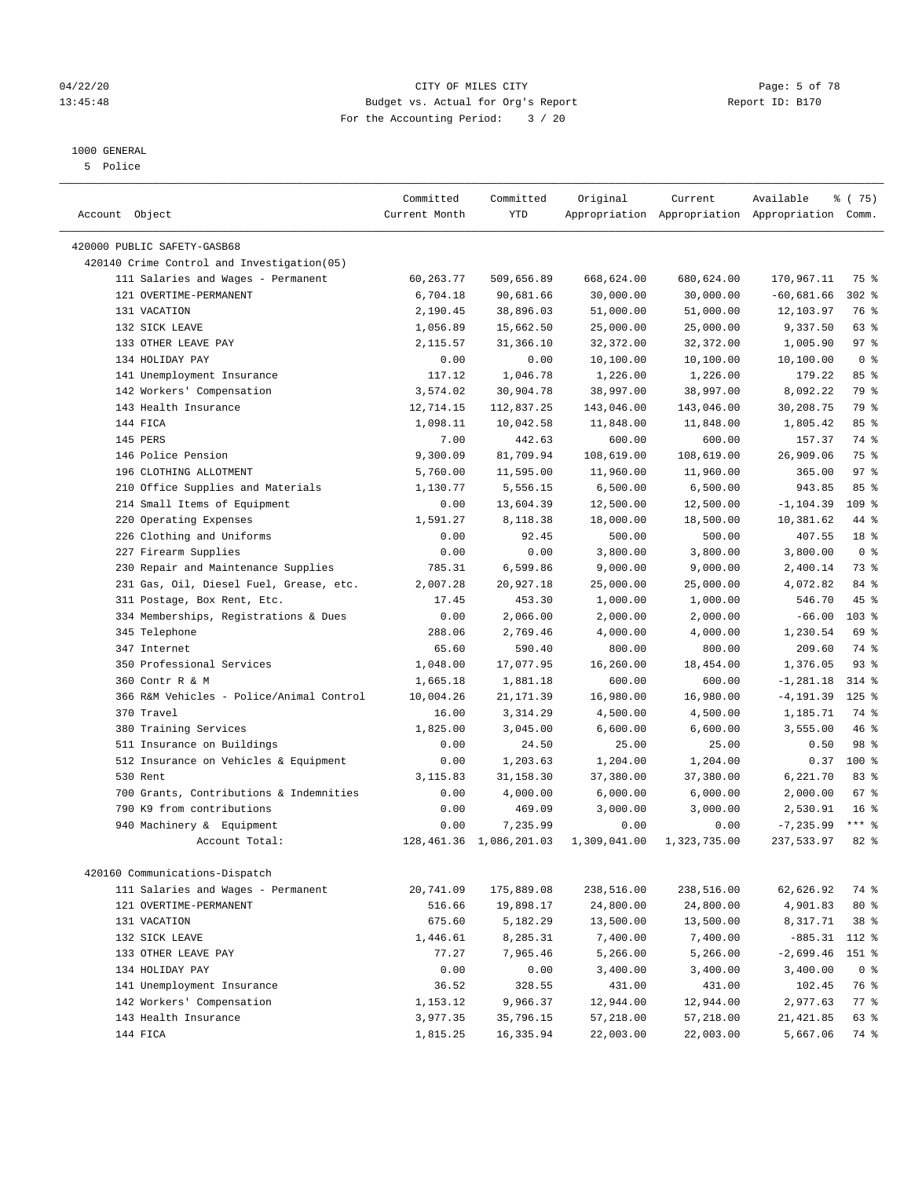#### 1000 GENERAL

5 Police

————————————————————————————————————————————————————————————————————————————————————————————————————————————————————————————————————

| Account Object                             | Committed<br>Current Month | Committed<br>YTD           | Original     | Current      | Available<br>Appropriation Appropriation Appropriation Comm. | ៖ (75)           |
|--------------------------------------------|----------------------------|----------------------------|--------------|--------------|--------------------------------------------------------------|------------------|
| 420000 PUBLIC SAFETY-GASB68                |                            |                            |              |              |                                                              |                  |
| 420140 Crime Control and Investigation(05) |                            |                            |              |              |                                                              |                  |
| 111 Salaries and Wages - Permanent         | 60,263.77                  | 509,656.89                 | 668,624.00   | 680,624.00   | 170,967.11                                                   | 75 %             |
| 121 OVERTIME-PERMANENT                     | 6,704.18                   | 90,681.66                  | 30,000.00    | 30,000.00    | $-60,681.66$                                                 | $302$ $%$        |
| 131 VACATION                               | 2,190.45                   | 38,896.03                  | 51,000.00    | 51,000.00    | 12,103.97                                                    | 76 %             |
| 132 SICK LEAVE                             | 1,056.89                   | 15,662.50                  | 25,000.00    | 25,000.00    | 9,337.50                                                     | 63 %             |
| 133 OTHER LEAVE PAY                        | 2,115.57                   | 31,366.10                  | 32,372.00    | 32,372.00    | 1,005.90                                                     | 97%              |
| 134 HOLIDAY PAY                            | 0.00                       | 0.00                       | 10,100.00    | 10,100.00    | 10,100.00                                                    | 0 <sup>8</sup>   |
| 141 Unemployment Insurance                 | 117.12                     | 1,046.78                   | 1,226.00     | 1,226.00     | 179.22                                                       | 85%              |
| 142 Workers' Compensation                  | 3,574.02                   | 30,904.78                  | 38,997.00    | 38,997.00    | 8,092.22                                                     | 79 %             |
| 143 Health Insurance                       | 12,714.15                  | 112,837.25                 | 143,046.00   | 143,046.00   | 30,208.75                                                    | 79 %             |
| 144 FICA                                   | 1,098.11                   | 10,042.58                  | 11,848.00    | 11,848.00    | 1,805.42                                                     | 85%              |
| 145 PERS                                   | 7.00                       | 442.63                     | 600.00       | 600.00       | 157.37                                                       | 74 %             |
| 146 Police Pension                         | 9,300.09                   | 81,709.94                  | 108,619.00   | 108,619.00   | 26,909.06                                                    | 75 %             |
| 196 CLOTHING ALLOTMENT                     | 5,760.00                   | 11,595.00                  | 11,960.00    | 11,960.00    | 365.00                                                       | 97%              |
| 210 Office Supplies and Materials          | 1,130.77                   | 5,556.15                   | 6,500.00     | 6,500.00     | 943.85                                                       | 85 %             |
| 214 Small Items of Equipment               | 0.00                       | 13,604.39                  | 12,500.00    | 12,500.00    | $-1, 104.39$                                                 | 109 %            |
| 220 Operating Expenses                     | 1,591.27                   | 8,118.38                   | 18,000.00    | 18,500.00    | 10,381.62                                                    | 44 %             |
| 226 Clothing and Uniforms                  | 0.00                       | 92.45                      | 500.00       | 500.00       | 407.55                                                       | 18 %             |
| 227 Firearm Supplies                       | 0.00                       | 0.00                       | 3,800.00     | 3,800.00     | 3,800.00                                                     | 0 <sup>8</sup>   |
| 230 Repair and Maintenance Supplies        | 785.31                     | 6,599.86                   | 9,000.00     | 9,000.00     | 2,400.14                                                     | 73 %             |
| 231 Gas, Oil, Diesel Fuel, Grease, etc.    | 2,007.28                   | 20,927.18                  | 25,000.00    | 25,000.00    | 4,072.82                                                     | 84 %             |
| 311 Postage, Box Rent, Etc.                | 17.45                      | 453.30                     | 1,000.00     | 1,000.00     | 546.70                                                       | 45 %             |
| 334 Memberships, Registrations & Dues      | 0.00                       | 2,066.00                   | 2,000.00     | 2,000.00     | $-66.00$                                                     | 103 <sub>8</sub> |
| 345 Telephone                              | 288.06                     | 2,769.46                   | 4,000.00     | 4,000.00     | 1,230.54                                                     | 69 %             |
| 347 Internet                               | 65.60                      | 590.40                     | 800.00       | 800.00       | 209.60                                                       | 74 %             |
| 350 Professional Services                  | 1,048.00                   | 17,077.95                  | 16,260.00    | 18,454.00    | 1,376.05                                                     | 93%              |
| 360 Contr R & M                            | 1,665.18                   | 1,881.18                   | 600.00       | 600.00       | $-1, 281.18$                                                 | $314$ %          |
| 366 R&M Vehicles - Police/Animal Control   | 10,004.26                  | 21, 171.39                 | 16,980.00    | 16,980.00    | $-4, 191.39$                                                 | $125$ %          |
| 370 Travel                                 | 16.00                      | 3,314.29                   | 4,500.00     | 4,500.00     | 1,185.71                                                     | 74 %             |
| 380 Training Services                      | 1,825.00                   | 3,045.00                   | 6,600.00     | 6,600.00     | 3,555.00                                                     | 46 %             |
| 511 Insurance on Buildings                 | 0.00                       | 24.50                      | 25.00        | 25.00        | 0.50                                                         | 98 %             |
| 512 Insurance on Vehicles & Equipment      | 0.00                       | 1,203.63                   | 1,204.00     | 1,204.00     | 0.37                                                         | 100 %            |
| 530 Rent                                   | 3,115.83                   | 31,158.30                  | 37,380.00    | 37,380.00    | 6,221.70                                                     | 83%              |
| 700 Grants, Contributions & Indemnities    | 0.00                       | 4,000.00                   | 6,000.00     | 6,000.00     | 2,000.00                                                     | 67 %             |
| 790 K9 from contributions                  | 0.00                       | 469.09                     | 3,000.00     | 3,000.00     | 2,530.91                                                     | 16 <sup>°</sup>  |
| 940 Machinery & Equipment                  | 0.00                       | 7,235.99                   | 0.00         | 0.00         | $-7, 235.99$                                                 | $***$ $_{8}$     |
| Account Total:                             |                            | 128, 461.36 1, 086, 201.03 | 1,309,041.00 | 1,323,735.00 | 237,533.97                                                   | 82 %             |
|                                            |                            |                            |              |              |                                                              |                  |
| 420160 Communications-Dispatch             |                            |                            |              |              |                                                              |                  |
| 111 Salaries and Wages - Permanent         | 20,741.09                  | 175,889.08                 | 238,516.00   | 238,516.00   | 62,626.92                                                    | 74 %             |
| 121 OVERTIME-PERMANENT                     | 516.66                     | 19,898.17                  | 24,800.00    | 24,800.00    | 4,901.83                                                     | 80 %             |
| 131 VACATION                               | 675.60                     | 5,182.29                   | 13,500.00    | 13,500.00    | 8,317.71                                                     | 38 %             |
| 132 SICK LEAVE                             | 1,446.61                   | 8,285.31                   | 7,400.00     | 7,400.00     | $-885.31$                                                    | 112 %            |
| 133 OTHER LEAVE PAY                        | 77.27                      | 7,965.46                   | 5,266.00     | 5,266.00     | $-2,699.46$                                                  | 151 %            |
| 134 HOLIDAY PAY                            | 0.00                       | 0.00                       | 3,400.00     | 3,400.00     | 3,400.00                                                     | 0 <sup>8</sup>   |
| 141 Unemployment Insurance                 | 36.52                      | 328.55                     | 431.00       | 431.00       | 102.45                                                       | 76 %             |
| 142 Workers' Compensation                  | 1,153.12                   | 9,966.37                   | 12,944.00    | 12,944.00    | 2,977.63                                                     | $77$ %           |
| 143 Health Insurance                       | 3,977.35                   | 35,796.15                  | 57,218.00    | 57,218.00    | 21,421.85                                                    | 63 %             |
| 144 FICA                                   | 1,815.25                   | 16,335.94                  | 22,003.00    | 22,003.00    | 5,667.06                                                     | 74 %             |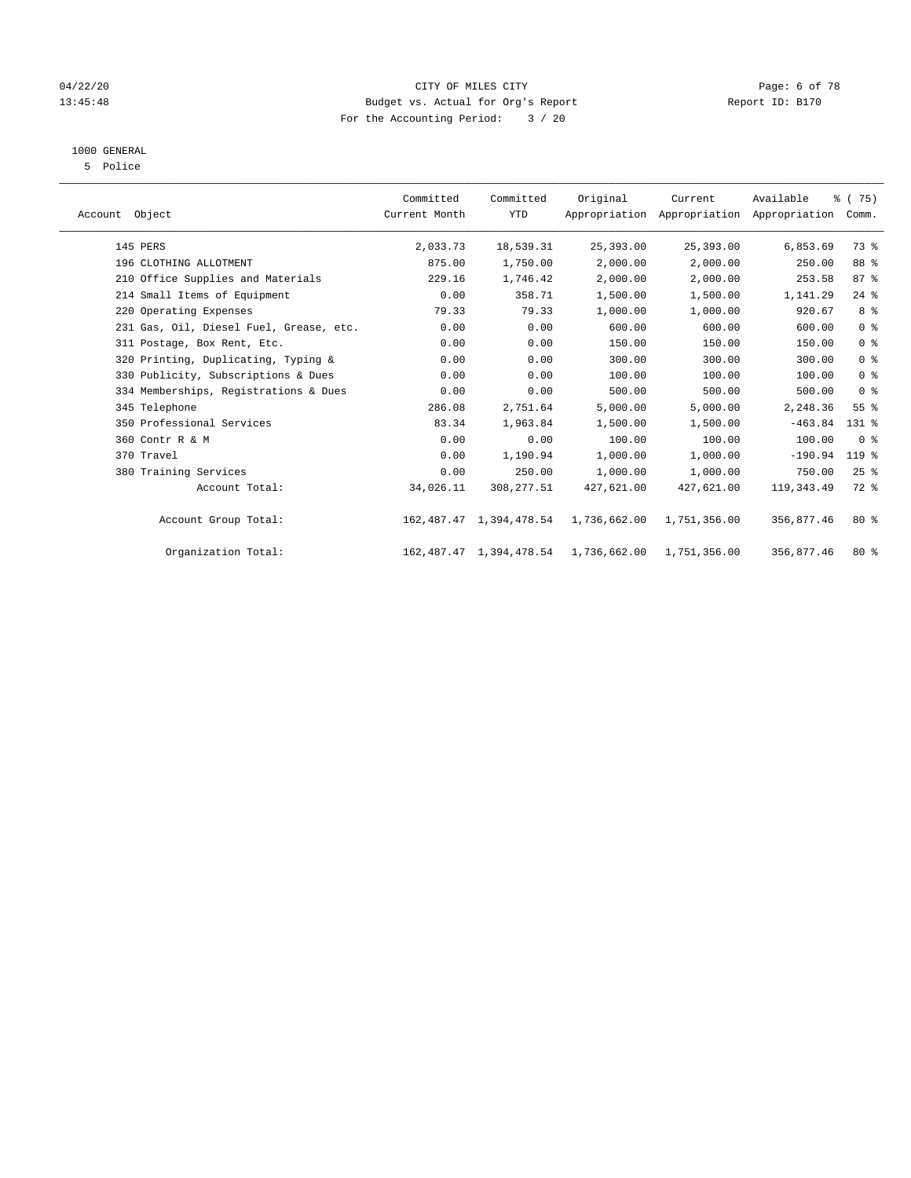## 04/22/20 CITY OF MILES CITY Page: 6 of 78 13:45:48 Budget vs. Actual for Org's Report Changer Report ID: B170 For the Accounting Period: 3 / 20

# 1000 GENERAL

5 Police

| Account Object                          | Committed<br>Current Month | Committed<br><b>YTD</b>      | Original                             | Current      | Available<br>Appropriation Appropriation Appropriation | % (75)<br>Comm. |  |
|-----------------------------------------|----------------------------|------------------------------|--------------------------------------|--------------|--------------------------------------------------------|-----------------|--|
| 145 PERS                                | 2,033.73                   | 18,539.31                    | 25,393.00                            | 25,393.00    | 6,853.69                                               | 73 %            |  |
| 196 CLOTHING ALLOTMENT                  | 875.00                     | 1,750.00                     | 2,000.00                             | 2,000.00     | 250.00                                                 | 88 %            |  |
| 210 Office Supplies and Materials       | 229.16                     | 1,746.42                     | 2,000.00                             | 2,000.00     | 253.58                                                 | $87 - 8$        |  |
| 214 Small Items of Equipment            | 0.00                       | 358.71                       | 1,500.00                             | 1,500.00     | 1,141.29                                               | $24$ %          |  |
| 220 Operating Expenses                  | 79.33                      | 79.33                        | 1,000.00                             | 1,000.00     | 920.67                                                 | 8 %             |  |
| 231 Gas, Oil, Diesel Fuel, Grease, etc. | 0.00                       | 0.00                         | 600.00                               | 600.00       | 600.00                                                 | 0 <sup>8</sup>  |  |
| 311 Postage, Box Rent, Etc.             | 0.00                       | 0.00                         | 150.00                               | 150.00       | 150.00                                                 | 0 <sup>8</sup>  |  |
| 320 Printing, Duplicating, Typing &     | 0.00                       | 0.00                         | 300.00                               | 300.00       | 300.00                                                 | 0 <sup>8</sup>  |  |
| 330 Publicity, Subscriptions & Dues     | 0.00                       | 0.00                         | 100.00                               | 100.00       | 100.00                                                 | 0 <sup>8</sup>  |  |
| 334 Memberships, Registrations & Dues   | 0.00                       | 0.00                         | 500.00                               | 500.00       | 500.00                                                 | 0 <sup>8</sup>  |  |
| 345 Telephone                           | 286.08                     | 2,751.64                     | 5,000.00                             | 5,000.00     | 2,248.36                                               | 55%             |  |
| 350 Professional Services               | 83.34                      | 1,963.84                     | 1,500.00                             | 1,500.00     | $-463.84$                                              | $131$ %         |  |
| 360 Contr R & M                         | 0.00                       | 0.00                         | 100.00                               | 100.00       | 100.00                                                 | 0 <sup>8</sup>  |  |
| 370 Travel                              | 0.00                       | 1,190.94                     | 1,000.00                             | 1,000.00     | $-190.94$                                              | 119 %           |  |
| 380 Training Services                   | 0.00                       | 250.00                       | 1,000.00                             | 1,000.00     | 750.00                                                 | $25$ %          |  |
| Account Total:                          | 34,026.11                  | 308, 277.51                  | 427,621.00                           | 427,621.00   | 119, 343.49                                            | $72*$           |  |
| Account Group Total:                    |                            |                              | 162,487.47 1,394,478.54 1,736,662.00 | 1,751,356.00 | 356,877.46                                             | $80*$           |  |
| Organization Total:                     |                            | 162, 487. 47 1, 394, 478. 54 | 1,736,662.00                         | 1,751,356.00 | 356,877.46                                             | $80*$           |  |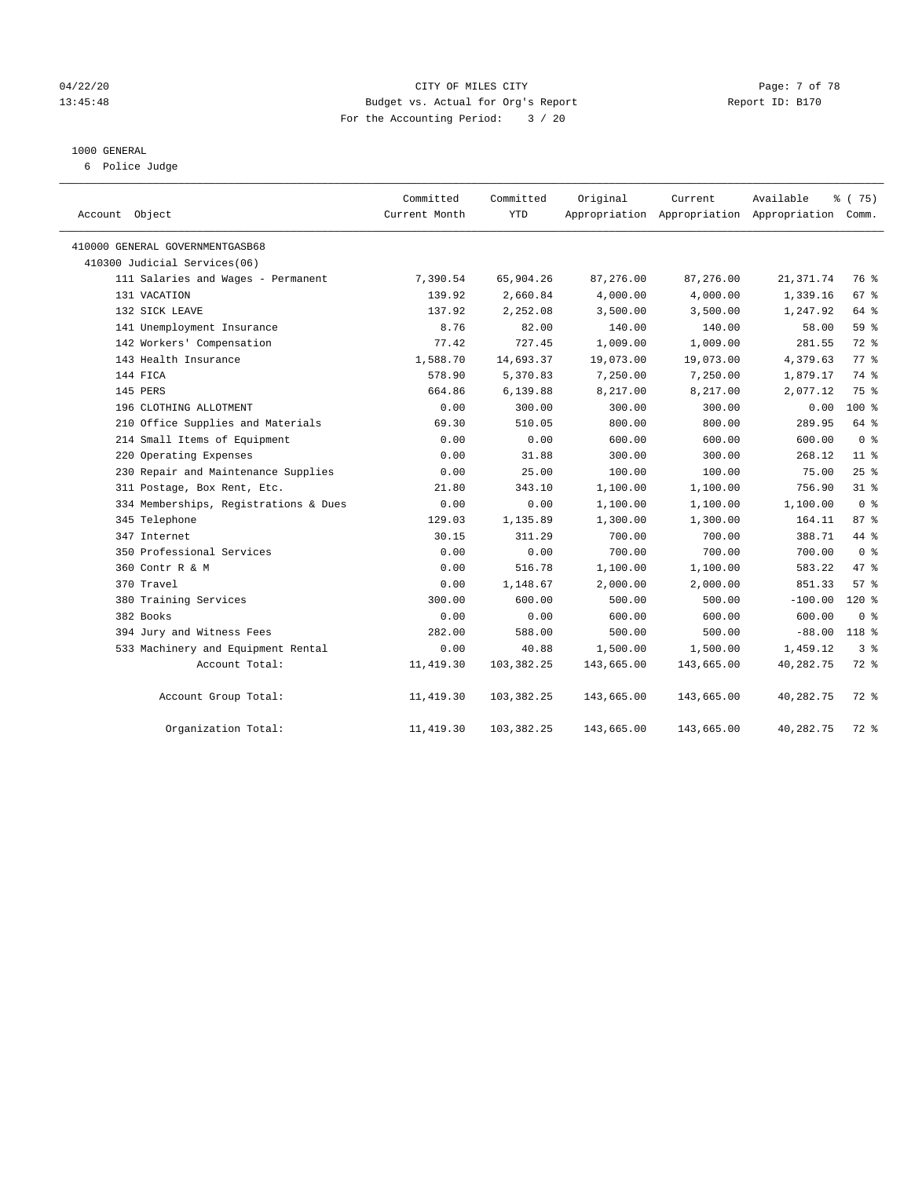#### 04/22/20 **CITY OF MILES CITY** CONTROLLER CONTROLLER Page: 7 of 78 13:45:48 Budget vs. Actual for Org's Report Report ID: B170 For the Accounting Period: 3 / 20

#### 1000 GENERAL

6 Police Judge

| Account Object                        | Committed<br>Current Month | Committed<br><b>YTD</b> | Original   | Current    | Available<br>Appropriation Appropriation Appropriation Comm. | % (75)          |
|---------------------------------------|----------------------------|-------------------------|------------|------------|--------------------------------------------------------------|-----------------|
| 410000 GENERAL GOVERNMENTGASB68       |                            |                         |            |            |                                                              |                 |
| 410300 Judicial Services(06)          |                            |                         |            |            |                                                              |                 |
| 111 Salaries and Wages - Permanent    | 7,390.54                   | 65,904.26               | 87,276.00  | 87,276.00  | 21, 371.74                                                   | 76 %            |
| 131 VACATION                          | 139.92                     | 2,660.84                | 4,000.00   | 4,000.00   | 1,339.16                                                     | 67%             |
| 132 SICK LEAVE                        | 137.92                     | 2,252.08                | 3,500.00   | 3,500.00   | 1,247.92                                                     | 64 %            |
| 141 Unemployment Insurance            | 8.76                       | 82.00                   | 140.00     | 140.00     | 58.00                                                        | 59 %            |
| 142 Workers' Compensation             | 77.42                      | 727.45                  | 1,009.00   | 1,009.00   | 281.55                                                       | 72 %            |
| 143 Health Insurance                  | 1,588.70                   | 14,693.37               | 19,073.00  | 19,073.00  | 4,379.63                                                     | 77.8            |
| 144 FICA                              | 578.90                     | 5,370.83                | 7,250.00   | 7,250.00   | 1,879.17                                                     | 74 %            |
| 145 PERS                              | 664.86                     | 6,139.88                | 8,217.00   | 8,217.00   | 2,077.12                                                     | 75 %            |
| 196 CLOTHING ALLOTMENT                | 0.00                       | 300.00                  | 300.00     | 300.00     | 0.00                                                         | $100*$          |
| 210 Office Supplies and Materials     | 69.30                      | 510.05                  | 800.00     | 800.00     | 289.95                                                       | 64 %            |
| 214 Small Items of Equipment          | 0.00                       | 0.00                    | 600.00     | 600.00     | 600.00                                                       | 0 <sup>8</sup>  |
| 220 Operating Expenses                | 0.00                       | 31.88                   | 300.00     | 300.00     | 268.12                                                       | 11 <sup>°</sup> |
| 230 Repair and Maintenance Supplies   | 0.00                       | 25.00                   | 100.00     | 100.00     | 75.00                                                        | 25%             |
| 311 Postage, Box Rent, Etc.           | 21.80                      | 343.10                  | 1,100.00   | 1,100.00   | 756.90                                                       | $31$ %          |
| 334 Memberships, Registrations & Dues | 0.00                       | 0.00                    | 1,100.00   | 1,100.00   | 1,100.00                                                     | 0 <sup>8</sup>  |
| 345 Telephone                         | 129.03                     | 1,135.89                | 1,300.00   | 1,300.00   | 164.11                                                       | 87%             |
| 347 Internet                          | 30.15                      | 311.29                  | 700.00     | 700.00     | 388.71                                                       | 44 %            |
| 350 Professional Services             | 0.00                       | 0.00                    | 700.00     | 700.00     | 700.00                                                       | 0 <sup>8</sup>  |
| 360 Contr R & M                       | 0.00                       | 516.78                  | 1,100.00   | 1,100.00   | 583.22                                                       | 47.8            |
| 370 Travel                            | 0.00                       | 1,148.67                | 2,000.00   | 2,000.00   | 851.33                                                       | 57%             |
| 380 Training Services                 | 300.00                     | 600.00                  | 500.00     | 500.00     | $-100.00$                                                    | 120%            |
| 382 Books                             | 0.00                       | 0.00                    | 600.00     | 600.00     | 600.00                                                       | 0 <sup>8</sup>  |
| 394 Jury and Witness Fees             | 282.00                     | 588.00                  | 500.00     | 500.00     | $-88.00$                                                     | 118 %           |
| 533 Machinery and Equipment Rental    | 0.00                       | 40.88                   | 1,500.00   | 1,500.00   | 1,459.12                                                     | 3 <sup>8</sup>  |
| Account Total:                        | 11, 419.30                 | 103,382.25              | 143,665.00 | 143,665.00 | 40,282.75                                                    | $72$ $%$        |
| Account Group Total:                  | 11,419.30                  | 103,382.25              | 143,665.00 | 143,665.00 | 40,282.75                                                    | 72 %            |
| Organization Total:                   | 11, 419.30                 | 103,382.25              | 143,665.00 | 143,665.00 | 40,282.75                                                    | 72 %            |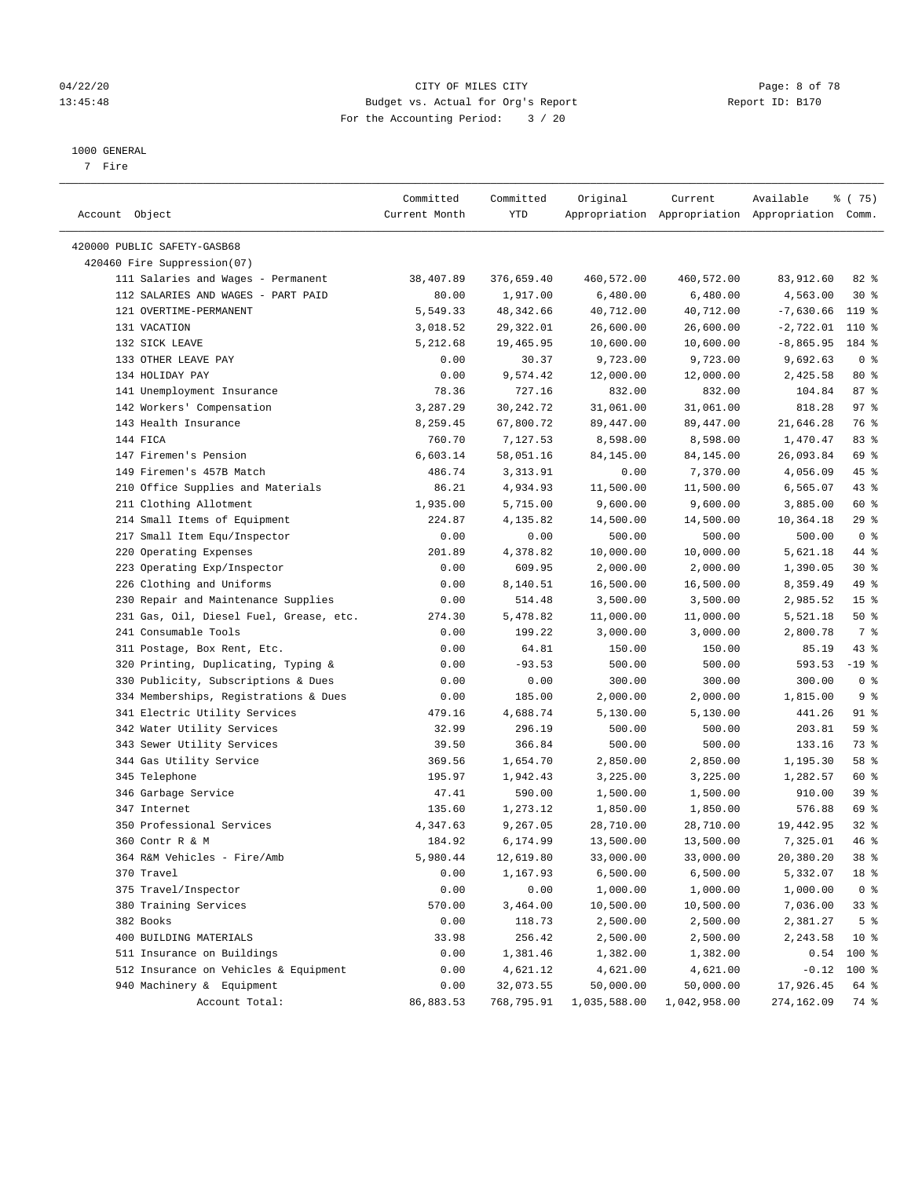## 04/22/20 CITY OF MILES CITY Page: 8 of 78 13:45:48 Budget vs. Actual for Org's Report Report ID: B170 For the Accounting Period: 3 / 20

————————————————————————————————————————————————————————————————————————————————————————————————————————————————————————————————————

#### 1000 GENERAL

7 Fire

|                                         | Committed     | Committed         | Original     | Current      | Available                                       | 8 (75)          |
|-----------------------------------------|---------------|-------------------|--------------|--------------|-------------------------------------------------|-----------------|
| Account Object                          | Current Month | YTD               |              |              | Appropriation Appropriation Appropriation Comm. |                 |
| 420000 PUBLIC SAFETY-GASB68             |               |                   |              |              |                                                 |                 |
| 420460 Fire Suppression(07)             |               |                   |              |              |                                                 |                 |
| 111 Salaries and Wages - Permanent      | 38,407.89     | 376,659.40        | 460,572.00   | 460,572.00   | 83,912.60                                       | $82$ $%$        |
| 112 SALARIES AND WAGES - PART PAID      | 80.00         | 1,917.00          | 6,480.00     | 6,480.00     | 4,563.00                                        | $30*$           |
| 121 OVERTIME-PERMANENT                  | 5,549.33      | 48,342.66         | 40,712.00    | 40,712.00    | $-7,630.66$                                     | $119*$          |
| 131 VACATION                            | 3,018.52      | 29,322.01         | 26,600.00    | 26,600.00    | $-2,722.01$ 110 %                               |                 |
| 132 SICK LEAVE                          | 5,212.68      | 19,465.95         | 10,600.00    | 10,600.00    | $-8,865.95$                                     | 184 %           |
| 133 OTHER LEAVE PAY                     |               |                   |              | 9,723.00     | 9,692.63                                        | 0 <sup>8</sup>  |
| 134 HOLIDAY PAY                         | 0.00<br>0.00  | 30.37<br>9,574.42 | 9,723.00     |              | 2,425.58                                        | $80*$           |
|                                         |               |                   | 12,000.00    | 12,000.00    |                                                 |                 |
| 141 Unemployment Insurance              | 78.36         | 727.16            | 832.00       | 832.00       | 104.84                                          | 87%             |
| 142 Workers' Compensation               | 3,287.29      | 30,242.72         | 31,061.00    | 31,061.00    | 818.28                                          | 97%             |
| 143 Health Insurance                    | 8,259.45      | 67,800.72         | 89,447.00    | 89,447.00    | 21,646.28                                       | 76 %            |
| 144 FICA                                | 760.70        | 7,127.53          | 8,598.00     | 8,598.00     | 1,470.47                                        | 83 %            |
| 147 Firemen's Pension                   | 6,603.14      | 58,051.16         | 84,145.00    | 84,145.00    | 26,093.84                                       | 69 %            |
| 149 Firemen's 457B Match                | 486.74        | 3, 313.91         | 0.00         | 7,370.00     | 4,056.09                                        | 45 %            |
| 210 Office Supplies and Materials       | 86.21         | 4,934.93          | 11,500.00    | 11,500.00    | 6,565.07                                        | 43 %            |
| 211 Clothing Allotment                  | 1,935.00      | 5,715.00          | 9,600.00     | 9,600.00     | 3,885.00                                        | 60 %            |
| 214 Small Items of Equipment            | 224.87        | 4,135.82          | 14,500.00    | 14,500.00    | 10,364.18                                       | $29$ %          |
| 217 Small Item Equ/Inspector            | 0.00          | 0.00              | 500.00       | 500.00       | 500.00                                          | 0 <sup>8</sup>  |
| 220 Operating Expenses                  | 201.89        | 4,378.82          | 10,000.00    | 10,000.00    | 5,621.18                                        | 44 %            |
| 223 Operating Exp/Inspector             | 0.00          | 609.95            | 2,000.00     | 2,000.00     | 1,390.05                                        | $30*$           |
| 226 Clothing and Uniforms               | 0.00          | 8,140.51          | 16,500.00    | 16,500.00    | 8,359.49                                        | 49 %            |
| 230 Repair and Maintenance Supplies     | 0.00          | 514.48            | 3,500.00     | 3,500.00     | 2,985.52                                        | 15 <sup>°</sup> |
| 231 Gas, Oil, Diesel Fuel, Grease, etc. | 274.30        | 5,478.82          | 11,000.00    | 11,000.00    | 5,521.18                                        | 50%             |
| 241 Consumable Tools                    | 0.00          | 199.22            | 3,000.00     | 3,000.00     | 2,800.78                                        | 7 %             |
| 311 Postage, Box Rent, Etc.             | 0.00          | 64.81             | 150.00       | 150.00       | 85.19                                           | 43 %            |
| 320 Printing, Duplicating, Typing &     | 0.00          | $-93.53$          | 500.00       | 500.00       | 593.53                                          | $-19$ %         |
| 330 Publicity, Subscriptions & Dues     | 0.00          | 0.00              | 300.00       | 300.00       | 300.00                                          | 0 <sup>8</sup>  |
| 334 Memberships, Registrations & Dues   | 0.00          | 185.00            | 2,000.00     | 2,000.00     | 1,815.00                                        | 9%              |
| 341 Electric Utility Services           | 479.16        | 4,688.74          | 5,130.00     | 5,130.00     | 441.26                                          | 91 %            |
| 342 Water Utility Services              | 32.99         | 296.19            | 500.00       | 500.00       | 203.81                                          | 59 %            |
| 343 Sewer Utility Services              | 39.50         | 366.84            | 500.00       | 500.00       | 133.16                                          | 73 %            |
| 344 Gas Utility Service                 | 369.56        | 1,654.70          | 2,850.00     | 2,850.00     | 1,195.30                                        | 58 %            |
| 345 Telephone                           | 195.97        | 1,942.43          | 3,225.00     | 3,225.00     | 1,282.57                                        | 60 %            |
| 346 Garbage Service                     | 47.41         | 590.00            | 1,500.00     | 1,500.00     | 910.00                                          | 39%             |
| 347 Internet                            | 135.60        | 1,273.12          | 1,850.00     | 1,850.00     | 576.88                                          | 69 %            |
| 350 Professional Services               | 4,347.63      | 9,267.05          | 28,710.00    | 28,710.00    | 19,442.95                                       | $32$ $%$        |
| 360 Contr R & M                         | 184.92        | 6,174.99          | 13,500.00    | 13,500.00    | 7,325.01                                        | 46 %            |
| 364 R&M Vehicles - Fire/Amb             | 5,980.44      | 12,619.80         | 33,000.00    | 33,000.00    | 20,380.20                                       | 38 <sup>8</sup> |
| 370 Travel                              | 0.00          | 1,167.93          | 6,500.00     | 6,500.00     | 5,332.07                                        | 18 %            |
| 375 Travel/Inspector                    | 0.00          | 0.00              | 1,000.00     | 1,000.00     | 1,000.00                                        | 0 <sup>8</sup>  |
| 380 Training Services                   | 570.00        | 3,464.00          | 10,500.00    | 10,500.00    | 7,036.00                                        | 33%             |
| 382 Books                               | 0.00          | 118.73            | 2,500.00     | 2,500.00     | 2,381.27                                        | 5 <sup>°</sup>  |
| 400 BUILDING MATERIALS                  | 33.98         | 256.42            | 2,500.00     | 2,500.00     | 2,243.58                                        | $10*$           |
| 511 Insurance on Buildings              | 0.00          | 1,381.46          | 1,382.00     | 1,382.00     | 0.54                                            | 100 %           |
| 512 Insurance on Vehicles & Equipment   | 0.00          | 4,621.12          | 4,621.00     | 4,621.00     | $-0.12$                                         | $100$ %         |
| 940 Machinery & Equipment               | 0.00          | 32,073.55         | 50,000.00    | 50,000.00    | 17,926.45                                       | 64 %            |
| Account Total:                          | 86,883.53     | 768,795.91        | 1,035,588.00 | 1,042,958.00 | 274,162.09                                      | 74 %            |
|                                         |               |                   |              |              |                                                 |                 |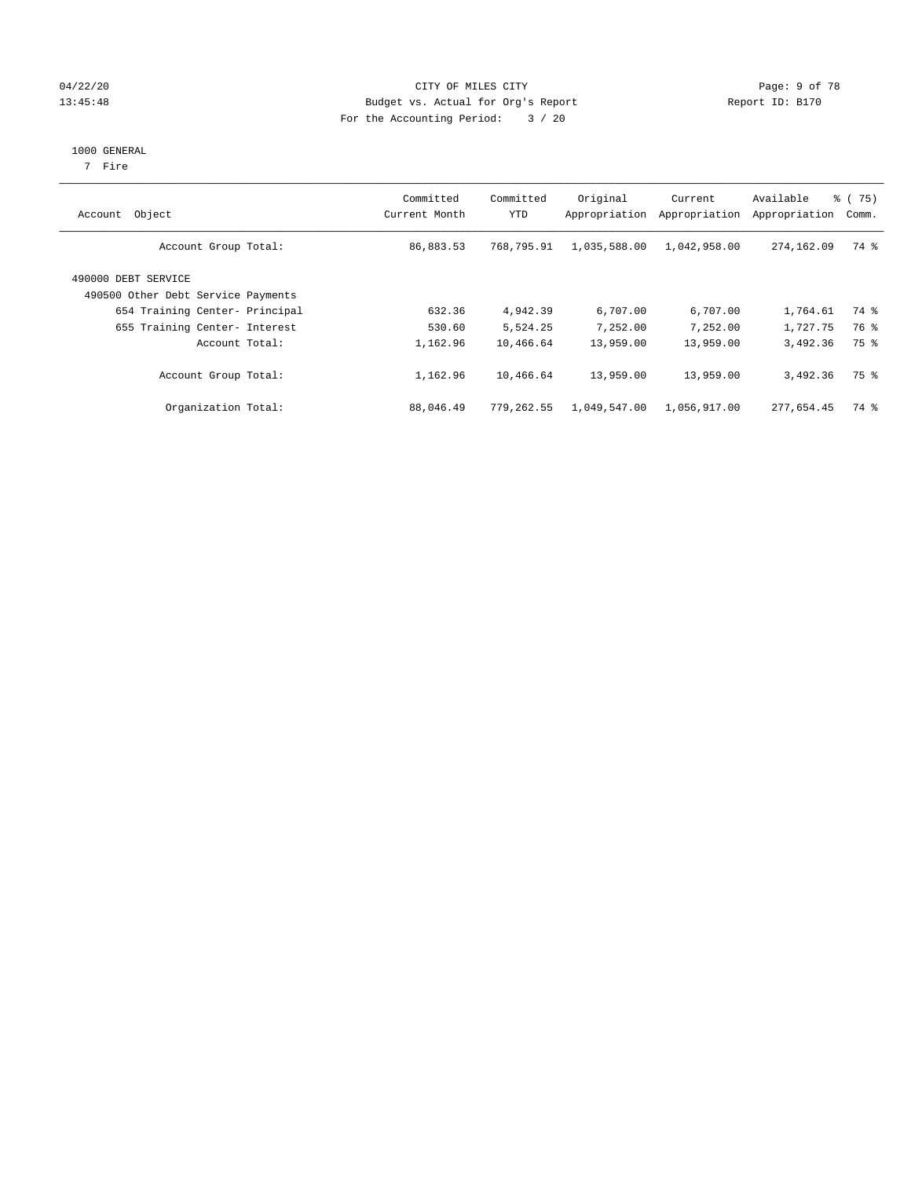## 04/22/20 **CITY OF MILES CITY** CONTROLLER CONTROLLER Page: 9 of 78 13:45:48 Budget vs. Actual for Org's Report Report ID: B170 For the Accounting Period: 3 / 20

#### 1000 GENERAL

7 Fire

| Account Object                                            | Committed<br>Current Month | Committed<br>YTD | Original<br>Appropriation | Current<br>Appropriation | Available<br>Appropriation | 8 (75)<br>Comm. |
|-----------------------------------------------------------|----------------------------|------------------|---------------------------|--------------------------|----------------------------|-----------------|
| Account Group Total:                                      | 86,883.53                  | 768,795.91       | 1,035,588.00              | 1,042,958.00             | 274,162.09                 | 74 %            |
| 490000 DEBT SERVICE<br>490500 Other Debt Service Payments |                            |                  |                           |                          |                            |                 |
| 654 Training Center- Principal                            | 632.36                     | 4,942.39         | 6,707.00                  | 6,707.00                 | 1,764.61                   | 74 %            |
| 655 Training Center- Interest                             | 530.60                     | 5,524.25         | 7,252.00                  | 7,252.00                 | 1,727.75                   | 76 %            |
| Account Total:                                            | 1,162.96                   | 10,466.64        | 13,959.00                 | 13,959.00                | 3,492.36                   | 75 %            |
| Account Group Total:                                      | 1,162.96                   | 10,466.64        | 13,959.00                 | 13,959.00                | 3,492.36                   | 75 %            |
| Organization Total:                                       | 88,046.49                  | 779,262.55       | 1,049,547.00              | 1,056,917.00             | 277,654.45                 | 74 %            |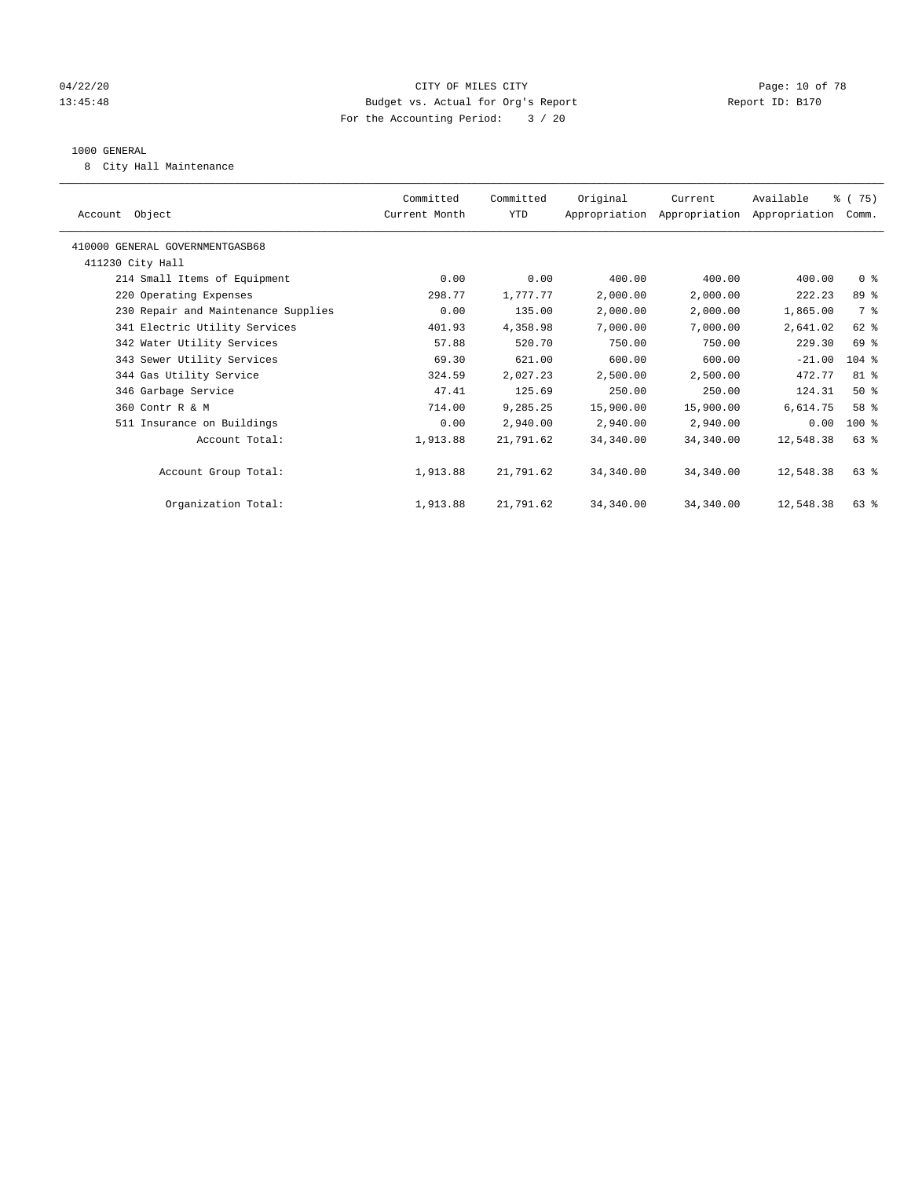## 04/22/20 **CITY OF MILES CITY CONSUMING THE PAGE:** 10 of 78 13:45:48 Budget vs. Actual for Org's Report Report ID: B170 For the Accounting Period: 3 / 20

#### 1000 GENERAL

8 City Hall Maintenance

| Account Object                      | Committed<br>Current Month | Committed<br>YTD | Original  | Current<br>Appropriation Appropriation Appropriation | Available | % (75)<br>Comm. |  |
|-------------------------------------|----------------------------|------------------|-----------|------------------------------------------------------|-----------|-----------------|--|
| 410000 GENERAL GOVERNMENTGASB68     |                            |                  |           |                                                      |           |                 |  |
| 411230 City Hall                    |                            |                  |           |                                                      |           |                 |  |
| 214 Small Items of Equipment        | 0.00                       | 0.00             | 400.00    | 400.00                                               | 400.00    | 0 <sup>8</sup>  |  |
| 220 Operating Expenses              | 298.77                     | 1,777.77         | 2,000.00  | 2,000.00                                             | 222.23    | 89 %            |  |
| 230 Repair and Maintenance Supplies | 0.00                       | 135.00           | 2,000.00  | 2,000.00                                             | 1,865.00  | 7 %             |  |
| 341 Electric Utility Services       | 401.93                     | 4,358.98         | 7,000.00  | 7,000.00                                             | 2,641.02  | 62 %            |  |
| 342 Water Utility Services          | 57.88                      | 520.70           | 750.00    | 750.00                                               | 229.30    | 69 %            |  |
| 343 Sewer Utility Services          | 69.30                      | 621.00           | 600.00    | 600.00                                               | $-21.00$  | $104$ %         |  |
| 344 Gas Utility Service             | 324.59                     | 2,027.23         | 2,500.00  | 2,500.00                                             | 472.77    | 81 %            |  |
| 346 Garbage Service                 | 47.41                      | 125.69           | 250.00    | 250.00                                               | 124.31    | $50*$           |  |
| 360 Contr R & M                     | 714.00                     | 9,285.25         | 15,900.00 | 15,900.00                                            | 6,614.75  | 58 %            |  |
| 511 Insurance on Buildings          | 0.00                       | 2,940.00         | 2,940.00  | 2,940.00                                             | 0.00      | $100$ %         |  |
| Account Total:                      | 1,913.88                   | 21,791.62        | 34,340.00 | 34,340.00                                            | 12,548.38 | $63$ $%$        |  |
|                                     |                            |                  |           |                                                      |           |                 |  |
| Account Group Total:                | 1,913.88                   | 21,791.62        | 34,340.00 | 34,340.00                                            | 12,548.38 | $63$ $%$        |  |
|                                     |                            |                  |           |                                                      |           |                 |  |
| Organization Total:                 | 1,913.88                   | 21,791.62        | 34,340.00 | 34,340.00                                            | 12,548.38 | $63$ $%$        |  |
|                                     |                            |                  |           |                                                      |           |                 |  |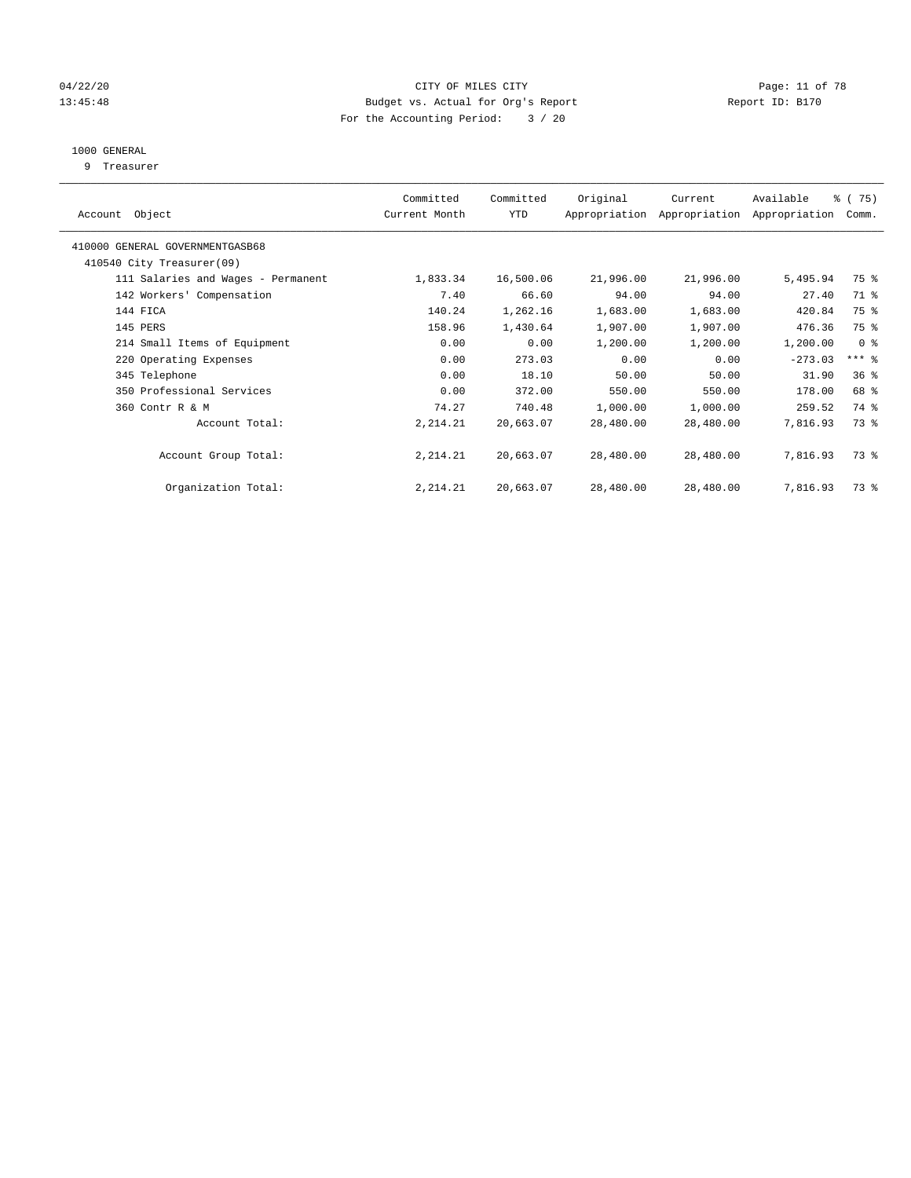## 04/22/20 **CITY OF MILES CITY CITY CITY Page: 11 of 78** 13:45:48 Budget vs. Actual for Org's Report Report ID: B170 For the Accounting Period: 3 / 20

# 1000 GENERAL

9 Treasurer

| Object<br>Account                  | Committed<br>Current Month | Committed<br>YTD | Original  | Current<br>Appropriation Appropriation | Available<br>Appropriation | 8 (75)<br>Comm. |  |
|------------------------------------|----------------------------|------------------|-----------|----------------------------------------|----------------------------|-----------------|--|
| 410000 GENERAL GOVERNMENTGASB68    |                            |                  |           |                                        |                            |                 |  |
| 410540 City Treasurer(09)          |                            |                  |           |                                        |                            |                 |  |
| 111 Salaries and Wages - Permanent | 1,833.34                   | 16,500.06        | 21,996.00 | 21,996.00                              | 5,495.94                   | 75 %            |  |
| 142 Workers' Compensation          | 7.40                       | 66.60            | 94.00     | 94.00                                  | 27.40                      | 71 %            |  |
| 144 FICA                           | 140.24                     | 1,262.16         | 1,683.00  | 1,683.00                               | 420.84                     | 75 %            |  |
| 145 PERS                           | 158.96                     | 1,430.64         | 1,907.00  | 1,907.00                               | 476.36                     | 75 %            |  |
| 214 Small Items of Equipment       | 0.00                       | 0.00             | 1,200.00  | 1,200.00                               | 1,200.00                   | 0 <sup>8</sup>  |  |
| 220 Operating Expenses             | 0.00                       | 273.03           | 0.00      | 0.00                                   | $-273.03$                  | $***$ $-$       |  |
| 345 Telephone                      | 0.00                       | 18.10            | 50.00     | 50.00                                  | 31.90                      | 36 <sup>8</sup> |  |
| 350 Professional Services          | 0.00                       | 372.00           | 550.00    | 550.00                                 | 178.00                     | 68 %            |  |
| 360 Contr R & M                    | 74.27                      | 740.48           | 1,000.00  | 1,000.00                               | 259.52                     | 74 %            |  |
| Account Total:                     | 2,214.21                   | 20,663.07        | 28,480.00 | 28,480.00                              | 7,816.93                   | 73.8            |  |
| Account Group Total:               | 2, 214.21                  | 20,663.07        | 28,480.00 | 28,480.00                              | 7,816.93                   | 73 %            |  |
| Organization Total:                | 2, 214.21                  | 20,663.07        | 28,480.00 | 28,480.00                              | 7,816.93                   | 73 %            |  |
|                                    |                            |                  |           |                                        |                            |                 |  |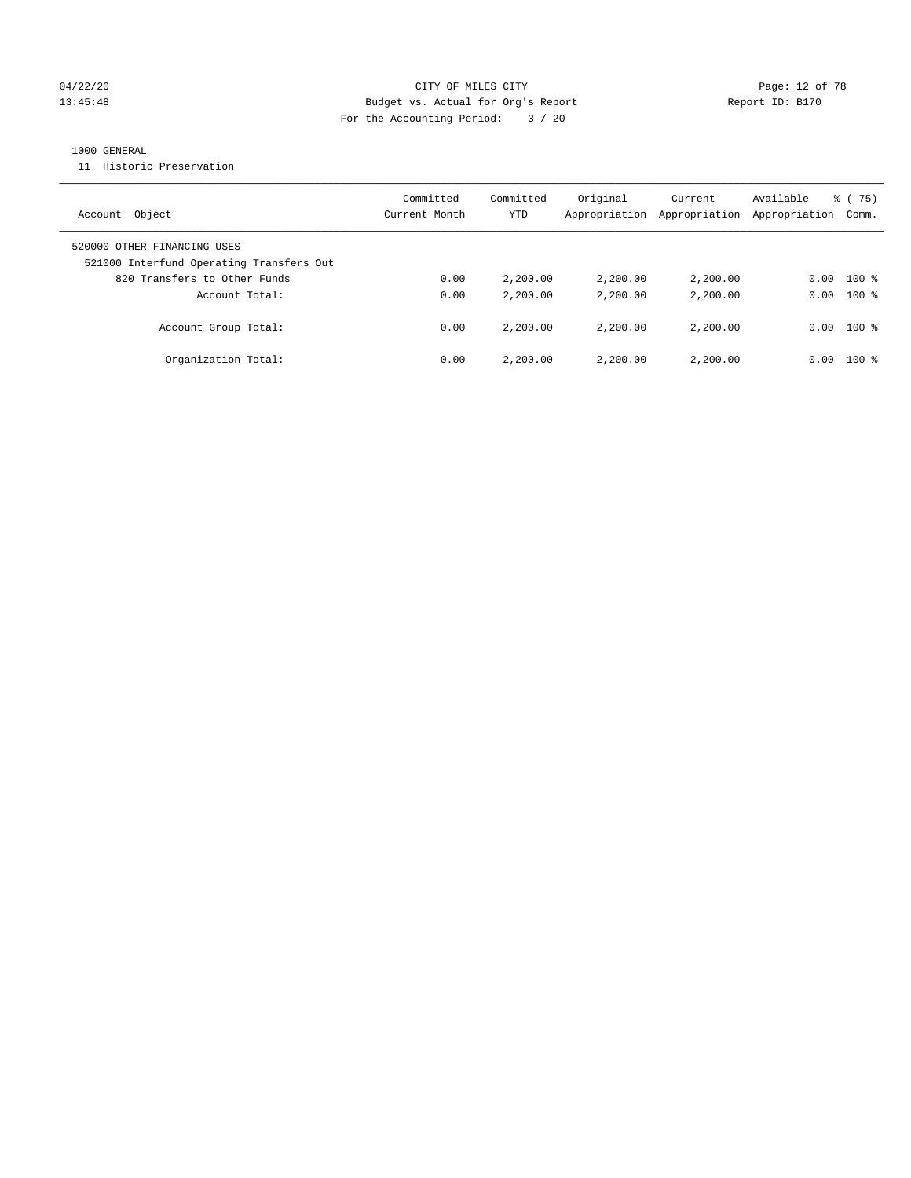## 04/22/20 **CITY OF MILES CITY CONSUMING THE PAGE:** 12 of 78 13:45:48 Budget vs. Actual for Org's Report Report ID: B170 For the Accounting Period: 3 / 20

## 1000 GENERAL

11 Historic Preservation

| Account Object                                                          | Committed<br>Current Month | Committed<br>YTD | Original<br>Appropriation | Current<br>Appropriation | Available<br>Appropriation | 8 (75)<br>Comm. |
|-------------------------------------------------------------------------|----------------------------|------------------|---------------------------|--------------------------|----------------------------|-----------------|
| 520000 OTHER FINANCING USES<br>521000 Interfund Operating Transfers Out |                            |                  |                           |                          |                            |                 |
| 820 Transfers to Other Funds                                            | 0.00                       | 2,200.00         | 2,200.00                  | 2,200.00                 | 0.00                       | $100$ %         |
| Account Total:                                                          | 0.00                       | 2,200.00         | 2,200.00                  | 2,200.00                 | 0.00                       | $100*$          |
| Account Group Total:                                                    | 0.00                       | 2,200.00         | 2,200.00                  | 2,200.00                 | 0.00                       | $100*$          |
| Organization Total:                                                     | 0.00                       | 2,200.00         | 2,200.00                  | 2,200.00                 | 0.00                       | $100*$          |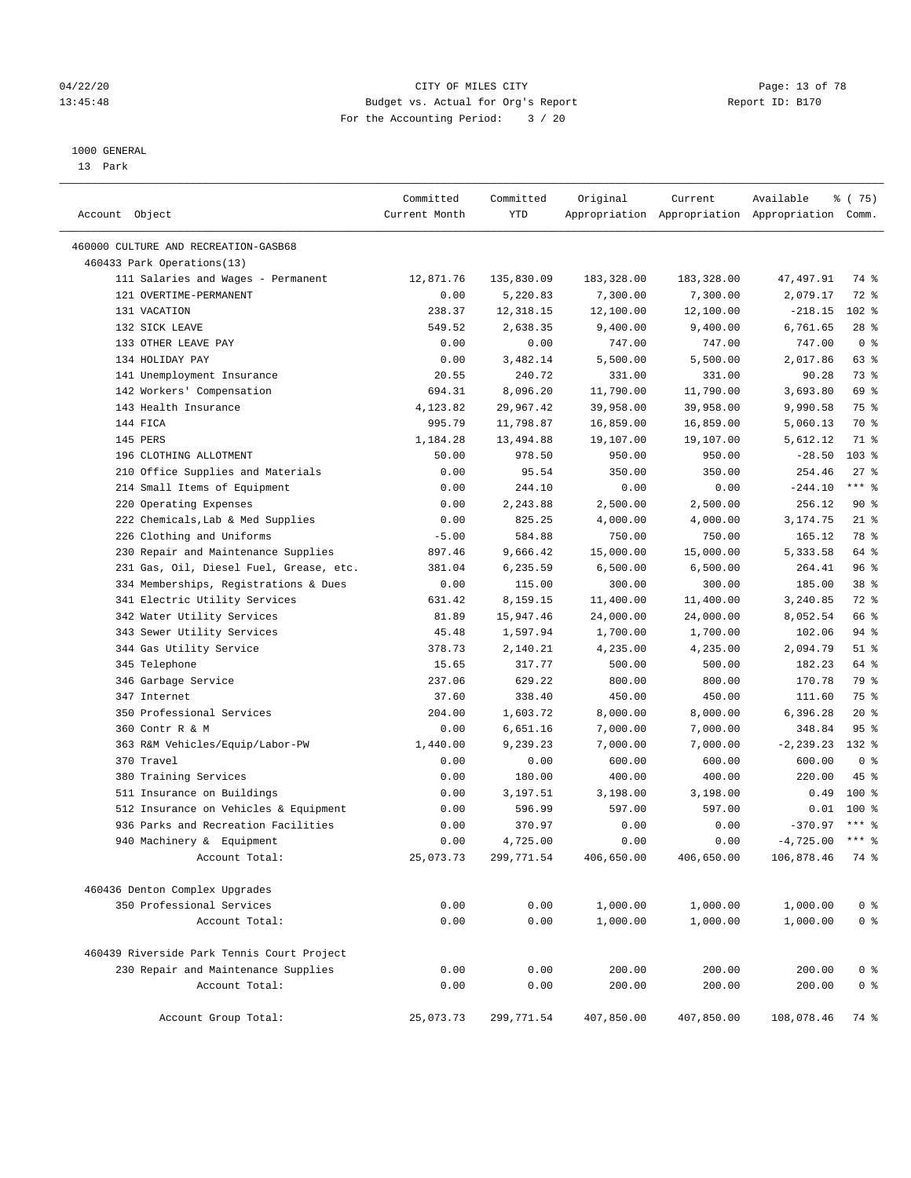## 04/22/20 **CITY OF MILES CITY CONSUMING THE PAGE:** 13 of 78 13:45:48 Budget vs. Actual for Org's Report Report ID: B170 For the Accounting Period: 3 / 20

————————————————————————————————————————————————————————————————————————————————————————————————————————————————————————————————————

#### 1000 GENERAL

13 Park

|                                             | Committed     | Committed    | Original             | Current              | Available                                       | 8 (75)                           |  |
|---------------------------------------------|---------------|--------------|----------------------|----------------------|-------------------------------------------------|----------------------------------|--|
| Account Object                              | Current Month | YTD          |                      |                      | Appropriation Appropriation Appropriation Comm. |                                  |  |
| 460000 CULTURE AND RECREATION-GASB68        |               |              |                      |                      |                                                 |                                  |  |
| 460433 Park Operations(13)                  |               |              |                      |                      |                                                 |                                  |  |
| 111 Salaries and Wages - Permanent          | 12,871.76     | 135,830.09   | 183,328.00           | 183,328.00           | 47,497.91                                       | 74 %                             |  |
| 121 OVERTIME-PERMANENT                      | 0.00          | 5,220.83     | 7,300.00             | 7,300.00             | 2,079.17                                        | $72$ $%$                         |  |
| 131 VACATION                                | 238.37        | 12,318.15    | 12,100.00            | 12,100.00            | $-218.15$                                       | $102$ %                          |  |
| 132 SICK LEAVE                              | 549.52        | 2,638.35     | 9,400.00             | 9,400.00             | 6,761.65                                        | $28$ %                           |  |
| 133 OTHER LEAVE PAY                         | 0.00          | 0.00         | 747.00               | 747.00               | 747.00                                          | 0 <sup>8</sup>                   |  |
| 134 HOLIDAY PAY                             | 0.00          | 3,482.14     | 5,500.00             | 5,500.00             | 2,017.86                                        | 63 %                             |  |
| 141 Unemployment Insurance                  | 20.55         | 240.72       | 331.00               | 331.00               | 90.28                                           | 73 %                             |  |
| 142 Workers' Compensation                   | 694.31        | 8,096.20     | 11,790.00            | 11,790.00            | 3,693.80                                        | 69 %                             |  |
| 143 Health Insurance                        | 4,123.82      | 29,967.42    | 39,958.00            | 39,958.00            | 9,990.58                                        | 75 %                             |  |
| 144 FICA                                    | 995.79        | 11,798.87    | 16,859.00            | 16,859.00            | 5,060.13                                        | 70 %                             |  |
| 145 PERS                                    | 1,184.28      | 13,494.88    | 19,107.00            | 19,107.00            | 5,612.12                                        | 71 %                             |  |
| 196 CLOTHING ALLOTMENT                      | 50.00         | 978.50       | 950.00               | 950.00               | $-28.50$                                        | 103 %                            |  |
| 210 Office Supplies and Materials           | 0.00          | 95.54        | 350.00               | 350.00               | 254.46                                          | $27$ %                           |  |
| 214 Small Items of Equipment                | 0.00          | 244.10       | 0.00                 | 0.00                 | $-244.10$                                       | $***$ $-$                        |  |
| 220 Operating Expenses                      | 0.00          | 2,243.88     | 2,500.00             | 2,500.00             | 256.12                                          | 90%                              |  |
| 222 Chemicals, Lab & Med Supplies           | 0.00          | 825.25       | 4,000.00             | 4,000.00             | 3,174.75                                        | $21$ %                           |  |
| 226 Clothing and Uniforms                   | $-5.00$       | 584.88       | 750.00               | 750.00               | 165.12                                          | 78 %                             |  |
| 230 Repair and Maintenance Supplies         | 897.46        | 9,666.42     | 15,000.00            | 15,000.00            | 5,333.58                                        | 64 %                             |  |
| 231 Gas, Oil, Diesel Fuel, Grease, etc.     | 381.04        | 6,235.59     | 6,500.00             | 6,500.00             | 264.41                                          | 96%                              |  |
| 334 Memberships, Registrations & Dues       | 0.00          | 115.00       | 300.00               | 300.00               | 185.00                                          | 38 <sup>8</sup>                  |  |
| 341 Electric Utility Services               | 631.42        | 8,159.15     | 11,400.00            | 11,400.00            | 3,240.85                                        | 72 %                             |  |
| 342 Water Utility Services                  | 81.89         | 15,947.46    | 24,000.00            | 24,000.00            | 8,052.54                                        | 66 %                             |  |
| 343 Sewer Utility Services                  | 45.48         | 1,597.94     | 1,700.00             | 1,700.00             | 102.06                                          | 94 %                             |  |
| 344 Gas Utility Service                     | 378.73        | 2,140.21     | 4,235.00             | 4,235.00             | 2,094.79                                        | $51$ %                           |  |
| 345 Telephone                               | 15.65         | 317.77       | 500.00               | 500.00               | 182.23                                          | 64 %                             |  |
| 346 Garbage Service                         | 237.06        | 629.22       | 800.00               | 800.00               | 170.78                                          | 79 %                             |  |
| 347 Internet                                | 37.60         | 338.40       | 450.00               | 450.00               | 111.60                                          | 75 %                             |  |
| 350 Professional Services                   | 204.00        | 1,603.72     | 8,000.00             | 8,000.00             | 6,396.28                                        | $20*$                            |  |
| 360 Contr R & M                             | 0.00          | 6,651.16     | 7,000.00             | 7,000.00             | 348.84                                          | 95%                              |  |
| 363 R&M Vehicles/Equip/Labor-PW             | 1,440.00      | 9,239.23     | 7,000.00             | 7,000.00             | $-2, 239.23$                                    | 132 %                            |  |
| 370 Travel                                  | 0.00          | 0.00         | 600.00               | 600.00               | 600.00                                          | 0 <sup>8</sup>                   |  |
| 380 Training Services                       | 0.00          | 180.00       | 400.00               | 400.00               | 220.00                                          | 45 %                             |  |
| 511 Insurance on Buildings                  | 0.00          | 3,197.51     | 3,198.00             | 3,198.00             | 0.49                                            | $100$ %                          |  |
| 512 Insurance on Vehicles & Equipment       | 0.00          | 596.99       | 597.00               | 597.00               | 0.01                                            | $100*$                           |  |
| 936 Parks and Recreation Facilities         | 0.00          | 370.97       | 0.00                 | 0.00                 | $-370.97$                                       | $***$ 8                          |  |
| 940 Machinery & Equipment                   | 0.00          | 4,725.00     | 0.00                 | 0.00                 | $-4,725.00$ *** \$                              |                                  |  |
| Account Total:                              | 25,073.73     | 299,771.54   | 406,650.00           | 406,650.00           | 106,878.46 74 %                                 |                                  |  |
|                                             |               |              |                      |                      |                                                 |                                  |  |
| 460436 Denton Complex Upgrades              |               |              |                      |                      |                                                 |                                  |  |
| 350 Professional Services<br>Account Total: | 0.00<br>0.00  | 0.00<br>0.00 | 1,000.00<br>1,000.00 | 1,000.00<br>1,000.00 | 1,000.00<br>1,000.00                            | 0 <sup>8</sup><br>0 <sup>°</sup> |  |
|                                             |               |              |                      |                      |                                                 |                                  |  |
| 460439 Riverside Park Tennis Court Project  |               |              |                      |                      |                                                 |                                  |  |
| 230 Repair and Maintenance Supplies         | 0.00          | 0.00         | 200.00               | 200.00               | 200.00                                          | 0 <sup>8</sup>                   |  |
| Account Total:                              | 0.00          | 0.00         | 200.00               | 200.00               | 200.00                                          | 0 <sup>°</sup>                   |  |
| Account Group Total:                        | 25,073.73     | 299,771.54   | 407,850.00           | 407,850.00           | 108,078.46                                      | 74 %                             |  |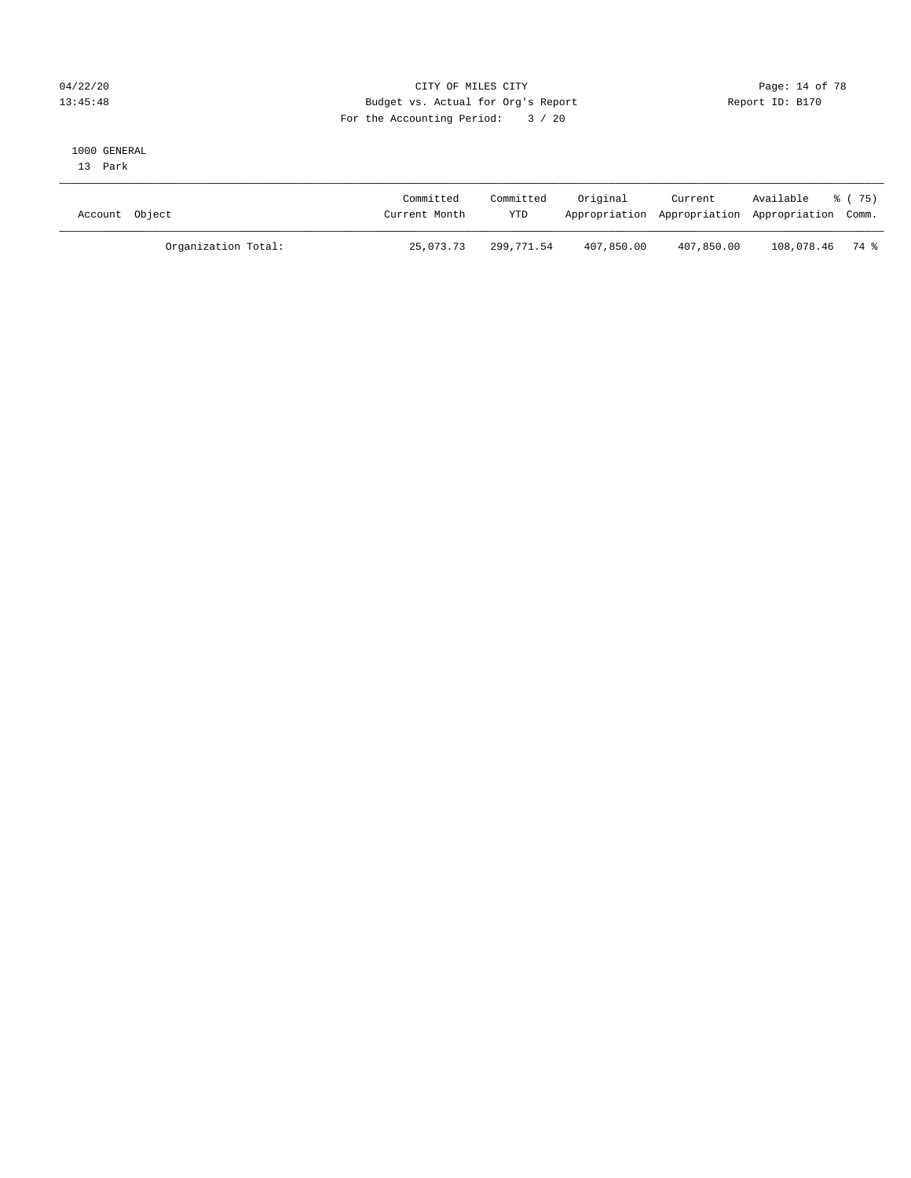# 04/22/20 **CITY OF MILES CITY CONSUMING THE PAGE:** 14 of 78 13:45:48 Budget vs. Actual for Org's Report Report ID: B170 For the Accounting Period: 3 / 20

# 1000 GENERAL

13 Park

| Account Object |                     | Committed<br>Current Month | Committed<br>YTD | Original   | Current    | Available % (75)<br>Appropriation Appropriation Appropriation Comm. |  |
|----------------|---------------------|----------------------------|------------------|------------|------------|---------------------------------------------------------------------|--|
|                | Organization Total: | 25,073.73                  | 299,771.54       | 407,850.00 | 407,850.00 | 108,078.46 74 %                                                     |  |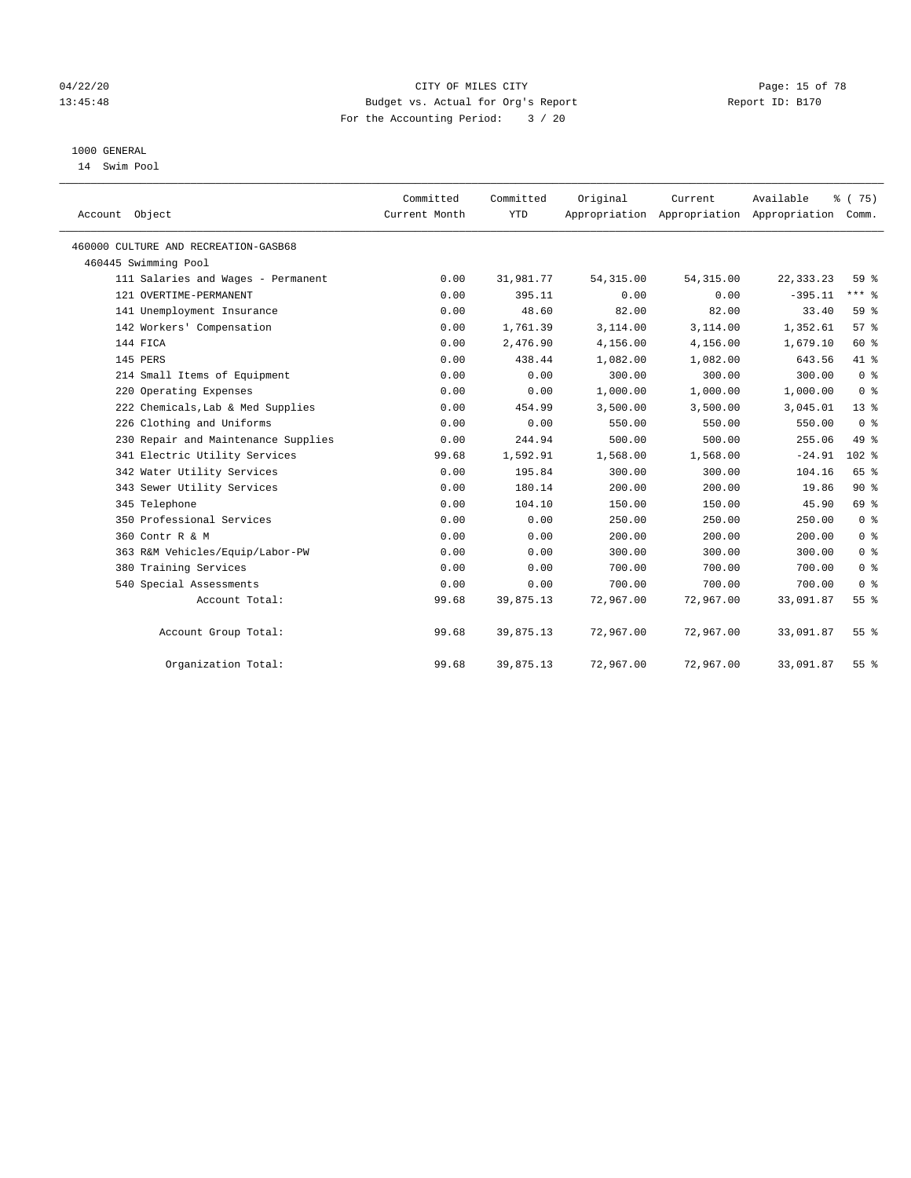## 04/22/20 **CITY OF MILES CITY CONSUMING THE PAGE:** 15 of 78 13:45:48 Budget vs. Actual for Org's Report Report ID: B170 For the Accounting Period: 3 / 20

# 1000 GENERAL

14 Swim Pool

| Account Object                       | Committed<br>Current Month | Committed<br><b>YTD</b> | Original   | Current<br>Appropriation Appropriation Appropriation | Available   | % (75)<br>Comm. |
|--------------------------------------|----------------------------|-------------------------|------------|------------------------------------------------------|-------------|-----------------|
| 460000 CULTURE AND RECREATION-GASB68 |                            |                         |            |                                                      |             |                 |
| 460445 Swimming Pool                 |                            |                         |            |                                                      |             |                 |
| 111 Salaries and Wages - Permanent   | 0.00                       | 31,981.77               | 54, 315.00 | 54, 315.00                                           | 22, 333. 23 | 59 <sub>8</sub> |
| 121 OVERTIME-PERMANENT               | 0.00                       | 395.11                  | 0.00       | 0.00                                                 | $-395.11$   | $***$ $-$       |
| 141 Unemployment Insurance           | 0.00                       | 48.60                   | 82.00      | 82.00                                                | 33.40       | 59 %            |
| 142 Workers' Compensation            | 0.00                       | 1,761.39                | 3,114.00   | 3,114.00                                             | 1,352.61    | 57%             |
| 144 FICA                             | 0.00                       | 2,476.90                | 4,156.00   | 4,156.00                                             | 1,679.10    | 60 %            |
| 145 PERS                             | 0.00                       | 438.44                  | 1,082.00   | 1,082.00                                             | 643.56      | 41 %            |
| 214 Small Items of Equipment         | 0.00                       | 0.00                    | 300.00     | 300.00                                               | 300.00      | 0 <sup>8</sup>  |
| 220 Operating Expenses               | 0.00                       | 0.00                    | 1,000.00   | 1,000.00                                             | 1,000.00    | 0 <sup>8</sup>  |
| 222 Chemicals, Lab & Med Supplies    | 0.00                       | 454.99                  | 3,500.00   | 3,500.00                                             | 3,045.01    | $13*$           |
| 226 Clothing and Uniforms            | 0.00                       | 0.00                    | 550.00     | 550.00                                               | 550.00      | 0 <sup>8</sup>  |
| 230 Repair and Maintenance Supplies  | 0.00                       | 244.94                  | 500.00     | 500.00                                               | 255.06      | 49 %            |
| 341 Electric Utility Services        | 99.68                      | 1,592.91                | 1,568.00   | 1,568.00                                             | $-24.91$    | $102*$          |
| 342 Water Utility Services           | 0.00                       | 195.84                  | 300.00     | 300.00                                               | 104.16      | 65 %            |
| 343 Sewer Utility Services           | 0.00                       | 180.14                  | 200.00     | 200.00                                               | 19.86       | $90*$           |
| 345 Telephone                        | 0.00                       | 104.10                  | 150.00     | 150.00                                               | 45.90       | 69 %            |
| 350 Professional Services            | 0.00                       | 0.00                    | 250.00     | 250.00                                               | 250.00      | 0 <sup>8</sup>  |
| 360 Contr R & M                      | 0.00                       | 0.00                    | 200.00     | 200.00                                               | 200.00      | 0 <sup>8</sup>  |
| 363 R&M Vehicles/Equip/Labor-PW      | 0.00                       | 0.00                    | 300.00     | 300.00                                               | 300.00      | 0 <sup>8</sup>  |
| 380 Training Services                | 0.00                       | 0.00                    | 700.00     | 700.00                                               | 700.00      | 0 <sup>8</sup>  |
| 540 Special Assessments              | 0.00                       | 0.00                    | 700.00     | 700.00                                               | 700.00      | 0 <sup>8</sup>  |
| Account Total:                       | 99.68                      | 39,875.13               | 72,967.00  | 72,967.00                                            | 33,091.87   | 55 <sup>8</sup> |
| Account Group Total:                 | 99.68                      | 39,875.13               | 72,967.00  | 72,967.00                                            | 33,091.87   | $55$ $%$        |
| Organization Total:                  | 99.68                      | 39,875.13               | 72,967.00  | 72,967.00                                            | 33,091.87   | 55 %            |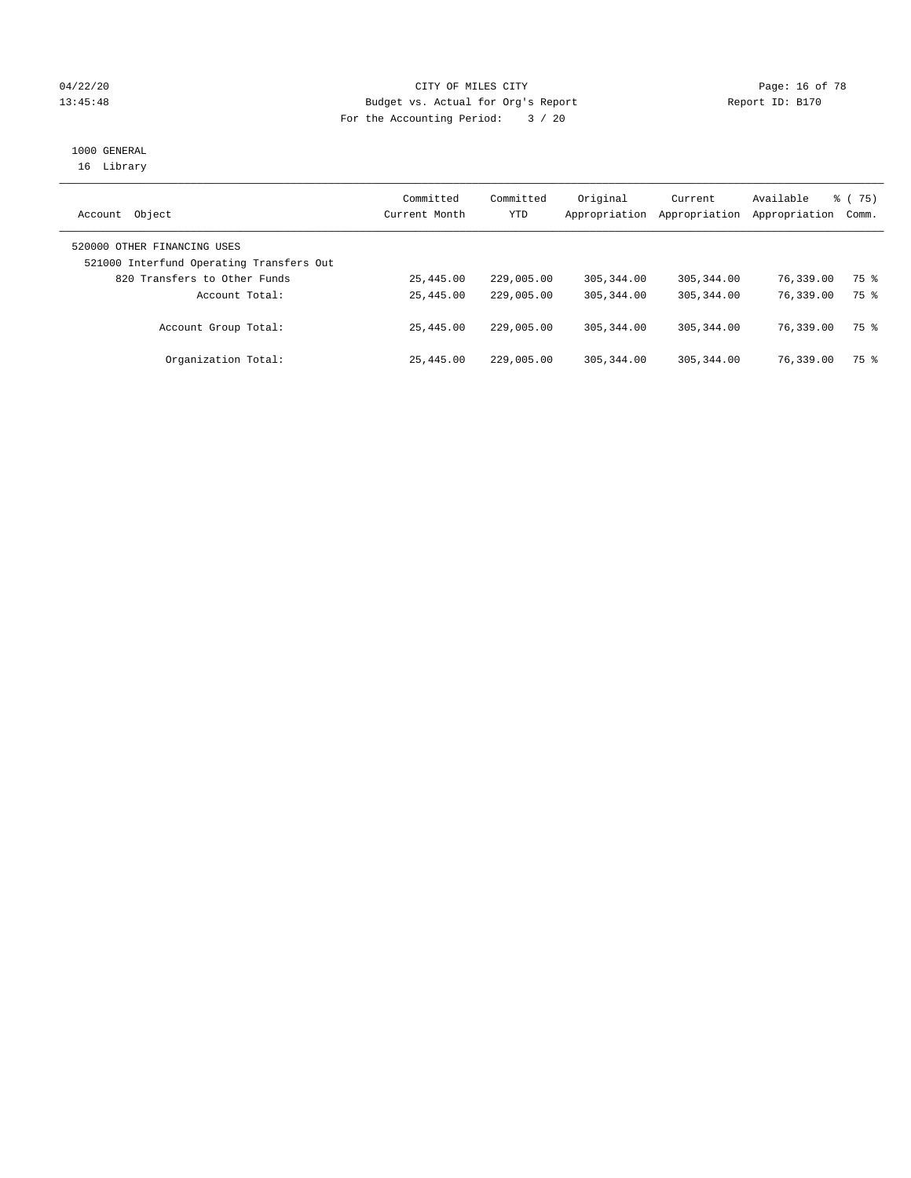## 04/22/20 **CITY OF MILES CITY CONSUMING THE PAGE:** 16 of 78 13:45:48 Budget vs. Actual for Org's Report Report ID: B170 For the Accounting Period: 3 / 20

# 1000 GENERAL

16 Library

| Object<br>Account                                                       | Committed<br>Current Month | Committed<br>YTD | Original<br>Appropriation | Current<br>Appropriation | Available<br>Appropriation | 8 (75)<br>Comm. |
|-------------------------------------------------------------------------|----------------------------|------------------|---------------------------|--------------------------|----------------------------|-----------------|
| 520000 OTHER FINANCING USES<br>521000 Interfund Operating Transfers Out |                            |                  |                           |                          |                            |                 |
| 820 Transfers to Other Funds                                            | 25,445.00                  | 229,005.00       | 305, 344, 00              | 305, 344, 00             | 76,339.00                  | 75 %            |
| Account Total:                                                          | 25,445.00                  | 229,005.00       | 305, 344, 00              | 305, 344, 00             | 76,339.00                  | 75 %            |
| Account Group Total:                                                    | 25,445.00                  | 229,005.00       | 305, 344, 00              | 305, 344, 00             | 76,339.00                  | 75 %            |
| Organization Total:                                                     | 25,445.00                  | 229,005.00       | 305, 344, 00              | 305, 344, 00             | 76,339.00                  | 75 %            |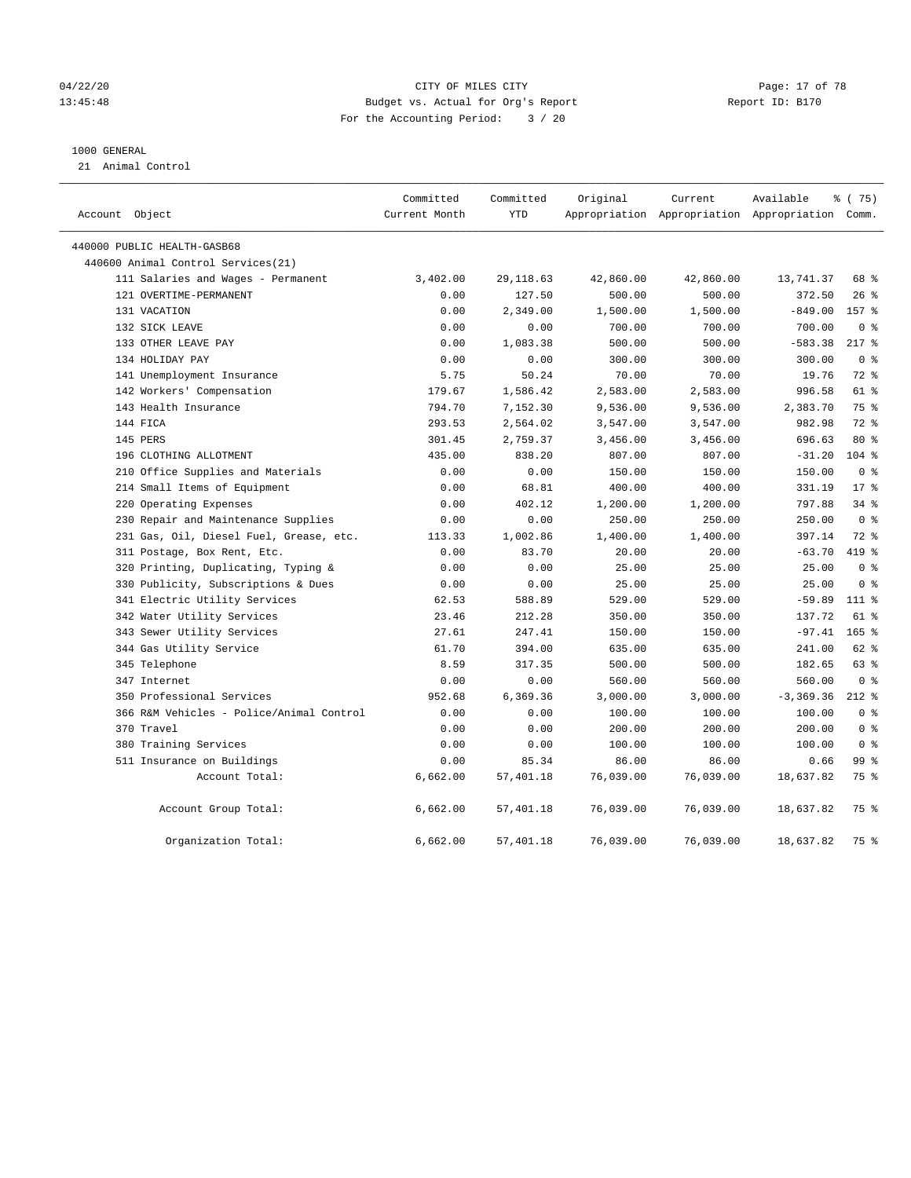## 04/22/20 **CITY OF MILES CITY CONSUMING THE PAGE:** 17 of 78 13:45:48 Budget vs. Actual for Org's Report Report ID: B170 For the Accounting Period: 3 / 20

#### 1000 GENERAL

21 Animal Control

| Account Object                           | Committed<br>Current Month | Committed<br>YTD | Original  | Current   | Available<br>Appropriation Appropriation Appropriation Comm. | ៖ (75)         |
|------------------------------------------|----------------------------|------------------|-----------|-----------|--------------------------------------------------------------|----------------|
| 440000 PUBLIC HEALTH-GASB68              |                            |                  |           |           |                                                              |                |
| 440600 Animal Control Services(21)       |                            |                  |           |           |                                                              |                |
| 111 Salaries and Wages - Permanent       | 3,402.00                   | 29, 118.63       | 42,860.00 | 42,860.00 | 13,741.37                                                    | 68 %           |
| 121 OVERTIME-PERMANENT                   | 0.00                       | 127.50           | 500.00    | 500.00    | 372.50                                                       | $26$ %         |
| 131 VACATION                             | 0.00                       | 2,349.00         | 1,500.00  | 1,500.00  | $-849.00$                                                    | 157 %          |
| 132 SICK LEAVE                           | 0.00                       | 0.00             | 700.00    | 700.00    | 700.00                                                       | 0 <sup>8</sup> |
| 133 OTHER LEAVE PAY                      | 0.00                       | 1,083.38         | 500.00    | 500.00    | $-583.38$                                                    | $217*$         |
| 134 HOLIDAY PAY                          | 0.00                       | 0.00             | 300.00    | 300.00    | 300.00                                                       | 0 <sup>8</sup> |
| 141 Unemployment Insurance               | 5.75                       | 50.24            | 70.00     | 70.00     | 19.76                                                        | 72%            |
| 142 Workers' Compensation                | 179.67                     | 1,586.42         | 2,583.00  | 2,583.00  | 996.58                                                       | 61 %           |
| 143 Health Insurance                     | 794.70                     | 7,152.30         | 9,536.00  | 9,536.00  | 2,383.70                                                     | 75 %           |
| 144 FICA                                 | 293.53                     | 2,564.02         | 3,547.00  | 3,547.00  | 982.98                                                       | 72 %           |
| 145 PERS                                 | 301.45                     | 2,759.37         | 3,456.00  | 3,456.00  | 696.63                                                       | $80*$          |
| 196 CLOTHING ALLOTMENT                   | 435.00                     | 838.20           | 807.00    | 807.00    | $-31.20$                                                     | $104$ %        |
| 210 Office Supplies and Materials        | 0.00                       | 0.00             | 150.00    | 150.00    | 150.00                                                       | 0 <sup>8</sup> |
| 214 Small Items of Equipment             | 0.00                       | 68.81            | 400.00    | 400.00    | 331.19                                                       | $17*$          |
| 220 Operating Expenses                   | 0.00                       | 402.12           | 1,200.00  | 1,200.00  | 797.88                                                       | 34%            |
| 230 Repair and Maintenance Supplies      | 0.00                       | 0.00             | 250.00    | 250.00    | 250.00                                                       | 0 <sup>8</sup> |
| 231 Gas, Oil, Diesel Fuel, Grease, etc.  | 113.33                     | 1,002.86         | 1,400.00  | 1,400.00  | 397.14                                                       | $72$ $%$       |
| 311 Postage, Box Rent, Etc.              | 0.00                       | 83.70            | 20.00     | 20.00     | $-63.70$                                                     | 419 %          |
| 320 Printing, Duplicating, Typing &      | 0.00                       | 0.00             | 25.00     | 25.00     | 25.00                                                        | 0 <sup>8</sup> |
| 330 Publicity, Subscriptions & Dues      | 0.00                       | 0.00             | 25.00     | 25.00     | 25.00                                                        | 0 <sup>8</sup> |
| 341 Electric Utility Services            | 62.53                      | 588.89           | 529.00    | 529.00    | $-59.89$                                                     | 111 %          |
| 342 Water Utility Services               | 23.46                      | 212.28           | 350.00    | 350.00    | 137.72                                                       | 61 %           |
| 343 Sewer Utility Services               | 27.61                      | 247.41           | 150.00    | 150.00    | $-97.41$                                                     | $165$ %        |
| 344 Gas Utility Service                  | 61.70                      | 394.00           | 635.00    | 635.00    | 241.00                                                       | 62 %           |
| 345 Telephone                            | 8.59                       | 317.35           | 500.00    | 500.00    | 182.65                                                       | 63 %           |
| 347 Internet                             | 0.00                       | 0.00             | 560.00    | 560.00    | 560.00                                                       | 0 <sup>8</sup> |
| 350 Professional Services                | 952.68                     | 6,369.36         | 3,000.00  | 3,000.00  | $-3, 369.36$                                                 | $212*$         |
| 366 R&M Vehicles - Police/Animal Control | 0.00                       | 0.00             | 100.00    | 100.00    | 100.00                                                       | 0 <sup>8</sup> |
| 370 Travel                               | 0.00                       | 0.00             | 200.00    | 200.00    | 200.00                                                       | 0 <sup>8</sup> |
| 380 Training Services                    | 0.00                       | 0.00             | 100.00    | 100.00    | 100.00                                                       | 0 <sup>8</sup> |
| 511 Insurance on Buildings               | 0.00                       | 85.34            | 86.00     | 86.00     | 0.66                                                         | 99 %           |
| Account Total:                           | 6,662.00                   | 57,401.18        | 76,039.00 | 76,039.00 | 18,637.82                                                    | 75 %           |
| Account Group Total:                     | 6,662.00                   | 57,401.18        | 76,039.00 | 76,039.00 | 18,637.82                                                    | 75 %           |
| Organization Total:                      | 6,662.00                   | 57,401.18        | 76,039.00 | 76,039.00 | 18,637.82                                                    | 75 %           |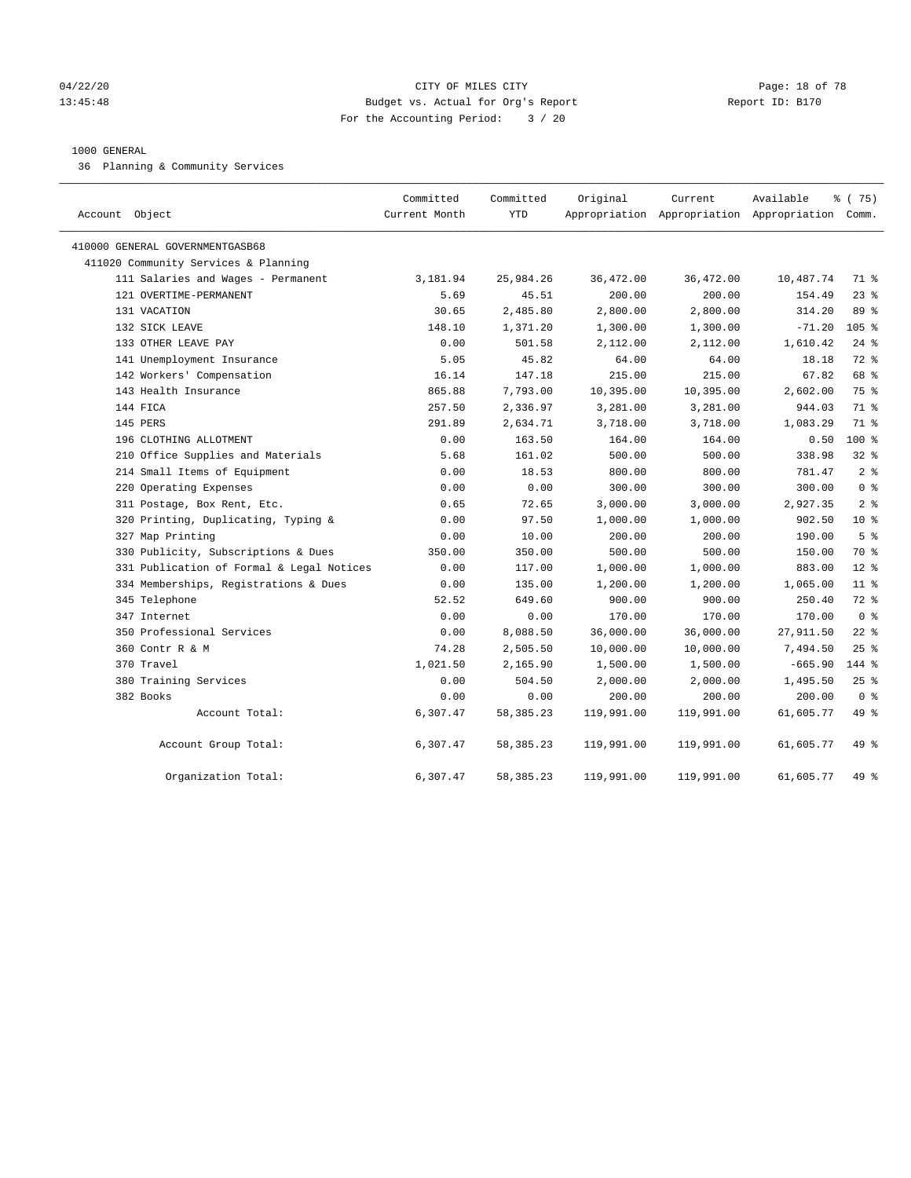#### 04/22/20 **CITY OF MILES CITY CONSUMING THE PAGE:** 18 of 78 13:45:48 Budget vs. Actual for Org's Report Report ID: B170 For the Accounting Period: 3 / 20

#### 1000 GENERAL

36 Planning & Community Services

| Account Object                            | Committed<br>Current Month | Committed<br><b>YTD</b> | Original   | Current    | Available<br>Appropriation Appropriation Appropriation Comm. | % (75)          |
|-------------------------------------------|----------------------------|-------------------------|------------|------------|--------------------------------------------------------------|-----------------|
| 410000 GENERAL GOVERNMENTGASB68           |                            |                         |            |            |                                                              |                 |
| 411020 Community Services & Planning      |                            |                         |            |            |                                                              |                 |
| 111 Salaries and Wages - Permanent        | 3,181.94                   | 25,984.26               | 36,472.00  | 36,472.00  | 10,487.74                                                    | 71 %            |
| 121 OVERTIME-PERMANENT                    | 5.69                       | 45.51                   | 200.00     | 200.00     | 154.49                                                       | 23%             |
| 131 VACATION                              | 30.65                      | 2,485.80                | 2,800.00   | 2,800.00   | 314.20                                                       | 89 %            |
| 132 SICK LEAVE                            | 148.10                     | 1,371.20                | 1,300.00   | 1,300.00   | $-71.20$                                                     | 105 %           |
| 133 OTHER LEAVE PAY                       | 0.00                       | 501.58                  | 2,112.00   | 2,112.00   | 1,610.42                                                     | $24$ %          |
| 141 Unemployment Insurance                | 5.05                       | 45.82                   | 64.00      | 64.00      | 18.18                                                        | 72 %            |
| 142 Workers' Compensation                 | 16.14                      | 147.18                  | 215.00     | 215.00     | 67.82                                                        | 68 %            |
| 143 Health Insurance                      | 865.88                     | 7,793.00                | 10,395.00  | 10,395.00  | 2,602.00                                                     | 75 %            |
| 144 FICA                                  | 257.50                     | 2,336.97                | 3,281.00   | 3,281.00   | 944.03                                                       | 71 %            |
| 145 PERS                                  | 291.89                     | 2,634.71                | 3,718.00   | 3,718.00   | 1,083.29                                                     | 71 %            |
| 196 CLOTHING ALLOTMENT                    | 0.00                       | 163.50                  | 164.00     | 164.00     | 0.50                                                         | $100*$          |
| 210 Office Supplies and Materials         | 5.68                       | 161.02                  | 500.00     | 500.00     | 338.98                                                       | $32$ $%$        |
| 214 Small Items of Equipment              | 0.00                       | 18.53                   | 800.00     | 800.00     | 781.47                                                       | 2 <sup>8</sup>  |
| 220 Operating Expenses                    | 0.00                       | 0.00                    | 300.00     | 300.00     | 300.00                                                       | 0 <sup>8</sup>  |
| 311 Postage, Box Rent, Etc.               | 0.65                       | 72.65                   | 3,000.00   | 3,000.00   | 2,927.35                                                     | 2 <sup>8</sup>  |
| 320 Printing, Duplicating, Typing &       | 0.00                       | 97.50                   | 1,000.00   | 1,000.00   | 902.50                                                       | 10 <sup>8</sup> |
| 327 Map Printing                          | 0.00                       | 10.00                   | 200.00     | 200.00     | 190.00                                                       | 5 <sup>°</sup>  |
| 330 Publicity, Subscriptions & Dues       | 350.00                     | 350.00                  | 500.00     | 500.00     | 150.00                                                       | 70 %            |
| 331 Publication of Formal & Legal Notices | 0.00                       | 117.00                  | 1,000.00   | 1,000.00   | 883.00                                                       | $12*$           |
| 334 Memberships, Registrations & Dues     | 0.00                       | 135.00                  | 1,200.00   | 1,200.00   | 1,065.00                                                     | $11$ %          |
| 345 Telephone                             | 52.52                      | 649.60                  | 900.00     | 900.00     | 250.40                                                       | 72 %            |
| 347 Internet                              | 0.00                       | 0.00                    | 170.00     | 170.00     | 170.00                                                       | 0 <sup>8</sup>  |
| 350 Professional Services                 | 0.00                       | 8,088.50                | 36,000.00  | 36,000.00  | 27,911.50                                                    | $22$ %          |
| 360 Contr R & M                           | 74.28                      | 2,505.50                | 10,000.00  | 10,000.00  | 7,494.50                                                     | 25%             |
| 370 Travel                                | 1,021.50                   | 2,165.90                | 1,500.00   | 1,500.00   | $-665.90$                                                    | 144 %           |
| 380 Training Services                     | 0.00                       | 504.50                  | 2,000.00   | 2,000.00   | 1,495.50                                                     | $25$ %          |
| 382 Books                                 | 0.00                       | 0.00                    | 200.00     | 200.00     | 200.00                                                       | 0 <sup>8</sup>  |
| Account Total:                            | 6,307.47                   | 58, 385. 23             | 119,991.00 | 119,991.00 | 61,605.77                                                    | 49 %            |
| Account Group Total:                      | 6,307.47                   | 58, 385. 23             | 119,991.00 | 119,991.00 | 61,605.77                                                    | 49 %            |
| Organization Total:                       | 6,307.47                   | 58, 385. 23             | 119,991.00 | 119,991.00 | 61,605.77                                                    | 49 %            |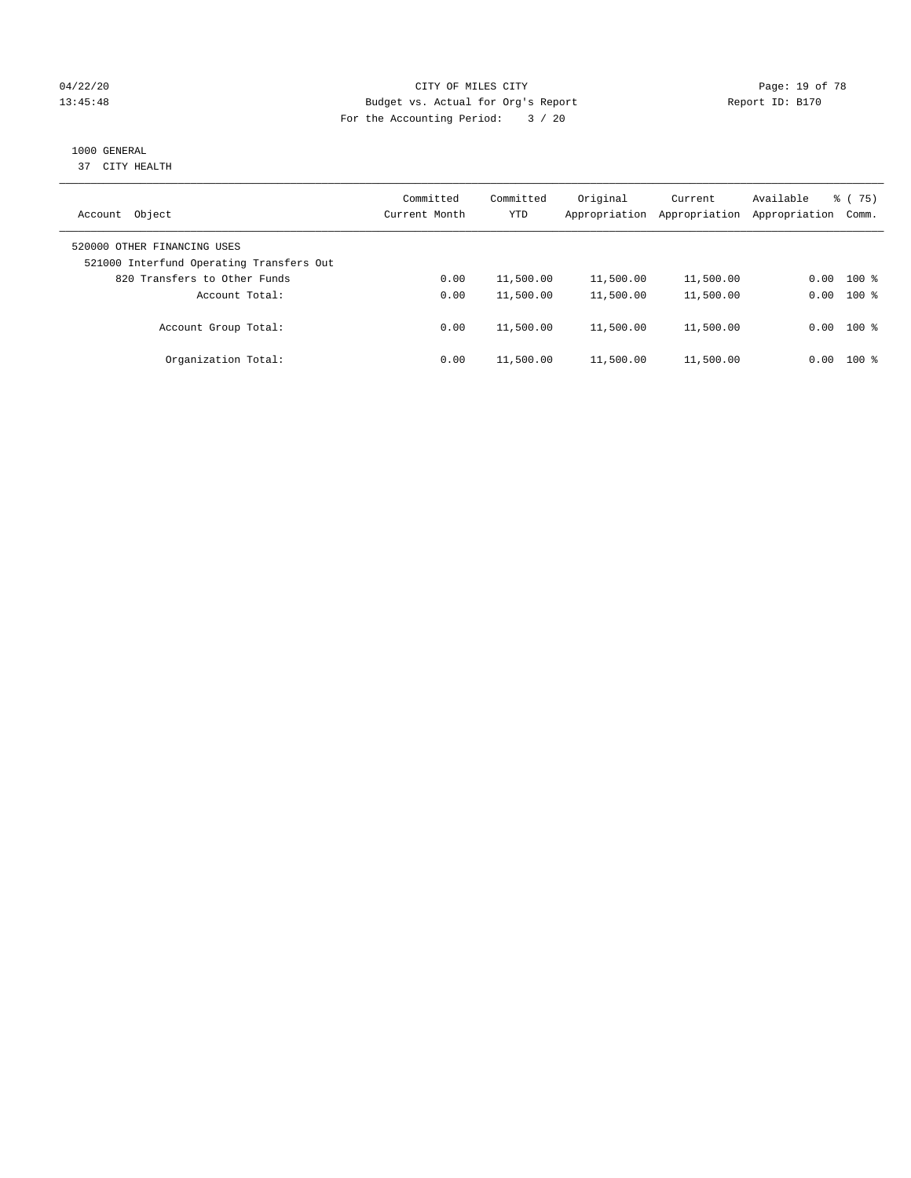## 04/22/20 **CITY OF MILES CITY CONSUMING THE PAGE:** 19 of 78 13:45:48 Budget vs. Actual for Org's Report Report ID: B170 For the Accounting Period: 3 / 20

# 1000 GENERAL

37 CITY HEALTH

| Object<br>Account                                                       | Committed<br>Current Month | Committed<br><b>YTD</b> | Original<br>Appropriation | Current<br>Appropriation | Available<br>Appropriation | 8 (75)<br>Comm. |
|-------------------------------------------------------------------------|----------------------------|-------------------------|---------------------------|--------------------------|----------------------------|-----------------|
| 520000 OTHER FINANCING USES<br>521000 Interfund Operating Transfers Out |                            |                         |                           |                          |                            |                 |
| 820 Transfers to Other Funds                                            | 0.00                       | 11,500.00               | 11,500.00                 | 11,500.00                | 0.00                       | $100*$          |
| Account Total:                                                          | 0.00                       | 11,500.00               | 11,500.00                 | 11,500.00                | 0.00                       | $100*$          |
| Account Group Total:                                                    | 0.00                       | 11,500.00               | 11,500.00                 | 11,500.00                |                            | $0.00$ 100 %    |
| Organization Total:                                                     | 0.00                       | 11,500.00               | 11,500.00                 | 11,500.00                | 0.00                       | $100*$          |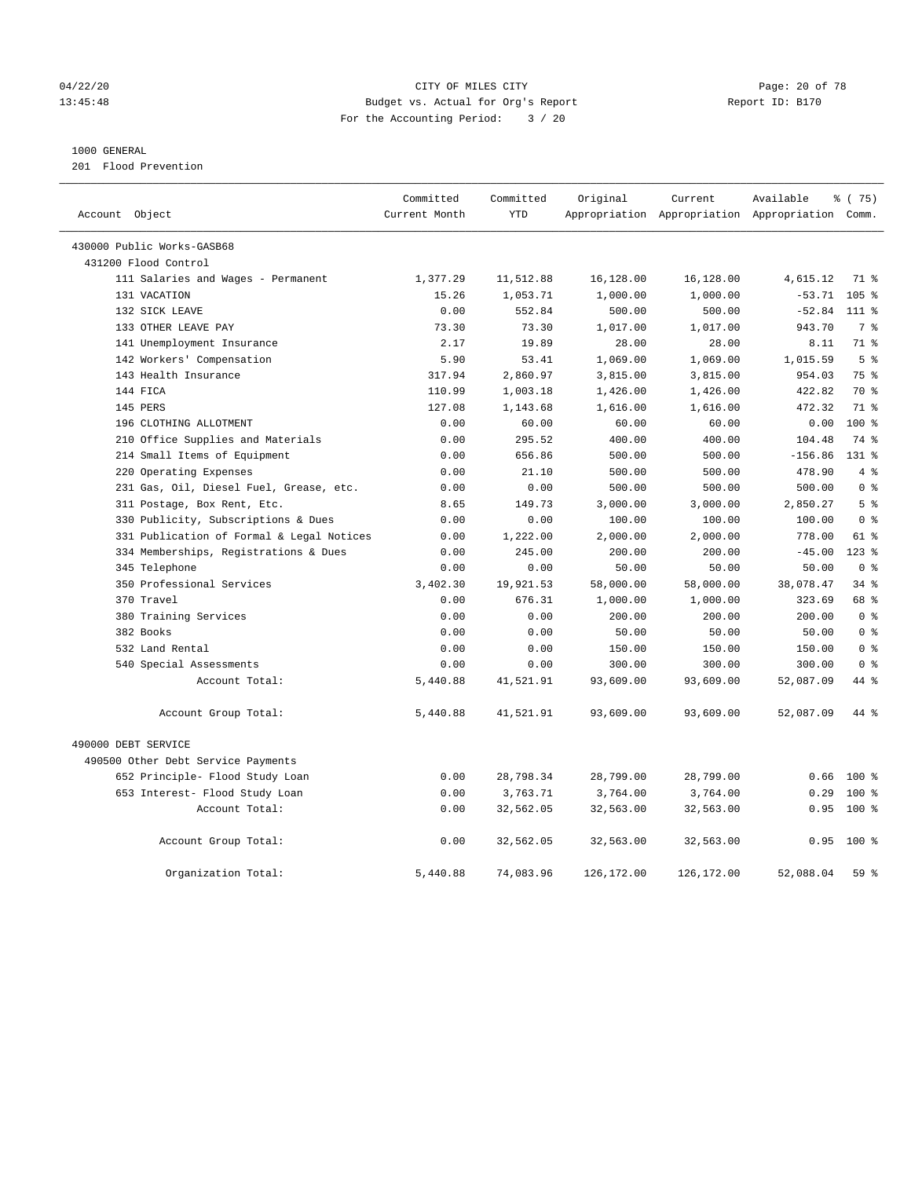## 04/22/20 **CITY OF MILES CITY CONSUMING THE PAGE:** 20 of 78 13:45:48 Budget vs. Actual for Org's Report Report ID: B170 For the Accounting Period: 3 / 20

#### 1000 GENERAL

201 Flood Prevention

| Account Object                            | Committed<br>Current Month | Committed<br><b>YTD</b> | Original   | Current            | Available<br>Appropriation Appropriation Appropriation Comm. | % (75)                  |
|-------------------------------------------|----------------------------|-------------------------|------------|--------------------|--------------------------------------------------------------|-------------------------|
|                                           |                            |                         |            |                    |                                                              |                         |
| 430000 Public Works-GASB68                |                            |                         |            |                    |                                                              |                         |
| 431200 Flood Control                      |                            |                         |            |                    |                                                              |                         |
| 111 Salaries and Wages - Permanent        | 1,377.29                   | 11,512.88               | 16,128.00  | 16,128.00          | 4,615.12                                                     | 71 %                    |
| 131 VACATION                              | 15.26                      | 1,053.71                | 1,000.00   | 1,000.00           | $-53.71$<br>$-52.84$                                         | 105 <sub>8</sub>        |
| 132 SICK LEAVE<br>133 OTHER LEAVE PAY     | 0.00                       | 552.84                  | 500.00     | 500.00<br>1,017.00 | 943.70                                                       | 111 %<br>7 <sup>°</sup> |
|                                           | 73.30                      | 73.30<br>19.89          | 1,017.00   |                    |                                                              | 71 %                    |
| 141 Unemployment Insurance                | 2.17                       |                         | 28.00      | 28.00              | 8.11                                                         |                         |
| 142 Workers' Compensation                 | 5.90                       | 53.41                   | 1,069.00   | 1,069.00           | 1,015.59                                                     | 5 <sup>°</sup>          |
| 143 Health Insurance                      | 317.94                     | 2,860.97                | 3,815.00   | 3,815.00           | 954.03                                                       | 75 %<br>70 %            |
| 144 FICA                                  | 110.99                     | 1,003.18                | 1,426.00   | 1,426.00           | 422.82                                                       | 71.8                    |
| 145 PERS                                  | 127.08                     | 1,143.68                | 1,616.00   | 1,616.00           | 472.32                                                       |                         |
| 196 CLOTHING ALLOTMENT                    | 0.00                       | 60.00                   | 60.00      | 60.00              | 0.00                                                         | $100*$                  |
| 210 Office Supplies and Materials         | 0.00                       | 295.52                  | 400.00     | 400.00             | 104.48                                                       | 74 %                    |
| 214 Small Items of Equipment              | 0.00                       | 656.86                  | 500.00     | 500.00             | $-156.86$                                                    | $131*$<br>4%            |
| 220 Operating Expenses                    | 0.00                       | 21.10                   | 500.00     | 500.00             | 478.90                                                       | 0 <sup>8</sup>          |
| 231 Gas, Oil, Diesel Fuel, Grease, etc.   | 0.00                       | 0.00                    | 500.00     | 500.00             | 500.00                                                       |                         |
| 311 Postage, Box Rent, Etc.               | 8.65                       | 149.73                  | 3,000.00   | 3,000.00           | 2,850.27                                                     | 5 <sup>8</sup>          |
| 330 Publicity, Subscriptions & Dues       | 0.00                       | 0.00                    | 100.00     | 100.00             | 100.00                                                       | 0 <sup>8</sup>          |
| 331 Publication of Formal & Legal Notices | 0.00                       | 1,222.00                | 2,000.00   | 2,000.00           | 778.00                                                       | 61 %                    |
| 334 Memberships, Registrations & Dues     | 0.00                       | 245.00                  | 200.00     | 200.00             | $-45.00$                                                     | $123$ $%$               |
| 345 Telephone                             | 0.00                       | 0.00                    | 50.00      | 50.00              | 50.00                                                        | 0 <sup>8</sup>          |
| 350 Professional Services                 | 3,402.30                   | 19,921.53               | 58,000.00  | 58,000.00          | 38,078.47                                                    | 34.8                    |
| 370 Travel                                | 0.00                       | 676.31                  | 1,000.00   | 1,000.00           | 323.69                                                       | 68 %                    |
| 380 Training Services                     | 0.00                       | 0.00                    | 200.00     | 200.00             | 200.00                                                       | 0 <sup>8</sup>          |
| 382 Books                                 | 0.00                       | 0.00                    | 50.00      | 50.00              | 50.00                                                        | 0 <sup>8</sup>          |
| 532 Land Rental                           | 0.00                       | 0.00                    | 150.00     | 150.00             | 150.00                                                       | 0 <sup>8</sup>          |
| 540 Special Assessments                   | 0.00                       | 0.00                    | 300.00     | 300.00             | 300.00                                                       | 0 <sup>8</sup>          |
| Account Total:                            | 5,440.88                   | 41,521.91               | 93,609.00  | 93,609.00          | 52,087.09                                                    | 44 %                    |
| Account Group Total:                      | 5,440.88                   | 41,521.91               | 93,609.00  | 93,609.00          | 52,087.09                                                    | 44 %                    |
| 490000 DEBT SERVICE                       |                            |                         |            |                    |                                                              |                         |
| 490500 Other Debt Service Payments        |                            |                         |            |                    |                                                              |                         |
| 652 Principle- Flood Study Loan           | 0.00                       | 28,798.34               | 28,799.00  | 28,799.00          | 0.66                                                         | $100$ %                 |
| 653 Interest- Flood Study Loan            | 0.00                       | 3,763.71                | 3,764.00   | 3,764.00           | 0.29                                                         | $100$ %                 |
| Account Total:                            | 0.00                       | 32,562.05               | 32,563.00  | 32,563.00          | 0.95                                                         | $100*$                  |
| Account Group Total:                      | 0.00                       | 32,562.05               | 32,563.00  | 32,563.00          | 0.95                                                         | 100 %                   |
| Organization Total:                       | 5,440.88                   | 74,083.96               | 126,172.00 | 126,172.00         | 52,088.04                                                    | 59%                     |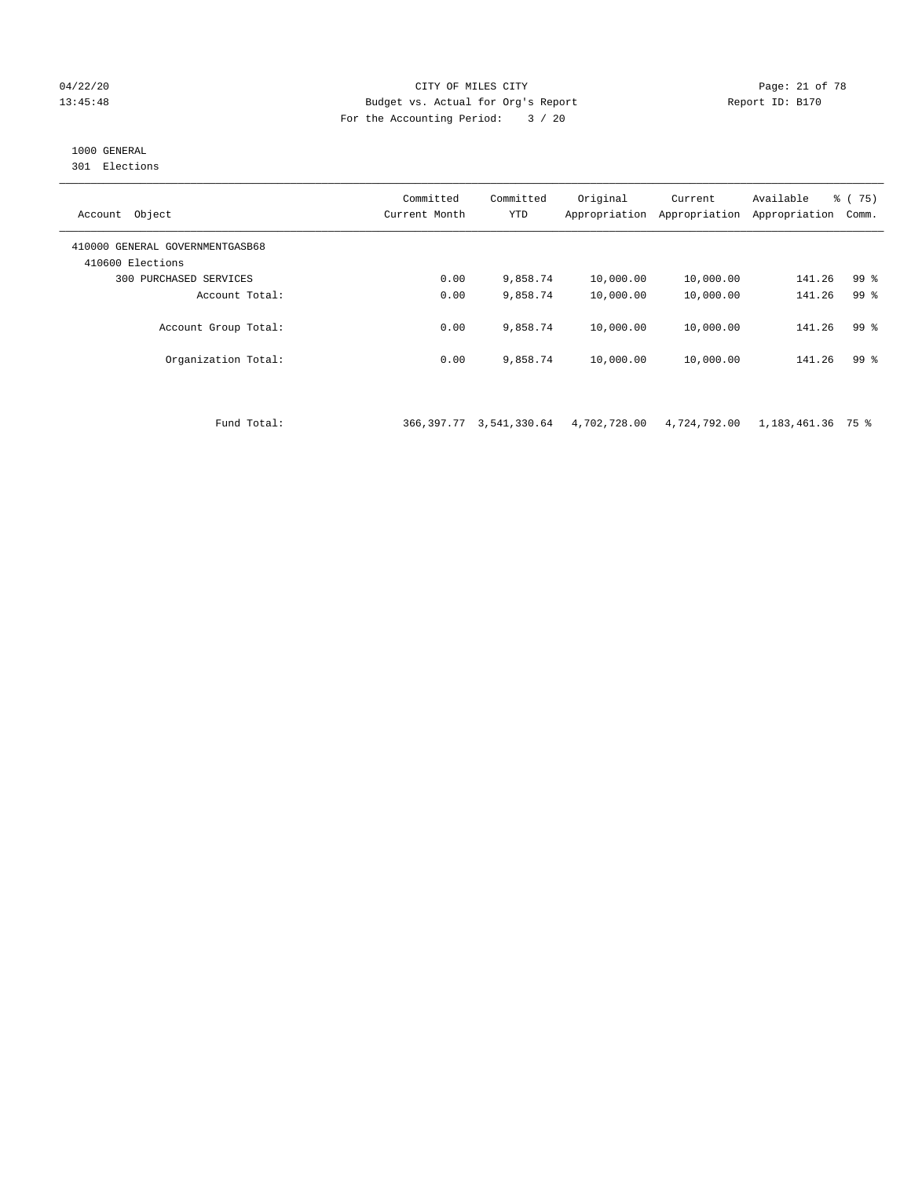#### 04/22/20 Page: 21 of 78 13:45:48 Budget vs. Actual for Org's Report Report ID: B170 For the Accounting Period: 3 / 20

# 1000 GENERAL

301 Elections

| Object<br>Account                                   | Committed<br>Current Month | Committed<br><b>YTD</b> | Original<br>Appropriation | Current<br>Appropriation | Available<br>Appropriation | % (75)<br>Comm. |
|-----------------------------------------------------|----------------------------|-------------------------|---------------------------|--------------------------|----------------------------|-----------------|
| 410000 GENERAL GOVERNMENTGASB68<br>410600 Elections |                            |                         |                           |                          |                            |                 |
| 300 PURCHASED SERVICES                              | 0.00                       | 9,858.74                | 10,000.00                 | 10,000.00                | 141.26                     | 99 <sup>8</sup> |
| Account Total:                                      | 0.00                       | 9,858.74                | 10,000.00                 | 10,000.00                | 141.26                     | 99 <sup>8</sup> |
| Account Group Total:                                | 0.00                       | 9,858.74                | 10,000.00                 | 10,000.00                | 141.26                     | 99 <sup>8</sup> |
| Organization Total:                                 | 0.00                       | 9,858.74                | 10,000.00                 | 10,000.00                | 141.26                     | 99 %            |
|                                                     |                            |                         |                           |                          |                            |                 |

Fund Total: 366,397.77 3,541,330.64 4,702,728.00 4,724,792.00 1,183,461.36 75 %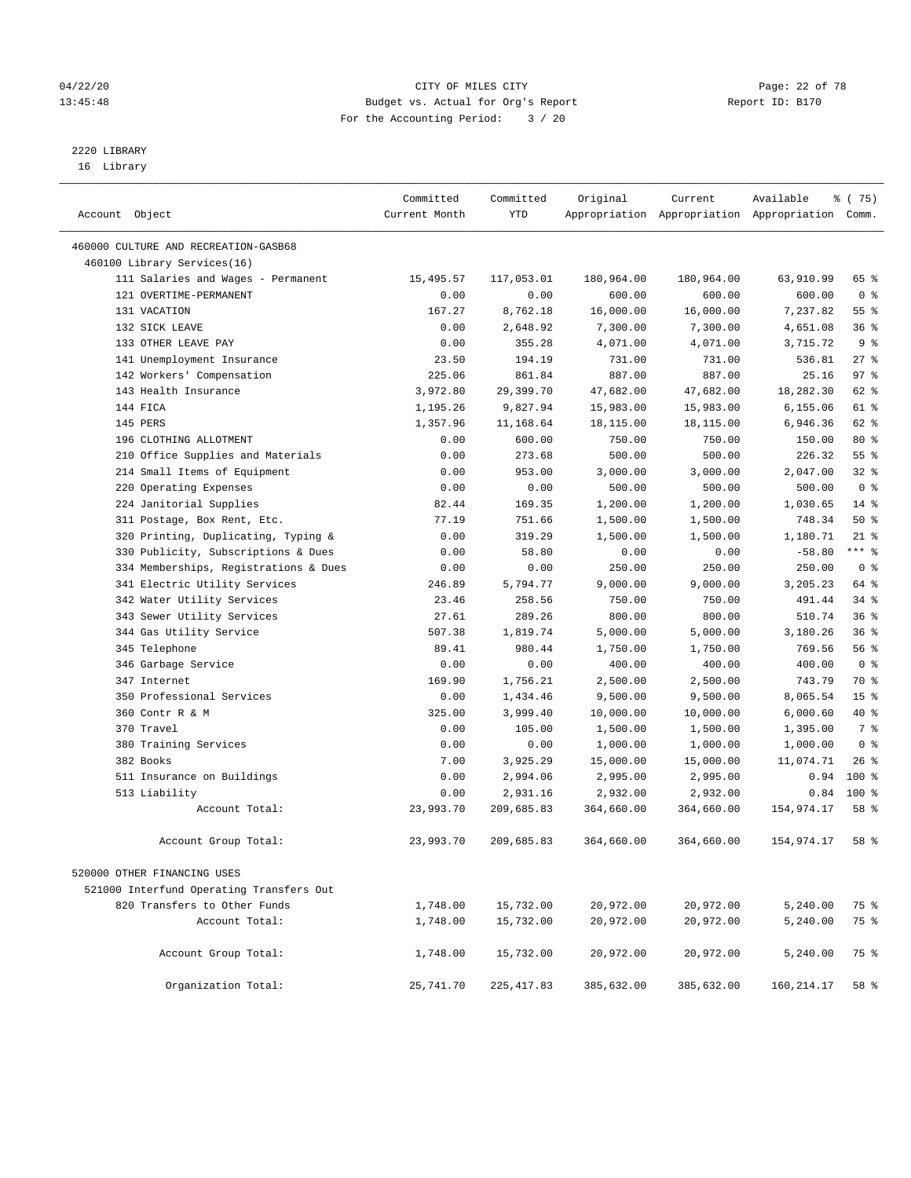# 2220 LIBRARY

16 Library

| Account Object                           | Committed<br>Current Month | Committed<br>YTD | Original   | Current    | Available<br>Appropriation Appropriation Appropriation Comm. | ៖ (75)          |
|------------------------------------------|----------------------------|------------------|------------|------------|--------------------------------------------------------------|-----------------|
| 460000 CULTURE AND RECREATION-GASB68     |                            |                  |            |            |                                                              |                 |
| 460100 Library Services(16)              |                            |                  |            |            |                                                              |                 |
| 111 Salaries and Wages - Permanent       | 15,495.57                  | 117,053.01       | 180,964.00 | 180,964.00 | 63,910.99                                                    | 65 %            |
| 121 OVERTIME-PERMANENT                   | 0.00                       | 0.00             | 600.00     | 600.00     | 600.00                                                       | 0 <sup>8</sup>  |
| 131 VACATION                             | 167.27                     | 8,762.18         | 16,000.00  | 16,000.00  | 7,237.82                                                     | 55 <sup>8</sup> |
| 132 SICK LEAVE                           | 0.00                       | 2,648.92         | 7,300.00   | 7,300.00   | 4,651.08                                                     | 36%             |
| 133 OTHER LEAVE PAY                      | 0.00                       | 355.28           | 4,071.00   | 4,071.00   | 3,715.72                                                     | 9 <sub>8</sub>  |
| 141 Unemployment Insurance               | 23.50                      | 194.19           | 731.00     | 731.00     | 536.81                                                       | $27$ %          |
| 142 Workers' Compensation                | 225.06                     | 861.84           | 887.00     | 887.00     | 25.16                                                        | 97%             |
| 143 Health Insurance                     | 3,972.80                   | 29,399.70        | 47,682.00  | 47,682.00  | 18,282.30                                                    | 62 %            |
| 144 FICA                                 | 1,195.26                   | 9,827.94         | 15,983.00  | 15,983.00  | 6,155.06                                                     | 61 %            |
| 145 PERS                                 | 1,357.96                   | 11,168.64        | 18,115.00  | 18,115.00  | 6,946.36                                                     | 62 %            |
| 196 CLOTHING ALLOTMENT                   | 0.00                       | 600.00           | 750.00     | 750.00     | 150.00                                                       | $80*$           |
| 210 Office Supplies and Materials        | 0.00                       | 273.68           | 500.00     | 500.00     | 226.32                                                       | 55 %            |
| 214 Small Items of Equipment             | 0.00                       | 953.00           | 3,000.00   | 3,000.00   | 2,047.00                                                     | $32$ $%$        |
| 220 Operating Expenses                   | 0.00                       | 0.00             | 500.00     | 500.00     | 500.00                                                       | 0 <sup>8</sup>  |
| 224 Janitorial Supplies                  | 82.44                      | 169.35           | 1,200.00   | 1,200.00   | 1,030.65                                                     | $14*$           |
| 311 Postage, Box Rent, Etc.              | 77.19                      | 751.66           | 1,500.00   | 1,500.00   | 748.34                                                       | 50%             |
| 320 Printing, Duplicating, Typing &      | 0.00                       | 319.29           | 1,500.00   | 1,500.00   | 1,180.71                                                     | $21$ %          |
| 330 Publicity, Subscriptions & Dues      | 0.00                       | 58.80            | 0.00       | 0.00       | $-58.80$                                                     | $***$ $-$       |
| 334 Memberships, Registrations & Dues    | 0.00                       | 0.00             | 250.00     | 250.00     | 250.00                                                       | 0 <sup>8</sup>  |
| 341 Electric Utility Services            | 246.89                     | 5,794.77         | 9,000.00   | 9,000.00   | 3,205.23                                                     | 64 %            |
| 342 Water Utility Services               | 23.46                      | 258.56           | 750.00     | 750.00     | 491.44                                                       | $34$ $%$        |
| 343 Sewer Utility Services               | 27.61                      | 289.26           | 800.00     | 800.00     | 510.74                                                       | 36%             |
| 344 Gas Utility Service                  | 507.38                     | 1,819.74         | 5,000.00   | 5,000.00   | 3,180.26                                                     | 36%             |
| 345 Telephone                            | 89.41                      | 980.44           | 1,750.00   | 1,750.00   | 769.56                                                       | 56%             |
| 346 Garbage Service                      | 0.00                       | 0.00             | 400.00     | 400.00     | 400.00                                                       | 0 <sup>8</sup>  |
| 347 Internet                             | 169.90                     | 1,756.21         | 2,500.00   | 2,500.00   | 743.79                                                       | 70 %            |
| 350 Professional Services                | 0.00                       | 1,434.46         | 9,500.00   | 9,500.00   | 8,065.54                                                     | 15 <sup>°</sup> |
| 360 Contr R & M                          | 325.00                     | 3,999.40         | 10,000.00  | 10,000.00  | 6,000.60                                                     | 40 %            |
| 370 Travel                               | 0.00                       | 105.00           | 1,500.00   | 1,500.00   | 1,395.00                                                     | 7 %             |
| 380 Training Services                    | 0.00                       | 0.00             | 1,000.00   | 1,000.00   | 1,000.00                                                     | 0 <sup>8</sup>  |
| 382 Books                                | 7.00                       | 3,925.29         | 15,000.00  | 15,000.00  | 11,074.71                                                    | $26$ %          |
| 511 Insurance on Buildings               | 0.00                       | 2,994.06         | 2,995.00   | 2,995.00   | 0.94                                                         | $100*$          |
| 513 Liability                            | 0.00                       | 2,931.16         | 2,932.00   | 2,932.00   | 0.84                                                         | $100*$          |
| Account Total:                           | 23,993.70                  | 209,685.83       | 364,660.00 | 364,660.00 | 154,974.17                                                   | 58 %            |
|                                          |                            |                  |            |            |                                                              |                 |
| Account Group Total:                     | 23,993.70                  | 209,685.83       | 364,660.00 | 364,660.00 | 154,974.17                                                   | 58 %            |
| 520000 OTHER FINANCING USES              |                            |                  |            |            |                                                              |                 |
| 521000 Interfund Operating Transfers Out |                            |                  |            |            |                                                              |                 |
| 820 Transfers to Other Funds             | 1,748.00                   | 15,732.00        | 20,972.00  | 20,972.00  | 5,240.00                                                     | 75 %            |
| Account Total:                           | 1,748.00                   | 15,732.00        | 20,972.00  | 20,972.00  | 5,240.00                                                     | 75 %            |
|                                          |                            |                  |            |            |                                                              |                 |
| Account Group Total:                     | 1,748.00                   | 15,732.00        | 20,972.00  | 20,972.00  | 5,240.00                                                     | 75 %            |
| Organization Total:                      | 25,741.70                  | 225, 417.83      | 385,632.00 | 385,632.00 | 160, 214.17                                                  | 58 %            |

04/22/20 Page: 22 of 78 13:45:48 Budget vs. Actual for Org's Report Report ID: B170 For the Accounting Period: 3 / 20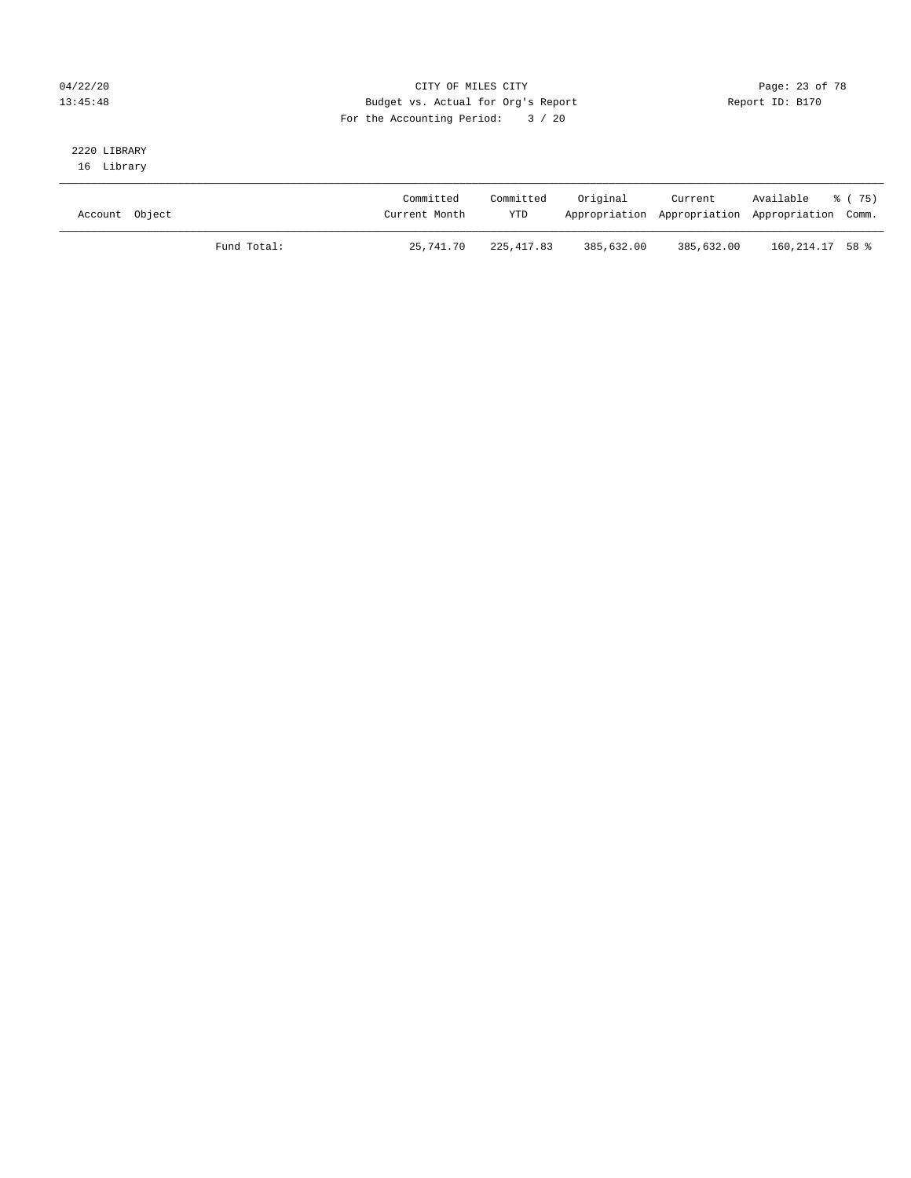## 04/22/20 Page: 23 of 78 13:45:48 Budget vs. Actual for Org's Report Report ID: B170 For the Accounting Period: 3 / 20

# 2220 LIBRARY

16 Library

| Account Object |             | Committed<br>Current Month | Committed<br><b>YTD</b> | Original   | Current    | Available % (75)<br>Appropriation Appropriation Appropriation Comm. |  |
|----------------|-------------|----------------------------|-------------------------|------------|------------|---------------------------------------------------------------------|--|
|                | Fund Total: | 25,741.70                  | 225,417.83              | 385,632.00 | 385,632.00 | 160,214.17 58 %                                                     |  |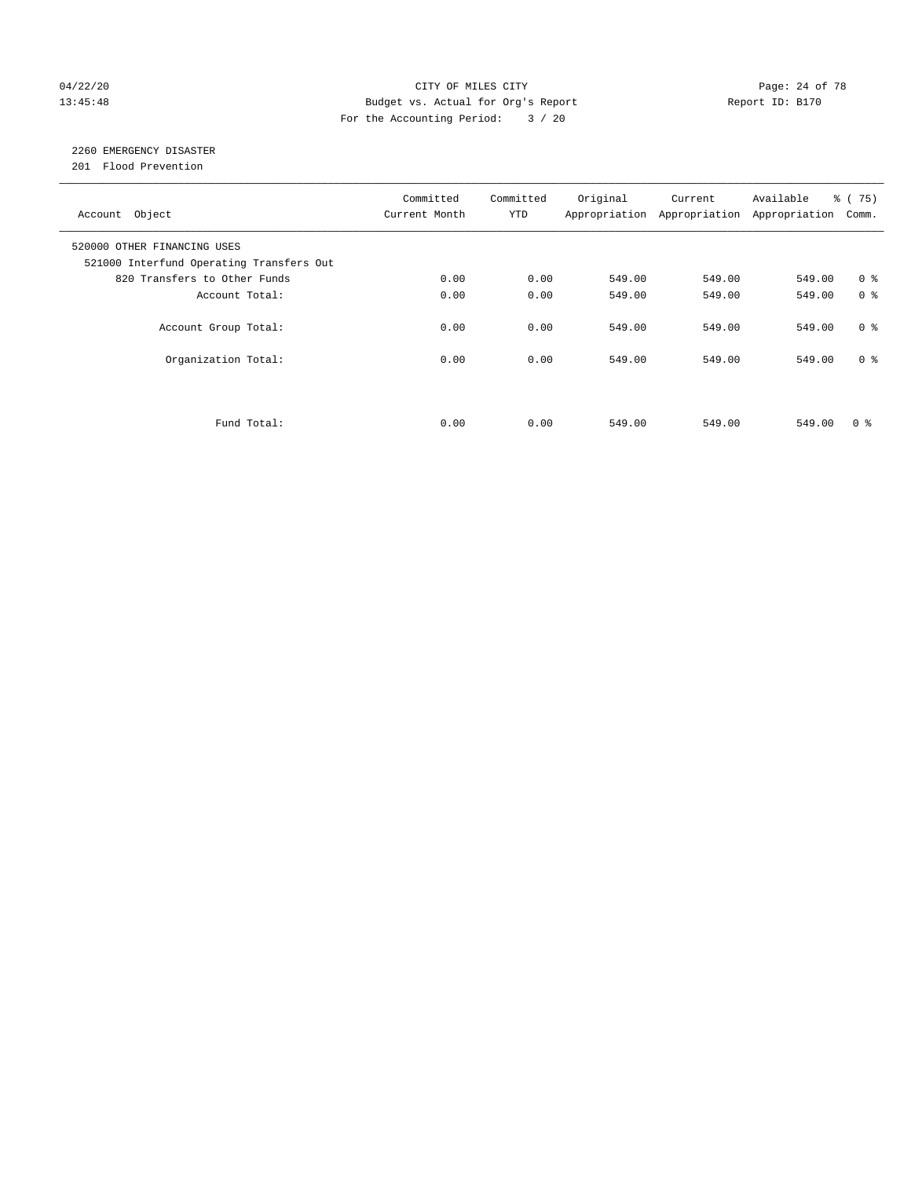## 04/22/20 Page: 24 of 78 CITY OF MILES CITY CHANGES CONTROL PAGE: 24 of 78 13:45:48 Budget vs. Actual for Org's Report Report ID: B170 For the Accounting Period: 3 / 20

# 2260 EMERGENCY DISASTER

201 Flood Prevention

| Account Object                                                          | Committed<br>Current Month | Committed<br><b>YTD</b> | Original | Current<br>Appropriation Appropriation | Available<br>Appropriation | 8 (75)<br>Comm. |
|-------------------------------------------------------------------------|----------------------------|-------------------------|----------|----------------------------------------|----------------------------|-----------------|
| 520000 OTHER FINANCING USES<br>521000 Interfund Operating Transfers Out |                            |                         |          |                                        |                            |                 |
| 820 Transfers to Other Funds                                            | 0.00                       | 0.00                    | 549.00   | 549.00                                 | 549.00                     | 0 <sup>8</sup>  |
| Account Total:                                                          | 0.00                       | 0.00                    | 549.00   | 549.00                                 | 549.00                     | 0 <sup>8</sup>  |
| Account Group Total:                                                    | 0.00                       | 0.00                    | 549.00   | 549.00                                 | 549.00                     | 0 <sup>8</sup>  |
| Organization Total:                                                     | 0.00                       | 0.00                    | 549.00   | 549.00                                 | 549.00                     | 0 <sup>8</sup>  |
|                                                                         |                            |                         |          |                                        |                            |                 |
| Fund Total:                                                             | 0.00                       | 0.00                    | 549.00   | 549.00                                 | 549.00                     | 0 %             |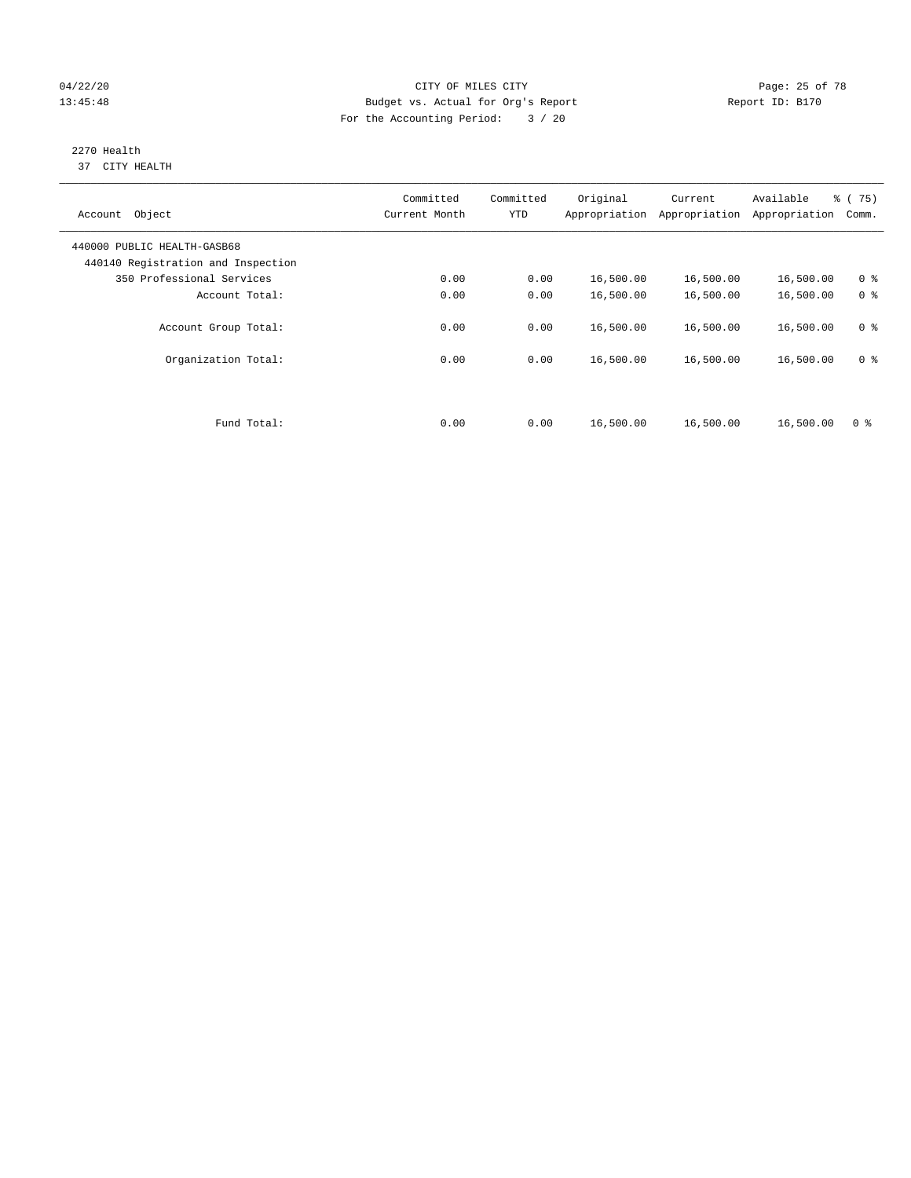## 04/22/20 Page: 25 of 78 CITY OF MILES CITY CHANGES CONTROL PAGE: 25 of 78 13:45:48 Budget vs. Actual for Org's Report Report ID: B170 For the Accounting Period: 3 / 20

#### 2270 Health 37 CITY HEALTH

| Account Object                                                    | Committed<br>Current Month | Committed<br><b>YTD</b> | Original  | Current<br>Appropriation Appropriation | Available<br>Appropriation | 8 (75)<br>Comm. |
|-------------------------------------------------------------------|----------------------------|-------------------------|-----------|----------------------------------------|----------------------------|-----------------|
| 440000 PUBLIC HEALTH-GASB68<br>440140 Registration and Inspection |                            |                         |           |                                        |                            |                 |
| 350 Professional Services                                         | 0.00                       | 0.00                    | 16,500.00 | 16,500.00                              | 16,500.00                  | 0 <sup>8</sup>  |
| Account Total:                                                    | 0.00                       | 0.00                    | 16,500.00 | 16,500.00                              | 16,500.00                  | 0 <sup>8</sup>  |
| Account Group Total:                                              | 0.00                       | 0.00                    | 16,500.00 | 16,500.00                              | 16,500.00                  | 0 <sup>8</sup>  |
| Organization Total:                                               | 0.00                       | 0.00                    | 16,500.00 | 16,500.00                              | 16,500.00                  | 0 <sup>8</sup>  |
|                                                                   |                            |                         |           |                                        |                            |                 |
| Fund Total:                                                       | 0.00                       | 0.00                    | 16,500.00 | 16,500.00                              | 16,500.00                  | 0 <sup>8</sup>  |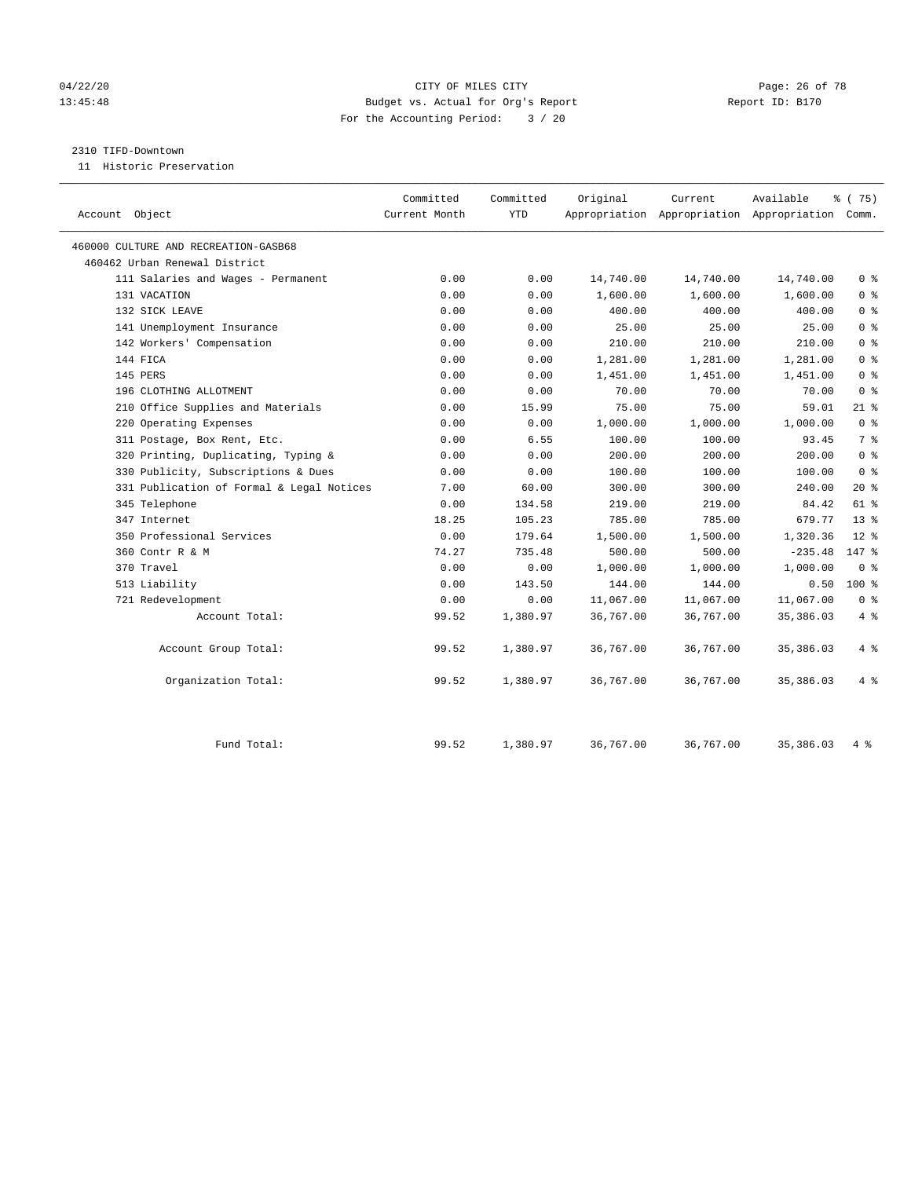## 04/22/20 Page: 26 of 78 CITY OF MILES CITY CHANGES CONTROL PAGE: 26 of 78 13:45:48 Budget vs. Actual for Org's Report Report ID: B170 For the Accounting Period: 3 / 20

#### 2310 TIFD-Downtown

11 Historic Preservation

|                                           | Committed     | Committed  | Original  | Current   | Available                                       | % (75)          |
|-------------------------------------------|---------------|------------|-----------|-----------|-------------------------------------------------|-----------------|
| Account Object                            | Current Month | <b>YTD</b> |           |           | Appropriation Appropriation Appropriation Comm. |                 |
| 460000 CULTURE AND RECREATION-GASB68      |               |            |           |           |                                                 |                 |
| 460462 Urban Renewal District             |               |            |           |           |                                                 |                 |
| 111 Salaries and Wages - Permanent        | 0.00          | 0.00       | 14,740.00 | 14,740.00 | 14,740.00                                       | 0 <sup>8</sup>  |
| 131 VACATION                              | 0.00          | 0.00       | 1,600.00  | 1,600.00  | 1,600.00                                        | 0 <sup>8</sup>  |
| 132 SICK LEAVE                            | 0.00          | 0.00       | 400.00    | 400.00    | 400.00                                          | 0 <sup>8</sup>  |
| 141 Unemployment Insurance                | 0.00          | 0.00       | 25.00     | 25.00     | 25.00                                           | 0 <sup>8</sup>  |
| 142 Workers' Compensation                 | 0.00          | 0.00       | 210.00    | 210.00    | 210.00                                          | 0 <sup>8</sup>  |
| 144 FICA                                  | 0.00          | 0.00       | 1,281.00  | 1,281.00  | 1,281.00                                        | 0 <sup>8</sup>  |
| 145 PERS                                  | 0.00          | 0.00       | 1,451.00  | 1,451.00  | 1,451.00                                        | 0 <sup>8</sup>  |
| 196 CLOTHING ALLOTMENT                    | 0.00          | 0.00       | 70.00     | 70.00     | 70.00                                           | 0 <sup>8</sup>  |
| 210 Office Supplies and Materials         | 0.00          | 15.99      | 75.00     | 75.00     | 59.01                                           | $21$ %          |
| 220 Operating Expenses                    | 0.00          | 0.00       | 1,000.00  | 1,000.00  | 1,000.00                                        | 0 <sup>8</sup>  |
| 311 Postage, Box Rent, Etc.               | 0.00          | 6.55       | 100.00    | 100.00    | 93.45                                           | 7 <sup>8</sup>  |
| 320 Printing, Duplicating, Typing &       | 0.00          | 0.00       | 200.00    | 200.00    | 200.00                                          | 0 <sup>8</sup>  |
| 330 Publicity, Subscriptions & Dues       | 0.00          | 0.00       | 100.00    | 100.00    | 100.00                                          | 0 <sup>8</sup>  |
| 331 Publication of Formal & Legal Notices | 7.00          | 60.00      | 300.00    | 300.00    | 240.00                                          | $20*$           |
| 345 Telephone                             | 0.00          | 134.58     | 219.00    | 219.00    | 84.42                                           | 61 %            |
| 347 Internet                              | 18.25         | 105.23     | 785.00    | 785.00    | 679.77                                          | 13 <sup>8</sup> |
| 350 Professional Services                 | 0.00          | 179.64     | 1,500.00  | 1,500.00  | 1,320.36                                        | $12*$           |
| 360 Contr R & M                           | 74.27         | 735.48     | 500.00    | 500.00    | $-235.48$                                       | $147$ %         |
| 370 Travel                                | 0.00          | 0.00       | 1,000.00  | 1,000.00  | 1,000.00                                        | 0 <sup>8</sup>  |
| 513 Liability                             | 0.00          | 143.50     | 144.00    | 144.00    | 0.50                                            | 100 %           |
| 721 Redevelopment                         | 0.00          | 0.00       | 11,067.00 | 11,067.00 | 11,067.00                                       | 0 <sup>8</sup>  |
| Account Total:                            | 99.52         | 1,380.97   | 36,767.00 | 36,767.00 | 35,386.03                                       | 4%              |
| Account Group Total:                      | 99.52         | 1,380.97   | 36,767.00 | 36,767.00 | 35, 386.03                                      | 4%              |
| Organization Total:                       | 99.52         | 1,380.97   | 36,767.00 | 36,767.00 | 35,386.03                                       | 4%              |
| Fund Total:                               | 99.52         | 1,380.97   | 36,767.00 | 36,767.00 | 35, 386.03                                      | 4 %             |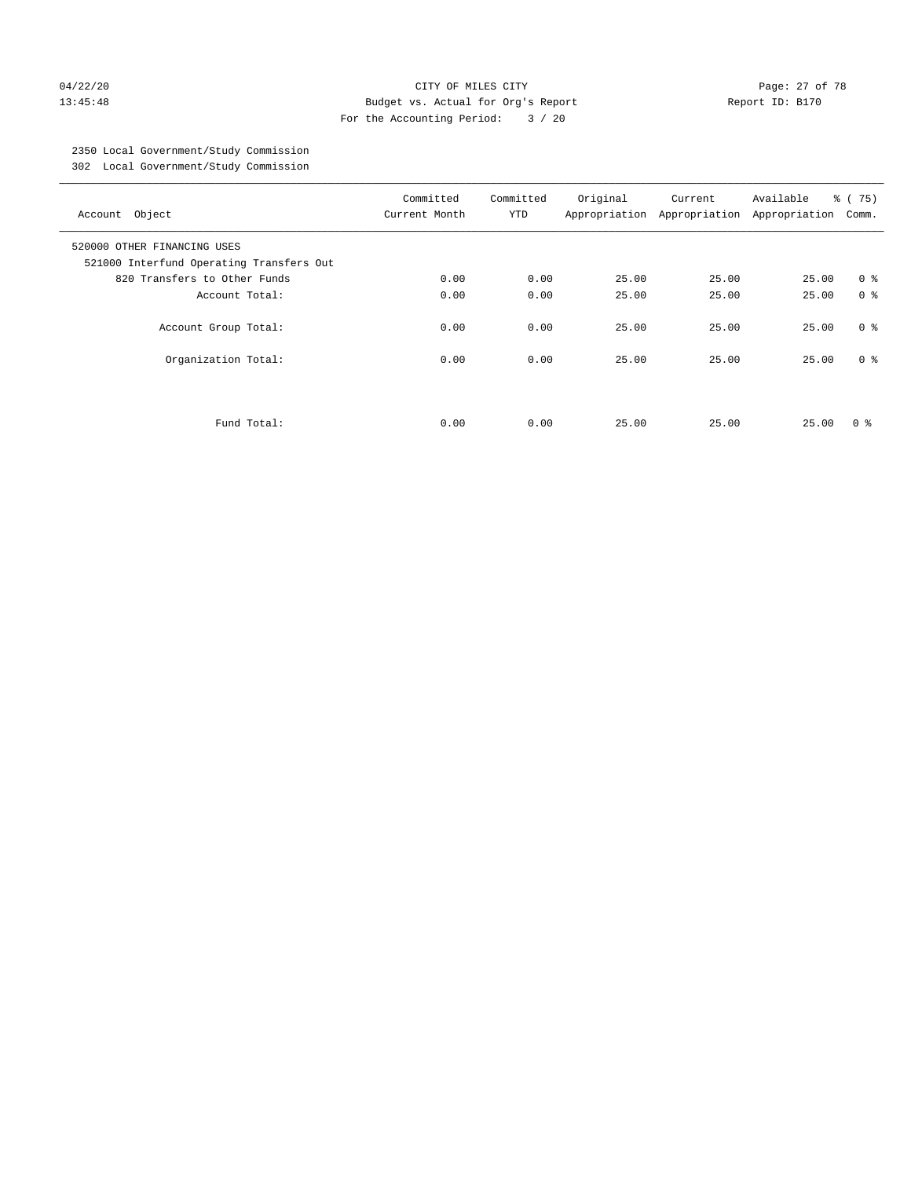#### 04/22/20 Page: 27 of 78 13:45:48 Budget vs. Actual for Org's Report Report ID: B170 For the Accounting Period: 3 / 20

# 2350 Local Government/Study Commission

302 Local Government/Study Commission

| Account Object                                                          | Committed<br>Current Month | Committed<br><b>YTD</b> | Original | Current<br>Appropriation Appropriation | Available<br>Appropriation | 8 (75)<br>Comm. |
|-------------------------------------------------------------------------|----------------------------|-------------------------|----------|----------------------------------------|----------------------------|-----------------|
| 520000 OTHER FINANCING USES<br>521000 Interfund Operating Transfers Out |                            |                         |          |                                        |                            |                 |
| 820 Transfers to Other Funds                                            | 0.00                       | 0.00                    | 25.00    | 25.00                                  | 25.00                      | 0 <sup>8</sup>  |
| Account Total:                                                          | 0.00                       | 0.00                    | 25.00    | 25.00                                  | 25.00                      | 0 <sup>8</sup>  |
| Account Group Total:                                                    | 0.00                       | 0.00                    | 25.00    | 25.00                                  | 25.00                      | 0 <sup>8</sup>  |
| Organization Total:                                                     | 0.00                       | 0.00                    | 25.00    | 25.00                                  | 25.00                      | 0 <sup>8</sup>  |
|                                                                         |                            |                         |          |                                        |                            |                 |
| Fund Total:                                                             | 0.00                       | 0.00                    | 25.00    | 25.00                                  | 25.00                      | 0 ៖             |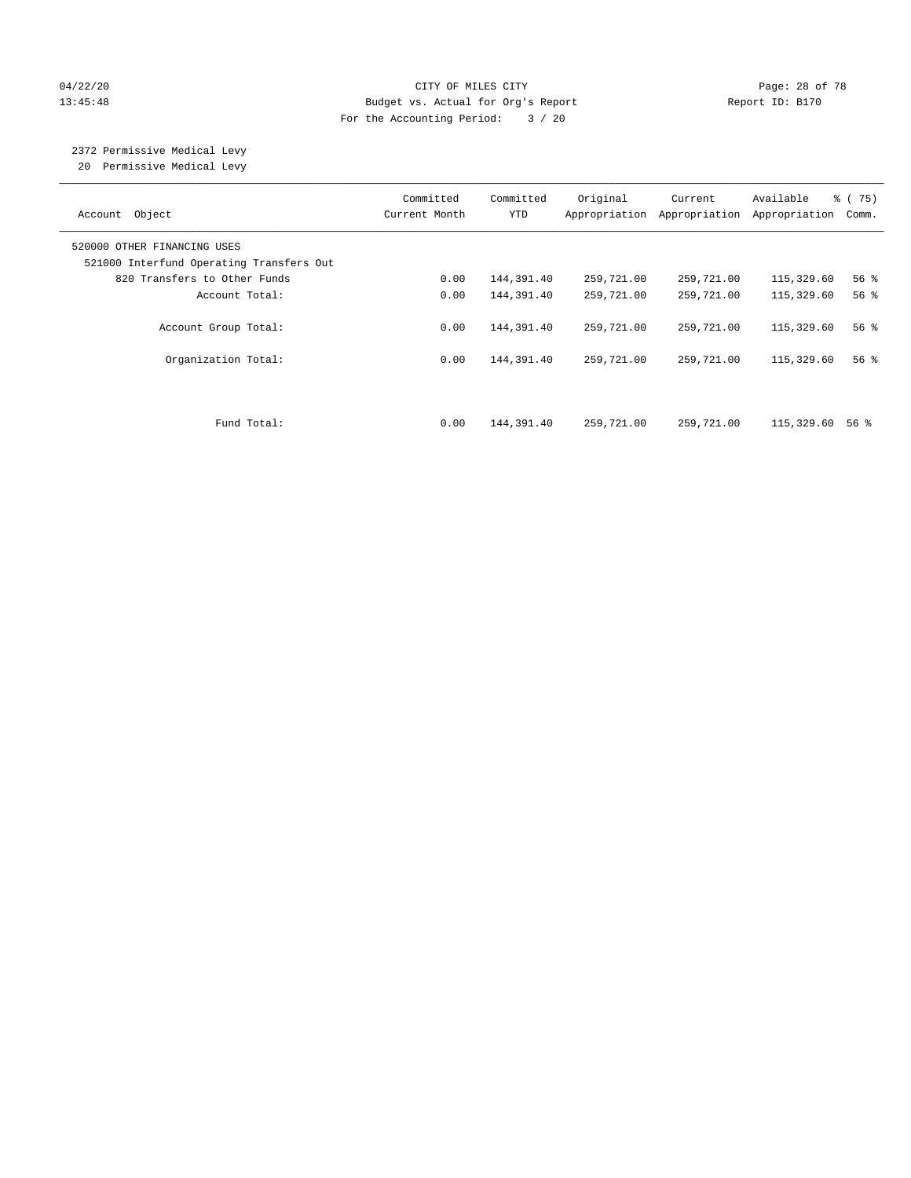## 04/22/20 Page: 28 of 78 13:45:48 Budget vs. Actual for Org's Report Report ID: B170 For the Accounting Period: 3 / 20

# 2372 Permissive Medical Levy

20 Permissive Medical Levy

| Account Object                                                          | Committed<br>Current Month | Committed<br><b>YTD</b> | Original<br>Appropriation | Current<br>Appropriation | Available<br>Appropriation | 8 (75)<br>Comm.    |
|-------------------------------------------------------------------------|----------------------------|-------------------------|---------------------------|--------------------------|----------------------------|--------------------|
| 520000 OTHER FINANCING USES<br>521000 Interfund Operating Transfers Out |                            |                         |                           |                          |                            |                    |
| 820 Transfers to Other Funds                                            | 0.00                       | 144,391.40              | 259,721.00                | 259,721.00               | 115,329.60                 | 56 <sup>8</sup>    |
| Account Total:                                                          | 0.00                       | 144,391.40              | 259,721.00                | 259,721.00               | 115,329.60                 | $56$ $\frac{6}{3}$ |
| Account Group Total:                                                    | 0.00                       | 144,391.40              | 259,721.00                | 259,721.00               | 115,329.60                 | 56%                |
| Organization Total:                                                     | 0.00                       | 144,391.40              | 259,721.00                | 259,721.00               | 115,329.60                 | 56 %               |
| Fund Total:                                                             | 0.00                       | 144,391.40              | 259,721.00                | 259,721.00               | 115,329.60                 | 56 %               |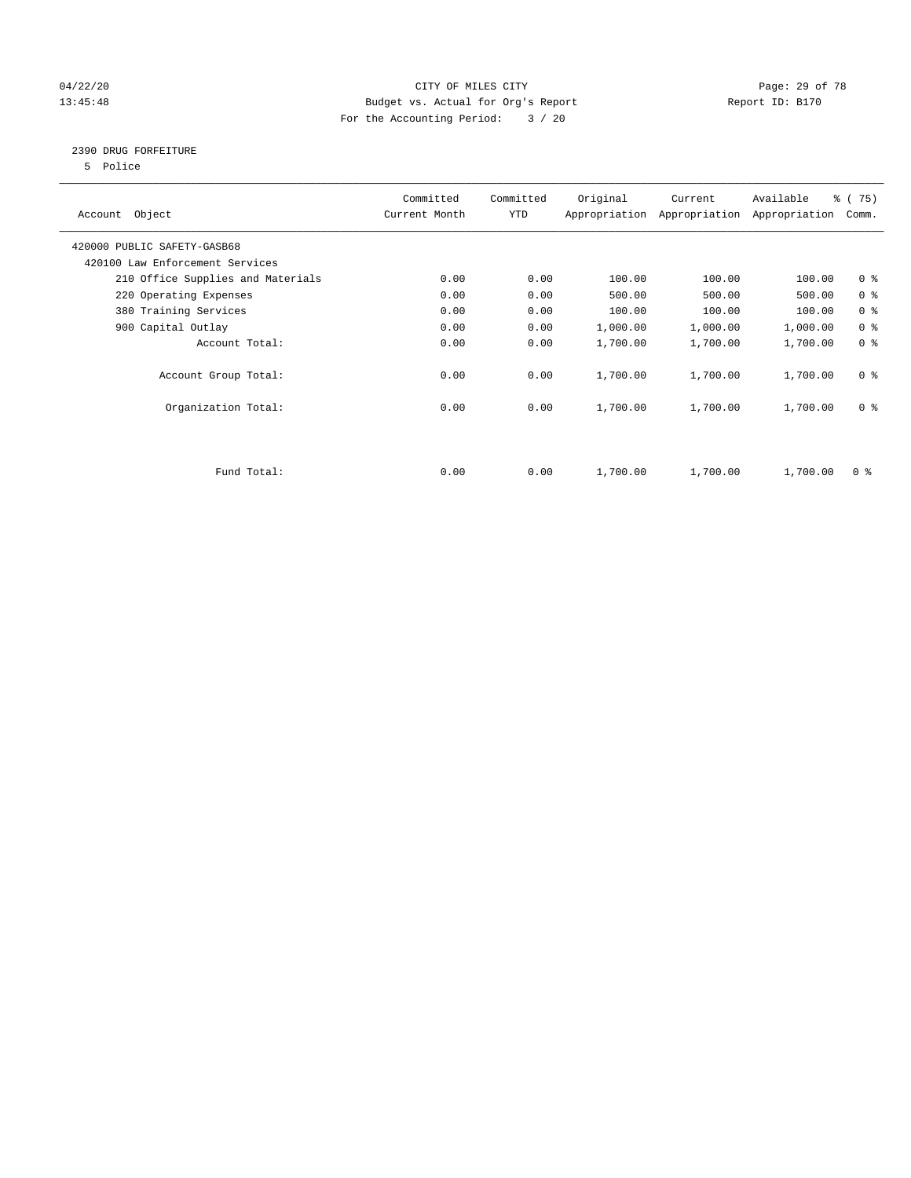## 04/22/20 **CITY OF MILES CITY CONSUMING THE PAGE: 29 of 78** 13:45:48 Budget vs. Actual for Org's Report Report ID: B170 For the Accounting Period: 3 / 20

## 2390 DRUG FORFEITURE

5 Police

| Account Object                    | Committed<br>Current Month | Committed<br>YTD | Original | Current<br>Appropriation Appropriation | Available<br>Appropriation | % (75)<br>Comm. |
|-----------------------------------|----------------------------|------------------|----------|----------------------------------------|----------------------------|-----------------|
| 420000 PUBLIC SAFETY-GASB68       |                            |                  |          |                                        |                            |                 |
| 420100 Law Enforcement Services   |                            |                  |          |                                        |                            |                 |
| 210 Office Supplies and Materials | 0.00                       | 0.00             | 100.00   | 100.00                                 | 100.00                     | 0 <sub>8</sub>  |
| 220 Operating Expenses            | 0.00                       | 0.00             | 500.00   | 500.00                                 | 500.00                     | 0 <sup>8</sup>  |
| 380 Training Services             | 0.00                       | 0.00             | 100.00   | 100.00                                 | 100.00                     | 0 <sup>8</sup>  |
| 900 Capital Outlay                | 0.00                       | 0.00             | 1,000.00 | 1,000.00                               | 1,000.00                   | 0 <sup>8</sup>  |
| Account Total:                    | 0.00                       | 0.00             | 1,700.00 | 1,700.00                               | 1,700.00                   | 0 <sup>8</sup>  |
| Account Group Total:              | 0.00                       | 0.00             | 1,700.00 | 1,700.00                               | 1,700.00                   | 0 <sup>8</sup>  |
| Organization Total:               | 0.00                       | 0.00             | 1,700.00 | 1,700.00                               | 1,700.00                   | 0 <sup>8</sup>  |
|                                   |                            |                  |          |                                        |                            |                 |
| Fund Total:                       | 0.00                       | 0.00             | 1,700.00 | 1,700.00                               | 1,700.00                   | 0 %             |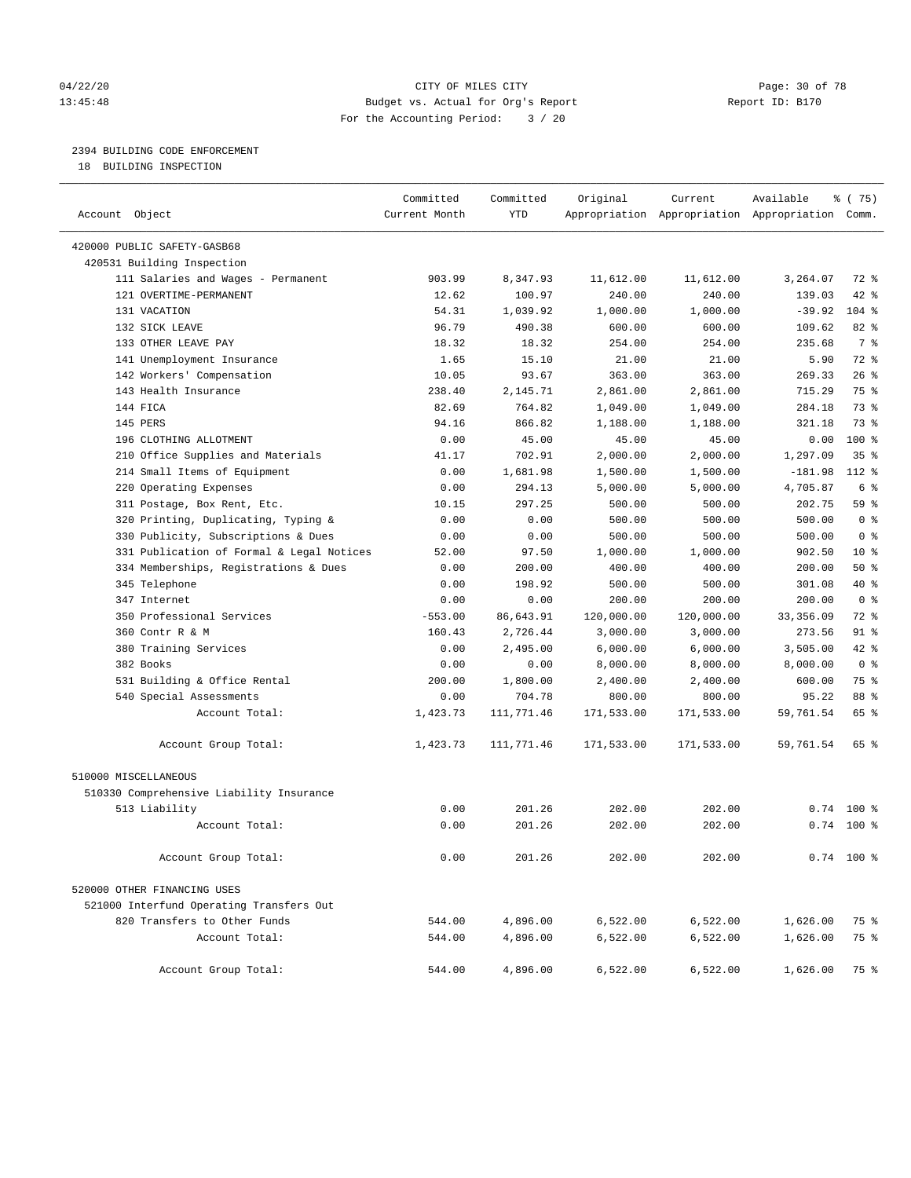#### 04/22/20 **CITY OF MILES CITY CONSUMING THE PAGE:** 30 of 78 13:45:48 Budget vs. Actual for Org's Report Report ID: B170 For the Accounting Period: 3 / 20

# 2394 BUILDING CODE ENFORCEMENT

18 BUILDING INSPECTION

| Account Object                            | Committed<br>Current Month | Committed<br><b>YTD</b> | Original   | Current    | Available<br>Appropriation Appropriation Appropriation Comm. | ៖ (75)         |
|-------------------------------------------|----------------------------|-------------------------|------------|------------|--------------------------------------------------------------|----------------|
| 420000 PUBLIC SAFETY-GASB68               |                            |                         |            |            |                                                              |                |
| 420531 Building Inspection                |                            |                         |            |            |                                                              |                |
| 111 Salaries and Wages - Permanent        | 903.99                     | 8,347.93                | 11,612.00  | 11,612.00  | 3,264.07                                                     | 72 %           |
| 121 OVERTIME-PERMANENT                    | 12.62                      | 100.97                  | 240.00     | 240.00     | 139.03                                                       | 42 %           |
| 131 VACATION                              | 54.31                      | 1,039.92                | 1,000.00   | 1,000.00   | $-39.92$                                                     | $104$ %        |
| 132 SICK LEAVE                            | 96.79                      | 490.38                  | 600.00     | 600.00     | 109.62                                                       | 82%            |
| 133 OTHER LEAVE PAY                       | 18.32                      | 18.32                   | 254.00     | 254.00     | 235.68                                                       | 7 <sup>°</sup> |
| 141 Unemployment Insurance                | 1.65                       | 15.10                   | 21.00      | 21.00      | 5.90                                                         | 72 %           |
| 142 Workers' Compensation                 | 10.05                      | 93.67                   | 363.00     | 363.00     | 269.33                                                       | 26%            |
| 143 Health Insurance                      | 238.40                     | 2,145.71                | 2,861.00   | 2,861.00   | 715.29                                                       | 75 %           |
| 144 FICA                                  | 82.69                      | 764.82                  | 1,049.00   | 1,049.00   | 284.18                                                       | 73.8           |
| 145 PERS                                  | 94.16                      | 866.82                  | 1,188.00   | 1,188.00   | 321.18                                                       | 73.8           |
| 196 CLOTHING ALLOTMENT                    | 0.00                       | 45.00                   | 45.00      | 45.00      | 0.00                                                         | 100 %          |
| 210 Office Supplies and Materials         | 41.17                      | 702.91                  | 2,000.00   | 2,000.00   | 1,297.09                                                     | 35%            |
| 214 Small Items of Equipment              | 0.00                       | 1,681.98                | 1,500.00   | 1,500.00   | $-181.98$                                                    | 112 %          |
| 220 Operating Expenses                    | 0.00                       | 294.13                  | 5,000.00   | 5,000.00   | 4,705.87                                                     | 6 %            |
| 311 Postage, Box Rent, Etc.               | 10.15                      | 297.25                  | 500.00     | 500.00     | 202.75                                                       | 59%            |
| 320 Printing, Duplicating, Typing &       | 0.00                       | 0.00                    | 500.00     | 500.00     | 500.00                                                       | 0 <sup>8</sup> |
| 330 Publicity, Subscriptions & Dues       | 0.00                       | 0.00                    | 500.00     | 500.00     | 500.00                                                       | 0 <sup>8</sup> |
| 331 Publication of Formal & Legal Notices | 52.00                      | 97.50                   | 1,000.00   | 1,000.00   | 902.50                                                       | $10*$          |
| 334 Memberships, Registrations & Dues     | 0.00                       | 200.00                  | 400.00     | 400.00     | 200.00                                                       | 50%            |
| 345 Telephone                             | 0.00                       | 198.92                  | 500.00     | 500.00     | 301.08                                                       | 40 %           |
| 347 Internet                              | 0.00                       | 0.00                    | 200.00     | 200.00     | 200.00                                                       | 0 <sup>8</sup> |
| 350 Professional Services                 | $-553.00$                  | 86,643.91               | 120,000.00 | 120,000.00 | 33, 356.09                                                   | 72 %           |
| 360 Contr R & M                           | 160.43                     | 2,726.44                | 3,000.00   | 3,000.00   | 273.56                                                       | 91 %           |
| 380 Training Services                     | 0.00                       | 2,495.00                | 6,000.00   | 6,000.00   | 3,505.00                                                     | 42.8           |
| 382 Books                                 | 0.00                       | 0.00                    | 8,000.00   | 8,000.00   | 8,000.00                                                     | 0 <sup>8</sup> |
| 531 Building & Office Rental              | 200.00                     | 1,800.00                | 2,400.00   | 2,400.00   | 600.00                                                       | 75 %           |
| 540 Special Assessments                   | 0.00                       | 704.78                  | 800.00     | 800.00     | 95.22                                                        | 88 %           |
| Account Total:                            | 1,423.73                   | 111,771.46              | 171,533.00 | 171,533.00 | 59,761.54                                                    | 65 %           |
| Account Group Total:                      | 1,423.73                   | 111,771.46              | 171,533.00 | 171,533.00 | 59,761.54                                                    | 65 %           |
| 510000 MISCELLANEOUS                      |                            |                         |            |            |                                                              |                |
| 510330 Comprehensive Liability Insurance  |                            |                         |            |            |                                                              |                |
| 513 Liability                             | 0.00                       | 201.26                  | 202.00     | 202.00     | 0.74                                                         | $100*$         |
| Account Total:                            | 0.00                       | 201.26                  | 202.00     | 202.00     |                                                              | $0.74$ 100 %   |
| Account Group Total:                      | 0.00                       | 201.26                  | 202.00     | 202.00     |                                                              | $0.74$ 100 %   |
| 520000 OTHER FINANCING USES               |                            |                         |            |            |                                                              |                |
| 521000 Interfund Operating Transfers Out  |                            |                         |            |            |                                                              |                |
| 820 Transfers to Other Funds              | 544.00                     | 4,896.00                | 6,522.00   | 6,522.00   | 1,626.00                                                     | 75 %           |
| Account Total:                            | 544.00                     | 4,896.00                | 6,522.00   | 6,522.00   | 1,626.00                                                     | 75 %           |
| Account Group Total:                      | 544.00                     | 4,896.00                | 6,522.00   | 6,522.00   | 1,626.00                                                     | 75 %           |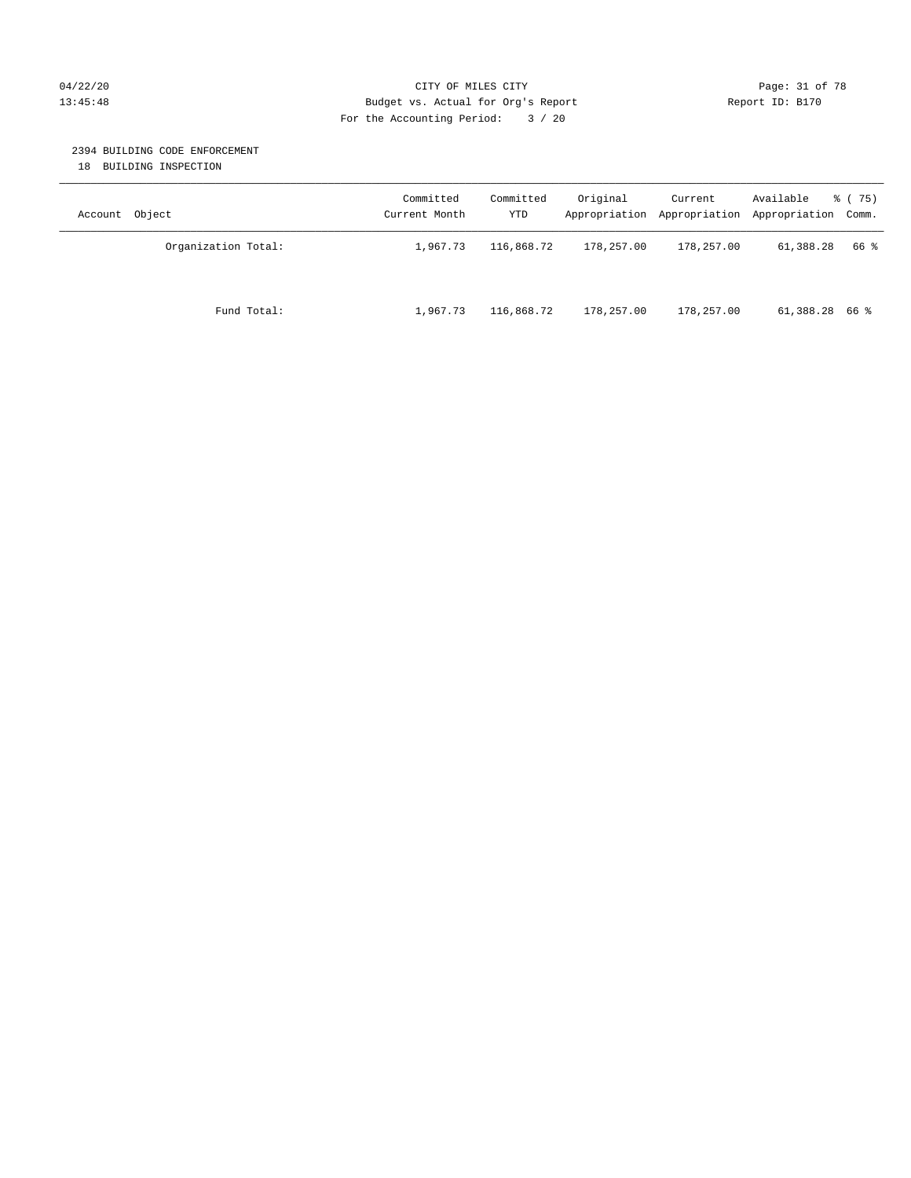## 04/22/20 Page: 31 of 78 CITY OF MILES CITY CHANGES CONTROL PAGE: 31 of 78 13:45:48 Budget vs. Actual for Org's Report Report ID: B170 For the Accounting Period: 3 / 20

#### 2394 BUILDING CODE ENFORCEMENT

18 BUILDING INSPECTION

| Account Object      | Committed<br>Current Month | Committed<br>YTD | Original   | Current<br>Appropriation Appropriation | Available<br>Appropriation Comm. | 8 (75) |
|---------------------|----------------------------|------------------|------------|----------------------------------------|----------------------------------|--------|
| Organization Total: | 1,967.73                   | 116,868.72       | 178,257.00 | 178,257.00                             | 61,388.28                        | 66 %   |
| Fund Total:         | 1,967.73                   | 116,868.72       | 178,257.00 | 178,257.00                             | $61,388.28$ 66 %                 |        |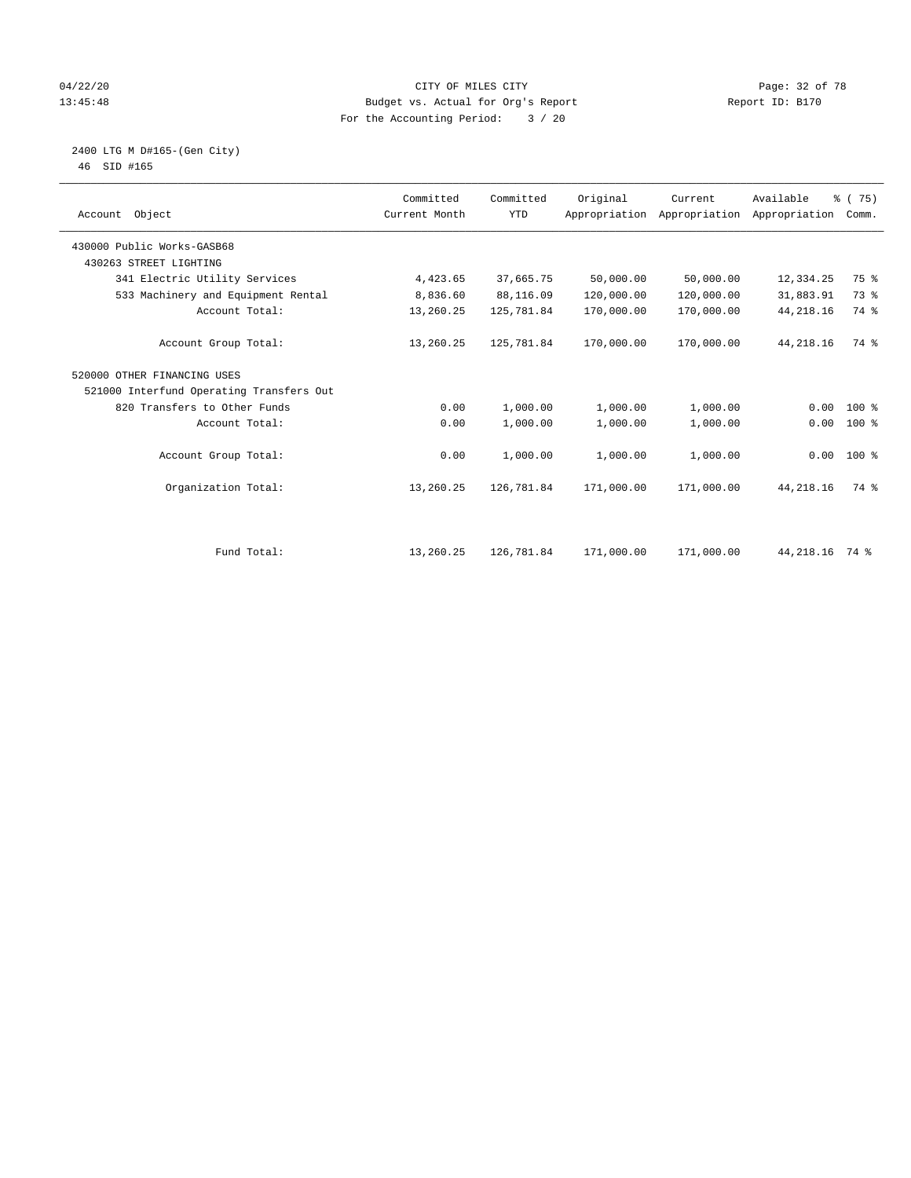## 04/22/20 **CITY OF MILES CITY CONSUMING THE PAGE:** 32 of 78 13:45:48 Budget vs. Actual for Org's Report Report ID: B170 For the Accounting Period: 3 / 20

#### 2400 LTG M D#165-(Gen City) 46 SID #165

| Account Object                           | Committed<br>Current Month | Committed<br><b>YTD</b> | Original   | Current<br>Appropriation Appropriation | Available<br>Appropriation | % (75)<br>Comm. |  |
|------------------------------------------|----------------------------|-------------------------|------------|----------------------------------------|----------------------------|-----------------|--|
| 430000 Public Works-GASB68               |                            |                         |            |                                        |                            |                 |  |
| 430263 STREET LIGHTING                   |                            |                         |            |                                        |                            |                 |  |
| 341 Electric Utility Services            | 4,423.65                   | 37,665.75               | 50,000.00  | 50,000.00                              | 12,334.25                  | 75 %            |  |
| 533 Machinery and Equipment Rental       | 8,836.60                   | 88,116.09               | 120,000.00 | 120,000.00                             | 31,883.91                  | 73 %            |  |
| Account Total:                           | 13,260.25                  | 125,781.84              | 170,000.00 | 170,000.00                             | 44, 218.16                 | 74 %            |  |
| Account Group Total:                     | 13,260.25                  | 125,781.84              | 170,000.00 | 170,000.00                             | 44, 218.16                 | 74 %            |  |
| 520000 OTHER FINANCING USES              |                            |                         |            |                                        |                            |                 |  |
| 521000 Interfund Operating Transfers Out |                            |                         |            |                                        |                            |                 |  |
| 820 Transfers to Other Funds             | 0.00                       | 1,000.00                | 1,000.00   | 1,000.00                               | 0.00                       | 100 %           |  |
| Account Total:                           | 0.00                       | 1,000.00                | 1,000.00   | 1,000.00                               | 0.00                       | 100 %           |  |
| Account Group Total:                     | 0.00                       | 1,000.00                | 1,000.00   | 1,000.00                               |                            | $0.00 100$ %    |  |
| Organization Total:                      | 13,260.25                  | 126,781.84              | 171,000.00 | 171,000.00                             | 44, 218.16                 | 74 %            |  |
|                                          |                            |                         |            |                                        |                            |                 |  |
| Fund Total:                              | 13,260.25                  | 126,781.84              | 171,000.00 | 171,000.00                             | 44, 218. 16 74 %           |                 |  |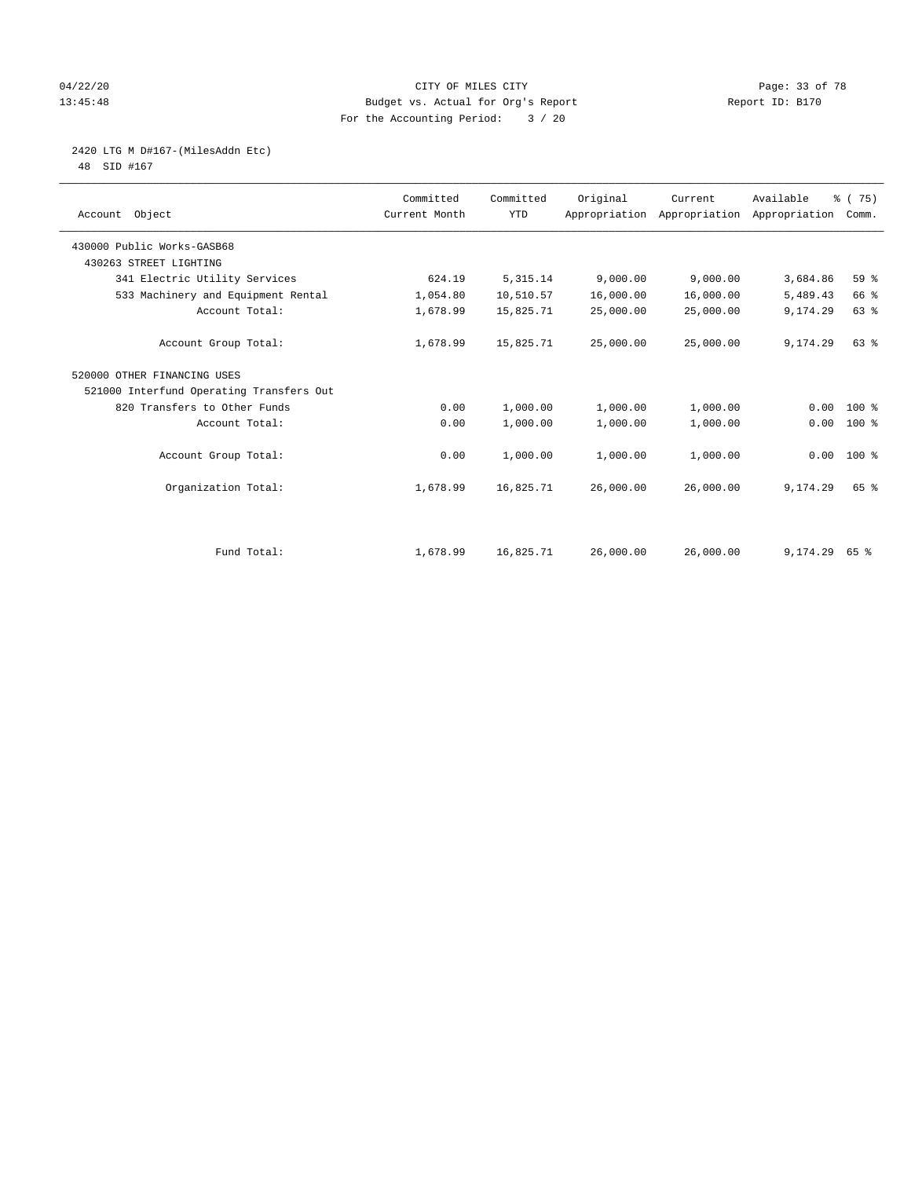## 04/22/20 Page: 33 of 78 CITY OF MILES CITY CHANGES CONTROL PAGE: 33 of 78 13:45:48 Budget vs. Actual for Org's Report Report ID: B170 For the Accounting Period: 3 / 20

# 2420 LTG M D#167-(MilesAddn Etc)

48 SID #167

| Account Object                           | Committed<br>Current Month | Committed<br><b>YTD</b> | Original  | Current<br>Appropriation Appropriation | Available<br>Appropriation | % (75)<br>Comm. |  |
|------------------------------------------|----------------------------|-------------------------|-----------|----------------------------------------|----------------------------|-----------------|--|
| 430000 Public Works-GASB68               |                            |                         |           |                                        |                            |                 |  |
| 430263 STREET LIGHTING                   |                            |                         |           |                                        |                            |                 |  |
| 341 Electric Utility Services            | 624.19                     | 5, 315.14               | 9,000.00  | 9,000.00                               | 3,684.86                   | 59 %            |  |
| 533 Machinery and Equipment Rental       | 1,054.80                   | 10,510.57               | 16,000.00 | 16,000.00                              | 5,489.43                   | 66 %            |  |
| Account Total:                           | 1,678.99                   | 15,825.71               | 25,000.00 | 25,000.00                              | 9,174.29                   | 63 %            |  |
| Account Group Total:                     | 1,678.99                   | 15,825.71               | 25,000.00 | 25,000.00                              | 9,174.29                   | $63$ $%$        |  |
| 520000 OTHER FINANCING USES              |                            |                         |           |                                        |                            |                 |  |
| 521000 Interfund Operating Transfers Out |                            |                         |           |                                        |                            |                 |  |
| 820 Transfers to Other Funds             | 0.00                       | 1,000.00                | 1,000.00  | 1,000.00                               | 0.00                       | $100*$          |  |
| Account Total:                           | 0.00                       | 1,000.00                | 1,000.00  | 1,000.00                               | 0.00                       | 100 %           |  |
| Account Group Total:                     | 0.00                       | 1,000.00                | 1,000.00  | 1,000.00                               |                            | $0.00 100$ %    |  |
| Organization Total:                      | 1,678.99                   | 16,825.71               | 26,000.00 | 26,000.00                              | 9,174.29                   | 65 %            |  |
|                                          |                            |                         |           |                                        |                            |                 |  |
| Fund Total:                              | 1,678.99                   | 16,825.71               | 26,000.00 | 26,000.00                              | $9,174.29$ 65 %            |                 |  |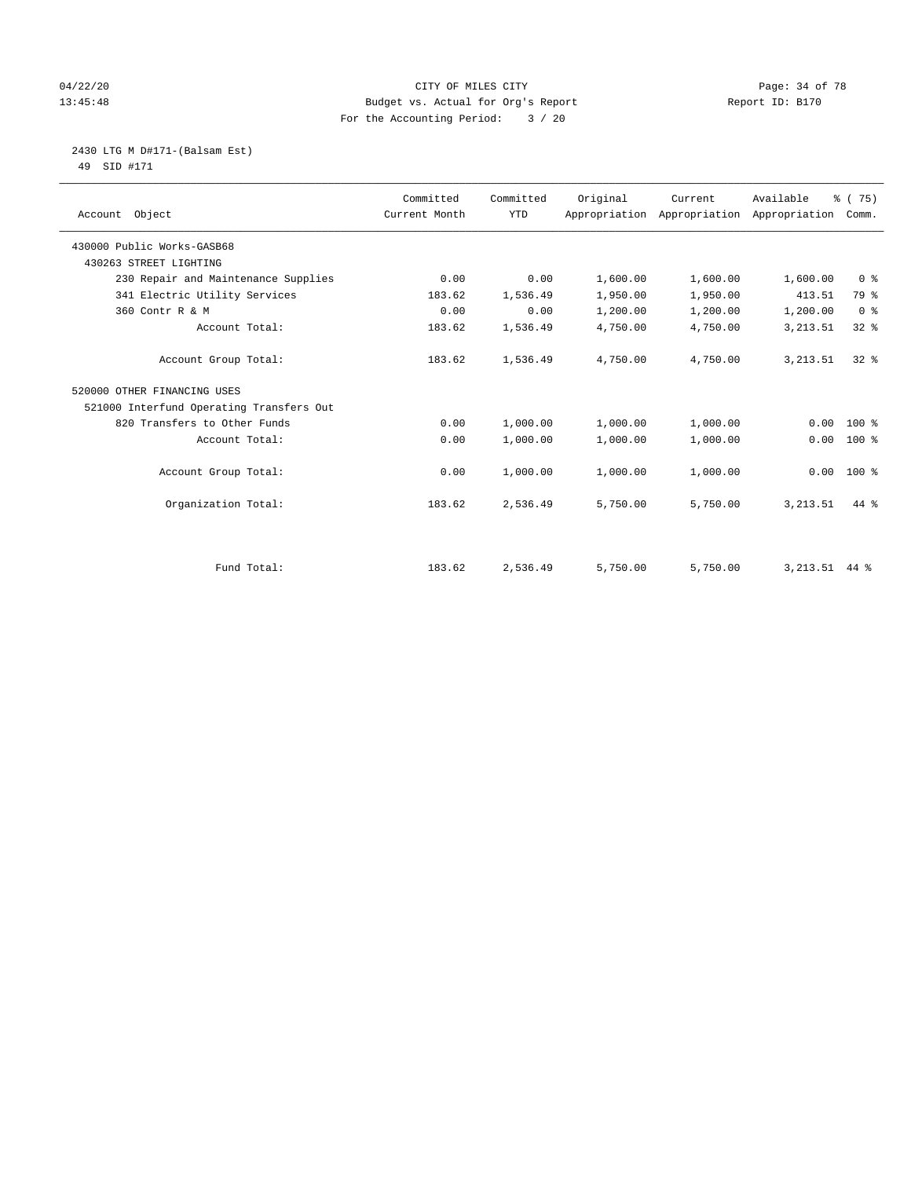## 04/22/20 **CITY OF MILES CITY CONSUMING THE PAGE OF 78** Page: 34 of 78 13:45:48 Budget vs. Actual for Org's Report Report ID: B170 For the Accounting Period: 3 / 20

 2430 LTG M D#171-(Balsam Est) 49 SID #171

| Account Object                           | Committed<br>Current Month | Committed<br><b>YTD</b> | Original | Current<br>Appropriation Appropriation | Available<br>Appropriation | % (75)<br>Comm. |
|------------------------------------------|----------------------------|-------------------------|----------|----------------------------------------|----------------------------|-----------------|
| 430000 Public Works-GASB68               |                            |                         |          |                                        |                            |                 |
| 430263 STREET LIGHTING                   |                            |                         |          |                                        |                            |                 |
| 230 Repair and Maintenance Supplies      | 0.00                       | 0.00                    | 1,600.00 | 1,600.00                               | 1,600.00                   | 0 <sup>8</sup>  |
| 341 Electric Utility Services            | 183.62                     | 1,536.49                | 1,950.00 | 1,950.00                               | 413.51                     | 79 %            |
| 360 Contr R & M                          | 0.00                       | 0.00                    | 1,200.00 | 1,200.00                               | 1,200.00                   | 0 <sup>8</sup>  |
| Account Total:                           | 183.62                     | 1,536.49                | 4,750.00 | 4,750.00                               | 3, 213.51                  | 328             |
| Account Group Total:                     | 183.62                     | 1,536.49                | 4,750.00 | 4,750.00                               | 3, 213.51                  | $32*$           |
| 520000 OTHER FINANCING USES              |                            |                         |          |                                        |                            |                 |
| 521000 Interfund Operating Transfers Out |                            |                         |          |                                        |                            |                 |
| 820 Transfers to Other Funds             | 0.00                       | 1,000.00                | 1,000.00 | 1,000.00                               | 0.00                       | $100*$          |
| Account Total:                           | 0.00                       | 1,000.00                | 1,000.00 | 1,000.00                               | 0.00                       | $100$ %         |
| Account Group Total:                     | 0.00                       | 1,000.00                | 1,000.00 | 1,000.00                               | 0.00                       | 100 %           |
| Organization Total:                      | 183.62                     | 2,536.49                | 5,750.00 | 5,750.00                               | 3, 213.51                  | 44 %            |
|                                          |                            |                         |          |                                        |                            |                 |
| Fund Total:                              | 183.62                     | 2,536.49                | 5,750.00 | 5,750.00                               | $3,213.51$ 44 %            |                 |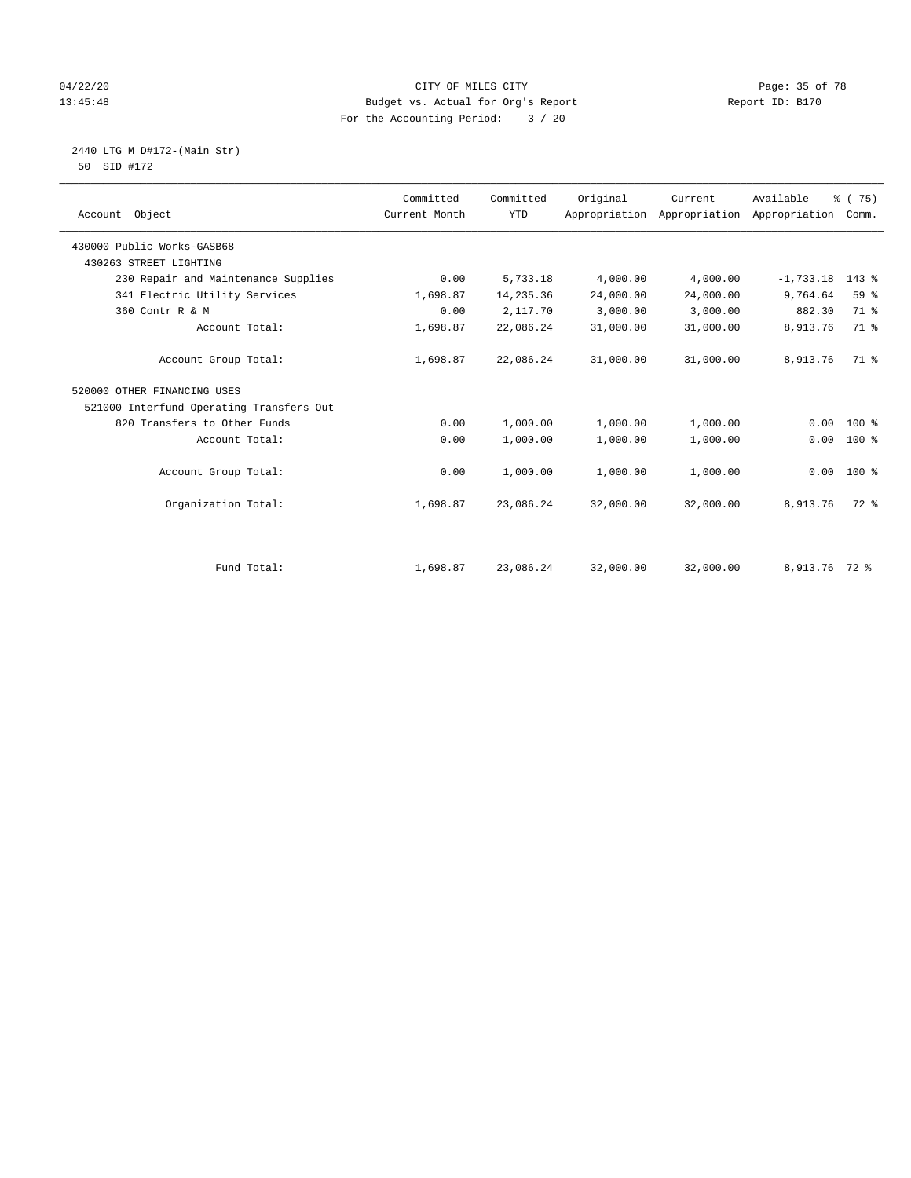## 04/22/20 **CITY OF MILES CITY CONSUMING THE PAGE:** 35 of 78 13:45:48 Budget vs. Actual for Org's Report Report ID: B170 For the Accounting Period: 3 / 20

2440 LTG M D#172-(Main Str)

| 50 SID #172 |  |  |  |  |  |  |
|-------------|--|--|--|--|--|--|
|-------------|--|--|--|--|--|--|

| Account Object                           | Committed<br>Current Month | Committed<br><b>YTD</b> | Original  | Current<br>Appropriation Appropriation Appropriation Comm. | Available     | 8 (75)  |
|------------------------------------------|----------------------------|-------------------------|-----------|------------------------------------------------------------|---------------|---------|
| 430000 Public Works-GASB68               |                            |                         |           |                                                            |               |         |
| 430263 STREET LIGHTING                   |                            |                         |           |                                                            |               |         |
| 230 Repair and Maintenance Supplies      | 0.00                       | 5,733.18                | 4,000.00  | 4,000.00                                                   | $-1,733.18$   | $143$ % |
| 341 Electric Utility Services            | 1,698.87                   | 14,235.36               | 24,000.00 | 24,000.00                                                  | 9,764.64      | 59 %    |
| 360 Contr R & M                          | 0.00                       | 2,117.70                | 3,000.00  | 3,000.00                                                   | 882.30        | 71.8    |
| Account Total:                           | 1,698.87                   | 22,086.24               | 31,000.00 | 31,000.00                                                  | 8,913.76      | 71.8    |
| Account Group Total:                     | 1,698.87                   | 22,086.24               | 31,000.00 | 31,000.00                                                  | 8,913.76      | 71.8    |
| 520000 OTHER FINANCING USES              |                            |                         |           |                                                            |               |         |
| 521000 Interfund Operating Transfers Out |                            |                         |           |                                                            |               |         |
| 820 Transfers to Other Funds             | 0.00                       | 1,000.00                | 1,000.00  | 1,000.00                                                   | 0.00          | $100*$  |
| Account Total:                           | 0.00                       | 1,000.00                | 1,000.00  | 1,000.00                                                   | 0.00          | $100*$  |
| Account Group Total:                     | 0.00                       | 1,000.00                | 1,000.00  | 1,000.00                                                   | 0.00          | $100*$  |
| Organization Total:                      | 1,698.87                   | 23,086.24               | 32,000.00 | 32,000.00                                                  | 8,913.76      | 72 %    |
|                                          |                            |                         |           |                                                            |               |         |
| Fund Total:                              | 1,698.87                   | 23,086.24               | 32,000.00 | 32,000.00                                                  | 8,913.76 72 % |         |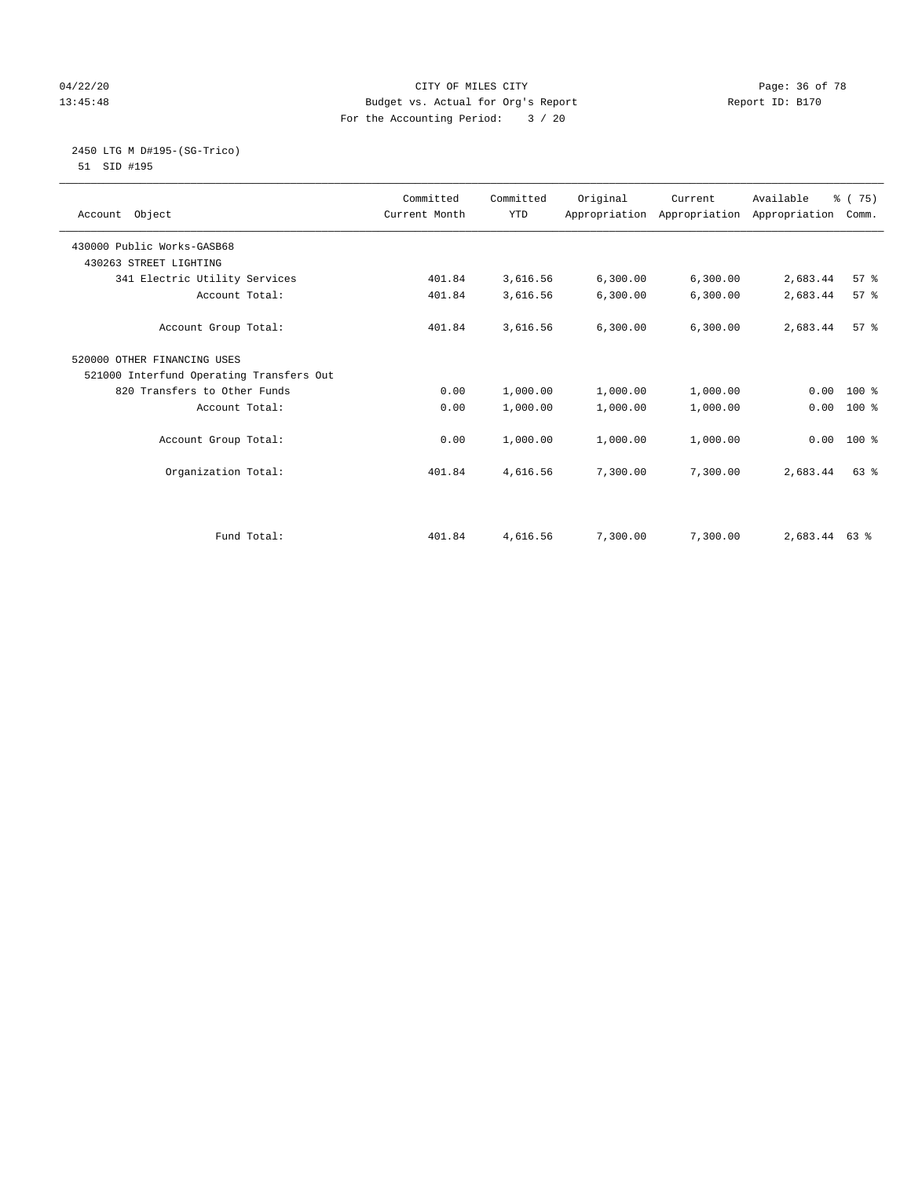## 04/22/20 Page: 36 of 78 CITY OF MILES CITY CHANGES CONTROL PAGE: 36 of 78 13:45:48 Budget vs. Actual for Org's Report Report ID: B170 For the Accounting Period: 3 / 20

#### 2450 LTG M D#195-(SG-Trico) 51 SID #195

| Account Object                           | Committed<br>Current Month | Committed<br><b>YTD</b> | Original | Current<br>Appropriation Appropriation Appropriation | Available       | % (75)<br>Comm. |
|------------------------------------------|----------------------------|-------------------------|----------|------------------------------------------------------|-----------------|-----------------|
| 430000 Public Works-GASB68               |                            |                         |          |                                                      |                 |                 |
| 430263 STREET LIGHTING                   |                            |                         |          |                                                      |                 |                 |
| 341 Electric Utility Services            | 401.84                     | 3,616.56                | 6,300.00 | 6,300.00                                             | 2,683.44        | 57%             |
| Account Total:                           | 401.84                     | 3,616.56                | 6,300.00 | 6,300.00                                             | 2,683.44        | 57 <sup>8</sup> |
| Account Group Total:                     | 401.84                     | 3,616.56                | 6,300.00 | 6, 300.00                                            | 2,683.44        | 57%             |
| 520000 OTHER FINANCING USES              |                            |                         |          |                                                      |                 |                 |
| 521000 Interfund Operating Transfers Out |                            |                         |          |                                                      |                 |                 |
| 820 Transfers to Other Funds             | 0.00                       | 1,000.00                | 1,000.00 | 1,000.00                                             | 0.00            | $100*$          |
| Account Total:                           | 0.00                       | 1,000.00                | 1,000.00 | 1,000.00                                             | 0.00            | $100*$          |
| Account Group Total:                     | 0.00                       | 1,000.00                | 1,000.00 | 1,000.00                                             | 0.00            | $100*$          |
| Organization Total:                      | 401.84                     | 4,616.56                | 7,300.00 | 7,300.00                                             | 2,683.44        | 63 %            |
|                                          |                            |                         |          |                                                      |                 |                 |
| Fund Total:                              | 401.84                     | 4,616.56                | 7,300.00 | 7,300.00                                             | $2,683.44$ 63 % |                 |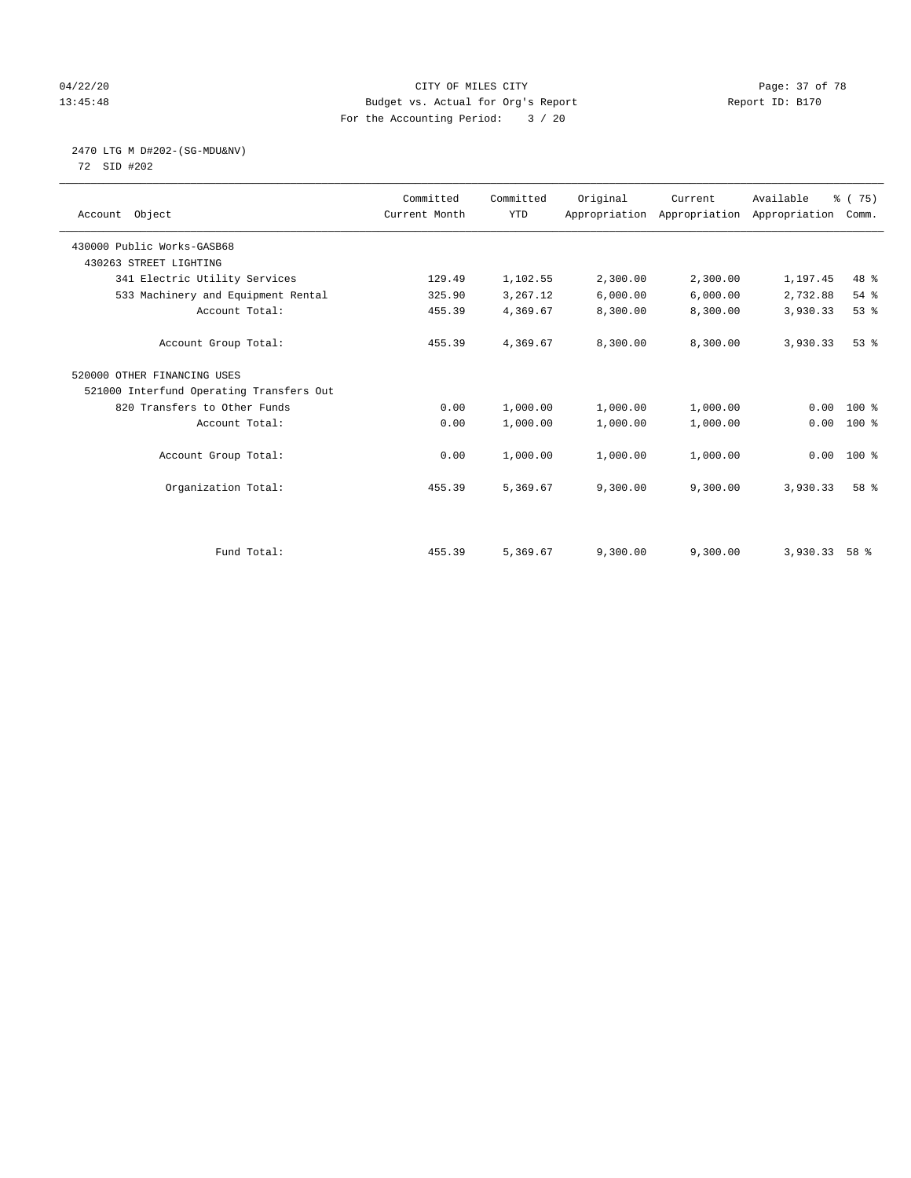#### 04/22/20 **CITY OF MILES CITY CONSUMING THE PAGE:** 37 of 78 13:45:48 Budget vs. Actual for Org's Report Report ID: B170 For the Accounting Period: 3 / 20

# 2470 LTG M D#202-(SG-MDU&NV)

72 SID #202

| Account Object                           | Committed<br>Current Month | Committed<br><b>YTD</b> | Original | Current  | Available<br>Appropriation Appropriation Appropriation | % (75)<br>Comm. |
|------------------------------------------|----------------------------|-------------------------|----------|----------|--------------------------------------------------------|-----------------|
| 430000 Public Works-GASB68               |                            |                         |          |          |                                                        |                 |
| 430263 STREET LIGHTING                   |                            |                         |          |          |                                                        |                 |
| 341 Electric Utility Services            | 129.49                     | 1,102.55                | 2,300.00 | 2,300.00 | 1,197.45                                               | 48 %            |
| 533 Machinery and Equipment Rental       | 325.90                     | 3,267.12                | 6,000.00 | 6,000.00 | 2,732.88                                               | 54 %            |
| Account Total:                           | 455.39                     | 4,369.67                | 8,300.00 | 8,300.00 | 3,930.33                                               | 53%             |
| Account Group Total:                     | 455.39                     | 4,369.67                | 8,300.00 | 8,300.00 | 3,930.33                                               | $53$ $%$        |
| 520000 OTHER FINANCING USES              |                            |                         |          |          |                                                        |                 |
| 521000 Interfund Operating Transfers Out |                            |                         |          |          |                                                        |                 |
| 820 Transfers to Other Funds             | 0.00                       | 1,000.00                | 1,000.00 | 1,000.00 | 0.00                                                   | $100*$          |
| Account Total:                           | 0.00                       | 1,000.00                | 1,000.00 | 1,000.00 | 0.00                                                   | 100 %           |
| Account Group Total:                     | 0.00                       | 1,000.00                | 1,000.00 | 1,000.00 | 0.00                                                   | $100*$          |
| Organization Total:                      | 455.39                     | 5,369.67                | 9,300.00 | 9,300.00 | 3,930.33                                               | 58 %            |
|                                          |                            |                         |          |          |                                                        |                 |
| Fund Total:                              | 455.39                     | 5,369.67                | 9,300.00 | 9,300.00 | 3,930.33                                               | 58 %            |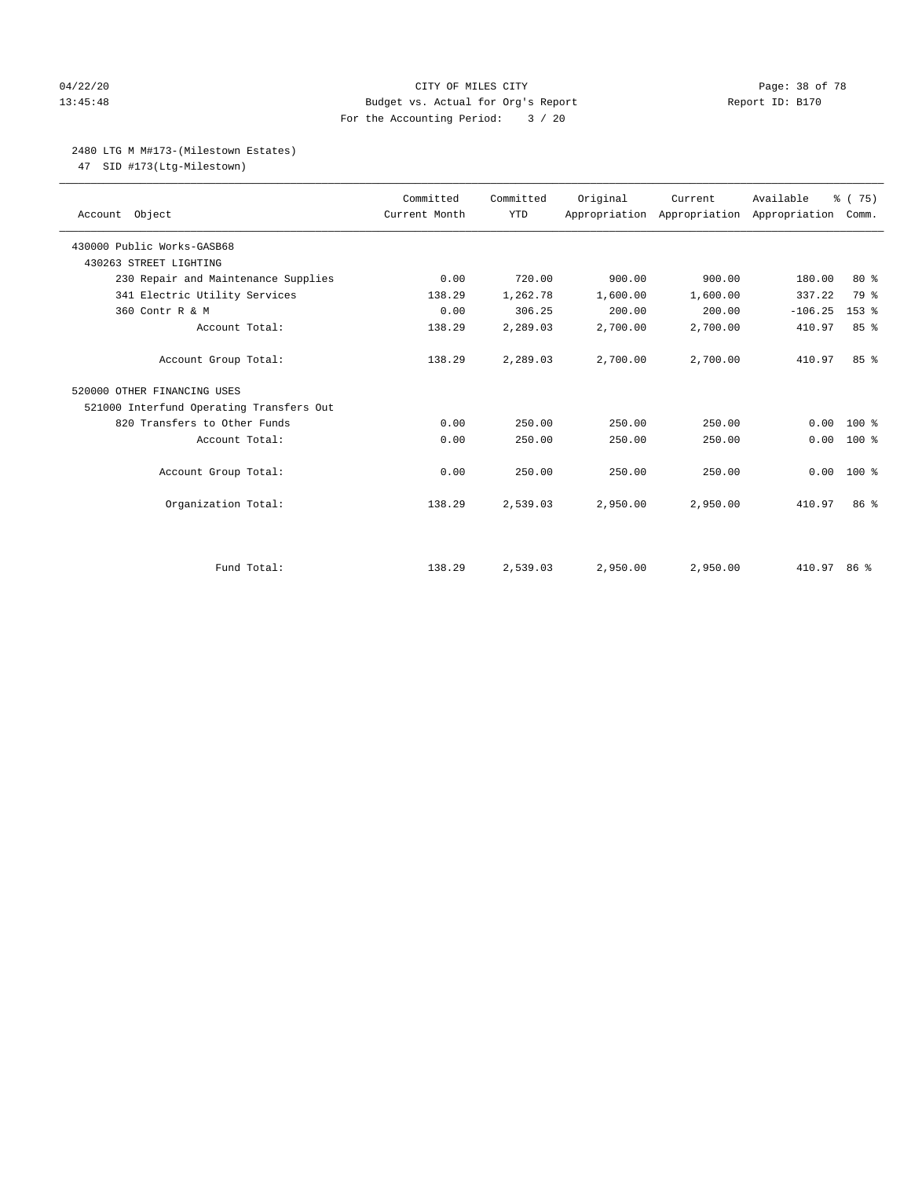# 04/22/20 **CITY OF MILES CITY CONSUMING THE PAGE OF 78** Page: 38 of 78 13:45:48 Budget vs. Actual for Org's Report Report ID: B170 For the Accounting Period: 3 / 20

### 2480 LTG M M#173-(Milestown Estates)

47 SID #173(Ltg-Milestown)

| Account Object                           | Committed<br>Current Month | Committed<br><b>YTD</b> | Original | Current<br>Appropriation Appropriation Appropriation | Available   | % (75)<br>Comm. |
|------------------------------------------|----------------------------|-------------------------|----------|------------------------------------------------------|-------------|-----------------|
| 430000 Public Works-GASB68               |                            |                         |          |                                                      |             |                 |
| 430263 STREET LIGHTING                   |                            |                         |          |                                                      |             |                 |
| 230 Repair and Maintenance Supplies      | 0.00                       | 720.00                  | 900.00   | 900.00                                               | 180.00      | $80*$           |
| 341 Electric Utility Services            | 138.29                     | 1,262.78                | 1,600.00 | 1,600.00                                             | 337.22      | 79 %            |
| 360 Contr R & M                          | 0.00                       | 306.25                  | 200.00   | 200.00                                               | $-106.25$   | $153$ $%$       |
| Account Total:                           | 138.29                     | 2,289.03                | 2,700.00 | 2,700.00                                             | 410.97      | 85%             |
| Account Group Total:                     | 138.29                     | 2,289.03                | 2,700.00 | 2,700.00                                             | 410.97      | 85%             |
| 520000 OTHER FINANCING USES              |                            |                         |          |                                                      |             |                 |
| 521000 Interfund Operating Transfers Out |                            |                         |          |                                                      |             |                 |
| 820 Transfers to Other Funds             | 0.00                       | 250.00                  | 250.00   | 250.00                                               | 0.00        | $100*$          |
| Account Total:                           | 0.00                       | 250.00                  | 250.00   | 250.00                                               | 0.00        | 100 %           |
| Account Group Total:                     | 0.00                       | 250.00                  | 250.00   | 250.00                                               | 0.00        | $100*$          |
| Organization Total:                      | 138.29                     | 2,539.03                | 2,950.00 | 2,950.00                                             | 410.97      | 86 %            |
|                                          |                            |                         |          |                                                      |             |                 |
| Fund Total:                              | 138.29                     | 2,539.03                | 2,950.00 | 2,950.00                                             | 410.97 86 % |                 |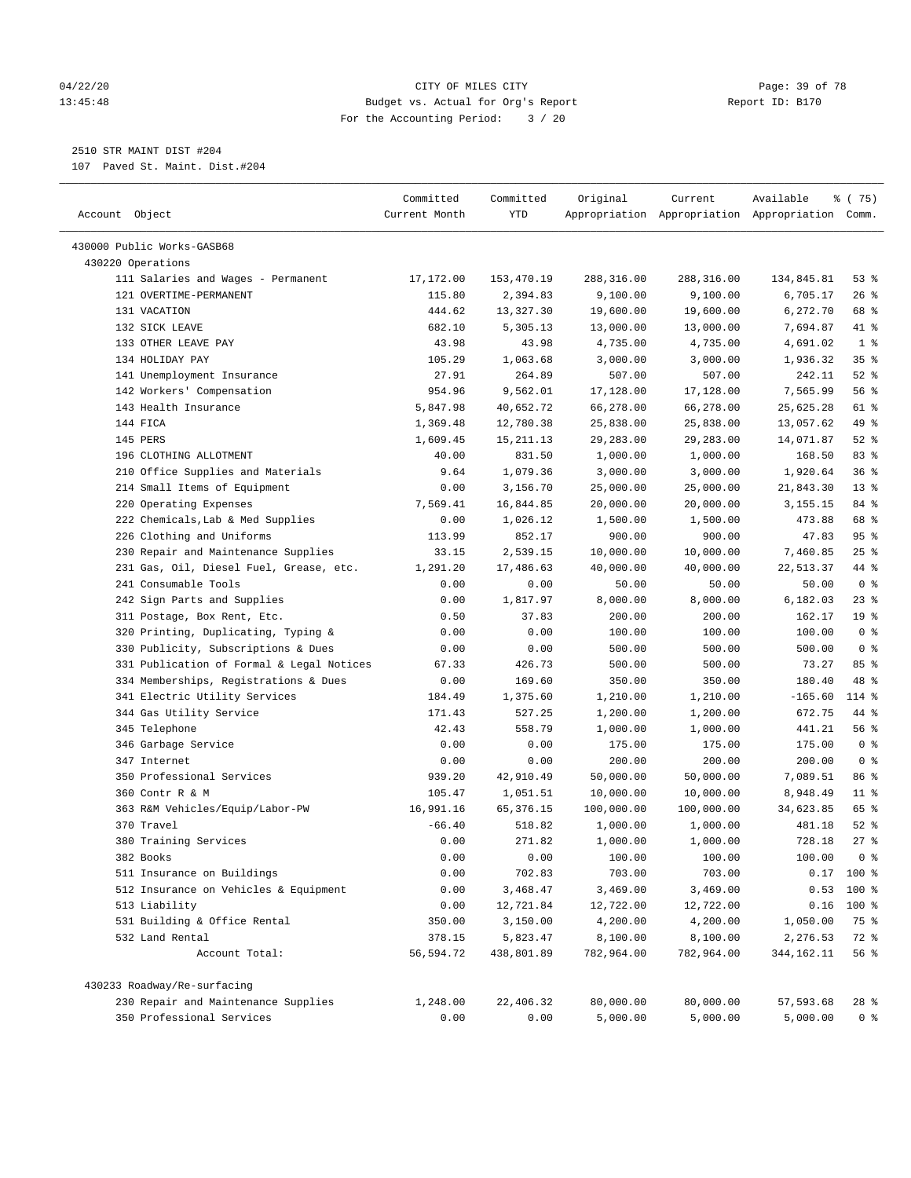#### 04/22/20 Page: 39 of 78 13:45:48 Budget vs. Actual for Org's Report Report ID: B170 For the Accounting Period: 3 / 20

————————————————————————————————————————————————————————————————————————————————————————————————————————————————————————————————————

2510 STR MAINT DIST #204

107 Paved St. Maint. Dist.#204

|                                           | Committed     | Committed   | Original               | Current                                         | Available    | % (75)          |
|-------------------------------------------|---------------|-------------|------------------------|-------------------------------------------------|--------------|-----------------|
| Account Object                            | Current Month | YTD         |                        | Appropriation Appropriation Appropriation Comm. |              |                 |
|                                           |               |             |                        |                                                 |              |                 |
| 430000 Public Works-GASB68                |               |             |                        |                                                 |              |                 |
| 430220 Operations                         |               |             |                        |                                                 |              |                 |
| 111 Salaries and Wages - Permanent        | 17,172.00     | 153,470.19  | 288,316.00<br>9,100.00 | 288,316.00                                      | 134,845.81   | 53%             |
| 121 OVERTIME-PERMANENT                    | 115.80        | 2,394.83    |                        | 9,100.00                                        | 6,705.17     | $26$ %          |
| 131 VACATION                              | 444.62        | 13,327.30   | 19,600.00              | 19,600.00                                       | 6,272.70     | 68 %            |
| 132 SICK LEAVE                            | 682.10        | 5,305.13    | 13,000.00              | 13,000.00                                       | 7,694.87     | 41 %            |
| 133 OTHER LEAVE PAY                       | 43.98         | 43.98       | 4,735.00               | 4,735.00                                        | 4,691.02     | 1 <sup>°</sup>  |
| 134 HOLIDAY PAY                           | 105.29        | 1,063.68    | 3,000.00               | 3,000.00                                        | 1,936.32     | 35%             |
| 141 Unemployment Insurance                | 27.91         | 264.89      | 507.00                 | 507.00                                          | 242.11       | $52$ %          |
| 142 Workers' Compensation                 | 954.96        | 9,562.01    | 17,128.00              | 17,128.00                                       | 7,565.99     | 56 %            |
| 143 Health Insurance                      | 5,847.98      | 40,652.72   | 66,278.00              | 66,278.00                                       | 25,625.28    | 61 %            |
| 144 FICA                                  | 1,369.48      | 12,780.38   | 25,838.00              | 25,838.00                                       | 13,057.62    | 49 %            |
| 145 PERS                                  | 1,609.45      | 15, 211. 13 | 29,283.00              | 29,283.00                                       | 14,071.87    | $52$ %          |
| 196 CLOTHING ALLOTMENT                    | 40.00         | 831.50      | 1,000.00               | 1,000.00                                        | 168.50       | 83%             |
| 210 Office Supplies and Materials         | 9.64          | 1,079.36    | 3,000.00               | 3,000.00                                        | 1,920.64     | 36%             |
| 214 Small Items of Equipment              | 0.00          | 3,156.70    | 25,000.00              | 25,000.00                                       | 21,843.30    | $13*$           |
| 220 Operating Expenses                    | 7,569.41      | 16,844.85   | 20,000.00              | 20,000.00                                       | 3,155.15     | 84 %            |
| 222 Chemicals, Lab & Med Supplies         | 0.00          | 1,026.12    | 1,500.00               | 1,500.00                                        | 473.88       | 68 %            |
| 226 Clothing and Uniforms                 | 113.99        | 852.17      | 900.00                 | 900.00                                          | 47.83        | 95%             |
| 230 Repair and Maintenance Supplies       | 33.15         | 2,539.15    | 10,000.00              | 10,000.00                                       | 7,460.85     | $25$ %          |
| 231 Gas, Oil, Diesel Fuel, Grease, etc.   | 1,291.20      | 17,486.63   | 40,000.00              | 40,000.00                                       | 22,513.37    | 44 %            |
| 241 Consumable Tools                      | 0.00          | 0.00        | 50.00                  | 50.00                                           | 50.00        | 0 <sup>8</sup>  |
| 242 Sign Parts and Supplies               | 0.00          | 1,817.97    | 8,000.00               | 8,000.00                                        | 6,182.03     | $23$ %          |
| 311 Postage, Box Rent, Etc.               | 0.50          | 37.83       | 200.00                 | 200.00                                          | 162.17       | 19 <sup>°</sup> |
| 320 Printing, Duplicating, Typing &       | 0.00          | 0.00        | 100.00                 | 100.00                                          | 100.00       | 0 <sup>8</sup>  |
| 330 Publicity, Subscriptions & Dues       | 0.00          | 0.00        | 500.00                 | 500.00                                          | 500.00       | 0 <sup>8</sup>  |
| 331 Publication of Formal & Legal Notices | 67.33         | 426.73      | 500.00                 | 500.00                                          | 73.27        | 85 %            |
| 334 Memberships, Registrations & Dues     | 0.00          | 169.60      | 350.00                 | 350.00                                          | 180.40       | 48 %            |
| 341 Electric Utility Services             | 184.49        | 1,375.60    | 1,210.00               | 1,210.00                                        | $-165.60$    | 114 %           |
| 344 Gas Utility Service                   | 171.43        | 527.25      | 1,200.00               | 1,200.00                                        | 672.75       | 44 %            |
| 345 Telephone                             | 42.43         | 558.79      | 1,000.00               | 1,000.00                                        | 441.21       | 56 %            |
| 346 Garbage Service                       | 0.00          | 0.00        | 175.00                 | 175.00                                          | 175.00       | 0 <sup>8</sup>  |
| 347 Internet                              | 0.00          | 0.00        | 200.00                 | 200.00                                          | 200.00       | 0 <sup>8</sup>  |
| 350 Professional Services                 | 939.20        | 42,910.49   | 50,000.00              | 50,000.00                                       | 7,089.51     | 86 %            |
| 360 Contr R & M                           | 105.47        | 1,051.51    | 10,000.00              | 10,000.00                                       | 8,948.49     | $11$ %          |
| 363 R&M Vehicles/Equip/Labor-PW           | 16,991.16     | 65, 376.15  | 100,000.00             | 100,000.00                                      | 34,623.85    | 65 %            |
| 370 Travel                                | $-66.40$      | 518.82      | 1,000.00               | 1,000.00                                        | 481.18       | $52$ $%$        |
| 380 Training Services                     | 0.00          | 271.82      | 1,000.00               | 1,000.00                                        | 728.18       | 27%             |
| 382 Books                                 | 0.00          | 0.00        | 100.00                 | 100.00                                          | 100.00       | 0 <sup>8</sup>  |
| 511 Insurance on Buildings                | 0.00          | 702.83      | 703.00                 | 703.00                                          |              | $0.17$ 100 %    |
| 512 Insurance on Vehicles & Equipment     | 0.00          | 3,468.47    | 3,469.00               | 3,469.00                                        | 0.53         | 100 %           |
| 513 Liability                             | 0.00          | 12,721.84   | 12,722.00              | 12,722.00                                       | 0.16         | $100$ %         |
| 531 Building & Office Rental              | 350.00        | 3,150.00    | 4,200.00               | 4,200.00                                        | 1,050.00     | 75 %            |
| 532 Land Rental                           | 378.15        | 5,823.47    | 8,100.00               | 8,100.00                                        | 2,276.53     | 72 %            |
| Account Total:                            | 56,594.72     | 438,801.89  | 782,964.00             | 782,964.00                                      | 344, 162. 11 | 56 %            |
|                                           |               |             |                        |                                                 |              |                 |
| 430233 Roadway/Re-surfacing               |               |             |                        |                                                 |              |                 |
| 230 Repair and Maintenance Supplies       | 1,248.00      | 22,406.32   | 80,000.00              | 80,000.00                                       | 57,593.68    | 28 %            |
| 350 Professional Services                 | 0.00          | 0.00        | 5,000.00               | 5,000.00                                        | 5,000.00     | $0$ %           |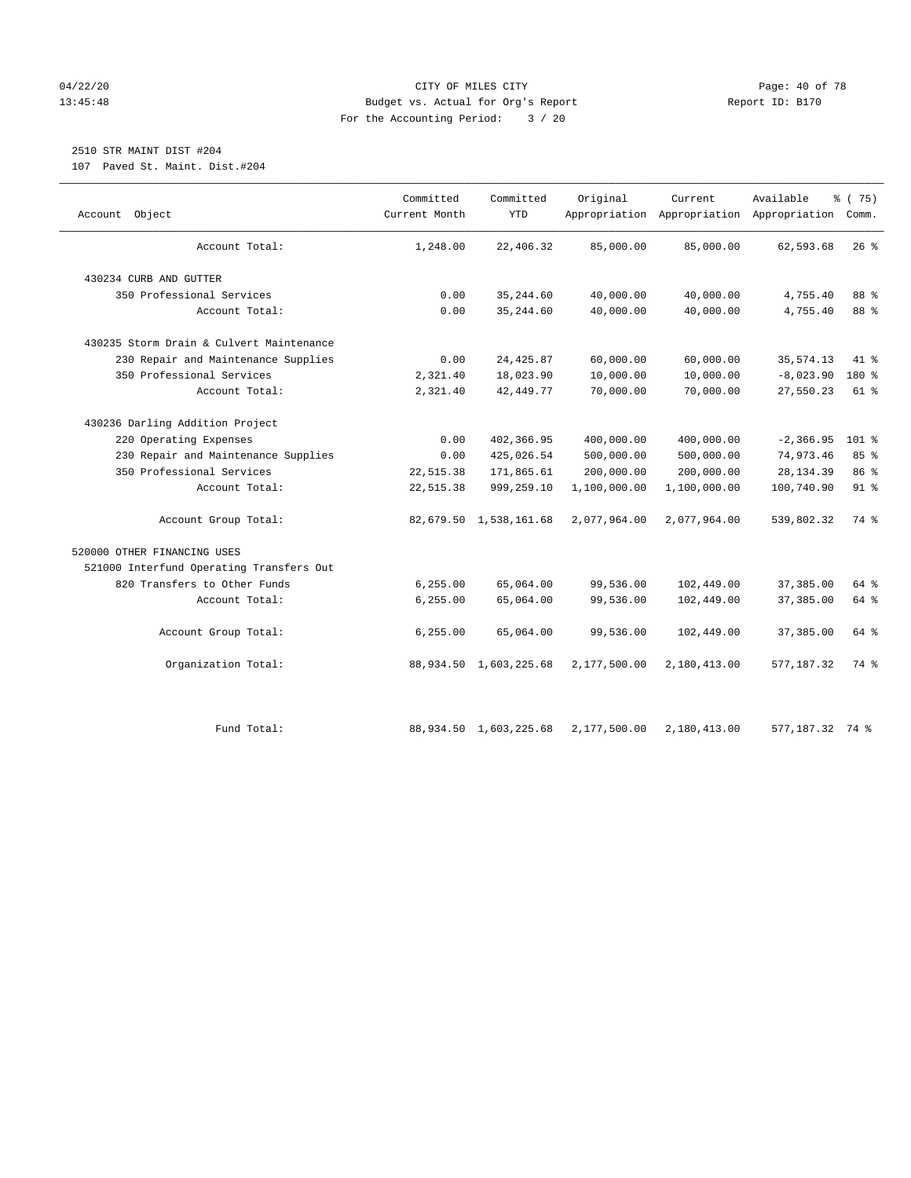# 04/22/20 **CITY OF MILES CITY CONSUMING THE PAGE:** 40 of 78 13:45:48 Budget vs. Actual for Org's Report Report ID: B170 For the Accounting Period: 3 / 20

# 2510 STR MAINT DIST #204

107 Paved St. Maint. Dist.#204

| Object<br>Account                        | Committed<br>Current Month | Committed<br><b>YTD</b>   | Original     | Current      | Available<br>Appropriation Appropriation Appropriation Comm. | % (75)  |
|------------------------------------------|----------------------------|---------------------------|--------------|--------------|--------------------------------------------------------------|---------|
| Account Total:                           | 1,248.00                   | 22,406.32                 | 85,000.00    | 85,000.00    | 62,593.68                                                    | $26$ %  |
| 430234 CURB AND GUTTER                   |                            |                           |              |              |                                                              |         |
| 350 Professional Services                | 0.00                       | 35, 244.60                | 40,000.00    | 40,000.00    | 4,755.40                                                     | 88 %    |
| Account Total:                           | 0.00                       | 35, 244.60                | 40,000.00    | 40,000.00    | 4,755.40                                                     | 88 %    |
| 430235 Storm Drain & Culvert Maintenance |                            |                           |              |              |                                                              |         |
| 230 Repair and Maintenance Supplies      | 0.00                       | 24, 425.87                | 60,000.00    | 60,000.00    | 35, 574.13                                                   | 41 %    |
| 350 Professional Services                | 2,321.40                   | 18,023.90                 | 10,000.00    | 10,000.00    | $-8,023.90$                                                  | 180 %   |
| Account Total:                           | 2,321.40                   | 42, 449.77                | 70,000.00    | 70,000.00    | 27,550.23                                                    | 61 %    |
| 430236 Darling Addition Project          |                            |                           |              |              |                                                              |         |
| 220 Operating Expenses                   | 0.00                       | 402,366.95                | 400,000.00   | 400,000.00   | $-2, 366.95$                                                 | $101$ % |
| 230 Repair and Maintenance Supplies      | 0.00                       | 425,026.54                | 500,000.00   | 500,000.00   | 74,973.46                                                    | 85%     |
| 350 Professional Services                | 22,515.38                  | 171,865.61                | 200,000.00   | 200,000.00   | 28, 134.39                                                   | 86 %    |
| Account Total:                           | 22,515.38                  | 999,259.10                | 1,100,000.00 | 1,100,000.00 | 100,740.90                                                   | $91$ %  |
| Account Group Total:                     |                            | 82,679.50 1,538,161.68    | 2,077,964.00 | 2,077,964.00 | 539,802.32                                                   | 74 %    |
| 520000 OTHER FINANCING USES              |                            |                           |              |              |                                                              |         |
| 521000 Interfund Operating Transfers Out |                            |                           |              |              |                                                              |         |
| 820 Transfers to Other Funds             | 6,255.00                   | 65,064.00                 | 99,536.00    | 102,449.00   | 37,385.00                                                    | 64 %    |
| Account Total:                           | 6, 255.00                  | 65,064.00                 | 99,536.00    | 102,449.00   | 37, 385.00                                                   | 64 %    |
| Account Group Total:                     | 6, 255.00                  | 65,064.00                 | 99,536.00    | 102,449.00   | 37,385.00                                                    | 64 %    |
| Organization Total:                      |                            | 88,934.50 1,603,225.68    | 2,177,500.00 | 2,180,413.00 | 577, 187.32                                                  | 74 %    |
| Fund Total:                              |                            | 88, 934.50 1, 603, 225.68 | 2,177,500.00 | 2,180,413.00 | 577,187.32 74 %                                              |         |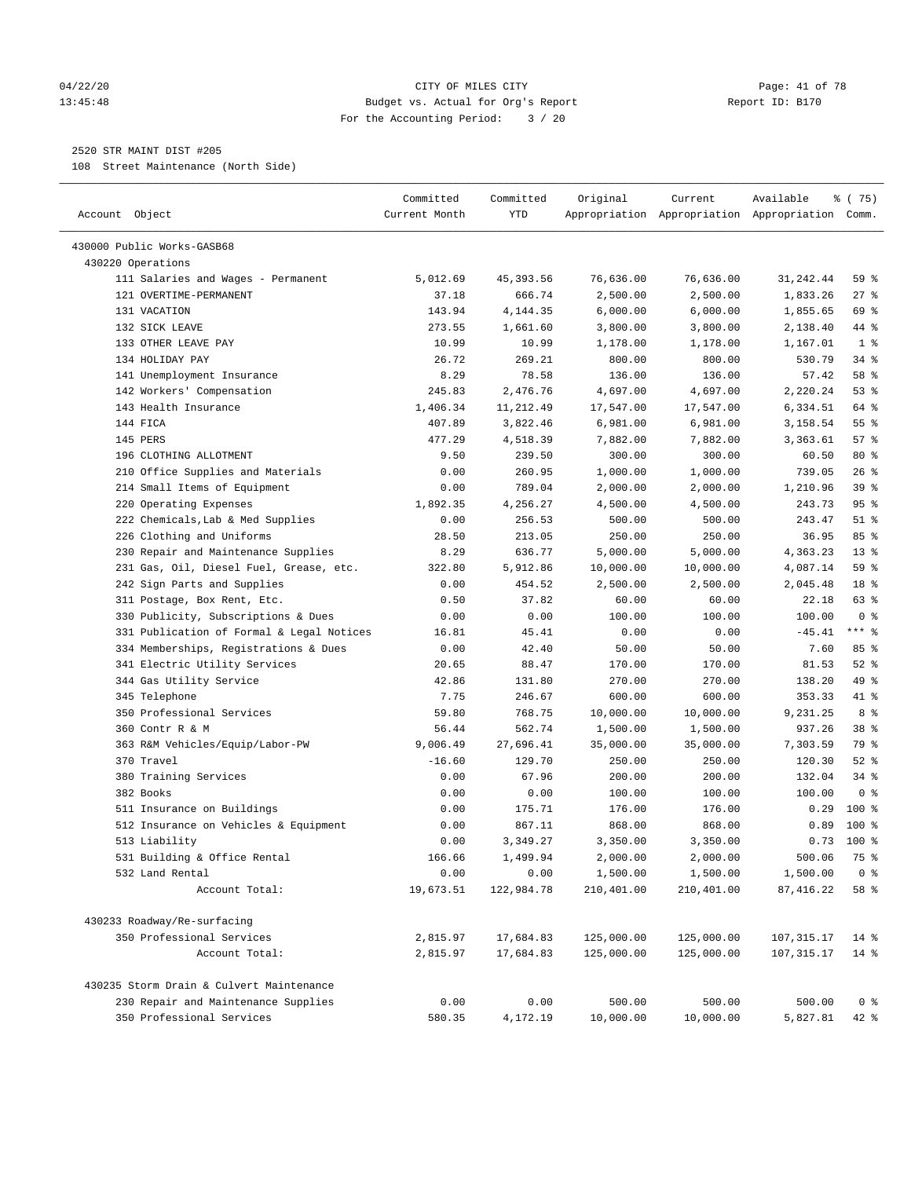#### 04/22/20 Page: 41 of 78 13:45:48 Budget vs. Actual for Org's Report Report ID: B170 For the Accounting Period: 3 / 20

————————————————————————————————————————————————————————————————————————————————————————————————————————————————————————————————————

# 2520 STR MAINT DIST #205

108 Street Maintenance (North Side)

|                                           | Committed     | Committed  | Original   | Current    | Available                                       | ៖ (75)          |
|-------------------------------------------|---------------|------------|------------|------------|-------------------------------------------------|-----------------|
| Account Object                            | Current Month | <b>YTD</b> |            |            | Appropriation Appropriation Appropriation Comm. |                 |
| 430000 Public Works-GASB68                |               |            |            |            |                                                 |                 |
| 430220 Operations                         |               |            |            |            |                                                 |                 |
| 111 Salaries and Wages - Permanent        | 5,012.69      | 45, 393.56 | 76,636.00  | 76,636.00  | 31,242.44                                       | 59 %            |
| 121 OVERTIME-PERMANENT                    | 37.18         | 666.74     | 2,500.00   | 2,500.00   | 1,833.26                                        | $27$ %          |
| 131 VACATION                              | 143.94        | 4,144.35   | 6,000.00   | 6,000.00   | 1,855.65                                        | 69 %            |
| 132 SICK LEAVE                            | 273.55        | 1,661.60   | 3,800.00   | 3,800.00   | 2,138.40                                        | 44 %            |
| 133 OTHER LEAVE PAY                       | 10.99         | 10.99      | 1,178.00   | 1,178.00   | 1,167.01                                        | 1 <sup>°</sup>  |
| 134 HOLIDAY PAY                           | 26.72         | 269.21     | 800.00     | 800.00     | 530.79                                          | 34%             |
| 141 Unemployment Insurance                | 8.29          | 78.58      | 136.00     | 136.00     | 57.42                                           | 58 %            |
| 142 Workers' Compensation                 | 245.83        | 2,476.76   | 4,697.00   | 4,697.00   | 2,220.24                                        | 53%             |
| 143 Health Insurance                      | 1,406.34      | 11,212.49  | 17,547.00  | 17,547.00  | 6,334.51                                        | 64 %            |
| 144 FICA                                  | 407.89        | 3,822.46   | 6,981.00   | 6,981.00   | 3,158.54                                        | 55%             |
| 145 PERS                                  | 477.29        | 4,518.39   | 7,882.00   | 7,882.00   | 3,363.61                                        | 57%             |
| 196 CLOTHING ALLOTMENT                    | 9.50          | 239.50     | 300.00     | 300.00     | 60.50                                           | $80*$           |
| 210 Office Supplies and Materials         | 0.00          | 260.95     | 1,000.00   | 1,000.00   | 739.05                                          | 26%             |
| 214 Small Items of Equipment              | 0.00          | 789.04     | 2,000.00   | 2,000.00   | 1,210.96                                        | 39 %            |
| 220 Operating Expenses                    | 1,892.35      | 4,256.27   | 4,500.00   | 4,500.00   | 243.73                                          | 95%             |
| 222 Chemicals, Lab & Med Supplies         | 0.00          | 256.53     | 500.00     | 500.00     | 243.47                                          | $51$ %          |
| 226 Clothing and Uniforms                 | 28.50         | 213.05     | 250.00     | 250.00     | 36.95                                           | 85%             |
| 230 Repair and Maintenance Supplies       | 8.29          | 636.77     | 5,000.00   | 5,000.00   | 4,363.23                                        | $13*$           |
| 231 Gas, Oil, Diesel Fuel, Grease, etc.   | 322.80        | 5,912.86   | 10,000.00  | 10,000.00  | 4,087.14                                        | 59 %            |
| 242 Sign Parts and Supplies               | 0.00          | 454.52     | 2,500.00   | 2,500.00   | 2,045.48                                        | 18 %            |
| 311 Postage, Box Rent, Etc.               | 0.50          | 37.82      | 60.00      | 60.00      | 22.18                                           | 63 %            |
| 330 Publicity, Subscriptions & Dues       | 0.00          | 0.00       | 100.00     | 100.00     | 100.00                                          | 0 <sup>8</sup>  |
| 331 Publication of Formal & Legal Notices | 16.81         | 45.41      | 0.00       | 0.00       | $-45.41$                                        | $***$ $%$       |
| 334 Memberships, Registrations & Dues     | 0.00          | 42.40      | 50.00      | 50.00      | 7.60                                            | 85%             |
| 341 Electric Utility Services             | 20.65         | 88.47      | 170.00     | 170.00     | 81.53                                           | $52$ $%$        |
| 344 Gas Utility Service                   | 42.86         | 131.80     | 270.00     | 270.00     | 138.20                                          | 49 %            |
| 345 Telephone                             | 7.75          | 246.67     | 600.00     | 600.00     | 353.33                                          | 41 %            |
| 350 Professional Services                 | 59.80         | 768.75     | 10,000.00  | 10,000.00  | 9,231.25                                        | 8 %             |
| 360 Contr R & M                           | 56.44         | 562.74     | 1,500.00   | 1,500.00   | 937.26                                          | 38 <sup>8</sup> |
| 363 R&M Vehicles/Equip/Labor-PW           | 9,006.49      | 27,696.41  | 35,000.00  | 35,000.00  | 7,303.59                                        | 79 %            |
| 370 Travel                                | $-16.60$      | 129.70     | 250.00     | 250.00     | 120.30                                          | $52$ $%$        |
| 380 Training Services                     | 0.00          | 67.96      | 200.00     | 200.00     | 132.04                                          | $34$ $%$        |
| 382 Books                                 | 0.00          | 0.00       | 100.00     | 100.00     | 100.00                                          | 0 <sup>8</sup>  |
| 511 Insurance on Buildings                | 0.00          | 175.71     | 176.00     | 176.00     | 0.29                                            | $100*$          |
| 512 Insurance on Vehicles & Equipment     | 0.00          | 867.11     | 868.00     | 868.00     | 0.89                                            | $100*$          |
| 513 Liability                             | 0.00          | 3,349.27   | 3,350.00   | 3,350.00   |                                                 | $0.73$ 100 %    |
| 531 Building & Office Rental              | 166.66        | 1,499.94   | 2,000.00   | 2,000.00   | 500.06                                          | 75 %            |
| 532 Land Rental                           | 0.00          | 0.00       | 1,500.00   | 1,500.00   | 1,500.00                                        | 0 <sup>8</sup>  |
| Account Total:                            | 19,673.51     | 122,984.78 | 210,401.00 | 210,401.00 | 87, 416.22                                      | 58 %            |
|                                           |               |            |            |            |                                                 |                 |
| 430233 Roadway/Re-surfacing               |               |            |            |            |                                                 |                 |
| 350 Professional Services                 | 2,815.97      | 17,684.83  | 125,000.00 | 125,000.00 | 107, 315.17                                     | $14*$           |
| Account Total:                            | 2,815.97      | 17,684.83  | 125,000.00 | 125,000.00 | 107, 315.17                                     | $14*$           |
| 430235 Storm Drain & Culvert Maintenance  |               |            |            |            |                                                 |                 |
| 230 Repair and Maintenance Supplies       | 0.00          | 0.00       | 500.00     | 500.00     | 500.00                                          | 0 <sup>8</sup>  |
| 350 Professional Services                 | 580.35        | 4,172.19   | 10,000.00  | 10,000.00  | 5,827.81                                        | $42$ %          |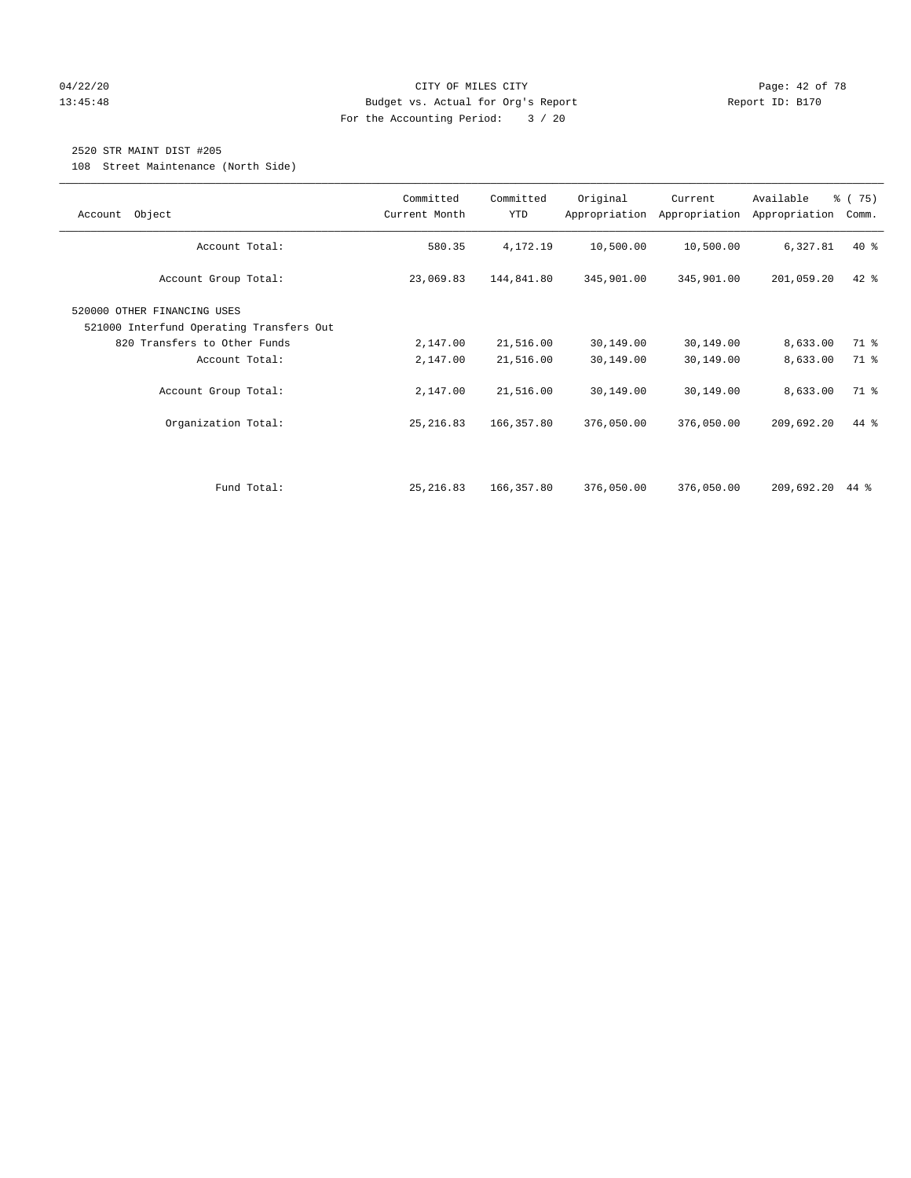## 04/22/20 Page: 42 of 78 13:45:48 Budget vs. Actual for Org's Report Report ID: B170 For the Accounting Period: 3 / 20

# 2520 STR MAINT DIST #205

108 Street Maintenance (North Side)

| Object<br>Account                                                       | Committed<br>Current Month | Committed<br>YTD | Original   | Current<br>Appropriation Appropriation | Available<br>Appropriation | % (75)<br>Comm. |
|-------------------------------------------------------------------------|----------------------------|------------------|------------|----------------------------------------|----------------------------|-----------------|
| Account Total:                                                          | 580.35                     | 4,172.19         | 10,500.00  | 10,500.00                              | 6,327.81                   | $40*$           |
| Account Group Total:                                                    | 23,069.83                  | 144,841.80       | 345,901.00 | 345,901.00                             | 201,059.20                 | $42$ %          |
| 520000 OTHER FINANCING USES<br>521000 Interfund Operating Transfers Out |                            |                  |            |                                        |                            |                 |
| 820 Transfers to Other Funds                                            | 2,147.00                   | 21,516.00        | 30,149.00  | 30,149.00                              | 8,633.00                   | 71 %            |
| Account Total:                                                          | 2,147.00                   | 21,516.00        | 30,149.00  | 30,149.00                              | 8,633.00                   | 71.8            |
| Account Group Total:                                                    | 2,147.00                   | 21,516.00        | 30,149.00  | 30,149.00                              | 8,633.00                   | 71 %            |
| Organization Total:                                                     | 25, 216.83                 | 166,357.80       | 376,050.00 | 376,050.00                             | 209,692.20                 | 44 %            |
|                                                                         |                            |                  |            |                                        |                            |                 |
| Fund Total:                                                             | 25, 216.83                 | 166,357.80       | 376,050.00 | 376,050.00                             | 209,692.20                 | 44 %            |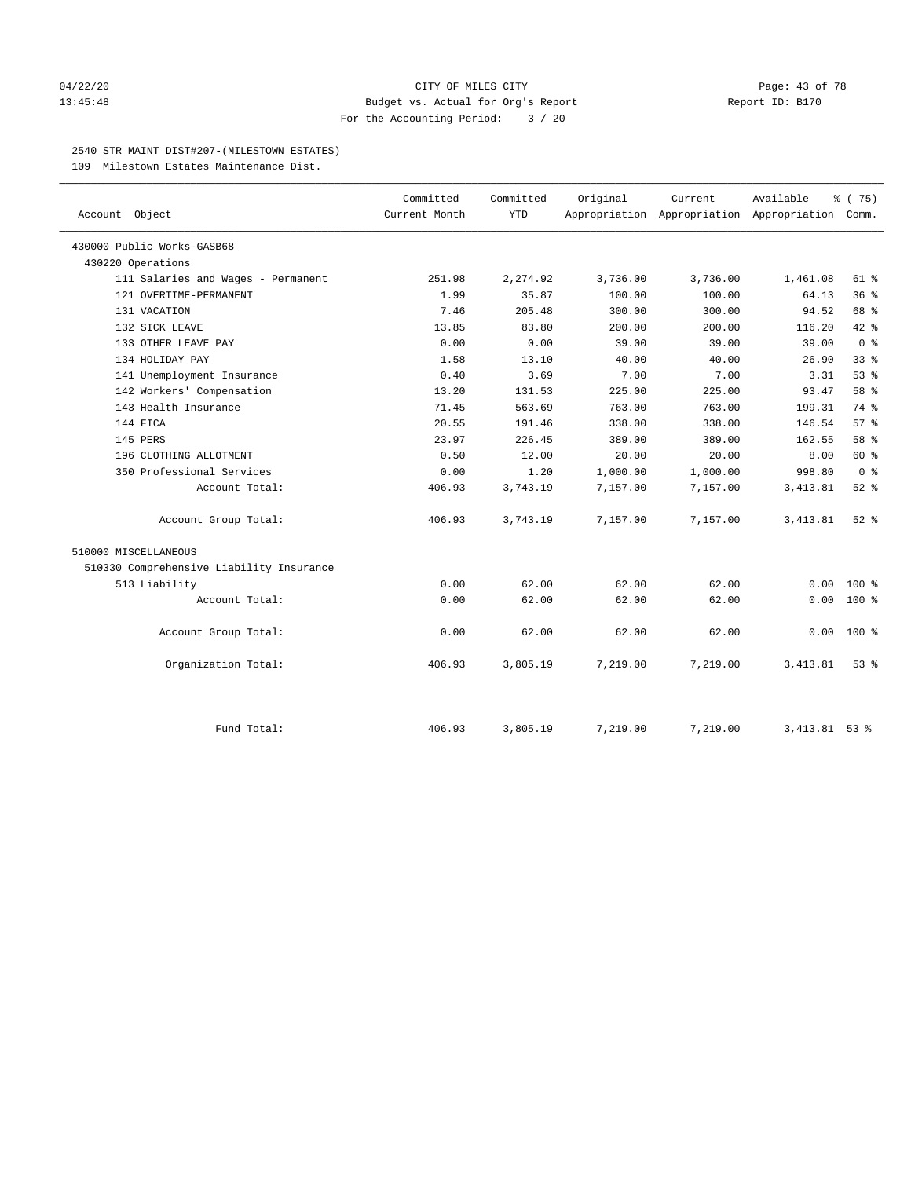### 04/22/20 **CITY OF MILES CITY CITY CITY Page: 43 of 78** 13:45:48 Budget vs. Actual for Org's Report Report ID: B170 For the Accounting Period: 3 / 20

#### 2540 STR MAINT DIST#207-(MILESTOWN ESTATES)

109 Milestown Estates Maintenance Dist.

| Account Object                           | Committed<br>Current Month | Committed<br><b>YTD</b> | Original | Current<br>Appropriation Appropriation Appropriation Comm. | Available      | % (75)          |
|------------------------------------------|----------------------------|-------------------------|----------|------------------------------------------------------------|----------------|-----------------|
| 430000 Public Works-GASB68               |                            |                         |          |                                                            |                |                 |
| 430220 Operations                        |                            |                         |          |                                                            |                |                 |
| 111 Salaries and Wages - Permanent       | 251.98                     | 2,274.92                | 3,736.00 | 3,736.00                                                   | 1,461.08       | 61 %            |
| 121 OVERTIME-PERMANENT                   | 1.99                       | 35.87                   | 100.00   | 100.00                                                     | 64.13          | 36%             |
| 131 VACATION                             | 7.46                       | 205.48                  | 300.00   | 300.00                                                     | 94.52          | 68 %            |
| 132 SICK LEAVE                           | 13.85                      | 83.80                   | 200.00   | 200.00                                                     | 116.20         | 42.8            |
| 133 OTHER LEAVE PAY                      | 0.00                       | 0.00                    | 39.00    | 39.00                                                      | 39.00          | 0 <sup>8</sup>  |
| 134 HOLIDAY PAY                          | 1.58                       | 13.10                   | 40.00    | 40.00                                                      | 26.90          | 33 <sup>8</sup> |
| 141 Unemployment Insurance               | 0.40                       | 3.69                    | 7.00     | 7.00                                                       | 3.31           | 53%             |
| 142 Workers' Compensation                | 13.20                      | 131.53                  | 225.00   | 225.00                                                     | 93.47          | 58 %            |
| 143 Health Insurance                     | 71.45                      | 563.69                  | 763.00   | 763.00                                                     | 199.31         | 74 %            |
| 144 FICA                                 | 20.55                      | 191.46                  | 338.00   | 338.00                                                     | 146.54         | 57%             |
| 145 PERS                                 | 23.97                      | 226.45                  | 389.00   | 389.00                                                     | 162.55         | 58 %            |
| 196 CLOTHING ALLOTMENT                   | 0.50                       | 12.00                   | 20.00    | 20.00                                                      | 8.00           | 60 %            |
| 350 Professional Services                | 0.00                       | 1.20                    | 1,000.00 | 1,000.00                                                   | 998.80         | 0 <sup>8</sup>  |
| Account Total:                           | 406.93                     | 3,743.19                | 7,157.00 | 7,157.00                                                   | 3,413.81       | $52$ $%$        |
| Account Group Total:                     | 406.93                     | 3,743.19                | 7,157.00 | 7,157.00                                                   | 3,413.81       | $52$ $%$        |
| 510000 MISCELLANEOUS                     |                            |                         |          |                                                            |                |                 |
| 510330 Comprehensive Liability Insurance |                            |                         |          |                                                            |                |                 |
| 513 Liability                            | 0.00                       | 62.00                   | 62.00    | 62.00                                                      | 0.00           | $100*$          |
| Account Total:                           | 0.00                       | 62.00                   | 62.00    | 62.00                                                      | 0.00           | $100*$          |
| Account Group Total:                     | 0.00                       | 62.00                   | 62.00    | 62.00                                                      | 0.00           | $100*$          |
| Organization Total:                      | 406.93                     | 3,805.19                | 7,219.00 | 7,219.00                                                   | 3,413.81       | 53%             |
| Fund Total:                              | 406.93                     | 3,805.19                | 7,219.00 | 7,219.00                                                   | 3, 413.81 53 % |                 |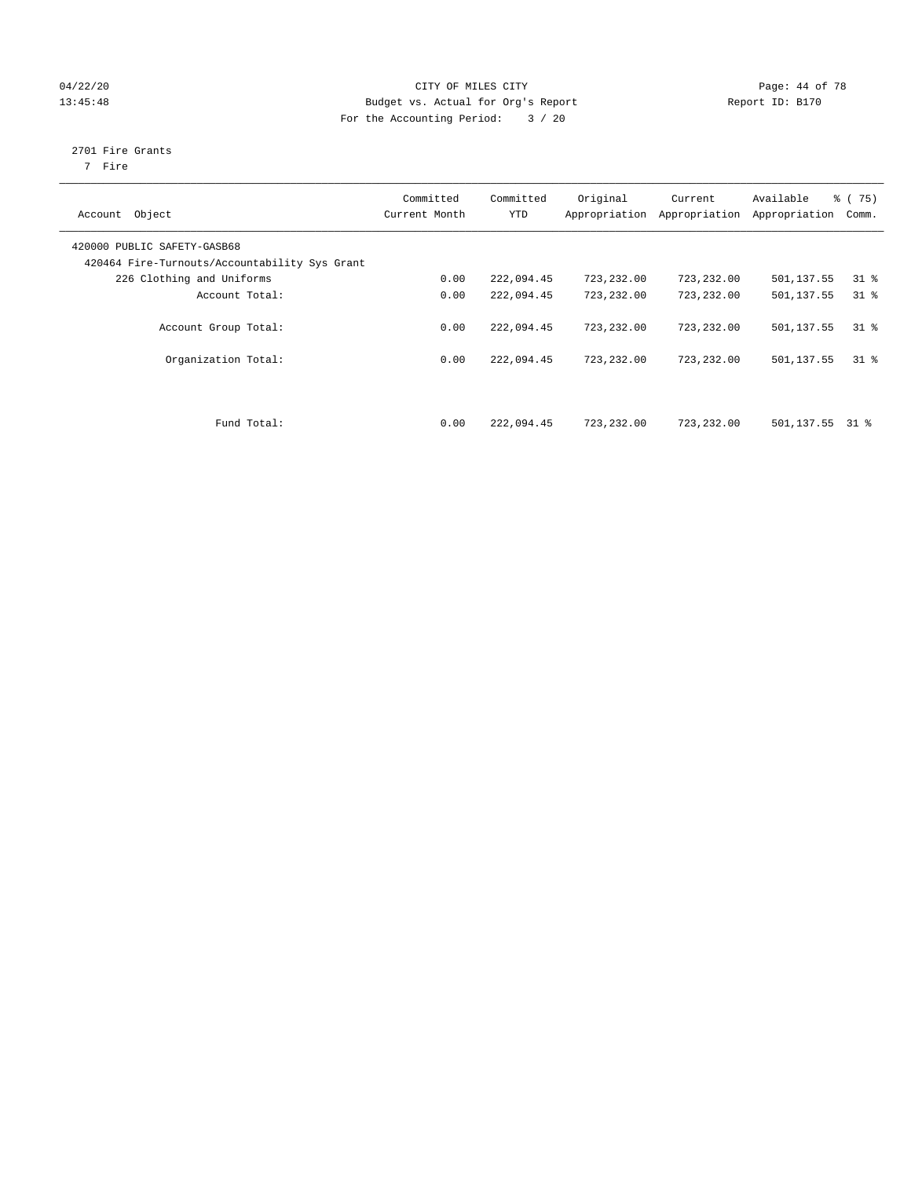# 04/22/20 Page: 44 of 78 13:45:48 Budget vs. Actual for Org's Report Changer Report ID: B170 For the Accounting Period: 3 / 20

# 2701 Fire Grants

7 Fire

| Object<br>Account                                                            | Committed<br>Current Month | Committed<br><b>YTD</b> | Original<br>Appropriation | Current<br>Appropriation | Available<br>Appropriation | 8 (75)<br>Comm. |
|------------------------------------------------------------------------------|----------------------------|-------------------------|---------------------------|--------------------------|----------------------------|-----------------|
| 420000 PUBLIC SAFETY-GASB68<br>420464 Fire-Turnouts/Accountability Sys Grant |                            |                         |                           |                          |                            |                 |
| 226 Clothing and Uniforms                                                    | 0.00                       | 222,094.45              | 723,232.00                | 723,232.00               | 501,137.55                 | $31$ %          |
| Account Total:                                                               | 0.00                       | 222,094.45              | 723,232.00                | 723,232.00               | 501,137.55                 | $31$ %          |
| Account Group Total:                                                         | 0.00                       | 222,094.45              | 723, 232, 00              | 723,232.00               | 501,137.55                 | 318             |
| Organization Total:                                                          | 0.00                       | 222,094.45              | 723,232.00                | 723,232.00               | 501,137.55                 | 318             |
| Fund Total:                                                                  | 0.00                       | 222,094.45              | 723,232.00                | 723,232.00               | 501,137.55                 | 31 %            |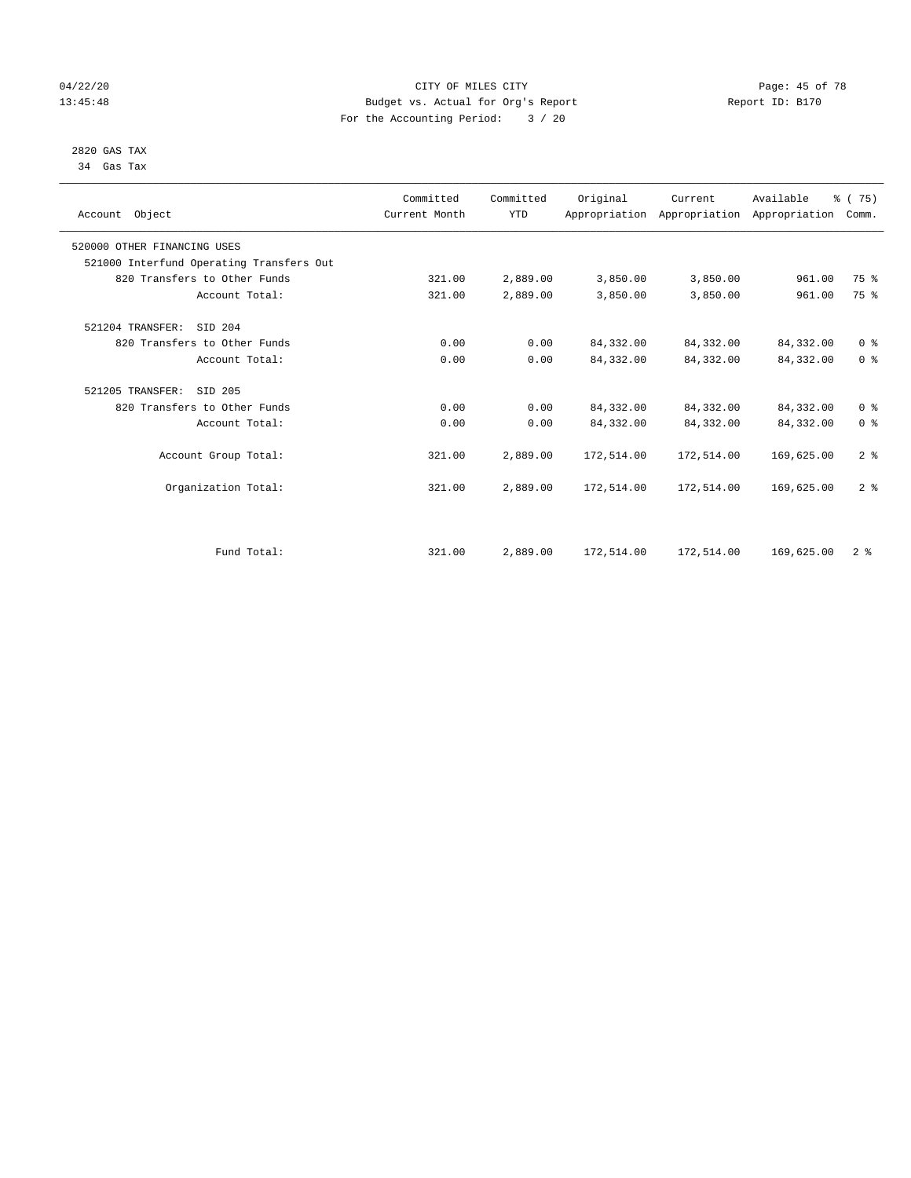# 04/22/20 Page: 45 of 78 CITY OF MILES CITY CHANGES CONTROL PAGE: 45 of 78 13:45:48 Budget vs. Actual for Org's Report Report ID: B170 For the Accounting Period: 3 / 20

#### 2820 GAS TAX 34 Gas Tax

| Account Object                           | Committed<br>Current Month | Committed<br><b>YTD</b> | Original   | Current<br>Appropriation Appropriation Appropriation | Available  | % (75)<br>Comm. |
|------------------------------------------|----------------------------|-------------------------|------------|------------------------------------------------------|------------|-----------------|
| 520000 OTHER FINANCING USES              |                            |                         |            |                                                      |            |                 |
| 521000 Interfund Operating Transfers Out |                            |                         |            |                                                      |            |                 |
| 820 Transfers to Other Funds             | 321.00                     | 2,889.00                | 3,850.00   | 3,850.00                                             | 961.00     | 75 %            |
| Account Total:                           | 321.00                     | 2,889.00                | 3,850.00   | 3,850.00                                             | 961.00     | 75 %            |
| 521204 TRANSFER:<br>SID 204              |                            |                         |            |                                                      |            |                 |
| 820 Transfers to Other Funds             | 0.00                       | 0.00                    | 84, 332.00 | 84, 332.00                                           | 84,332.00  | 0 <sup>8</sup>  |
| Account Total:                           | 0.00                       | 0.00                    | 84, 332.00 | 84,332.00                                            | 84,332.00  | 0 <sup>8</sup>  |
| 521205 TRANSFER:<br>SID 205              |                            |                         |            |                                                      |            |                 |
| 820 Transfers to Other Funds             | 0.00                       | 0.00                    | 84, 332.00 | 84,332.00                                            | 84,332.00  | 0 <sup>8</sup>  |
| Account Total:                           | 0.00                       | 0.00                    | 84, 332.00 | 84,332.00                                            | 84,332.00  | 0 <sup>8</sup>  |
| Account Group Total:                     | 321.00                     | 2,889.00                | 172,514.00 | 172,514.00                                           | 169,625.00 | 2 <sup>°</sup>  |
| Organization Total:                      | 321.00                     | 2,889.00                | 172,514.00 | 172,514.00                                           | 169,625.00 | 2 <sup>°</sup>  |
|                                          |                            |                         |            |                                                      |            |                 |
| Fund Total:                              | 321.00                     | 2,889.00                | 172,514.00 | 172,514.00                                           | 169,625.00 | 2 <sup>8</sup>  |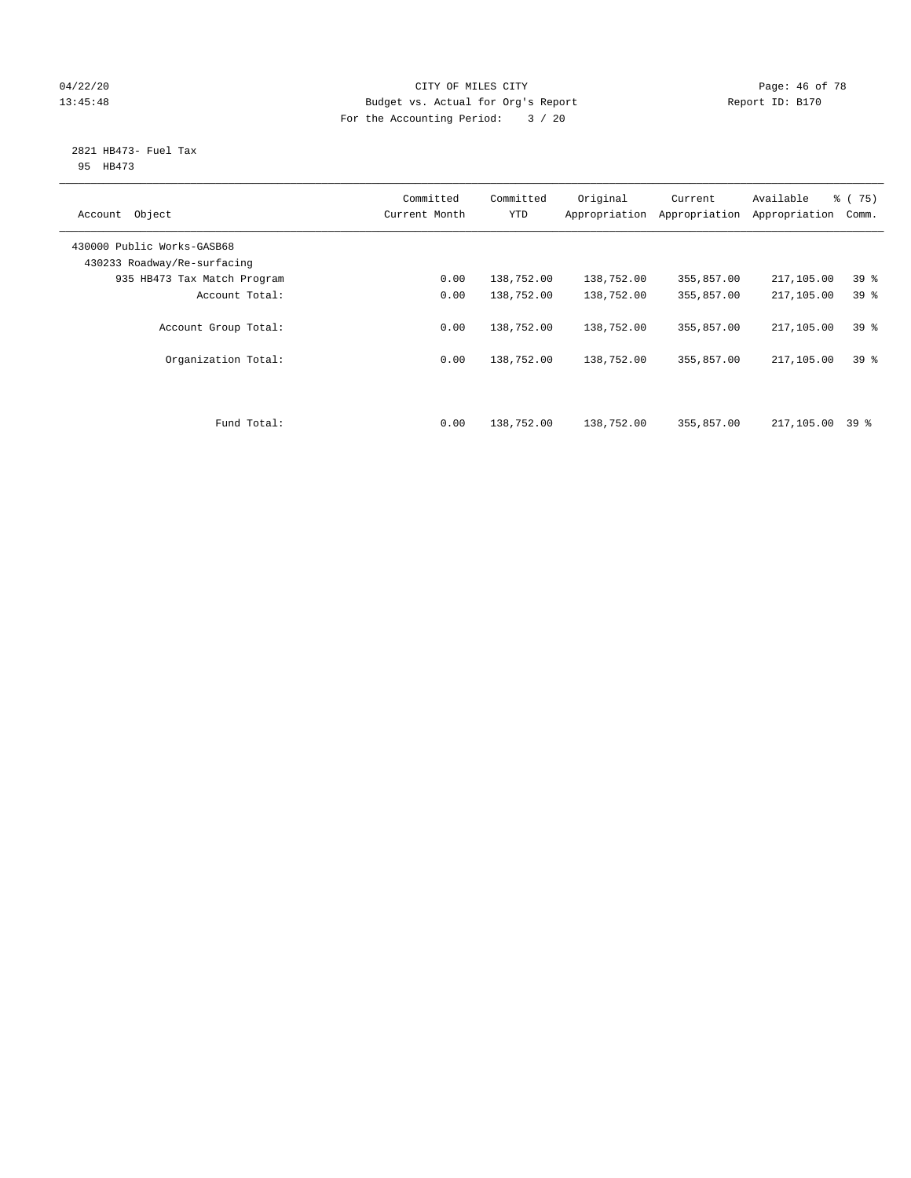# 04/22/20 **Page: 46 of 78** CITY OF MILES CITY **Page: 46 of 78** 13:45:48 Budget vs. Actual for Org's Report Report ID: B170 For the Accounting Period: 3 / 20

#### 2821 HB473- Fuel Tax 95 HB473

| Object<br>Account                                         | Committed<br>Current Month | Committed<br><b>YTD</b> | Original<br>Appropriation | Current<br>Appropriation | Available<br>Appropriation | 8 (75)<br>Comm. |
|-----------------------------------------------------------|----------------------------|-------------------------|---------------------------|--------------------------|----------------------------|-----------------|
| 430000 Public Works-GASB68<br>430233 Roadway/Re-surfacing |                            |                         |                           |                          |                            |                 |
| 935 HB473 Tax Match Program                               | 0.00                       | 138,752.00              | 138,752.00                | 355,857.00               | 217,105.00                 | 39 <sup>°</sup> |
| Account Total:                                            | 0.00                       | 138,752.00              | 138,752.00                | 355,857.00               | 217,105.00                 | 39 %            |
| Account Group Total:                                      | 0.00                       | 138,752.00              | 138,752.00                | 355,857.00               | 217,105.00                 | 39 <sup>8</sup> |
| Organization Total:                                       | 0.00                       | 138,752.00              | 138,752.00                | 355,857.00               | 217,105.00                 | 39 <sup>8</sup> |
| Fund Total:                                               | 0.00                       | 138,752.00              | 138,752.00                | 355,857.00               | 217,105.00                 | 39 %            |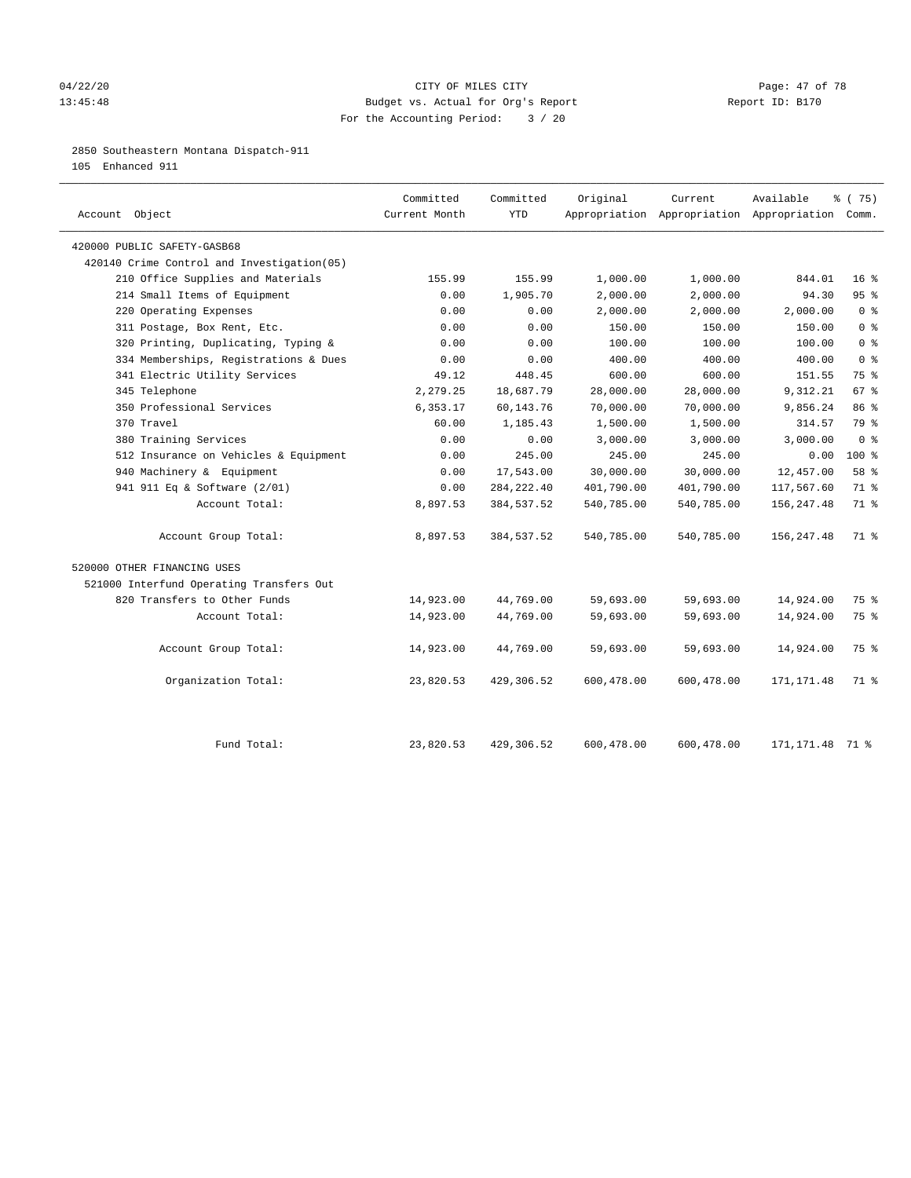#### 04/22/20 **CITY OF MILES CITY CITY CITY Page: 47 of 78** 13:45:48 Budget vs. Actual for Org's Report Changer Report ID: B170 For the Accounting Period: 3 / 20

# 2850 Southeastern Montana Dispatch-911

105 Enhanced 911

| Account Object                             | Committed<br>Current Month | Committed<br><b>YTD</b> | Original   | Current<br>Appropriation Appropriation Appropriation Comm. | Available         | ៖ (75)          |
|--------------------------------------------|----------------------------|-------------------------|------------|------------------------------------------------------------|-------------------|-----------------|
| 420000 PUBLIC SAFETY-GASB68                |                            |                         |            |                                                            |                   |                 |
| 420140 Crime Control and Investigation(05) |                            |                         |            |                                                            |                   |                 |
| 210 Office Supplies and Materials          | 155.99                     | 155.99                  | 1,000.00   | 1,000.00                                                   | 844.01            | 16 <sup>8</sup> |
| 214 Small Items of Equipment               | 0.00                       | 1,905.70                | 2,000.00   | 2,000.00                                                   | 94.30             | 95%             |
| 220 Operating Expenses                     | 0.00                       | 0.00                    | 2,000.00   | 2,000.00                                                   | 2,000.00          | 0 <sup>8</sup>  |
| 311 Postage, Box Rent, Etc.                | 0.00                       | 0.00                    | 150.00     | 150.00                                                     | 150.00            | 0 <sup>8</sup>  |
| 320 Printing, Duplicating, Typing &        | 0.00                       | 0.00                    | 100.00     | 100.00                                                     | 100.00            | 0 <sup>8</sup>  |
| 334 Memberships, Registrations & Dues      | 0.00                       | 0.00                    | 400.00     | 400.00                                                     | 400.00            | 0 <sup>8</sup>  |
| 341 Electric Utility Services              | 49.12                      | 448.45                  | 600.00     | 600.00                                                     | 151.55            | 75 %            |
| 345 Telephone                              | 2,279.25                   | 18,687.79               | 28,000.00  | 28,000.00                                                  | 9,312.21          | 67 %            |
| 350 Professional Services                  | 6,353.17                   | 60,143.76               | 70,000.00  | 70,000.00                                                  | 9,856.24          | 86 %            |
| 370 Travel                                 | 60.00                      | 1,185.43                | 1,500.00   | 1,500.00                                                   | 314.57            | 79 %            |
| 380 Training Services                      | 0.00                       | 0.00                    | 3,000.00   | 3,000.00                                                   | 3,000.00          | 0 <sup>8</sup>  |
| 512 Insurance on Vehicles & Equipment      | 0.00                       | 245.00                  | 245.00     | 245.00                                                     | 0.00              | $100*$          |
| 940 Machinery & Equipment                  | 0.00                       | 17,543.00               | 30,000.00  | 30,000.00                                                  | 12,457.00         | 58 %            |
| 941 911 Eq & Software (2/01)               | 0.00                       | 284, 222.40             | 401,790.00 | 401,790.00                                                 | 117,567.60        | 71 %            |
| Account Total:                             | 8,897.53                   | 384,537.52              | 540,785.00 | 540,785.00                                                 | 156, 247.48       | 71 %            |
| Account Group Total:                       | 8,897.53                   | 384,537.52              | 540,785.00 | 540,785.00                                                 | 156,247.48        | 71 %            |
| 520000 OTHER FINANCING USES                |                            |                         |            |                                                            |                   |                 |
| 521000 Interfund Operating Transfers Out   |                            |                         |            |                                                            |                   |                 |
| 820 Transfers to Other Funds               | 14,923.00                  | 44,769.00               | 59,693.00  | 59,693.00                                                  | 14,924.00         | 75 %            |
| Account Total:                             | 14,923.00                  | 44,769.00               | 59,693.00  | 59,693.00                                                  | 14,924.00         | 75 %            |
| Account Group Total:                       | 14,923.00                  | 44,769.00               | 59,693.00  | 59,693.00                                                  | 14,924.00         | 75 %            |
| Organization Total:                        | 23,820.53                  | 429,306.52              | 600,478.00 | 600,478.00                                                 | 171,171.48        | 71 %            |
| Fund Total:                                | 23,820.53                  | 429,306.52              | 600,478.00 | 600,478.00                                                 | 171, 171. 48 71 % |                 |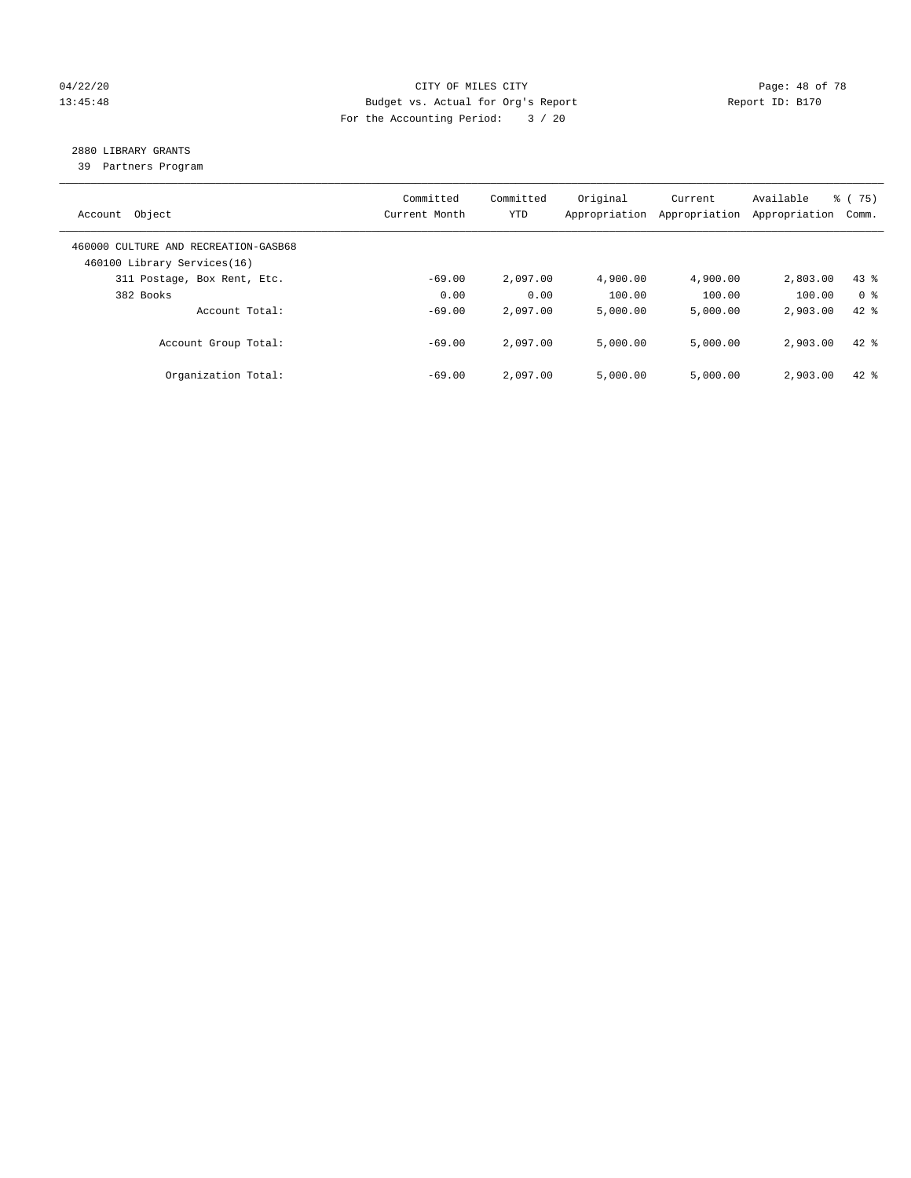# 04/22/20 **CITY OF MILES CITY CONSUMING THE PAGE: 48 of 78** 13:45:48 Budget vs. Actual for Org's Report Report ID: B170 For the Accounting Period: 3 / 20

# 2880 LIBRARY GRANTS

39 Partners Program

| Account Object                                                      | Committed<br>Current Month | Committed<br><b>YTD</b> | Original<br>Appropriation | Current<br>Appropriation | Available<br>Appropriation | % (75)<br>Comm. |
|---------------------------------------------------------------------|----------------------------|-------------------------|---------------------------|--------------------------|----------------------------|-----------------|
| 460000 CULTURE AND RECREATION-GASB68<br>460100 Library Services(16) |                            |                         |                           |                          |                            |                 |
| 311 Postage, Box Rent, Etc.                                         | $-69.00$                   | 2,097.00                | 4,900.00                  | 4,900.00                 | 2,803.00                   | $43$ $%$        |
| 382 Books                                                           | 0.00                       | 0.00                    | 100.00                    | 100.00                   | 100.00                     | 0 <sup>8</sup>  |
| Account Total:                                                      | $-69.00$                   | 2,097.00                | 5,000.00                  | 5,000.00                 | 2,903.00                   | $42$ $%$        |
| Account Group Total:                                                | $-69.00$                   | 2,097.00                | 5,000.00                  | 5,000.00                 | 2,903.00                   | $42$ $%$        |
| Organization Total:                                                 | $-69.00$                   | 2,097.00                | 5.000.00                  | 5.000.00                 | 2,903.00                   | $42*$           |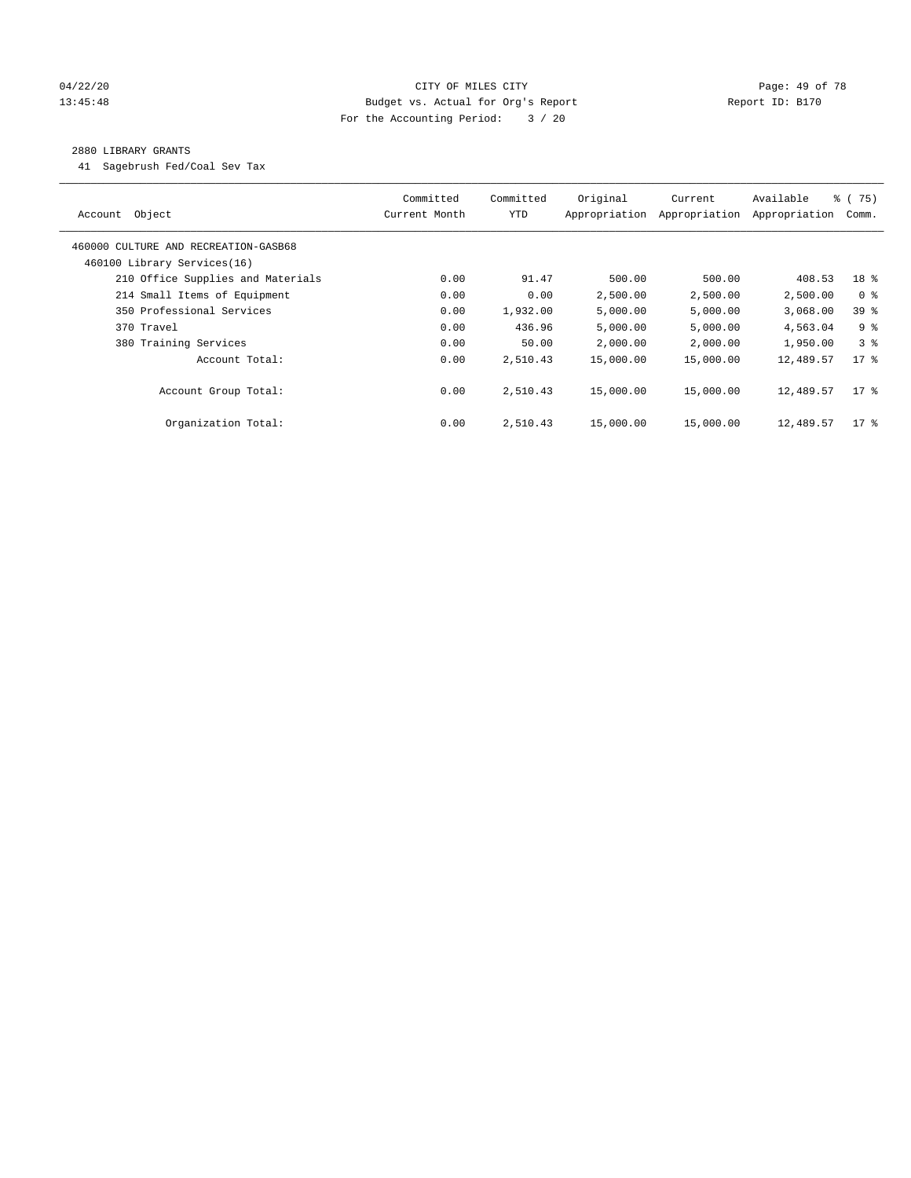# 04/22/20 **CITY OF MILES CITY CONSUMING THE PAGE: 49 of 78** 13:45:48 Budget vs. Actual for Org's Report Changer Report ID: B170 For the Accounting Period: 3 / 20

### 2880 LIBRARY GRANTS

41 Sagebrush Fed/Coal Sev Tax

| Object<br>Account                    | Committed<br>Current Month | Committed<br><b>YTD</b> | Original<br>Appropriation | Current<br>Appropriation | Available<br>Appropriation | % (75)<br>Comm. |
|--------------------------------------|----------------------------|-------------------------|---------------------------|--------------------------|----------------------------|-----------------|
| 460000 CULTURE AND RECREATION-GASB68 |                            |                         |                           |                          |                            |                 |
| 460100 Library Services(16)          |                            |                         |                           |                          |                            |                 |
| 210 Office Supplies and Materials    | 0.00                       | 91.47                   | 500.00                    | 500.00                   | 408.53                     | 18 %            |
| 214 Small Items of Equipment         | 0.00                       | 0.00                    | 2,500.00                  | 2,500.00                 | 2,500.00                   | 0 <sup>8</sup>  |
| 350 Professional Services            | 0.00                       | 1,932.00                | 5,000.00                  | 5,000.00                 | 3,068.00                   | 39 %            |
| 370 Travel                           | 0.00                       | 436.96                  | 5,000.00                  | 5,000.00                 | 4,563.04                   | 9 <sup>8</sup>  |
| 380 Training Services                | 0.00                       | 50.00                   | 2,000.00                  | 2,000.00                 | 1,950.00                   | 3 <sup>8</sup>  |
| Account Total:                       | 0.00                       | 2,510.43                | 15,000.00                 | 15,000.00                | 12,489.57                  | $17*$           |
| Account Group Total:                 | 0.00                       | 2,510.43                | 15,000.00                 | 15,000.00                | 12,489.57                  | $17*$           |
| Organization Total:                  | 0.00                       | 2,510.43                | 15,000.00                 | 15,000.00                | 12,489.57                  | $17$ %          |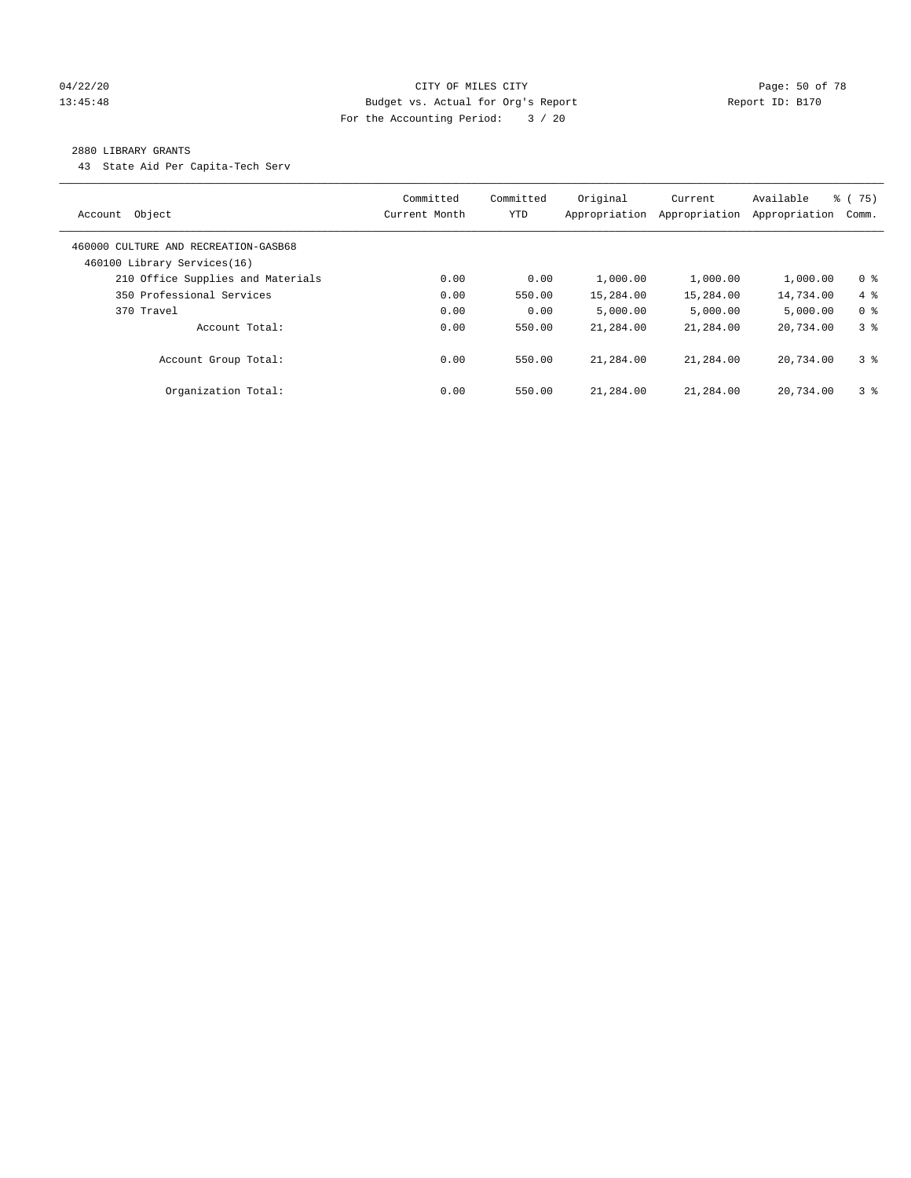### 04/22/20 **CITY OF MILES CITY CONSUMING THE PAGE:** 50 of 78 13:45:48 Budget vs. Actual for Org's Report Changer Report ID: B170 For the Accounting Period: 3 / 20

#### 2880 LIBRARY GRANTS

43 State Aid Per Capita-Tech Serv

| Object<br>Account                                                   | Committed<br>Current Month | Committed<br><b>YTD</b> | Original<br>Appropriation | Current<br>Appropriation | Available<br>Appropriation | % (75)<br>Comm. |
|---------------------------------------------------------------------|----------------------------|-------------------------|---------------------------|--------------------------|----------------------------|-----------------|
| 460000 CULTURE AND RECREATION-GASB68<br>460100 Library Services(16) |                            |                         |                           |                          |                            |                 |
| 210 Office Supplies and Materials                                   | 0.00                       | 0.00                    | 1,000.00                  | 1,000.00                 | 1,000.00                   | 0 <sup>8</sup>  |
| 350 Professional Services                                           | 0.00                       | 550.00                  | 15,284.00                 | 15,284.00                | 14,734.00                  | $4\degree$      |
| 370 Travel                                                          | 0.00                       | 0.00                    | 5.000.00                  | 5,000.00                 | 5.000.00                   | 0 <sup>8</sup>  |
| Account Total:                                                      | 0.00                       | 550.00                  | 21,284.00                 | 21,284.00                | 20,734.00                  | 38              |
| Account Group Total:                                                | 0.00                       | 550.00                  | 21,284.00                 | 21,284.00                | 20,734.00                  | 3 <sup>8</sup>  |
| Organization Total:                                                 | 0.00                       | 550.00                  | 21,284.00                 | 21,284.00                | 20,734.00                  | 3 <sup>8</sup>  |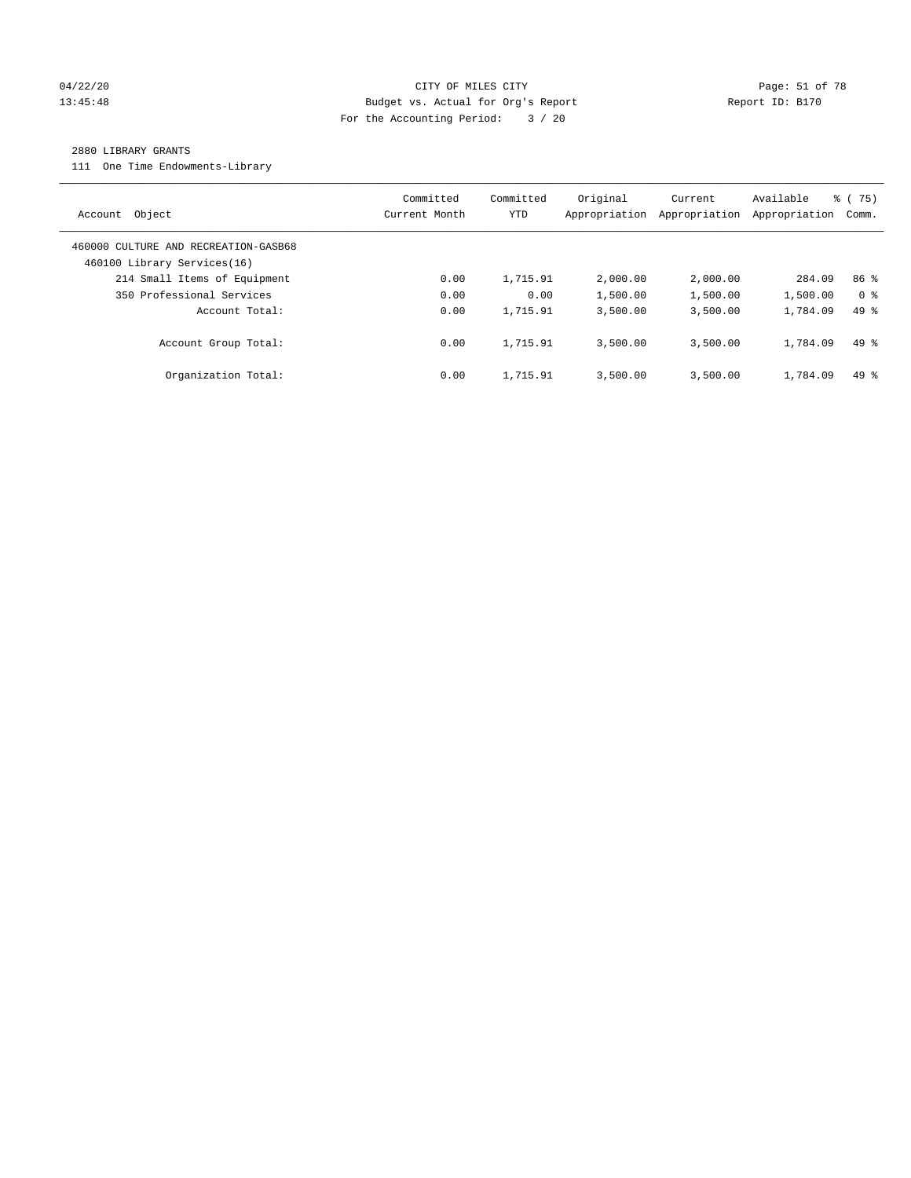# 04/22/20 **CITY OF MILES CITY CONSUMING THE PAGE: 51 of 78** 13:45:48 Budget vs. Actual for Org's Report Report ID: B170 For the Accounting Period: 3 / 20

#### 2880 LIBRARY GRANTS

111 One Time Endowments-Library

| Object<br>Account                                                   | Committed<br>Current Month | Committed<br>YTD | Original<br>Appropriation | Current<br>Appropriation | Available<br>Appropriation | % (75)<br>Comm. |
|---------------------------------------------------------------------|----------------------------|------------------|---------------------------|--------------------------|----------------------------|-----------------|
| 460000 CULTURE AND RECREATION-GASB68<br>460100 Library Services(16) |                            |                  |                           |                          |                            |                 |
| 214 Small Items of Equipment                                        | 0.00                       | 1,715.91         | 2,000.00                  | 2,000.00                 | 284.09                     | 86 <sup>8</sup> |
| 350 Professional Services                                           | 0.00                       | 0.00             | 1,500.00                  | 1,500.00                 | 1,500.00                   | 0 <sup>8</sup>  |
| Account Total:                                                      | 0.00                       | 1,715.91         | 3,500.00                  | 3,500.00                 | 1,784.09                   | $49*$           |
| Account Group Total:                                                | 0.00                       | 1,715.91         | 3,500.00                  | 3,500.00                 | 1,784.09                   | $49*$           |
| Organization Total:                                                 | 0.00                       | 1,715.91         | 3,500.00                  | 3.500.00                 | 1,784.09                   | $49*$           |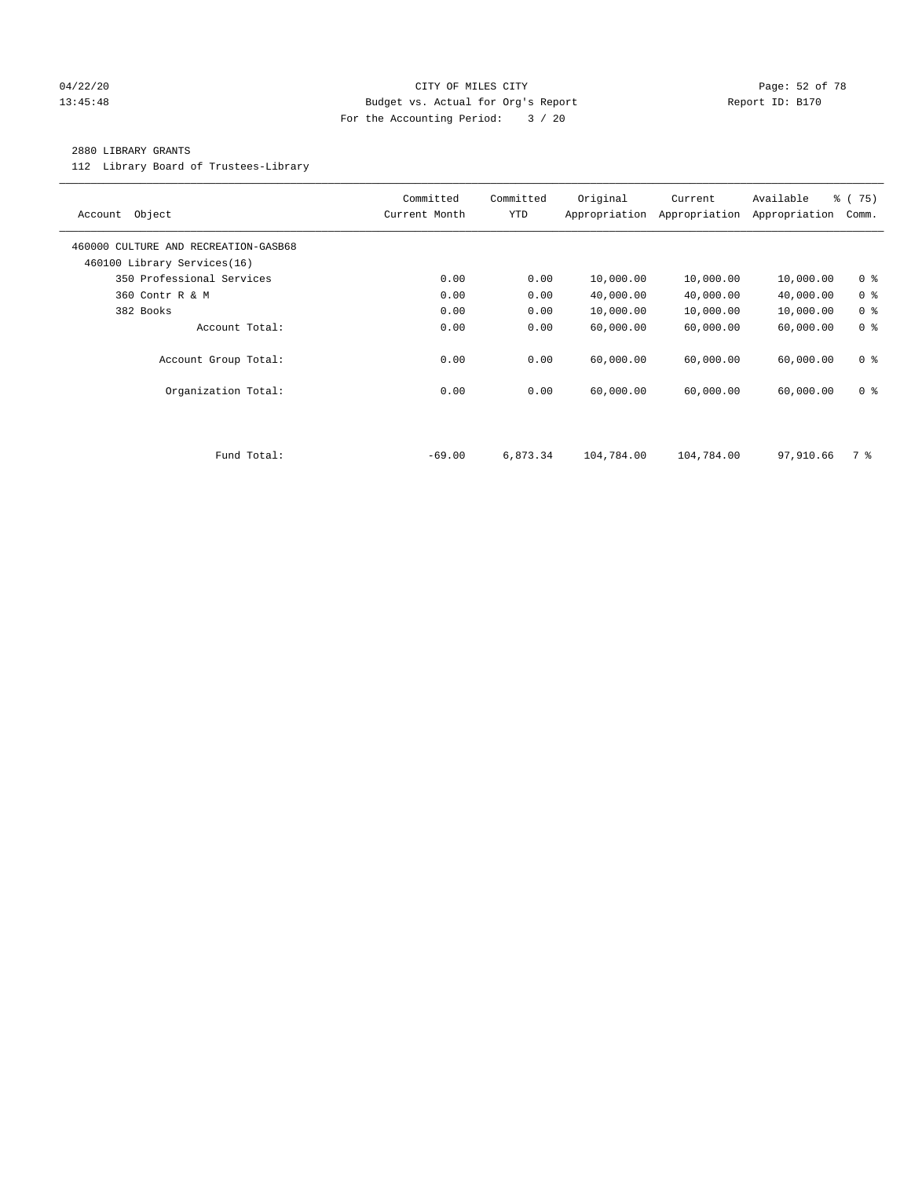### 04/22/20 **CITY OF MILES CITY CONSUMING THE PAGE: 52 of 78** 13:45:48 Budget vs. Actual for Org's Report Changer Report ID: B170 For the Accounting Period: 3 / 20

#### 2880 LIBRARY GRANTS

112 Library Board of Trustees-Library

| Object<br>Account                                                   | Committed<br>Current Month | Committed<br><b>YTD</b> | Original<br>Appropriation | Current<br>Appropriation | Available<br>Appropriation | 8 (75)<br>Comm. |
|---------------------------------------------------------------------|----------------------------|-------------------------|---------------------------|--------------------------|----------------------------|-----------------|
| 460000 CULTURE AND RECREATION-GASB68<br>460100 Library Services(16) |                            |                         |                           |                          |                            |                 |
| 350 Professional Services                                           | 0.00                       | 0.00                    | 10,000.00                 | 10,000.00                | 10,000.00                  | 0 <sup>8</sup>  |
| 360 Contr R & M                                                     | 0.00                       | 0.00                    | 40,000.00                 | 40,000.00                | 40,000.00                  | 0 <sup>8</sup>  |
| 382 Books                                                           | 0.00                       | 0.00                    | 10,000.00                 | 10,000.00                | 10,000.00                  | 0 <sup>8</sup>  |
| Account Total:                                                      | 0.00                       | 0.00                    | 60,000.00                 | 60,000.00                | 60,000.00                  | 0 <sup>8</sup>  |
| Account Group Total:                                                | 0.00                       | 0.00                    | 60,000.00                 | 60,000.00                | 60,000.00                  | 0 <sub>8</sub>  |
| Organization Total:                                                 | 0.00                       | 0.00                    | 60,000.00                 | 60,000.00                | 60,000.00                  | 0 <sup>8</sup>  |
|                                                                     |                            |                         |                           |                          |                            |                 |
| Fund Total:                                                         | $-69.00$                   | 6,873.34                | 104,784.00                | 104,784.00               | 97,910.66                  | 7 %             |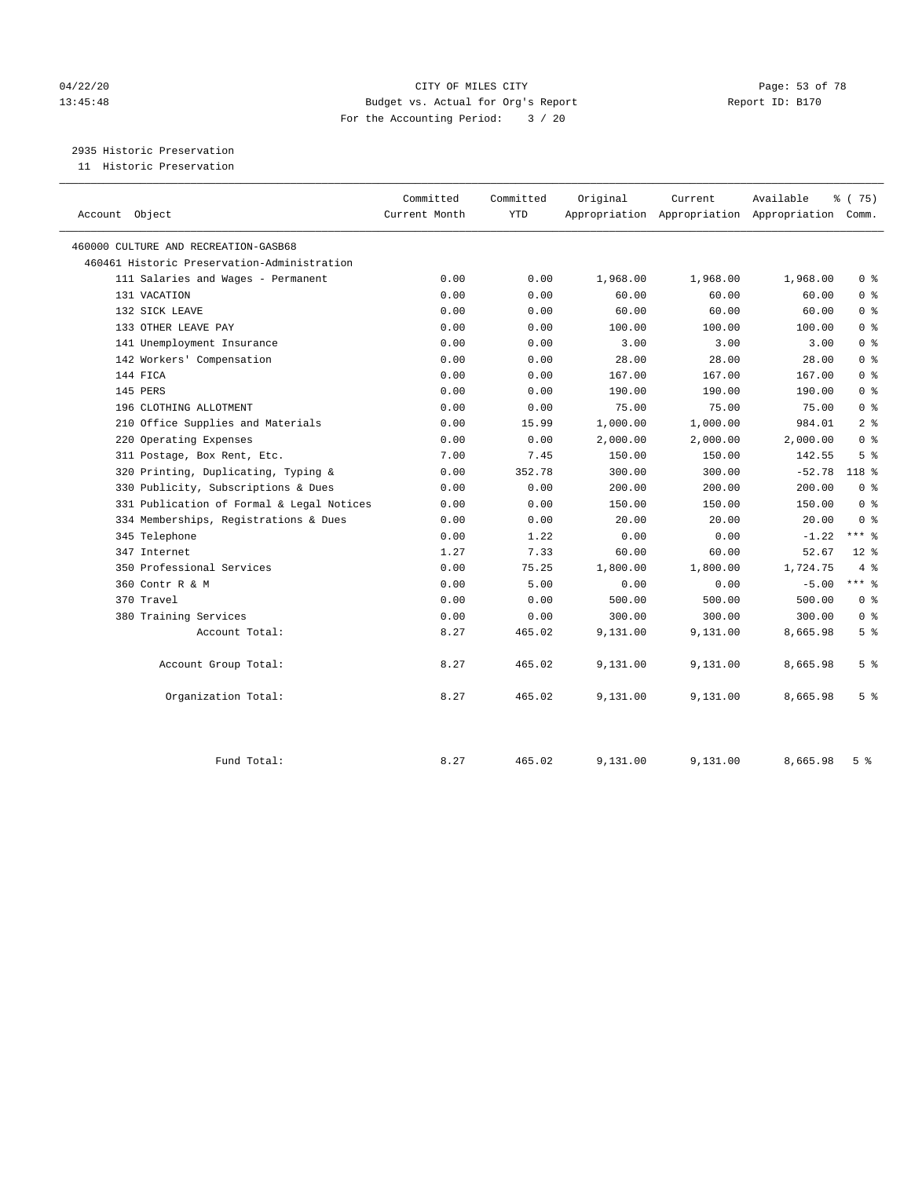# 04/22/20 **CITY OF MILES CITY CONSUMING THE PAGE:** 53 of 78 13:45:48 Budget vs. Actual for Org's Report Report ID: B170 For the Accounting Period: 3 / 20

2935 Historic Preservation

11 Historic Preservation

| Account Object                              | Committed<br>Current Month | Committed<br><b>YTD</b> | Original | Current  | Available<br>Appropriation Appropriation Appropriation Comm. | % (75)         |
|---------------------------------------------|----------------------------|-------------------------|----------|----------|--------------------------------------------------------------|----------------|
| 460000 CULTURE AND RECREATION-GASB68        |                            |                         |          |          |                                                              |                |
| 460461 Historic Preservation-Administration |                            |                         |          |          |                                                              |                |
| 111 Salaries and Wages - Permanent          | 0.00                       | 0.00                    | 1,968.00 | 1,968.00 | 1,968.00                                                     | 0 <sup>8</sup> |
| 131 VACATION                                | 0.00                       | 0.00                    | 60.00    | 60.00    | 60.00                                                        | 0 <sup>8</sup> |
| 132 SICK LEAVE                              | 0.00                       | 0.00                    | 60.00    | 60.00    | 60.00                                                        | 0 <sup>8</sup> |
| 133 OTHER LEAVE PAY                         | 0.00                       | 0.00                    | 100.00   | 100.00   | 100.00                                                       | 0 <sup>8</sup> |
| 141 Unemployment Insurance                  | 0.00                       | 0.00                    | 3.00     | 3.00     | 3.00                                                         | 0 <sup>8</sup> |
| 142 Workers' Compensation                   | 0.00                       | 0.00                    | 28.00    | 28.00    | 28.00                                                        | 0 <sup>8</sup> |
| 144 FICA                                    | 0.00                       | 0.00                    | 167.00   | 167.00   | 167.00                                                       | 0 <sup>8</sup> |
| 145 PERS                                    | 0.00                       | 0.00                    | 190.00   | 190.00   | 190.00                                                       | 0 <sup>8</sup> |
| 196 CLOTHING ALLOTMENT                      | 0.00                       | 0.00                    | 75.00    | 75.00    | 75.00                                                        | 0 <sup>8</sup> |
| 210 Office Supplies and Materials           | 0.00                       | 15.99                   | 1,000.00 | 1,000.00 | 984.01                                                       | 2 <sup>°</sup> |
| 220 Operating Expenses                      | 0.00                       | 0.00                    | 2,000.00 | 2,000.00 | 2,000.00                                                     | 0 <sup>8</sup> |
| 311 Postage, Box Rent, Etc.                 | 7.00                       | 7.45                    | 150.00   | 150.00   | 142.55                                                       | 5 <sup>8</sup> |
| 320 Printing, Duplicating, Typing &         | 0.00                       | 352.78                  | 300.00   | 300.00   | $-52.78$                                                     | 118 %          |
| 330 Publicity, Subscriptions & Dues         | 0.00                       | 0.00                    | 200.00   | 200.00   | 200.00                                                       | 0 <sup>8</sup> |
| 331 Publication of Formal & Legal Notices   | 0.00                       | 0.00                    | 150.00   | 150.00   | 150.00                                                       | 0 <sup>8</sup> |
| 334 Memberships, Registrations & Dues       | 0.00                       | 0.00                    | 20.00    | 20.00    | 20.00                                                        | 0 <sup>8</sup> |
| 345 Telephone                               | 0.00                       | 1.22                    | 0.00     | 0.00     | $-1.22$                                                      | $***$ $_{8}$   |
| 347 Internet                                | 1.27                       | 7.33                    | 60.00    | 60.00    | 52.67                                                        | $12*$          |
| 350 Professional Services                   | 0.00                       | 75.25                   | 1,800.00 | 1,800.00 | 1,724.75                                                     | 4%             |
| 360 Contr R & M                             | 0.00                       | 5.00                    | 0.00     | 0.00     | $-5.00$                                                      | $***$ 8        |
| 370 Travel                                  | 0.00                       | 0.00                    | 500.00   | 500.00   | 500.00                                                       | 0 <sup>8</sup> |
| 380 Training Services                       | 0.00                       | 0.00                    | 300.00   | 300.00   | 300.00                                                       | 0 <sup>8</sup> |
| Account Total:                              | 8.27                       | 465.02                  | 9,131.00 | 9,131.00 | 8,665.98                                                     | 5 <sup>°</sup> |
| Account Group Total:                        | 8.27                       | 465.02                  | 9,131.00 | 9,131.00 | 8,665.98                                                     | 5 <sup>°</sup> |
| Organization Total:                         | 8.27                       | 465.02                  | 9,131.00 | 9,131.00 | 8,665.98                                                     | 5 <sup>°</sup> |
| Fund Total:                                 | 8.27                       | 465.02                  | 9,131.00 | 9,131.00 | 8,665.98                                                     | 5 <sup>8</sup> |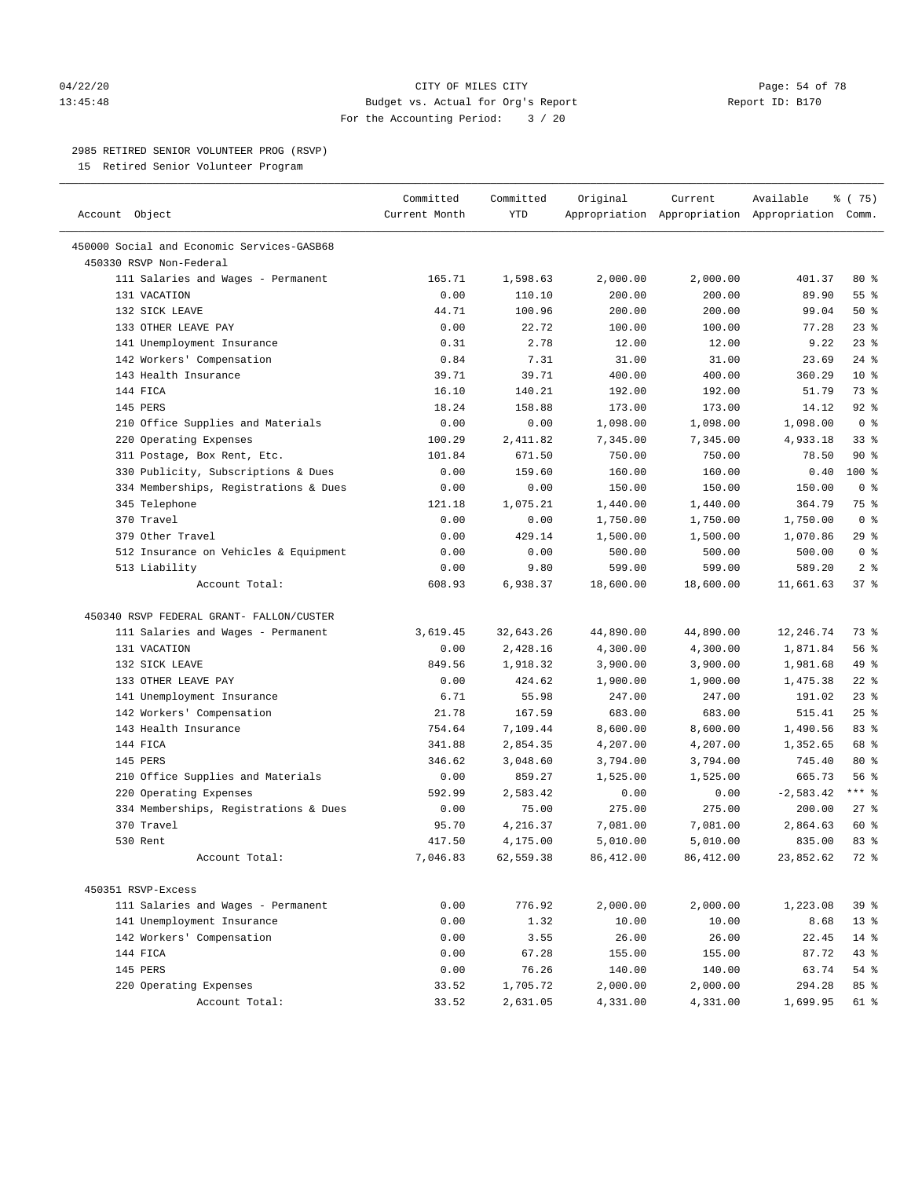#### 04/22/20 **CITY OF MILES CITY CITY CITY Page: 54 of 78** 13:45:48 Budget vs. Actual for Org's Report Report ID: B170 For the Accounting Period: 3 / 20

————————————————————————————————————————————————————————————————————————————————————————————————————————————————————————————————————

# 2985 RETIRED SENIOR VOLUNTEER PROG (RSVP)

15 Retired Senior Volunteer Program

|                                            | Committed     | Committed  | Original  | Current                                         | Available   | % (75)                   |
|--------------------------------------------|---------------|------------|-----------|-------------------------------------------------|-------------|--------------------------|
| Account Object                             | Current Month | <b>YTD</b> |           | Appropriation Appropriation Appropriation Comm. |             |                          |
| 450000 Social and Economic Services-GASB68 |               |            |           |                                                 |             |                          |
| 450330 RSVP Non-Federal                    |               |            |           |                                                 |             |                          |
| 111 Salaries and Wages - Permanent         | 165.71        | 1,598.63   | 2,000.00  | 2,000.00                                        | 401.37      | $80*$                    |
| 131 VACATION                               | 0.00          | 110.10     | 200.00    | 200.00                                          | 89.90       | 55 %                     |
| 132 SICK LEAVE                             | 44.71         | 100.96     | 200.00    | 200.00                                          | 99.04       | 50%                      |
| 133 OTHER LEAVE PAY                        | 0.00          | 22.72      | 100.00    | 100.00                                          | 77.28       | $23$ $%$                 |
| 141 Unemployment Insurance                 | 0.31          | 2.78       | 12.00     | 12.00                                           | 9.22        | $23$ $%$                 |
| 142 Workers' Compensation                  | 0.84          | 7.31       | 31.00     | 31.00                                           | 23.69       | $24$ %                   |
| 143 Health Insurance                       | 39.71         | 39.71      | 400.00    | 400.00                                          | 360.29      | $10*$                    |
| 144 FICA                                   | 16.10         | 140.21     | 192.00    | 192.00                                          | 51.79       | 73 %                     |
| 145 PERS                                   | 18.24         | 158.88     | 173.00    | 173.00                                          | 14.12       | $92$ %                   |
| 210 Office Supplies and Materials          | 0.00          | 0.00       | 1,098.00  | 1,098.00                                        | 1,098.00    | 0 <sup>8</sup>           |
| 220 Operating Expenses                     | 100.29        | 2,411.82   | 7,345.00  | 7,345.00                                        | 4,933.18    | 33%                      |
| 311 Postage, Box Rent, Etc.                | 101.84        | 671.50     | 750.00    | 750.00                                          | 78.50       | $90*$                    |
| 330 Publicity, Subscriptions & Dues        | 0.00          | 159.60     | 160.00    | 160.00                                          | 0.40        | $100*$                   |
| 334 Memberships, Registrations & Dues      | 0.00          | 0.00       | 150.00    | 150.00                                          | 150.00      | 0 <sup>8</sup>           |
| 345 Telephone                              | 121.18        | 1,075.21   |           | 1,440.00                                        | 364.79      | 75 %                     |
| 370 Travel                                 | 0.00          |            | 1,440.00  |                                                 |             | 0 <sup>8</sup>           |
| 379 Other Travel                           |               | 0.00       | 1,750.00  | 1,750.00                                        | 1,750.00    |                          |
|                                            | 0.00          | 429.14     | 1,500.00  | 1,500.00                                        | 1,070.86    | $29$ %<br>0 <sup>8</sup> |
| 512 Insurance on Vehicles & Equipment      | 0.00          | 0.00       | 500.00    | 500.00                                          | 500.00      |                          |
| 513 Liability                              | 0.00          | 9.80       | 599.00    | 599.00                                          | 589.20      | 2 <sup>°</sup>           |
| Account Total:                             | 608.93        | 6,938.37   | 18,600.00 | 18,600.00                                       | 11,661.63   | 37%                      |
| 450340 RSVP FEDERAL GRANT- FALLON/CUSTER   |               |            |           |                                                 |             |                          |
| 111 Salaries and Wages - Permanent         | 3,619.45      | 32,643.26  | 44,890.00 | 44,890.00                                       | 12,246.74   | 73 %                     |
| 131 VACATION                               | 0.00          | 2,428.16   | 4,300.00  | 4,300.00                                        | 1,871.84    | 56%                      |
| 132 SICK LEAVE                             | 849.56        | 1,918.32   | 3,900.00  | 3,900.00                                        | 1,981.68    | 49 %                     |
| 133 OTHER LEAVE PAY                        | 0.00          | 424.62     | 1,900.00  | 1,900.00                                        | 1,475.38    | $22$ %                   |
| 141 Unemployment Insurance                 | 6.71          | 55.98      | 247.00    | 247.00                                          | 191.02      | $23$ $%$                 |
| 142 Workers' Compensation                  | 21.78         | 167.59     | 683.00    | 683.00                                          | 515.41      | 25%                      |
| 143 Health Insurance                       | 754.64        | 7,109.44   | 8,600.00  | 8,600.00                                        | 1,490.56    | 83 %                     |
| 144 FICA                                   | 341.88        | 2,854.35   | 4,207.00  | 4,207.00                                        | 1,352.65    | 68 %                     |
| 145 PERS                                   | 346.62        | 3,048.60   | 3,794.00  | 3,794.00                                        | 745.40      | 80 %                     |
| 210 Office Supplies and Materials          | 0.00          | 859.27     | 1,525.00  | 1,525.00                                        | 665.73      | 56%                      |
| 220 Operating Expenses                     | 592.99        | 2,583.42   | 0.00      | 0.00                                            | $-2,583.42$ | $***$ $-$                |
| 334 Memberships, Registrations & Dues      | 0.00          | 75.00      | 275.00    | 275.00                                          | 200.00      | $27$ %                   |
| 370 Travel                                 | 95.70         | 4,216.37   | 7,081.00  | 7,081.00                                        | 2,864.63    | 60 %                     |
| 530 Rent                                   | 417.50        | 4,175.00   | 5,010.00  | 5,010.00                                        | 835.00      | 83%                      |
| Account Total:                             | 7,046.83      | 62,559.38  | 86,412.00 | 86,412.00                                       | 23,852.62   | 72 %                     |
|                                            |               |            |           |                                                 |             |                          |
| 450351 RSVP-Excess                         |               |            |           |                                                 |             |                          |
| 111 Salaries and Wages - Permanent         | 0.00          | 776.92     | 2,000.00  | 2,000.00                                        | 1,223.08    | 39%                      |
| 141 Unemployment Insurance                 | 0.00          | 1.32       | 10.00     | 10.00                                           | 8.68        | $13*$                    |
| 142 Workers' Compensation                  | 0.00          | 3.55       | 26.00     | 26.00                                           | 22.45       | $14$ %                   |
| 144 FICA                                   | 0.00          | 67.28      | 155.00    | 155.00                                          | 87.72       | 43 %                     |
| 145 PERS                                   | 0.00          | 76.26      | 140.00    | 140.00                                          | 63.74       | $54$ %                   |
| 220 Operating Expenses                     | 33.52         | 1,705.72   | 2,000.00  | 2,000.00                                        | 294.28      | 85 %                     |
| Account Total:                             | 33.52         | 2,631.05   | 4,331.00  | 4,331.00                                        | 1,699.95    | 61 %                     |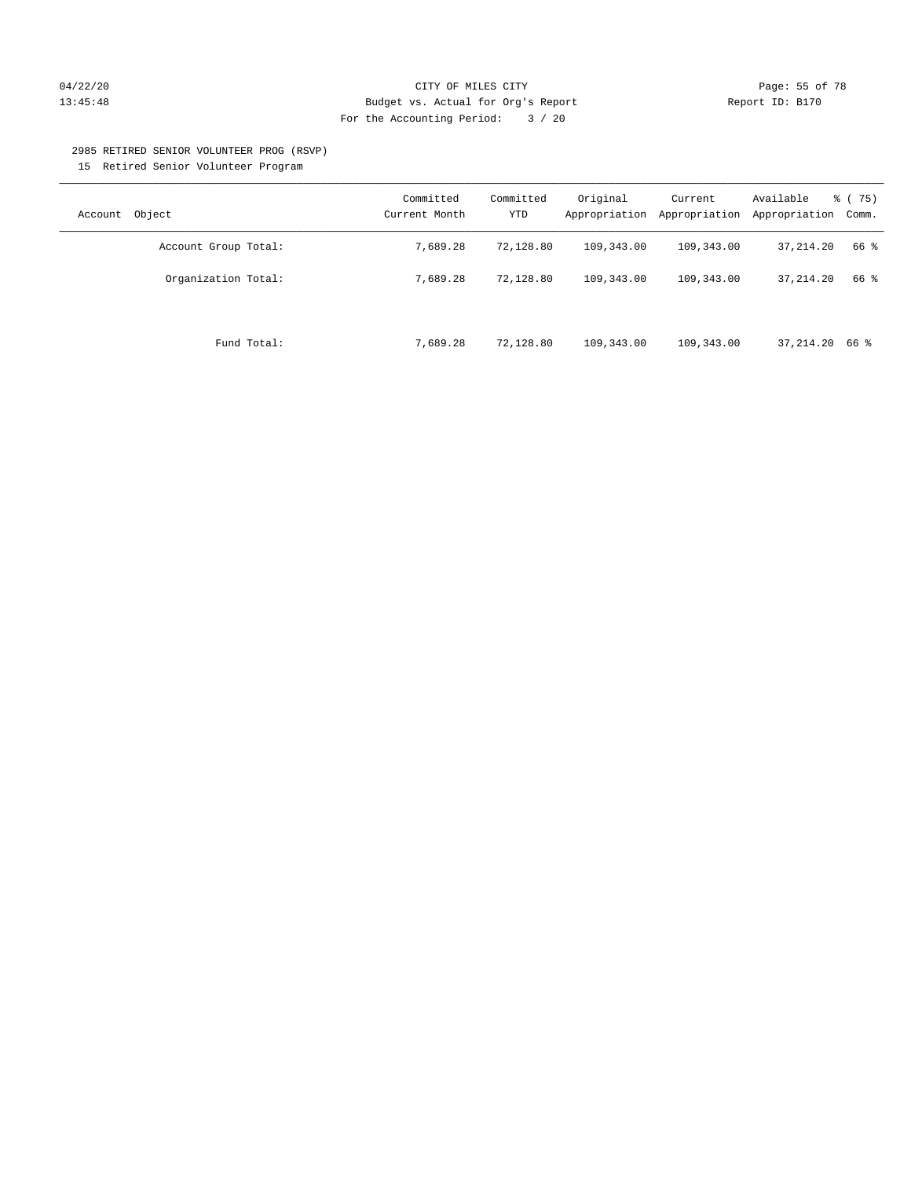# $04/22/20$   $04/22/20$  Page: 55 of 78 13:45:48 Budget vs. Actual for Org's Report Report ID: B170 For the Accounting Period: 3 / 20

#### 2985 RETIRED SENIOR VOLUNTEER PROG (RSVP)

15 Retired Senior Volunteer Program

| Object<br>Account    | Committed<br>Current Month | Committed<br>YTD | Original<br>Appropriation | Current<br>Appropriation | Available<br>Appropriation | % (75)<br>Comm. |
|----------------------|----------------------------|------------------|---------------------------|--------------------------|----------------------------|-----------------|
| Account Group Total: | 7,689.28                   | 72,128.80        | 109,343.00                | 109,343.00               | 37,214.20                  | 66 %            |
| Organization Total:  | 7.689.28                   | 72,128.80        | 109,343.00                | 109,343.00               | 37, 214, 20                | 66 %            |
| Fund Total:          | 7,689.28                   | 72,128.80        | 109,343.00                | 109,343.00               | 37,214.20 66 %             |                 |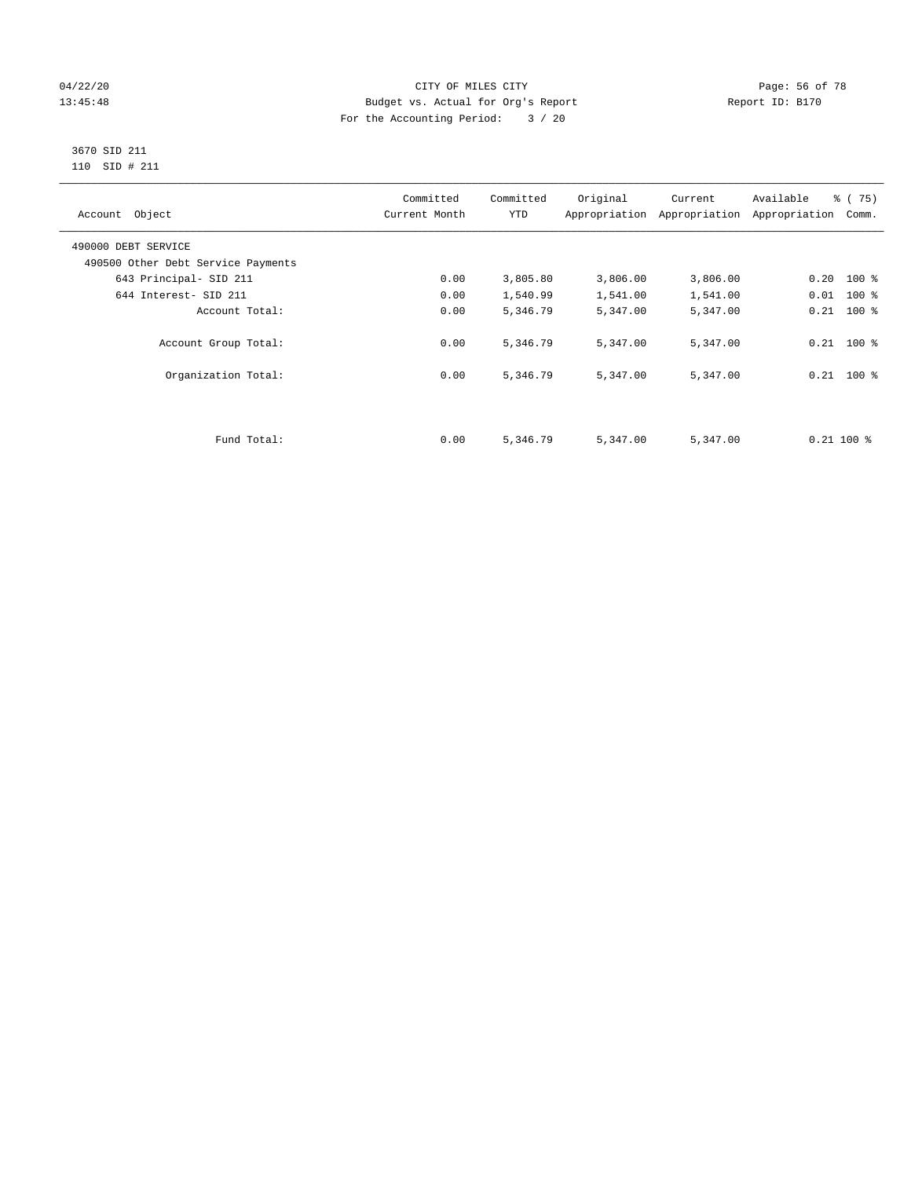# 04/22/20 **CITY OF MILES CITY CONSUMING THE PAGE: 56 of 78** 13:45:48 Budget vs. Actual for Org's Report Report ID: B170 For the Accounting Period: 3 / 20

#### 3670 SID 211 110 SID # 211

| Account Object                     | Committed<br>Current Month | Committed<br><b>YTD</b> | Original | Current<br>Appropriation Appropriation | Available<br>Appropriation | % (75)<br>Comm. |
|------------------------------------|----------------------------|-------------------------|----------|----------------------------------------|----------------------------|-----------------|
| 490000 DEBT SERVICE                |                            |                         |          |                                        |                            |                 |
| 490500 Other Debt Service Payments |                            |                         |          |                                        |                            |                 |
| 643 Principal- SID 211             | 0.00                       | 3,805.80                | 3,806.00 | 3,806.00                               | $0.20$ 100 %               |                 |
| 644 Interest- SID 211              | 0.00                       | 1,540.99                | 1,541.00 | 1,541.00                               | $0.01$ 100 %               |                 |
| Account Total:                     | 0.00                       | 5,346.79                | 5,347.00 | 5,347.00                               | $0.21$ 100 %               |                 |
| Account Group Total:               | 0.00                       | 5,346.79                | 5,347.00 | 5,347.00                               | $0.21$ 100 %               |                 |
| Organization Total:                | 0.00                       | 5,346.79                | 5,347.00 | 5,347.00                               | $0.21$ 100 %               |                 |
|                                    |                            |                         |          |                                        |                            |                 |
| Fund Total:                        | 0.00                       | 5,346.79                | 5,347.00 | 5,347.00                               | $0.21$ 100 %               |                 |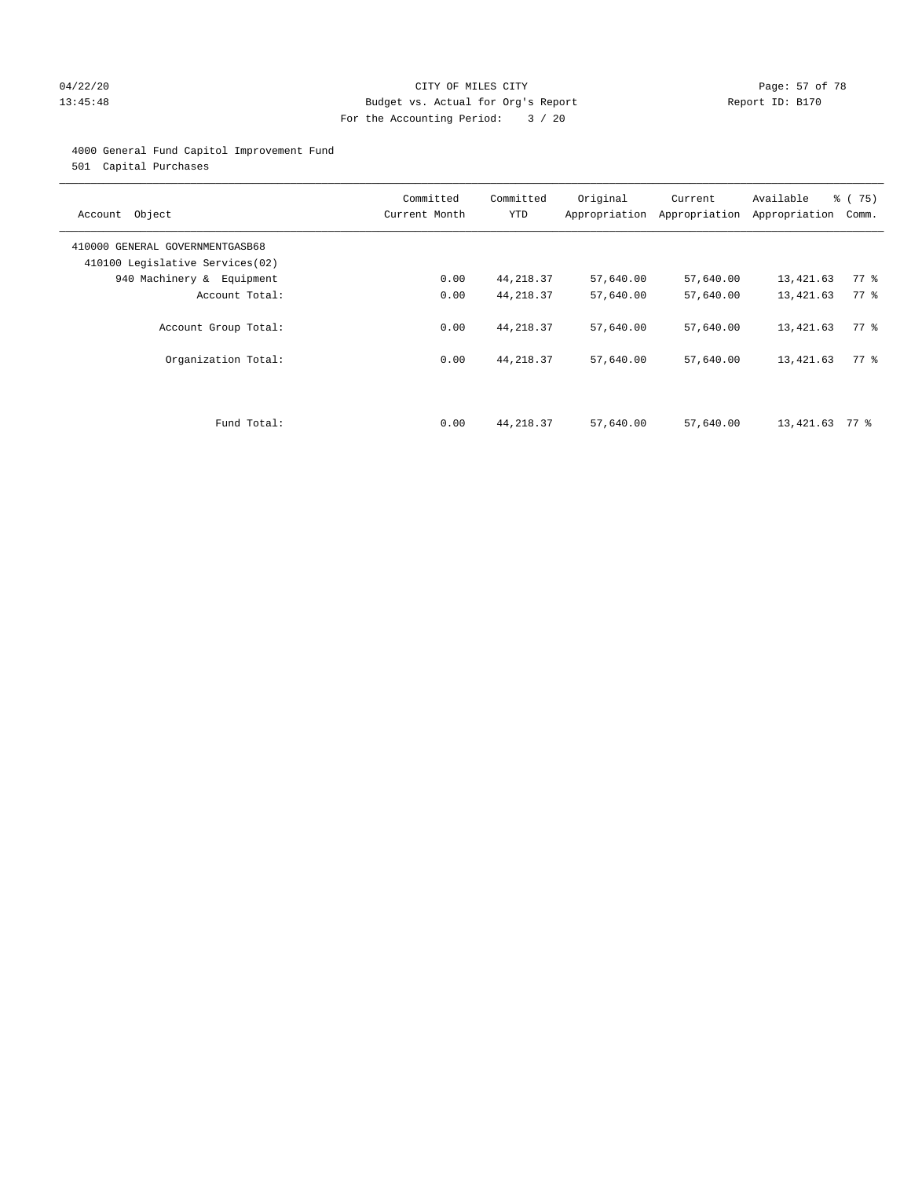# 04/22/20 **CITY OF MILES CITY CITY CITY Page: 57 of 78** 13:45:48 Budget vs. Actual for Org's Report Changer Report ID: B170 For the Accounting Period: 3 / 20

### 4000 General Fund Capitol Improvement Fund

501 Capital Purchases

| Account Object                                                     | Committed<br>Current Month | Committed<br><b>YTD</b>  | Original<br>Appropriation | Current<br>Appropriation | Available<br>Appropriation | % (75)<br>Comm.            |
|--------------------------------------------------------------------|----------------------------|--------------------------|---------------------------|--------------------------|----------------------------|----------------------------|
| 410000 GENERAL GOVERNMENTGASB68<br>410100 Legislative Services(02) |                            |                          |                           |                          |                            |                            |
| 940 Machinery & Equipment                                          | 0.00                       | 44, 218.37               | 57,640.00                 | 57,640.00                | 13,421.63                  | $77$ $\frac{6}{9}$         |
| Account Total:                                                     | 0.00                       | 44, 218.37               | 57,640.00                 | 57,640.00                | 13,421.63                  | 77 %                       |
| Account Group Total:<br>Organization Total:                        | 0.00<br>0.00               | 44, 218.37<br>44, 218.37 | 57,640.00<br>57,640.00    | 57,640.00<br>57,640.00   | 13,421.63<br>13,421.63     | 77.8<br>$77$ $\frac{6}{9}$ |
| Fund Total:                                                        | 0.00                       | 44, 218.37               | 57,640.00                 | 57,640.00                | 13,421.63                  | 77 %                       |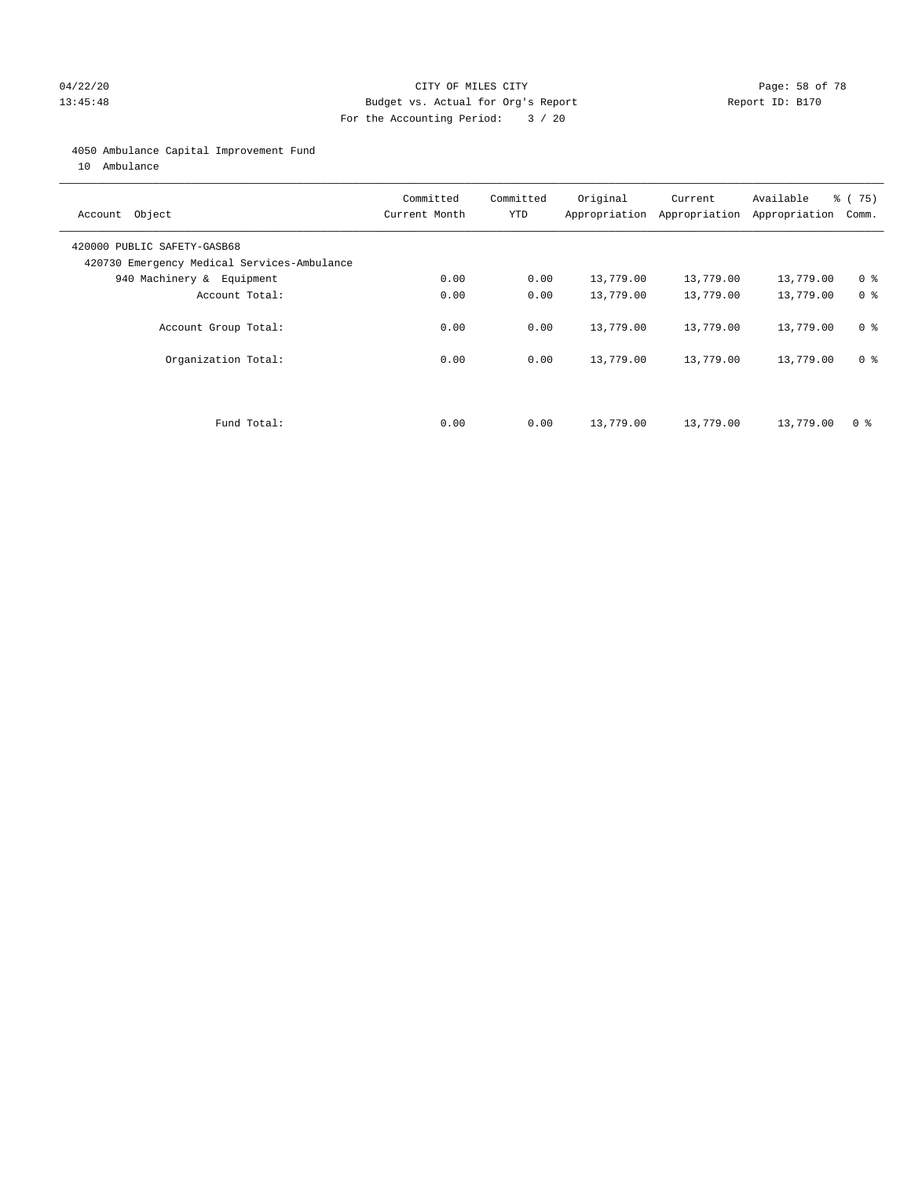### 04/22/20 **CITY OF MILES CITY CITY CITY Page: 58 of 78** 13:45:48 Budget vs. Actual for Org's Report Changer Report ID: B170 For the Accounting Period: 3 / 20

#### 4050 Ambulance Capital Improvement Fund

10 Ambulance

| Account Object                                                             | Committed<br>Current Month | Committed<br><b>YTD</b> | Original  | Current<br>Appropriation Appropriation | Available<br>Appropriation | 8 (75)<br>Comm. |
|----------------------------------------------------------------------------|----------------------------|-------------------------|-----------|----------------------------------------|----------------------------|-----------------|
| 420000 PUBLIC SAFETY-GASB68<br>420730 Emergency Medical Services-Ambulance |                            |                         |           |                                        |                            |                 |
| 940 Machinery & Equipment                                                  | 0.00                       | 0.00                    | 13,779.00 | 13,779.00                              | 13,779.00                  | 0 <sup>8</sup>  |
| Account Total:                                                             | 0.00                       | 0.00                    | 13,779.00 | 13,779.00                              | 13,779.00                  | 0 <sup>8</sup>  |
| Account Group Total:                                                       | 0.00                       | 0.00                    | 13,779.00 | 13,779.00                              | 13,779.00                  | 0 <sup>8</sup>  |
| Organization Total:                                                        | 0.00                       | 0.00                    | 13,779.00 | 13,779.00                              | 13,779.00                  | 0 <sup>8</sup>  |
|                                                                            |                            |                         |           |                                        |                            |                 |
| Fund Total:                                                                | 0.00                       | 0.00                    | 13,779.00 | 13,779.00                              | 13,779.00                  | 0 %             |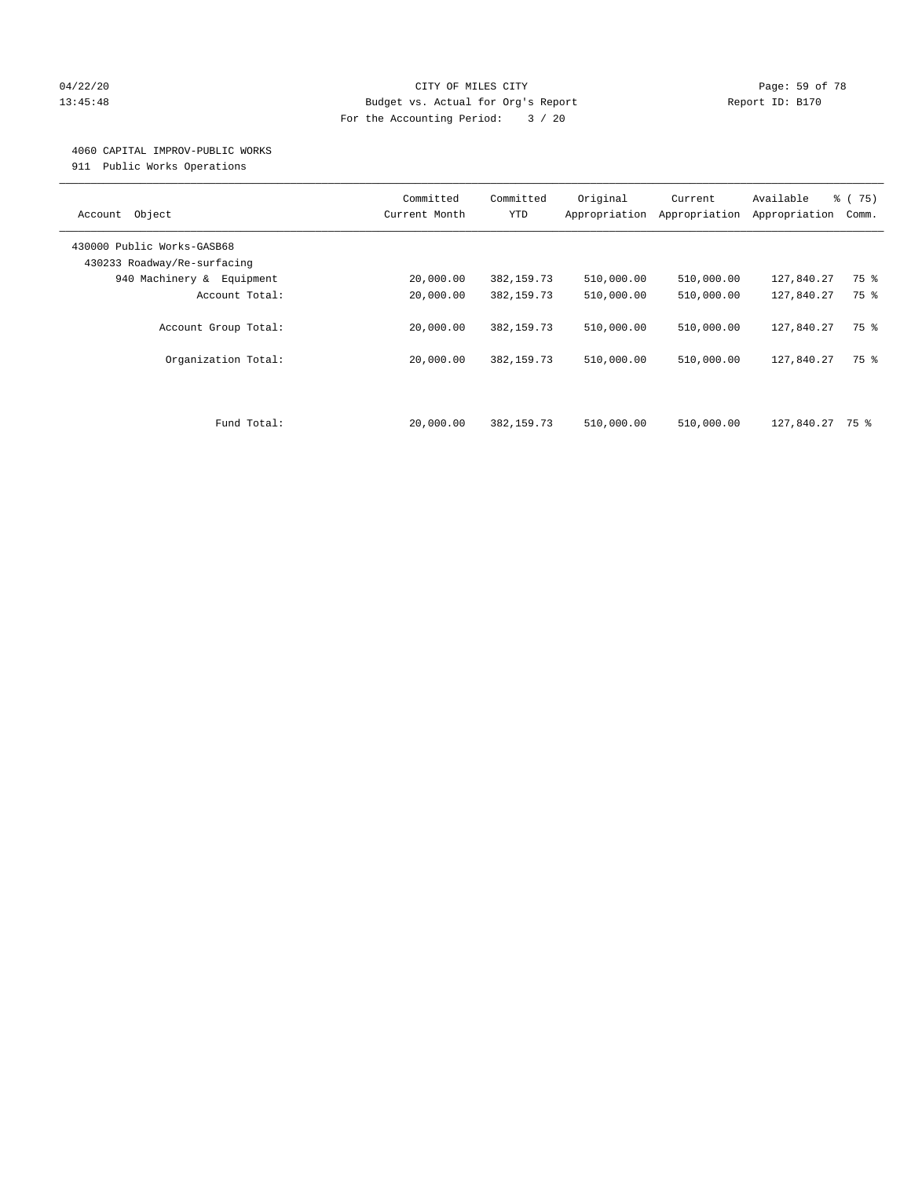# 04/22/20 **CITY OF MILES CITY CONSUMING THE PAGE: 59 of 78** 13:45:48 Budget vs. Actual for Org's Report Report ID: B170 For the Accounting Period: 3 / 20

#### 4060 CAPITAL IMPROV-PUBLIC WORKS

911 Public Works Operations

| Object<br>Account                                         | Committed<br>Current Month | Committed<br><b>YTD</b> | Original<br>Appropriation | Current<br>Appropriation | Available<br>Appropriation | 8 (75)<br>Comm. |
|-----------------------------------------------------------|----------------------------|-------------------------|---------------------------|--------------------------|----------------------------|-----------------|
| 430000 Public Works-GASB68<br>430233 Roadway/Re-surfacing |                            |                         |                           |                          |                            |                 |
| 940 Machinery & Equipment                                 | 20,000.00                  | 382, 159.73             | 510,000.00                | 510,000.00               | 127,840.27                 | 75 %            |
| Account Total:                                            | 20,000.00                  | 382, 159.73             | 510,000.00                | 510,000.00               | 127,840.27                 | 75 %            |
| Account Group Total:                                      | 20,000.00                  | 382, 159.73             | 510,000.00                | 510,000.00               | 127,840.27                 | 75 %            |
| Organization Total:                                       | 20,000.00                  | 382, 159.73             | 510,000.00                | 510,000.00               | 127,840.27                 | 75 %            |
|                                                           |                            |                         |                           |                          |                            |                 |
| Fund Total:                                               | 20,000.00                  | 382, 159. 73            | 510,000.00                | 510,000.00               | 127,840.27 75 %            |                 |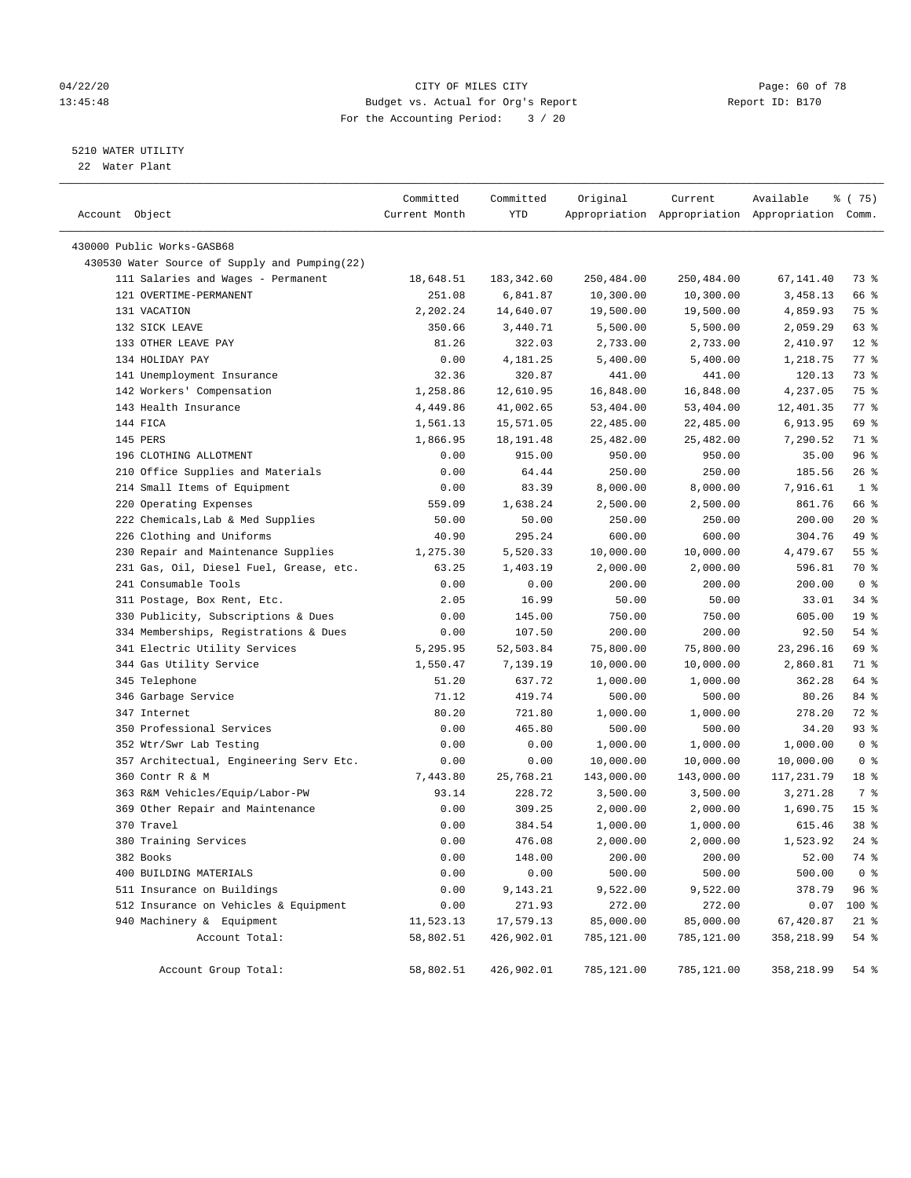# 04/22/20 **CITY OF MILES CITY CONSUMING THE PAGE: 60 OF 78** 13:45:48 Budget vs. Actual for Org's Report Report ID: B170 For the Accounting Period: 3 / 20

————————————————————————————————————————————————————————————————————————————————————————————————————————————————————————————————————

# 5210 WATER UTILITY

22 Water Plant

| Account Object                                | Committed<br>Current Month | Committed<br>YTD | Original   | Current    | Available<br>Appropriation Appropriation Appropriation Comm. | % (75)             |
|-----------------------------------------------|----------------------------|------------------|------------|------------|--------------------------------------------------------------|--------------------|
| 430000 Public Works-GASB68                    |                            |                  |            |            |                                                              |                    |
| 430530 Water Source of Supply and Pumping(22) |                            |                  |            |            |                                                              |                    |
| 111 Salaries and Wages - Permanent            | 18,648.51                  | 183,342.60       | 250,484.00 | 250,484.00 | 67,141.40                                                    | 73 %               |
| 121 OVERTIME-PERMANENT                        | 251.08                     | 6,841.87         | 10,300.00  | 10,300.00  | 3,458.13                                                     | 66 %               |
| 131 VACATION                                  | 2,202.24                   | 14,640.07        | 19,500.00  | 19,500.00  | 4,859.93                                                     | 75 %               |
| 132 SICK LEAVE                                | 350.66                     | 3,440.71         | 5,500.00   | 5,500.00   | 2,059.29                                                     | 63 %               |
| 133 OTHER LEAVE PAY                           | 81.26                      | 322.03           | 2,733.00   | 2,733.00   | 2,410.97                                                     | $12*$              |
| 134 HOLIDAY PAY                               | 0.00                       | 4,181.25         | 5,400.00   | 5,400.00   | 1,218.75                                                     | $77$ $%$           |
| 141 Unemployment Insurance                    | 32.36                      | 320.87           | 441.00     | 441.00     | 120.13                                                       | 73 %               |
| 142 Workers' Compensation                     | 1,258.86                   | 12,610.95        | 16,848.00  | 16,848.00  | 4,237.05                                                     | 75 %               |
| 143 Health Insurance                          | 4,449.86                   | 41,002.65        | 53,404.00  | 53,404.00  | 12,401.35                                                    | $77$ $\frac{6}{9}$ |
| 144 FICA                                      | 1,561.13                   | 15,571.05        | 22,485.00  | 22,485.00  | 6,913.95                                                     | 69 %               |
| 145 PERS                                      | 1,866.95                   | 18, 191.48       | 25,482.00  | 25,482.00  | 7,290.52                                                     | 71 %               |
| 196 CLOTHING ALLOTMENT                        | 0.00                       | 915.00           | 950.00     | 950.00     | 35.00                                                        | 96%                |
| 210 Office Supplies and Materials             | 0.00                       | 64.44            | 250.00     | 250.00     | 185.56                                                       | $26$ %             |
| 214 Small Items of Equipment                  | 0.00                       | 83.39            | 8,000.00   | 8,000.00   | 7,916.61                                                     | 1 <sup>8</sup>     |
| 220 Operating Expenses                        | 559.09                     | 1,638.24         | 2,500.00   | 2,500.00   | 861.76                                                       | 66 %               |
| 222 Chemicals, Lab & Med Supplies             | 50.00                      | 50.00            | 250.00     | 250.00     | 200.00                                                       | $20*$              |
| 226 Clothing and Uniforms                     | 40.90                      | 295.24           | 600.00     | 600.00     | 304.76                                                       | 49 %               |
| 230 Repair and Maintenance Supplies           | 1,275.30                   | 5,520.33         | 10,000.00  | 10,000.00  | 4,479.67                                                     | $55$ $%$           |
| 231 Gas, Oil, Diesel Fuel, Grease, etc.       | 63.25                      | 1,403.19         | 2,000.00   | 2,000.00   | 596.81                                                       | 70 %               |
| 241 Consumable Tools                          | 0.00                       | 0.00             | 200.00     | 200.00     | 200.00                                                       | 0 <sup>8</sup>     |
| 311 Postage, Box Rent, Etc.                   | 2.05                       | 16.99            | 50.00      | 50.00      | 33.01                                                        | $34$ $%$           |
| 330 Publicity, Subscriptions & Dues           | 0.00                       | 145.00           | 750.00     | 750.00     | 605.00                                                       | 19 <sup>°</sup>    |
| 334 Memberships, Registrations & Dues         | 0.00                       | 107.50           | 200.00     | 200.00     | 92.50                                                        | $54$ %             |
| 341 Electric Utility Services                 | 5,295.95                   | 52,503.84        | 75,800.00  | 75,800.00  | 23, 296. 16                                                  | 69 %               |
| 344 Gas Utility Service                       | 1,550.47                   | 7,139.19         | 10,000.00  | 10,000.00  | 2,860.81                                                     | 71 %               |
| 345 Telephone                                 | 51.20                      | 637.72           | 1,000.00   | 1,000.00   | 362.28                                                       | 64 %               |
| 346 Garbage Service                           | 71.12                      | 419.74           | 500.00     | 500.00     | 80.26                                                        | 84 %               |
| 347 Internet                                  | 80.20                      | 721.80           | 1,000.00   | 1,000.00   | 278.20                                                       | 72 %               |
| 350 Professional Services                     | 0.00                       | 465.80           | 500.00     | 500.00     | 34.20                                                        | 93 %               |
| 352 Wtr/Swr Lab Testing                       | 0.00                       | 0.00             | 1,000.00   | 1,000.00   | 1,000.00                                                     | 0 <sup>8</sup>     |
| 357 Architectual, Engineering Serv Etc.       | 0.00                       | 0.00             | 10,000.00  | 10,000.00  | 10,000.00                                                    | 0 <sup>8</sup>     |
| 360 Contr R & M                               | 7,443.80                   | 25,768.21        | 143,000.00 | 143,000.00 | 117,231.79                                                   | 18 %               |
| 363 R&M Vehicles/Equip/Labor-PW               | 93.14                      | 228.72           | 3,500.00   | 3,500.00   | 3,271.28                                                     | 7 %                |
| 369 Other Repair and Maintenance              | 0.00                       | 309.25           | 2,000.00   | 2,000.00   | 1,690.75                                                     | 15 <sup>8</sup>    |
| 370 Travel                                    | 0.00                       | 384.54           | 1,000.00   | 1,000.00   | 615.46                                                       | 38 <sup>8</sup>    |
| 380 Training Services                         | 0.00                       | 476.08           | 2,000.00   | 2,000.00   | 1,523.92                                                     | $24$ %             |
| 382 Books                                     | 0.00                       | 148.00           | 200.00     | 200.00     | 52.00                                                        | 74 %               |
| 400 BUILDING MATERIALS                        | 0.00                       | 0.00             | 500.00     | 500.00     | 500.00                                                       | 0 <sup>8</sup>     |
| 511 Insurance on Buildings                    | 0.00                       | 9,143.21         | 9,522.00   | 9,522.00   | 378.79                                                       | 96%                |
| 512 Insurance on Vehicles & Equipment         | 0.00                       | 271.93           | 272.00     | 272.00     | 0.07                                                         | 100 %              |
| 940 Machinery & Equipment                     | 11,523.13                  | 17,579.13        | 85,000.00  | 85,000.00  | 67,420.87                                                    | $21$ %             |
| Account Total:                                | 58,802.51                  | 426,902.01       | 785,121.00 | 785,121.00 | 358,218.99                                                   | 54 %               |
| Account Group Total:                          | 58,802.51                  | 426,902.01       | 785,121.00 | 785,121.00 | 358,218.99                                                   | $54$ $%$           |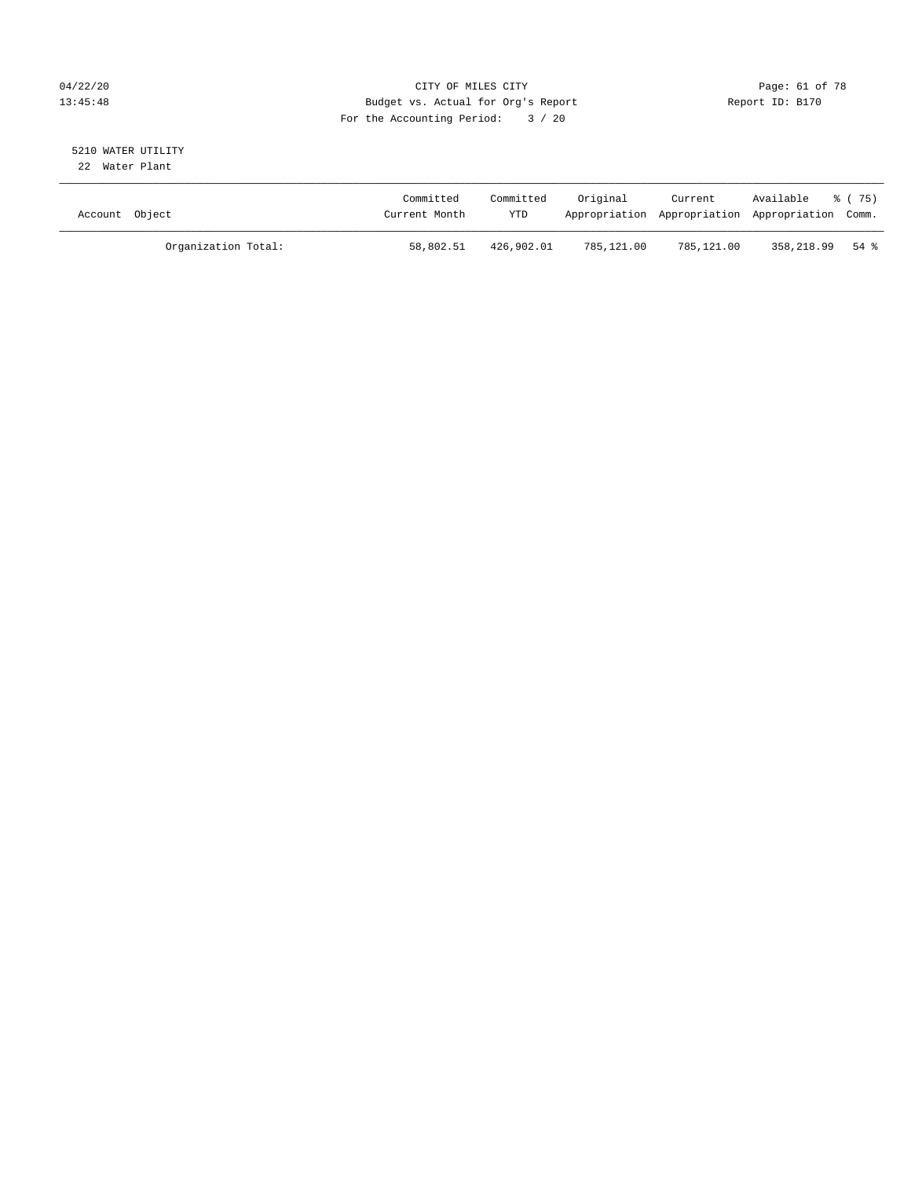# 04/22/20 **CITY OF MILES CITY CONSUMING THE PAGE: 61 of 78** 13:45:48 Budget vs. Actual for Org's Report Report ID: B170 For the Accounting Period: 3 / 20

# 5210 WATER UTILITY

22 Water Plant

| Account Object |                     | Committed<br>Current Month | Committed<br>YTD | Original   | Current<br>Appropriation Appropriation Appropriation Comm. | Available       | 8 (75) |
|----------------|---------------------|----------------------------|------------------|------------|------------------------------------------------------------|-----------------|--------|
|                | Organization Total: | 58,802.51                  | 426,902.01       | 785,121.00 | 785,121.00                                                 | 358,218.99 54 % |        |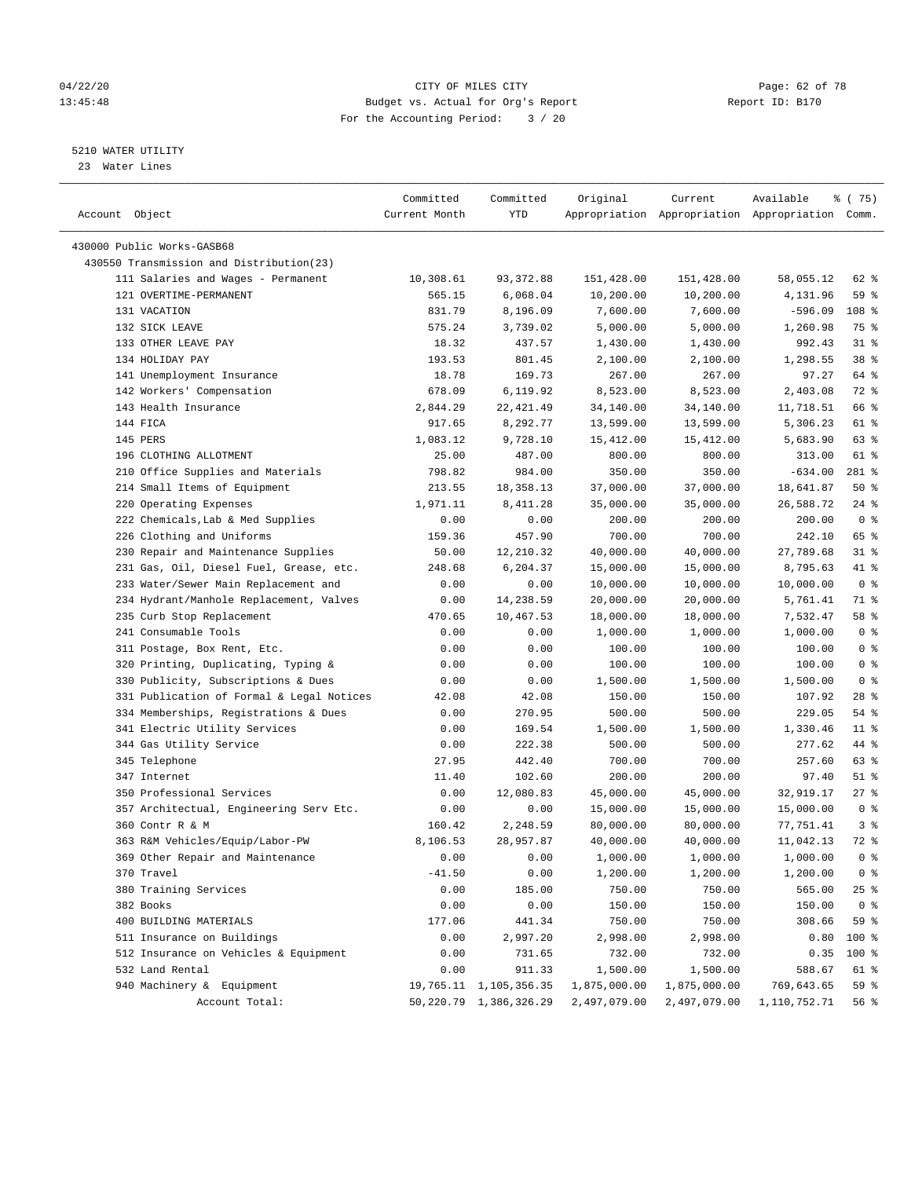# 04/22/20 **CITY OF MILES CITY CONSUMING THE PAGE: 62 of 78** 13:45:48 Budget vs. Actual for Org's Report Report ID: B170 For the Accounting Period: 3 / 20

————————————————————————————————————————————————————————————————————————————————————————————————————————————————————————————————————

# 5210 WATER UTILITY

23 Water Lines

|                                           | Committed     | Committed                   | Original     | Current      | Available                                       | ៖ (75)          |  |
|-------------------------------------------|---------------|-----------------------------|--------------|--------------|-------------------------------------------------|-----------------|--|
| Account Object                            | Current Month | YTD                         |              |              | Appropriation Appropriation Appropriation Comm. |                 |  |
|                                           |               |                             |              |              |                                                 |                 |  |
| 430000 Public Works-GASB68                |               |                             |              |              |                                                 |                 |  |
| 430550 Transmission and Distribution(23)  |               |                             |              |              |                                                 |                 |  |
| 111 Salaries and Wages - Permanent        | 10,308.61     | 93, 372.88                  | 151,428.00   | 151,428.00   | 58,055.12                                       | 62 %            |  |
| 121 OVERTIME-PERMANENT                    | 565.15        | 6,068.04                    | 10,200.00    | 10,200.00    | 4,131.96                                        | 59 %            |  |
| 131 VACATION                              | 831.79        | 8,196.09                    | 7,600.00     | 7,600.00     | $-596.09$                                       | 108 %           |  |
| 132 SICK LEAVE                            | 575.24        | 3,739.02                    | 5,000.00     | 5,000.00     | 1,260.98                                        | 75 %            |  |
| 133 OTHER LEAVE PAY                       | 18.32         | 437.57                      | 1,430.00     | 1,430.00     | 992.43                                          | $31$ %          |  |
| 134 HOLIDAY PAY                           | 193.53        | 801.45                      | 2,100.00     | 2,100.00     | 1,298.55                                        | 38 <sup>8</sup> |  |
| 141 Unemployment Insurance                | 18.78         | 169.73                      | 267.00       | 267.00       | 97.27                                           | 64 %            |  |
| 142 Workers' Compensation                 | 678.09        | 6,119.92                    | 8,523.00     | 8,523.00     | 2,403.08                                        | 72 %            |  |
| 143 Health Insurance                      | 2,844.29      | 22, 421.49                  | 34,140.00    | 34,140.00    | 11,718.51                                       | 66 %            |  |
| 144 FICA                                  | 917.65        | 8,292.77                    | 13,599.00    | 13,599.00    | 5,306.23                                        | 61 %            |  |
| 145 PERS                                  | 1,083.12      | 9,728.10                    | 15,412.00    | 15,412.00    | 5,683.90                                        | 63 %            |  |
| 196 CLOTHING ALLOTMENT                    | 25.00         | 487.00                      | 800.00       | 800.00       | 313.00                                          | 61 %            |  |
| 210 Office Supplies and Materials         | 798.82        | 984.00                      | 350.00       | 350.00       | $-634.00$                                       | 281 %           |  |
| 214 Small Items of Equipment              | 213.55        | 18,358.13                   | 37,000.00    | 37,000.00    | 18,641.87                                       | 50%             |  |
| 220 Operating Expenses                    | 1,971.11      | 8,411.28                    | 35,000.00    | 35,000.00    | 26,588.72                                       | $24$ %          |  |
| 222 Chemicals, Lab & Med Supplies         | 0.00          | 0.00                        | 200.00       | 200.00       | 200.00                                          | 0 <sup>8</sup>  |  |
| 226 Clothing and Uniforms                 | 159.36        | 457.90                      | 700.00       | 700.00       | 242.10                                          | 65 %            |  |
| 230 Repair and Maintenance Supplies       | 50.00         | 12,210.32                   | 40,000.00    | 40,000.00    | 27,789.68                                       | $31$ %          |  |
| 231 Gas, Oil, Diesel Fuel, Grease, etc.   | 248.68        | 6,204.37                    | 15,000.00    | 15,000.00    | 8,795.63                                        | 41 %            |  |
| 233 Water/Sewer Main Replacement and      | 0.00          | 0.00                        | 10,000.00    | 10,000.00    | 10,000.00                                       | 0 <sup>8</sup>  |  |
| 234 Hydrant/Manhole Replacement, Valves   | 0.00          | 14,238.59                   | 20,000.00    | 20,000.00    | 5,761.41                                        | 71 %            |  |
| 235 Curb Stop Replacement                 | 470.65        | 10,467.53                   | 18,000.00    | 18,000.00    | 7,532.47                                        | 58 %            |  |
| 241 Consumable Tools                      | 0.00          | 0.00                        | 1,000.00     | 1,000.00     | 1,000.00                                        | 0 <sup>8</sup>  |  |
| 311 Postage, Box Rent, Etc.               | 0.00          | 0.00                        | 100.00       | 100.00       | 100.00                                          | 0 <sup>8</sup>  |  |
| 320 Printing, Duplicating, Typing &       | 0.00          | 0.00                        | 100.00       | 100.00       | 100.00                                          | 0 <sup>°</sup>  |  |
| 330 Publicity, Subscriptions & Dues       | 0.00          | 0.00                        | 1,500.00     | 1,500.00     | 1,500.00                                        | 0 <sup>8</sup>  |  |
| 331 Publication of Formal & Legal Notices | 42.08         | 42.08                       | 150.00       | 150.00       | 107.92                                          | 28 %            |  |
| 334 Memberships, Registrations & Dues     | 0.00          | 270.95                      | 500.00       | 500.00       | 229.05                                          | $54$ %          |  |
| 341 Electric Utility Services             | 0.00          | 169.54                      | 1,500.00     | 1,500.00     | 1,330.46                                        | $11$ %          |  |
| 344 Gas Utility Service                   | 0.00          | 222.38                      | 500.00       | 500.00       | 277.62                                          | 44 %            |  |
| 345 Telephone                             | 27.95         | 442.40                      | 700.00       | 700.00       | 257.60                                          | 63 %            |  |
| 347 Internet                              | 11.40         | 102.60                      | 200.00       | 200.00       | 97.40                                           | $51$ %          |  |
| 350 Professional Services                 | 0.00          | 12,080.83                   | 45,000.00    | 45,000.00    | 32,919.17                                       | $27$ %          |  |
| 357 Architectual, Engineering Serv Etc.   | 0.00          | 0.00                        | 15,000.00    | 15,000.00    | 15,000.00                                       | 0 <sup>8</sup>  |  |
| 360 Contr R & M                           | 160.42        | 2,248.59                    | 80,000.00    | 80,000.00    | 77,751.41                                       | 3%              |  |
| 363 R&M Vehicles/Equip/Labor-PW           | 8,106.53      | 28,957.87                   | 40,000.00    | 40,000.00    | 11,042.13                                       | 72 %            |  |
| 369 Other Repair and Maintenance          | 0.00          | 0.00                        | 1,000.00     | 1,000.00     | 1,000.00                                        | 0 <sup>8</sup>  |  |
| 370 Travel                                | $-41.50$      | 0.00                        | 1,200.00     | 1,200.00     | 1,200.00                                        | 0 <sup>8</sup>  |  |
| 380 Training Services                     | 0.00          | 185.00                      | 750.00       | 750.00       | 565.00                                          | $25$ %          |  |
| 382 Books                                 |               | 0.00                        |              | 150.00       | 150.00                                          | 0 <sup>8</sup>  |  |
|                                           | 0.00          |                             | 150.00       |              |                                                 |                 |  |
| 400 BUILDING MATERIALS                    | 177.06        | 441.34<br>2,997.20          | 750.00       | 750.00       | 308.66                                          | 59 %            |  |
| 511 Insurance on Buildings                | 0.00          |                             | 2,998.00     | 2,998.00     | 0.80                                            | 100 %           |  |
| 512 Insurance on Vehicles & Equipment     | 0.00          | 731.65                      | 732.00       | 732.00       | 0.35                                            | 100 %           |  |
| 532 Land Rental                           | 0.00          | 911.33                      | 1,500.00     | 1,500.00     | 588.67                                          | 61 %            |  |
| 940 Machinery & Equipment                 |               | 19,765.11 1,105,356.35      | 1,875,000.00 | 1,875,000.00 | 769,643.65                                      | 59 %            |  |
| Account Total:                            |               | 50, 220. 79 1, 386, 326. 29 | 2,497,079.00 | 2,497,079.00 | 1,110,752.71                                    | 56 %            |  |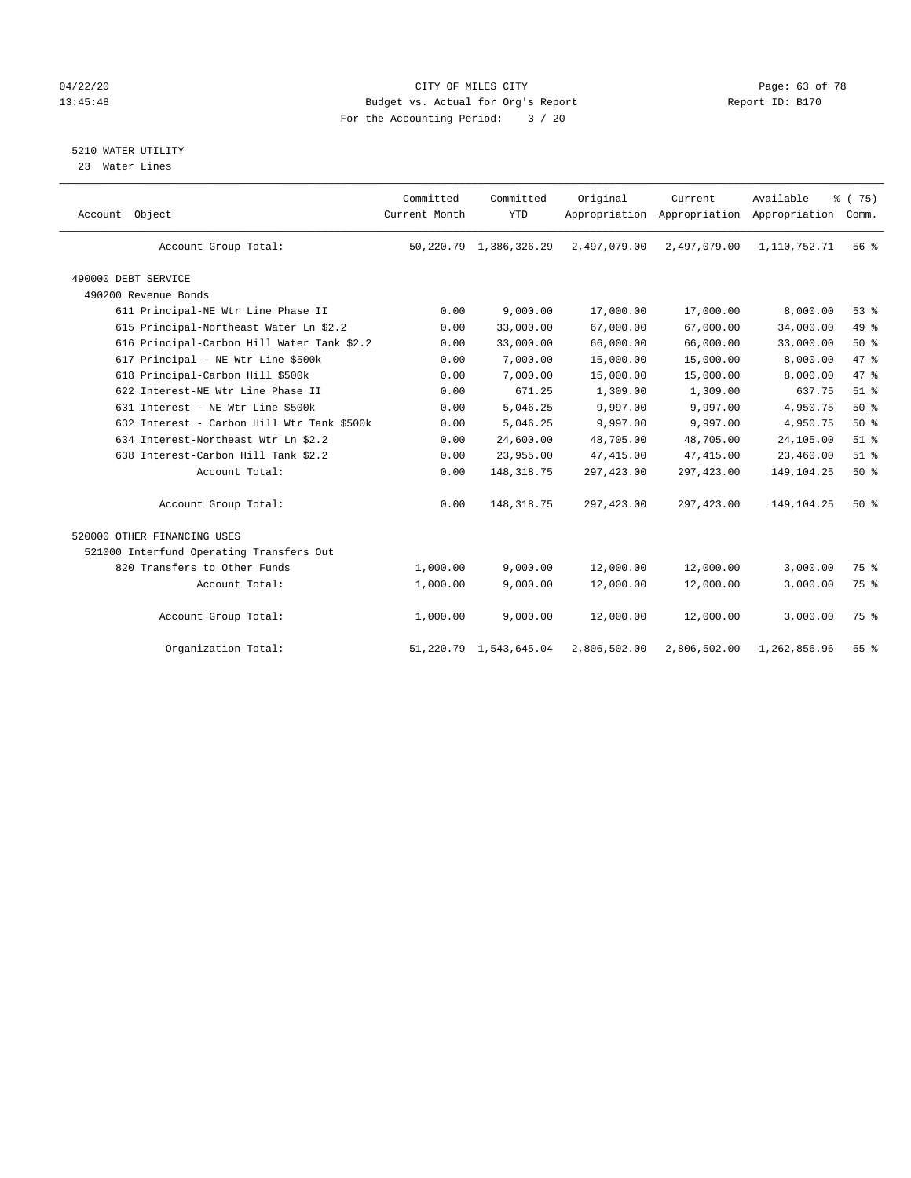# 04/22/20 **CITY OF MILES CITY CONSUMING THE PAGE: 63 of 78** 13:45:48 Budget vs. Actual for Org's Report Changer Report ID: B170 For the Accounting Period: 3 / 20

5210 WATER UTILITY

23 Water Lines

| Account Object                             | Committed<br>Current Month | Committed<br><b>YTD</b>     | Original     | Current      | Available<br>Appropriation Appropriation Appropriation | % (75)<br>Comm. |  |
|--------------------------------------------|----------------------------|-----------------------------|--------------|--------------|--------------------------------------------------------|-----------------|--|
| Account Group Total:                       |                            | 50, 220. 79 1, 386, 326. 29 | 2,497,079.00 | 2,497,079.00 | 1,110,752.71                                           | 56 <sup>8</sup> |  |
| 490000 DEBT SERVICE                        |                            |                             |              |              |                                                        |                 |  |
| 490200 Revenue Bonds                       |                            |                             |              |              |                                                        |                 |  |
| 611 Principal-NE Wtr Line Phase II         | 0.00                       | 9,000.00                    | 17,000.00    | 17,000.00    | 8,000.00                                               | 53%             |  |
| 615 Principal-Northeast Water Ln \$2.2     | 0.00                       | 33,000.00                   | 67,000.00    | 67,000.00    | 34,000.00                                              | 49 %            |  |
| 616 Principal-Carbon Hill Water Tank \$2.2 | 0.00                       | 33,000.00                   | 66,000.00    | 66,000.00    | 33,000.00                                              | $50*$           |  |
| 617 Principal - NE Wtr Line \$500k         | 0.00                       | 7,000.00                    | 15,000.00    | 15,000.00    | 8,000.00                                               | 47 %            |  |
| 618 Principal-Carbon Hill \$500k           | 0.00                       | 7,000.00                    | 15,000.00    | 15,000.00    | 8,000.00                                               | 47 %            |  |
| 622 Interest-NE Wtr Line Phase II          | 0.00                       | 671.25                      | 1,309.00     | 1,309.00     | 637.75                                                 | $51$ $%$        |  |
| 631 Interest - NE Wtr Line \$500k          | 0.00                       | 5,046.25                    | 9,997.00     | 9,997.00     | 4,950.75                                               | 50%             |  |
| 632 Interest - Carbon Hill Wtr Tank \$500k | 0.00                       | 5,046.25                    | 9,997.00     | 9,997.00     | 4,950.75                                               | $50*$           |  |
| 634 Interest-Northeast Wtr Ln \$2.2        | 0.00                       | 24,600.00                   | 48,705.00    | 48,705.00    | 24,105.00                                              | $51$ %          |  |
| 638 Interest-Carbon Hill Tank \$2.2        | 0.00                       | 23,955.00                   | 47, 415.00   | 47,415.00    | 23,460.00                                              | $51$ %          |  |
| Account Total:                             | 0.00                       | 148, 318.75                 | 297,423.00   | 297, 423.00  | 149, 104. 25                                           | 50%             |  |
| Account Group Total:                       | 0.00                       | 148, 318.75                 | 297,423.00   | 297, 423.00  | 149,104.25                                             | 50%             |  |
| 520000 OTHER FINANCING USES                |                            |                             |              |              |                                                        |                 |  |
| 521000 Interfund Operating Transfers Out   |                            |                             |              |              |                                                        |                 |  |
| 820 Transfers to Other Funds               | 1,000.00                   | 9,000.00                    | 12,000.00    | 12,000.00    | 3,000.00                                               | 75 %            |  |
| Account Total:                             | 1,000.00                   | 9,000.00                    | 12,000.00    | 12,000.00    | 3,000.00                                               | 75 %            |  |
| Account Group Total:                       | 1,000.00                   | 9,000.00                    | 12,000.00    | 12,000.00    | 3,000.00                                               | 75 %            |  |
| Organization Total:                        | 51,220.79                  | 1,543,645.04                | 2,806,502.00 | 2,806,502.00 | 1,262,856.96                                           | $55$ $%$        |  |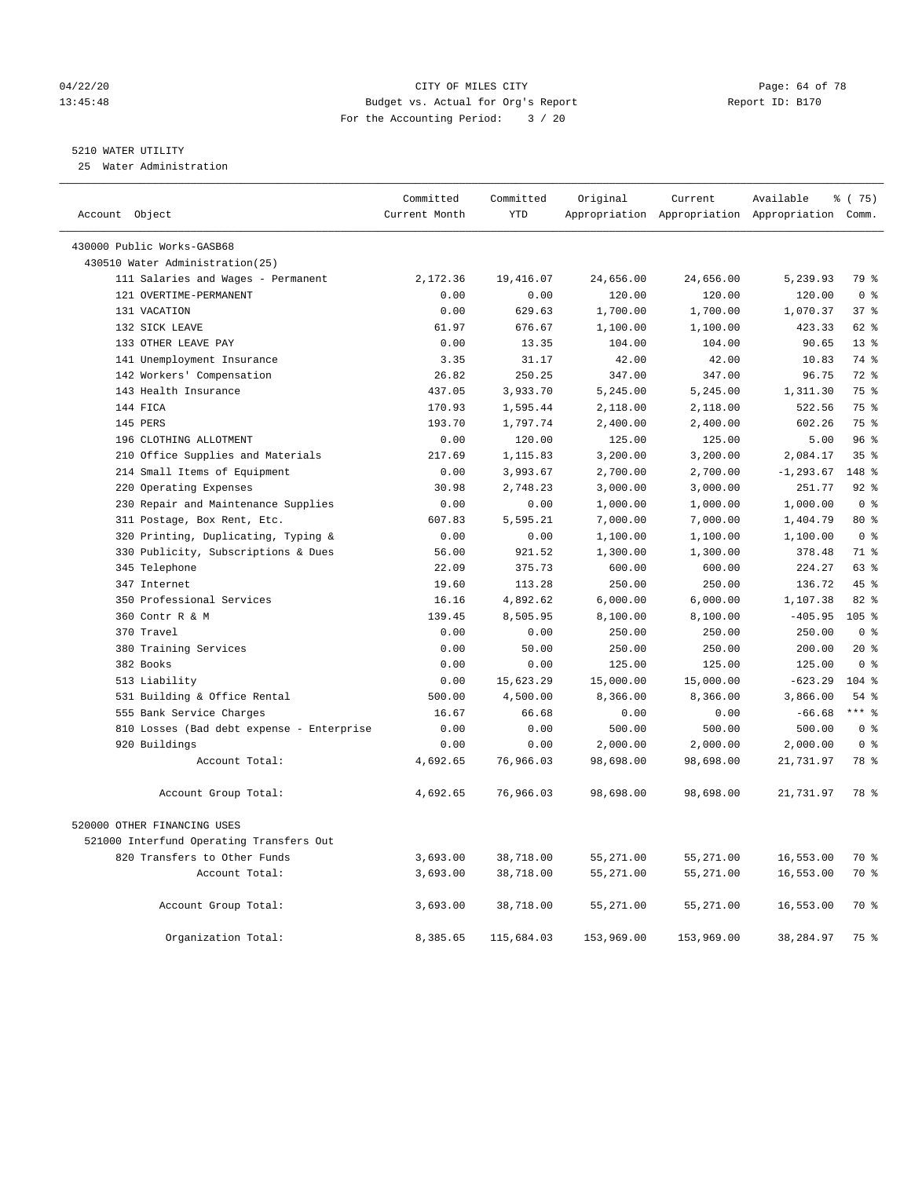# 04/22/20 Page: 64 of 78 CITY OF MILES CITY CHANGES CONTROL PAGE: 64 of 78 13:45:48 Budget vs. Actual for Org's Report Report ID: B170 For the Accounting Period: 3 / 20

# 5210 WATER UTILITY

25 Water Administration

| Account Object                            | Committed<br>Current Month | Committed<br><b>YTD</b> | Original   | Current    | Available<br>Appropriation Appropriation Appropriation Comm. | 8 (75)           |
|-------------------------------------------|----------------------------|-------------------------|------------|------------|--------------------------------------------------------------|------------------|
|                                           |                            |                         |            |            |                                                              |                  |
| 430000 Public Works-GASB68                |                            |                         |            |            |                                                              |                  |
| 430510 Water Administration(25)           |                            |                         |            |            |                                                              |                  |
| 111 Salaries and Wages - Permanent        | 2,172.36                   | 19,416.07               | 24,656.00  | 24,656.00  | 5,239.93                                                     | 79 %             |
| 121 OVERTIME-PERMANENT                    | 0.00                       | 0.00                    | 120.00     | 120.00     | 120.00                                                       | 0 <sup>8</sup>   |
| 131 VACATION                              | 0.00                       | 629.63                  | 1,700.00   | 1,700.00   | 1,070.37                                                     | 37%              |
| 132 SICK LEAVE                            | 61.97                      | 676.67                  | 1,100.00   | 1,100.00   | 423.33                                                       | 62 %             |
| 133 OTHER LEAVE PAY                       | 0.00                       | 13.35                   | 104.00     | 104.00     | 90.65                                                        | 13 <sup>°</sup>  |
| 141 Unemployment Insurance                | 3.35                       | 31.17                   | 42.00      | 42.00      | 10.83                                                        | 74 %             |
| 142 Workers' Compensation                 | 26.82                      | 250.25                  | 347.00     | 347.00     | 96.75                                                        | $72$ $%$         |
| 143 Health Insurance                      | 437.05                     | 3,933.70                | 5,245.00   | 5,245.00   | 1,311.30                                                     | 75 %             |
| 144 FICA                                  | 170.93                     | 1,595.44                | 2,118.00   | 2,118.00   | 522.56                                                       | 75 %             |
| 145 PERS                                  | 193.70                     | 1,797.74                | 2,400.00   | 2,400.00   | 602.26                                                       | 75 %             |
| 196 CLOTHING ALLOTMENT                    | 0.00                       | 120.00                  | 125.00     | 125.00     | 5.00                                                         | 96%              |
| 210 Office Supplies and Materials         | 217.69                     | 1,115.83                | 3,200.00   | 3,200.00   | 2,084.17                                                     | 35 <sup>8</sup>  |
| 214 Small Items of Equipment              | 0.00                       | 3,993.67                | 2,700.00   | 2,700.00   | $-1, 293.67$                                                 | 148 %            |
| 220 Operating Expenses                    | 30.98                      | 2,748.23                | 3,000.00   | 3,000.00   | 251.77                                                       | $92$ $%$         |
| 230 Repair and Maintenance Supplies       | 0.00                       | 0.00                    | 1,000.00   | 1,000.00   | 1,000.00                                                     | 0 <sup>8</sup>   |
| 311 Postage, Box Rent, Etc.               | 607.83                     | 5,595.21                | 7,000.00   | 7,000.00   | 1,404.79                                                     | 80 %             |
| 320 Printing, Duplicating, Typing &       | 0.00                       | 0.00                    | 1,100.00   | 1,100.00   | 1,100.00                                                     | 0 <sup>8</sup>   |
| 330 Publicity, Subscriptions & Dues       | 56.00                      | 921.52                  | 1,300.00   | 1,300.00   | 378.48                                                       | 71 %             |
| 345 Telephone                             | 22.09                      | 375.73                  | 600.00     | 600.00     | 224.27                                                       | 63 %             |
| 347 Internet                              | 19.60                      | 113.28                  | 250.00     | 250.00     | 136.72                                                       | 45%              |
| 350 Professional Services                 | 16.16                      | 4,892.62                | 6,000.00   | 6,000.00   | 1,107.38                                                     | 82%              |
| 360 Contr R & M                           | 139.45                     | 8,505.95                | 8,100.00   | 8,100.00   | $-405.95$                                                    | 105 <sup>8</sup> |
| 370 Travel                                | 0.00                       | 0.00                    | 250.00     | 250.00     | 250.00                                                       | 0 <sup>8</sup>   |
| 380 Training Services                     | 0.00                       | 50.00                   | 250.00     | 250.00     | 200.00                                                       | $20*$            |
| 382 Books                                 | 0.00                       | 0.00                    | 125.00     | 125.00     | 125.00                                                       | 0 <sup>8</sup>   |
| 513 Liability                             | 0.00                       | 15,623.29               | 15,000.00  | 15,000.00  | $-623.29$                                                    | $104$ %          |
| 531 Building & Office Rental              | 500.00                     | 4,500.00                | 8,366.00   | 8,366.00   | 3,866.00                                                     | 54 %             |
| 555 Bank Service Charges                  | 16.67                      | 66.68                   | 0.00       | 0.00       | $-66.68$                                                     | $***$ $%$        |
| 810 Losses (Bad debt expense - Enterprise | 0.00                       | 0.00                    | 500.00     | 500.00     | 500.00                                                       | 0 <sup>8</sup>   |
| 920 Buildings                             | 0.00                       | 0.00                    | 2,000.00   | 2,000.00   | 2,000.00                                                     | $0 \approx$      |
| Account Total:                            | 4,692.65                   | 76,966.03               | 98,698.00  | 98,698.00  | 21,731.97                                                    | 78 %             |
|                                           |                            |                         |            |            |                                                              |                  |
| Account Group Total:                      | 4,692.65                   | 76,966.03               | 98,698.00  | 98,698.00  | 21,731.97                                                    | 78 %             |
| 520000 OTHER FINANCING USES               |                            |                         |            |            |                                                              |                  |
| 521000 Interfund Operating Transfers Out  |                            |                         |            |            |                                                              |                  |
| 820 Transfers to Other Funds              | 3,693.00                   | 38,718.00               | 55,271.00  | 55,271.00  | 16,553.00                                                    | 70 %             |
| Account Total:                            | 3,693.00                   | 38,718.00               | 55,271.00  | 55,271.00  | 16,553.00                                                    | 70 %             |
| Account Group Total:                      | 3,693.00                   | 38,718.00               | 55,271.00  | 55,271.00  | 16,553.00                                                    | 70 %             |
| Organization Total:                       | 8,385.65                   | 115,684.03              | 153,969.00 | 153,969.00 | 38,284.97                                                    | 75 %             |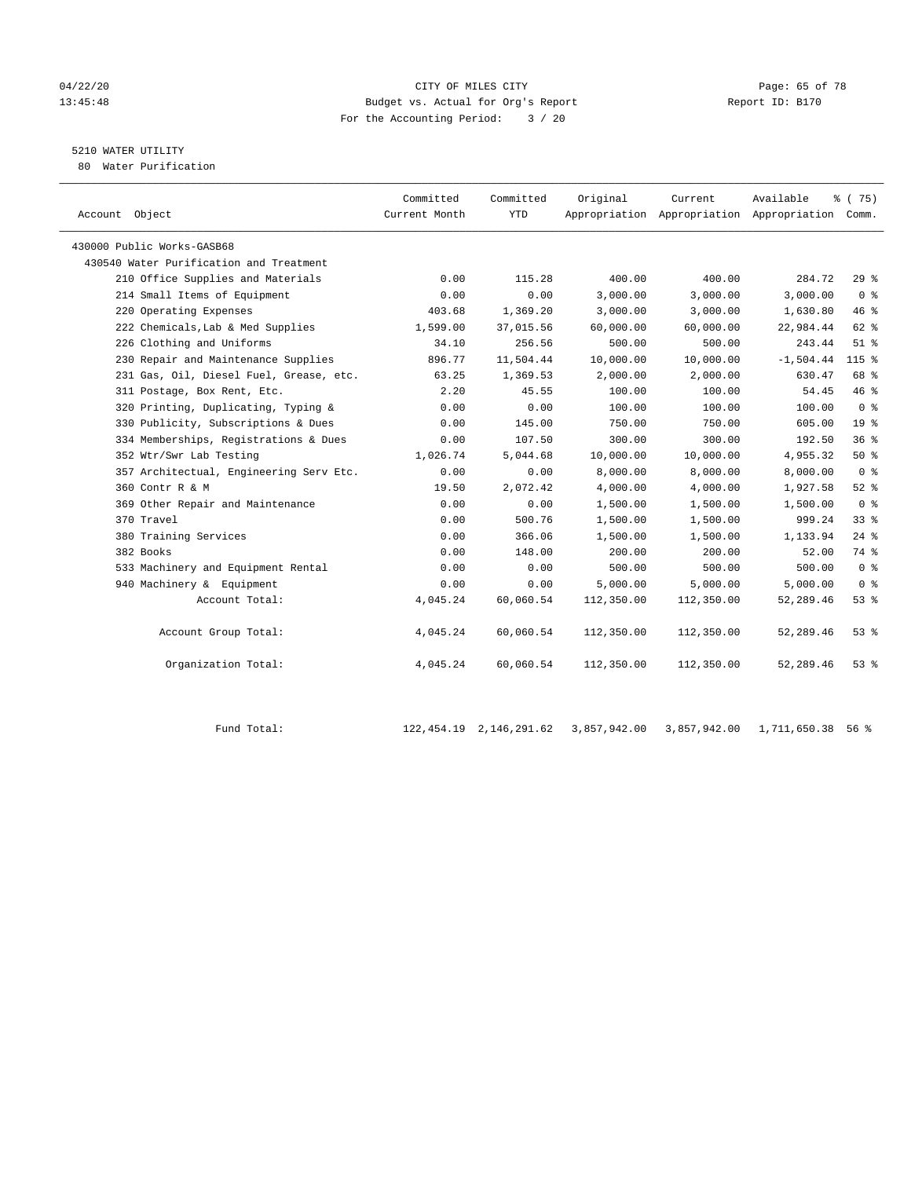#### 04/22/20 Page: 65 of 78 13:45:48 Budget vs. Actual for Org's Report Report ID: B170 For the Accounting Period: 3 / 20

# 5210 WATER UTILITY

80 Water Purification

| Account Object                          | Committed<br>Current Month | Committed<br><b>YTD</b> | Original   | Current<br>Appropriation Appropriation Appropriation Comm. | Available   | 8 (75)          |
|-----------------------------------------|----------------------------|-------------------------|------------|------------------------------------------------------------|-------------|-----------------|
| 430000 Public Works-GASB68              |                            |                         |            |                                                            |             |                 |
| 430540 Water Purification and Treatment |                            |                         |            |                                                            |             |                 |
| 210 Office Supplies and Materials       | 0.00                       | 115.28                  | 400.00     | 400.00                                                     | 284.72      | 29%             |
| 214 Small Items of Equipment            | 0.00                       | 0.00                    | 3,000.00   | 3,000.00                                                   | 3,000.00    | 0 <sup>8</sup>  |
| 220 Operating Expenses                  | 403.68                     | 1,369.20                | 3,000.00   | 3,000.00                                                   | 1,630.80    | 46%             |
| 222 Chemicals, Lab & Med Supplies       | 1,599.00                   | 37,015.56               | 60,000.00  | 60,000.00                                                  | 22,984.44   | 62 %            |
| 226 Clothing and Uniforms               | 34.10                      | 256.56                  | 500.00     | 500.00                                                     | 243.44      | $51$ $%$        |
| 230 Repair and Maintenance Supplies     | 896.77                     | 11,504.44               | 10,000.00  | 10,000.00                                                  | $-1,504.44$ | $115$ %         |
| 231 Gas, Oil, Diesel Fuel, Grease, etc. | 63.25                      | 1,369.53                | 2,000.00   | 2,000.00                                                   | 630.47      | 68 %            |
| 311 Postage, Box Rent, Etc.             | 2.20                       | 45.55                   | 100.00     | 100.00                                                     | 54.45       | 46%             |
| 320 Printing, Duplicating, Typing &     | 0.00                       | 0.00                    | 100.00     | 100.00                                                     | 100.00      | 0 <sup>8</sup>  |
| 330 Publicity, Subscriptions & Dues     | 0.00                       | 145.00                  | 750.00     | 750.00                                                     | 605.00      | 19 <sup>°</sup> |
| 334 Memberships, Registrations & Dues   | 0.00                       | 107.50                  | 300.00     | 300.00                                                     | 192.50      | 36 <sup>8</sup> |
| 352 Wtr/Swr Lab Testing                 | 1,026.74                   | 5,044.68                | 10,000.00  | 10,000.00                                                  | 4,955.32    | 50%             |
| 357 Architectual, Engineering Serv Etc. | 0.00                       | 0.00                    | 8,000.00   | 8,000.00                                                   | 8,000.00    | 0 <sup>8</sup>  |
| 360 Contr R & M                         | 19.50                      | 2.072.42                | 4,000.00   | 4,000.00                                                   | 1,927.58    | $52$ $%$        |
| 369 Other Repair and Maintenance        | 0.00                       | 0.00                    | 1,500.00   | 1,500.00                                                   | 1,500.00    | 0 <sup>8</sup>  |
| 370 Travel                              | 0.00                       | 500.76                  | 1,500.00   | 1,500.00                                                   | 999.24      | 33 <sup>8</sup> |
| 380 Training Services                   | 0.00                       | 366.06                  | 1,500.00   | 1,500.00                                                   | 1,133.94    | $24$ $%$        |
| 382 Books                               | 0.00                       | 148.00                  | 200.00     | 200.00                                                     | 52.00       | 74 %            |
| 533 Machinery and Equipment Rental      | 0.00                       | 0.00                    | 500.00     | 500.00                                                     | 500.00      | 0 <sup>8</sup>  |
| 940 Machinery & Equipment               | 0.00                       | 0.00                    | 5,000.00   | 5,000.00                                                   | 5,000.00    | 0 <sup>8</sup>  |
| Account Total:                          | 4,045.24                   | 60,060.54               | 112,350.00 | 112,350.00                                                 | 52,289.46   | 53%             |
| Account Group Total:                    | 4,045.24                   | 60,060.54               | 112,350.00 | 112,350.00                                                 | 52,289.46   | 53%             |
| Organization Total:                     | 4,045.24                   | 60,060.54               | 112,350.00 | 112,350.00                                                 | 52,289.46   | 53%             |

Fund Total: 122,454.19 2,146,291.62 3,857,942.00 3,857,942.00 1,711,650.38 56 %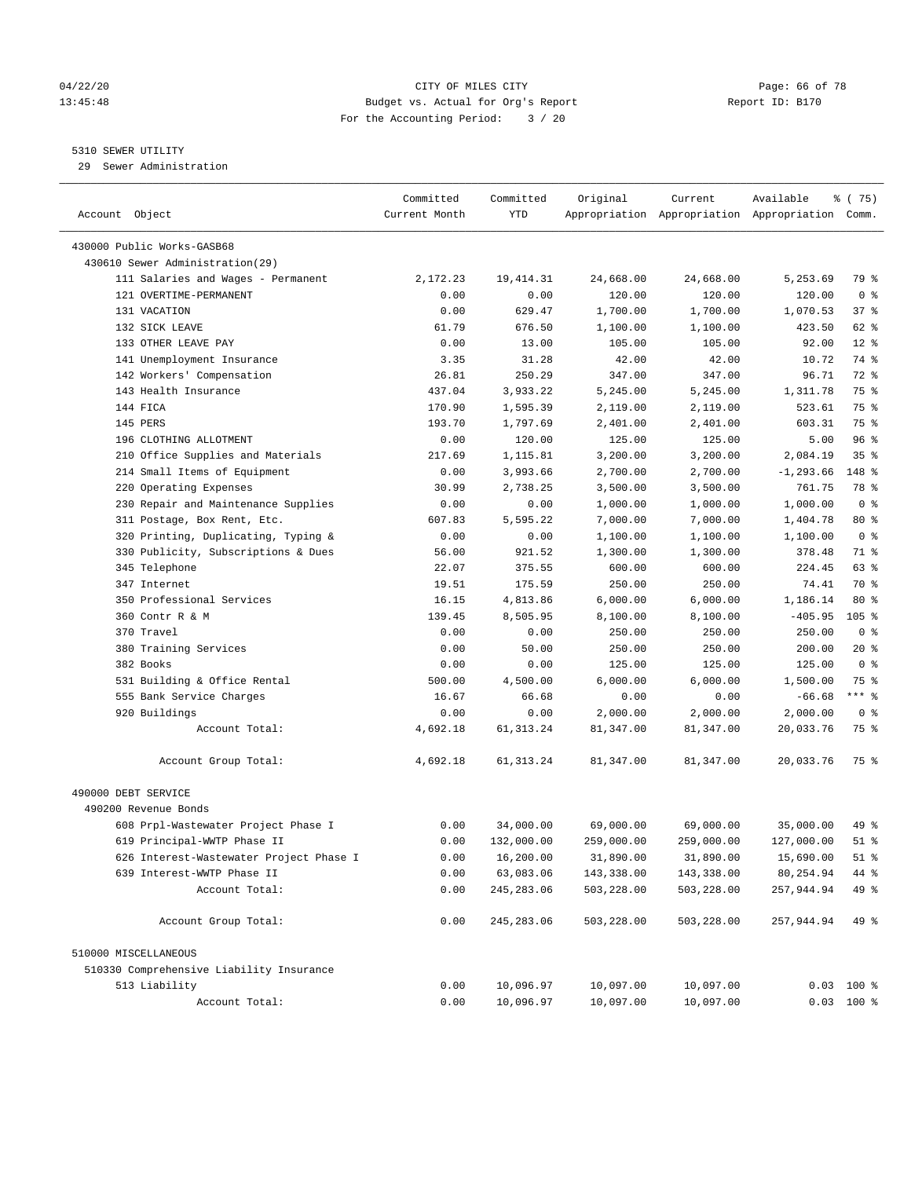#### 04/22/20 Page: 66 of 78 13:45:48 Budget vs. Actual for Org's Report Report ID: B170 For the Accounting Period: 3 / 20

————————————————————————————————————————————————————————————————————————————————————————————————————————————————————————————————————

## 5310 SEWER UTILITY

29 Sewer Administration

|                                          | Committed     | Committed   | Original   | Current                                         | Available    | ៖ (75)          |
|------------------------------------------|---------------|-------------|------------|-------------------------------------------------|--------------|-----------------|
| Account Object                           | Current Month | YTD         |            | Appropriation Appropriation Appropriation Comm. |              |                 |
| 430000 Public Works-GASB68               |               |             |            |                                                 |              |                 |
| 430610 Sewer Administration(29)          |               |             |            |                                                 |              |                 |
| 111 Salaries and Wages - Permanent       | 2,172.23      | 19, 414.31  | 24,668.00  | 24,668.00                                       | 5,253.69     | 79 %            |
| 121 OVERTIME-PERMANENT                   | 0.00          | 0.00        | 120.00     | 120.00                                          | 120.00       | 0 <sup>8</sup>  |
| 131 VACATION                             | 0.00          | 629.47      | 1,700.00   | 1,700.00                                        | 1,070.53     | 37 %            |
| 132 SICK LEAVE                           | 61.79         | 676.50      | 1,100.00   | 1,100.00                                        | 423.50       | 62 %            |
| 133 OTHER LEAVE PAY                      | 0.00          | 13.00       | 105.00     | 105.00                                          | 92.00        | $12*$           |
| 141 Unemployment Insurance               | 3.35          | 31.28       | 42.00      | 42.00                                           | 10.72        | 74 %            |
| 142 Workers' Compensation                | 26.81         | 250.29      | 347.00     | 347.00                                          | 96.71        | 72 %            |
| 143 Health Insurance                     | 437.04        | 3,933.22    | 5,245.00   | 5,245.00                                        | 1,311.78     | 75 %            |
| 144 FICA                                 | 170.90        | 1,595.39    | 2,119.00   | 2,119.00                                        | 523.61       | 75 %            |
| 145 PERS                                 | 193.70        | 1,797.69    | 2,401.00   | 2,401.00                                        | 603.31       | 75 %            |
| 196 CLOTHING ALLOTMENT                   | 0.00          | 120.00      | 125.00     | 125.00                                          | 5.00         | 96%             |
| 210 Office Supplies and Materials        | 217.69        | 1,115.81    | 3,200.00   | 3,200.00                                        | 2,084.19     | 35 <sup>8</sup> |
| 214 Small Items of Equipment             | 0.00          | 3,993.66    | 2,700.00   | 2,700.00                                        | $-1, 293.66$ | 148 %           |
| 220 Operating Expenses                   | 30.99         | 2,738.25    | 3,500.00   | 3,500.00                                        | 761.75       | 78 %            |
| 230 Repair and Maintenance Supplies      | 0.00          | 0.00        | 1,000.00   | 1,000.00                                        | 1,000.00     | 0 <sup>8</sup>  |
| 311 Postage, Box Rent, Etc.              | 607.83        | 5,595.22    | 7,000.00   | 7,000.00                                        | 1,404.78     | 80 %            |
| 320 Printing, Duplicating, Typing &      | 0.00          | 0.00        | 1,100.00   | 1,100.00                                        | 1,100.00     | 0 <sup>8</sup>  |
| 330 Publicity, Subscriptions & Dues      | 56.00         | 921.52      | 1,300.00   | 1,300.00                                        | 378.48       | 71 %            |
| 345 Telephone                            | 22.07         | 375.55      | 600.00     | 600.00                                          | 224.45       | 63 %            |
| 347 Internet                             | 19.51         | 175.59      | 250.00     | 250.00                                          | 74.41        | 70 %            |
| 350 Professional Services                | 16.15         | 4,813.86    | 6,000.00   | 6,000.00                                        | 1,186.14     | $80*$           |
| 360 Contr R & M                          | 139.45        | 8,505.95    | 8,100.00   | 8,100.00                                        | $-405.95$    | $105$ %         |
| 370 Travel                               | 0.00          | 0.00        | 250.00     | 250.00                                          | 250.00       | 0 <sup>8</sup>  |
| 380 Training Services                    | 0.00          | 50.00       | 250.00     | 250.00                                          | 200.00       | $20*$           |
| 382 Books                                | 0.00          | 0.00        | 125.00     | 125.00                                          | 125.00       | 0 <sup>8</sup>  |
| 531 Building & Office Rental             | 500.00        | 4,500.00    | 6,000.00   | 6,000.00                                        | 1,500.00     | 75 %            |
| 555 Bank Service Charges                 | 16.67         | 66.68       | 0.00       | 0.00                                            | $-66.68$     | $***$ $-$       |
| 920 Buildings                            | 0.00          | 0.00        | 2,000.00   | 2,000.00                                        | 2,000.00     | 0 <sup>8</sup>  |
| Account Total:                           | 4,692.18      | 61, 313.24  | 81,347.00  | 81,347.00                                       | 20,033.76    | 75 %            |
|                                          |               |             |            |                                                 |              |                 |
| Account Group Total:                     | 4,692.18      | 61, 313. 24 | 81,347.00  | 81,347.00                                       | 20,033.76    | 75 %            |
| 490000 DEBT SERVICE                      |               |             |            |                                                 |              |                 |
| 490200 Revenue Bonds                     |               |             |            |                                                 |              |                 |
| 608 Prpl-Wastewater Project Phase I      | 0.00          | 34,000.00   | 69,000.00  | 69,000.00                                       | 35,000.00    | 49 %            |
| 619 Principal-WWTP Phase II              | 0.00          | 132,000.00  | 259,000.00 | 259,000.00                                      | 127,000.00   | 51 %            |
| 626 Interest-Wastewater Project Phase I  | 0.00          | 16,200.00   | 31,890.00  | 31,890.00                                       | 15,690.00    | 51 %            |
| 639 Interest-WWTP Phase II               | 0.00          | 63,083.06   | 143,338.00 | 143,338.00                                      | 80, 254.94   | 44 %            |
| Account Total:                           | 0.00          | 245, 283.06 | 503,228.00 | 503,228.00                                      | 257,944.94   | 49 %            |
| Account Group Total:                     | 0.00          | 245, 283.06 | 503,228.00 | 503,228.00                                      | 257,944.94   | 49 %            |
| 510000 MISCELLANEOUS                     |               |             |            |                                                 |              |                 |
| 510330 Comprehensive Liability Insurance |               |             |            |                                                 |              |                 |
| 513 Liability                            | 0.00          | 10,096.97   | 10,097.00  | 10,097.00                                       |              | $0.03$ 100 %    |
| Account Total:                           | 0.00          | 10,096.97   | 10,097.00  | 10,097.00                                       |              | $0.03$ 100 %    |
|                                          |               |             |            |                                                 |              |                 |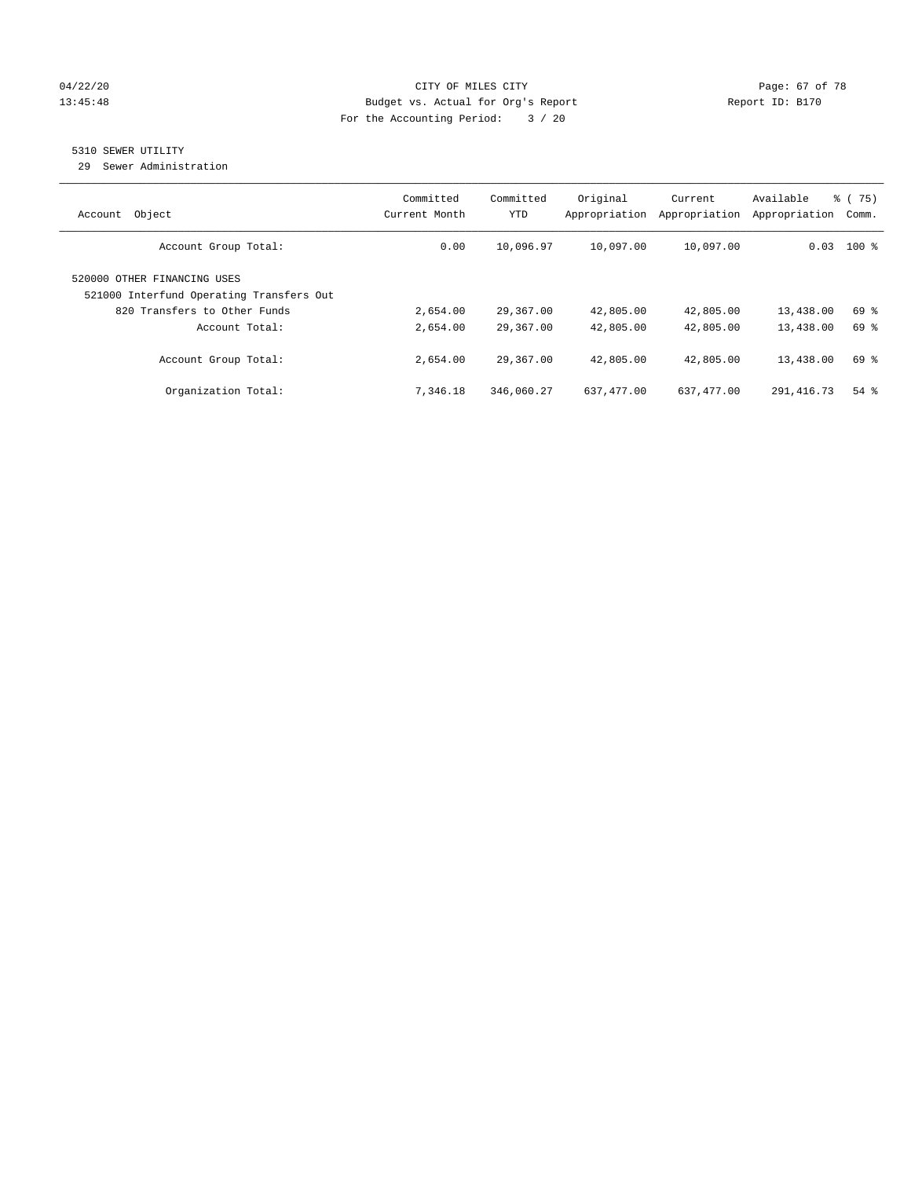### 04/22/20 Page: 67 of 78 13:45:48 Budget vs. Actual for Org's Report Changer Report ID: B170 For the Accounting Period: 3 / 20

# 5310 SEWER UTILITY

29 Sewer Administration

| Object<br>Account                                                                                       | Committed<br>Current Month | Committed<br><b>YTD</b> | Original<br>Appropriation | Current<br>Appropriation | Available<br>Appropriation | 8 (75)<br>Comm. |
|---------------------------------------------------------------------------------------------------------|----------------------------|-------------------------|---------------------------|--------------------------|----------------------------|-----------------|
| Account Group Total:                                                                                    | 0.00                       | 10,096.97               | 10,097.00                 | 10,097.00                |                            | $0.03$ 100 %    |
| 520000 OTHER FINANCING USES<br>521000 Interfund Operating Transfers Out<br>820 Transfers to Other Funds | 2,654.00                   | 29,367.00               | 42,805.00                 | 42,805.00                | 13,438.00                  | 69 %            |
| Account Total:                                                                                          | 2,654.00                   | 29,367.00               | 42,805.00                 | 42,805.00                | 13,438.00                  | 69 %            |
| Account Group Total:                                                                                    | 2,654.00                   | 29,367.00               | 42,805.00                 | 42,805.00                | 13,438.00                  | 69 %            |
| Organization Total:                                                                                     | 7,346.18                   | 346,060.27              | 637,477.00                | 637,477.00               | 291,416.73                 | $54$ $%$        |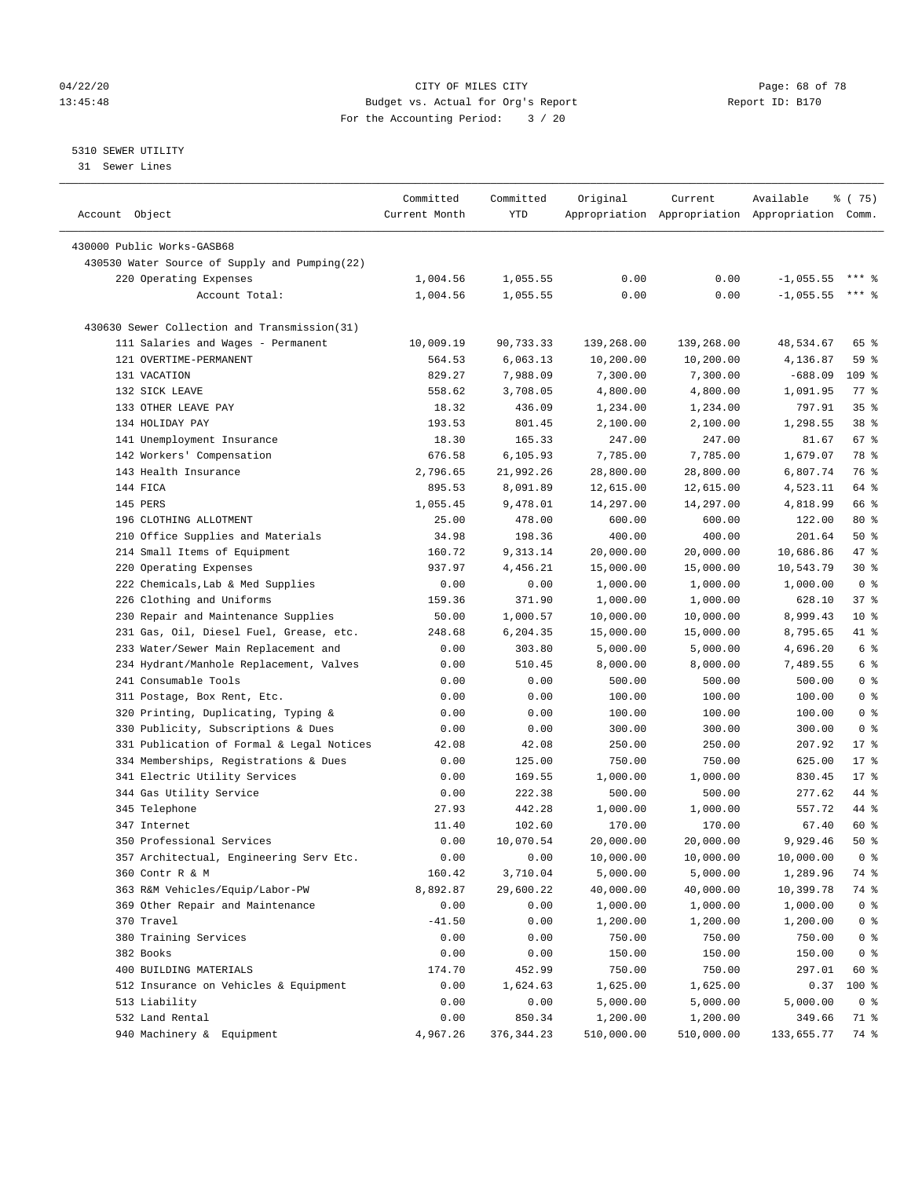#### 04/22/20 **CITY OF MILES CITY CONSUMING THE PAGE OF 78** Page: 68 of 78 13:45:48 Budget vs. Actual for Org's Report Report ID: B170 For the Accounting Period: 3 / 20

————————————————————————————————————————————————————————————————————————————————————————————————————————————————————————————————————

# 5310 SEWER UTILITY

31 Sewer Lines

|                                               | Committed             | Committed  | Original   | Current    | Available                                       | ៖ (75)             |
|-----------------------------------------------|-----------------------|------------|------------|------------|-------------------------------------------------|--------------------|
| Account Object                                | Current Month         | <b>YTD</b> |            |            | Appropriation Appropriation Appropriation Comm. |                    |
| 430000 Public Works-GASB68                    |                       |            |            |            |                                                 |                    |
| 430530 Water Source of Supply and Pumping(22) |                       |            |            |            |                                                 |                    |
| 220 Operating Expenses                        | 1,004.56              | 1,055.55   | 0.00       | 0.00       | $-1,055.55$                                     | $***$ 8            |
| Account Total:                                | 1,004.56              | 1,055.55   | 0.00       | 0.00       | $-1,055.55$                                     | *** 응              |
|                                               |                       |            |            |            |                                                 |                    |
| 430630 Sewer Collection and Transmission(31)  |                       |            |            |            |                                                 |                    |
| 111 Salaries and Wages - Permanent            | 10,009.19             | 90,733.33  | 139,268.00 | 139,268.00 | 48,534.67                                       | 65 %               |
| 121 OVERTIME-PERMANENT                        | 564.53                | 6,063.13   | 10,200.00  | 10,200.00  | 4,136.87                                        | 59 %               |
| 131 VACATION                                  | 829.27                | 7,988.09   | 7,300.00   | 7,300.00   | $-688.09$                                       | 109 %              |
| 132 SICK LEAVE                                | 558.62                | 3,708.05   | 4,800.00   | 4,800.00   | 1,091.95                                        | $77$ $\frac{6}{9}$ |
| 133 OTHER LEAVE PAY                           | 18.32                 | 436.09     | 1,234.00   | 1,234.00   | 797.91                                          | 35%                |
| 134 HOLIDAY PAY                               | 193.53                | 801.45     | 2,100.00   | 2,100.00   | 1,298.55                                        | 38 <sup>8</sup>    |
| 141 Unemployment Insurance                    | 18.30                 | 165.33     | 247.00     | 247.00     | 81.67                                           | 67%                |
| 142 Workers' Compensation                     | 676.58                | 6,105.93   | 7,785.00   | 7,785.00   | 1,679.07                                        | 78 %               |
| 143 Health Insurance                          | 2,796.65              | 21,992.26  | 28,800.00  | 28,800.00  | 6,807.74                                        | 76 %               |
| 144 FICA                                      | 895.53                | 8,091.89   | 12,615.00  | 12,615.00  | 4,523.11                                        | 64 %               |
| 145 PERS                                      | 1,055.45              | 9,478.01   | 14,297.00  | 14,297.00  | 4,818.99                                        | 66 %               |
| 196 CLOTHING ALLOTMENT                        | 25.00                 | 478.00     | 600.00     | 600.00     | 122.00                                          | $80*$              |
| 210 Office Supplies and Materials             | 34.98                 | 198.36     | 400.00     | 400.00     | 201.64                                          | 50%                |
| 214 Small Items of Equipment                  | 160.72                | 9,313.14   | 20,000.00  | 20,000.00  | 10,686.86                                       | 47 %               |
| 220 Operating Expenses                        | 937.97                | 4,456.21   | 15,000.00  | 15,000.00  | 10,543.79                                       | $30*$              |
| 222 Chemicals, Lab & Med Supplies             | 0.00                  | 0.00       | 1,000.00   | 1,000.00   | 1,000.00                                        | 0 <sup>8</sup>     |
| 226 Clothing and Uniforms                     | 159.36                | 371.90     | 1,000.00   | 1,000.00   | 628.10                                          | 37%                |
| 230 Repair and Maintenance Supplies           | 50.00                 | 1,000.57   | 10,000.00  | 10,000.00  | 8,999.43                                        | $10*$              |
| 231 Gas, Oil, Diesel Fuel, Grease, etc.       | 248.68                | 6,204.35   | 15,000.00  | 15,000.00  | 8,795.65                                        | 41 %               |
| 233 Water/Sewer Main Replacement and          | 0.00                  | 303.80     | 5,000.00   | 5,000.00   | 4,696.20                                        | 6 %                |
| 234 Hydrant/Manhole Replacement, Valves       | 0.00                  | 510.45     | 8,000.00   | 8,000.00   | 7,489.55                                        | 6 <sup>8</sup>     |
| 241 Consumable Tools                          | 0.00                  | 0.00       | 500.00     | 500.00     | 500.00                                          | 0 <sup>°</sup>     |
| 311 Postage, Box Rent, Etc.                   | 0.00                  | 0.00       | 100.00     | 100.00     | 100.00                                          | 0 <sup>8</sup>     |
| 320 Printing, Duplicating, Typing &           | 0.00                  | 0.00       | 100.00     | 100.00     | 100.00                                          | 0 <sup>8</sup>     |
| 330 Publicity, Subscriptions & Dues           | 0.00                  | 0.00       | 300.00     | 300.00     | 300.00                                          | 0 <sup>8</sup>     |
| 331 Publication of Formal & Legal Notices     | 42.08                 | 42.08      | 250.00     | 250.00     | 207.92                                          | $17*$              |
| 334 Memberships, Registrations & Dues         | 0.00                  | 125.00     | 750.00     | 750.00     | 625.00                                          | $17*$              |
| 341 Electric Utility Services                 | 0.00                  | 169.55     | 1,000.00   | 1,000.00   | 830.45                                          | $17*$              |
| 344 Gas Utility Service                       | 0.00                  | 222.38     | 500.00     | 500.00     | 277.62                                          | 44 %               |
| 345 Telephone                                 | 27.93                 | 442.28     | 1,000.00   | 1,000.00   | 557.72                                          | 44 %               |
| 347 Internet                                  | 11.40                 | 102.60     | 170.00     | 170.00     | 67.40                                           | 60 %               |
| 350 Professional Services                     | 0.00                  | 10,070.54  | 20,000.00  | 20,000.00  | 9,929.46                                        | 50%                |
| 357 Architectual, Engineering Serv Etc.       | ${\bf 0}$ . ${\bf 0}$ | 0.00       | 10,000.00  | 10,000.00  | 10,000.00                                       | 0 <sup>8</sup>     |
| 360 Contr R & M                               | 160.42                | 3,710.04   | 5,000.00   | 5,000.00   | 1,289.96                                        | 74 %               |
| 363 R&M Vehicles/Equip/Labor-PW               | 8,892.87              | 29,600.22  | 40,000.00  | 40,000.00  | 10,399.78                                       | 74 %               |
| 369 Other Repair and Maintenance              | 0.00                  | 0.00       | 1,000.00   | 1,000.00   | 1,000.00                                        | 0 <sup>8</sup>     |
| 370 Travel                                    | $-41.50$              | 0.00       | 1,200.00   | 1,200.00   | 1,200.00                                        | 0 <sup>8</sup>     |
| 380 Training Services                         | 0.00                  | 0.00       | 750.00     | 750.00     | 750.00                                          | 0 <sup>8</sup>     |
| 382 Books                                     | 0.00                  | 0.00       | 150.00     | 150.00     | 150.00                                          | 0 <sup>8</sup>     |
| 400 BUILDING MATERIALS                        | 174.70                | 452.99     | 750.00     | 750.00     | 297.01                                          | 60 %               |
| 512 Insurance on Vehicles & Equipment         | 0.00                  | 1,624.63   | 1,625.00   | 1,625.00   | 0.37                                            | 100 %              |
| 513 Liability                                 | 0.00                  | 0.00       | 5,000.00   | 5,000.00   | 5,000.00                                        | 0 <sup>8</sup>     |
| 532 Land Rental                               | 0.00                  | 850.34     | 1,200.00   | 1,200.00   | 349.66                                          | 71 %               |
| 940 Machinery & Equipment                     | 4,967.26              | 376,344.23 | 510,000.00 | 510,000.00 | 133,655.77                                      | 74 %               |
|                                               |                       |            |            |            |                                                 |                    |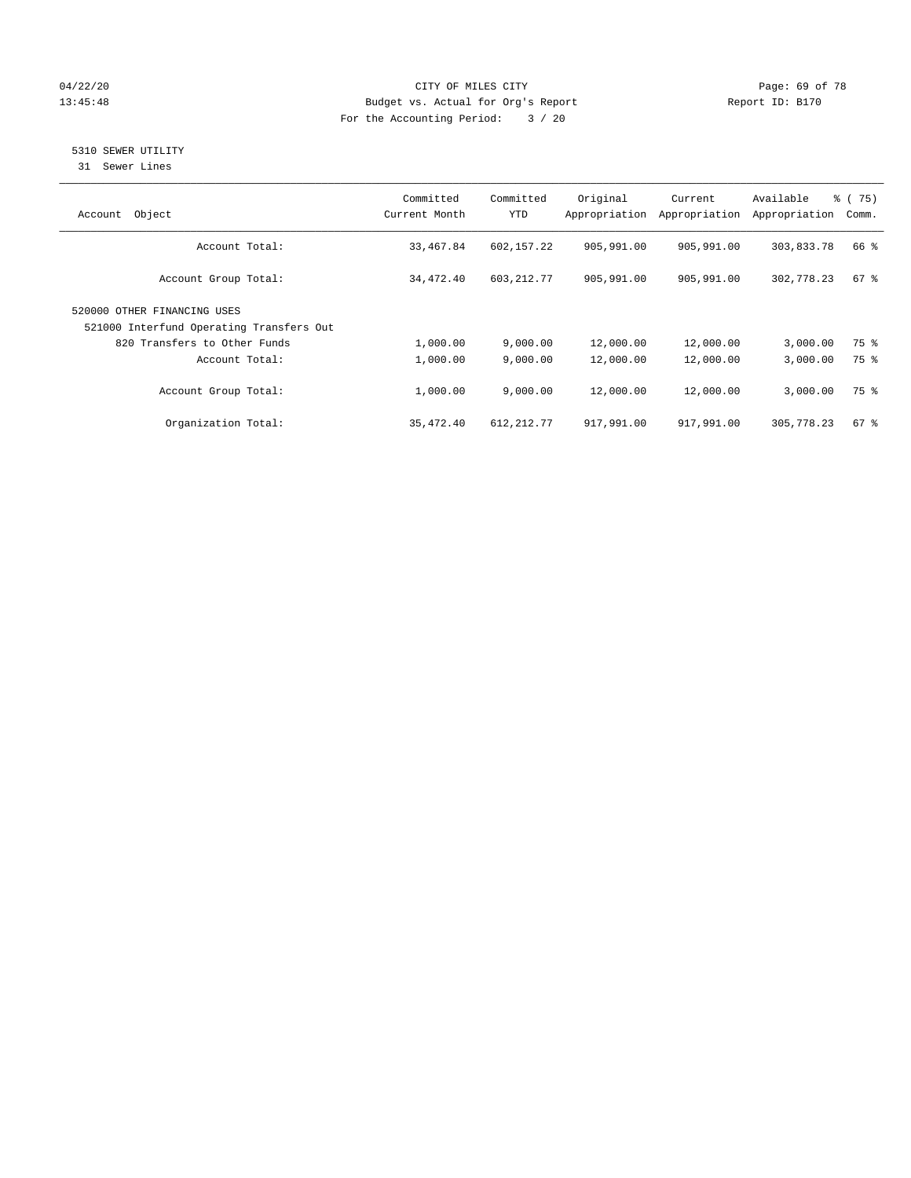# 04/22/20 **CITY OF MILES CITY CONSUMING THE PAGE: 69 of 78** 13:45:48 Budget vs. Actual for Org's Report Report ID: B170 For the Accounting Period: 3 / 20

# 5310 SEWER UTILITY

31 Sewer Lines

| Object<br>Account                                                       | Committed<br>Current Month | Committed<br><b>YTD</b> | Original<br>Appropriation | Current<br>Appropriation | Available<br>Appropriation | % (75)<br>Comm.    |
|-------------------------------------------------------------------------|----------------------------|-------------------------|---------------------------|--------------------------|----------------------------|--------------------|
| Account Total:                                                          | 33,467.84                  | 602,157.22              | 905,991.00                | 905,991.00               | 303,833.78                 | 66 %               |
| Account Group Total:                                                    | 34,472.40                  | 603, 212.77             | 905,991.00                | 905,991.00               | 302,778.23                 | $67$ $\frac{6}{3}$ |
| 520000 OTHER FINANCING USES<br>521000 Interfund Operating Transfers Out |                            |                         |                           |                          |                            |                    |
| 820 Transfers to Other Funds                                            | 1,000.00                   | 9,000.00                | 12,000.00                 | 12,000.00                | 3,000.00                   | 75 %               |
| Account Total:                                                          | 1,000.00                   | 9,000.00                | 12,000.00                 | 12,000.00                | 3,000.00                   | 75 %               |
| Account Group Total:                                                    | 1,000.00                   | 9.000.00                | 12,000.00                 | 12,000.00                | 3,000.00                   | 75 %               |
| Organization Total:                                                     | 35,472.40                  | 612, 212.77             | 917,991.00                | 917,991.00               | 305,778.23                 | $67$ $%$           |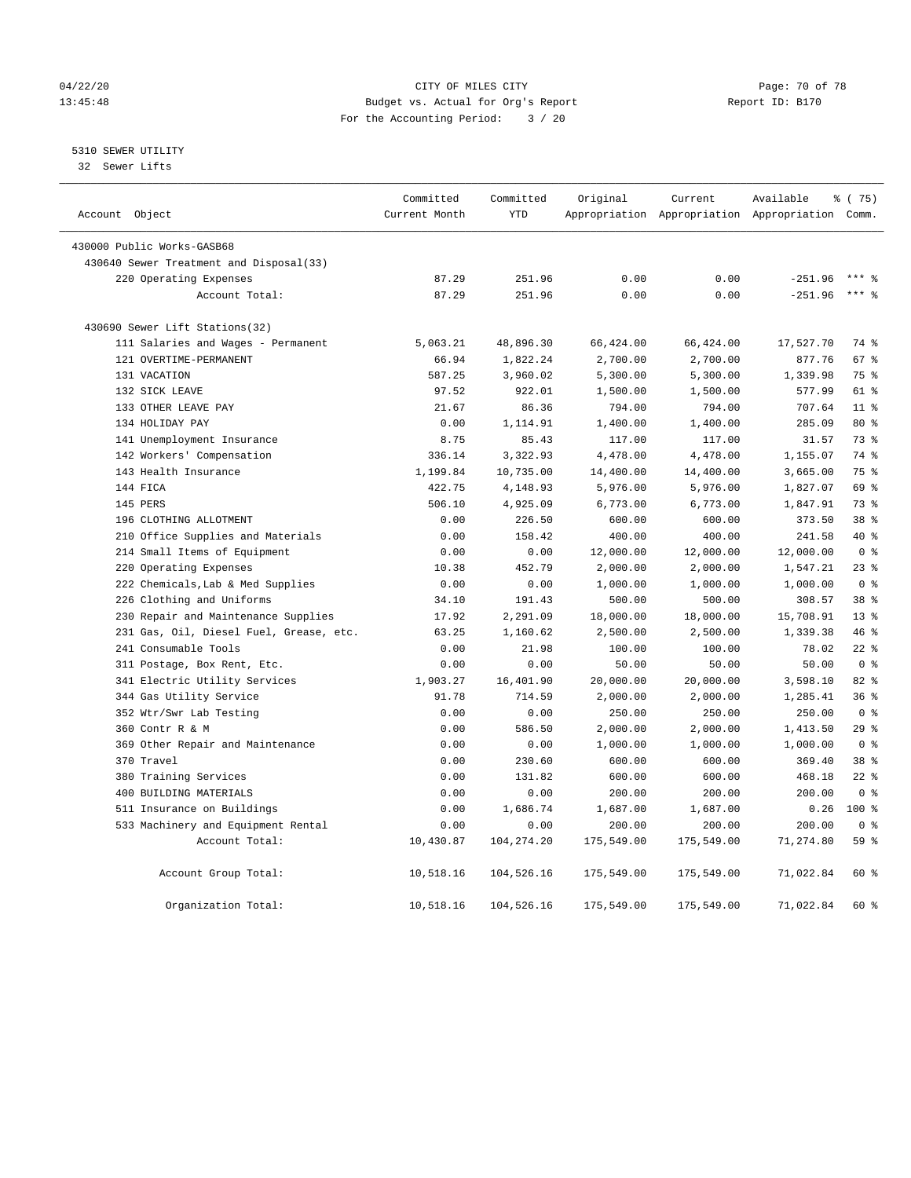# 04/22/20 Page: 70 of 78 13:45:48 Budget vs. Actual for Org's Report Report ID: B170 For the Accounting Period: 3 / 20

# 5310 SEWER UTILITY

32 Sewer Lifts

| Account Object |                                         | Committed<br>Current Month | Committed<br><b>YTD</b> | Original   | Current    | Available<br>Appropriation Appropriation Appropriation Comm. | % (75)          |
|----------------|-----------------------------------------|----------------------------|-------------------------|------------|------------|--------------------------------------------------------------|-----------------|
|                |                                         |                            |                         |            |            |                                                              |                 |
|                | 430000 Public Works-GASB68              |                            |                         |            |            |                                                              |                 |
|                | 430640 Sewer Treatment and Disposal(33) |                            |                         |            |            |                                                              |                 |
|                | 220 Operating Expenses                  | 87.29                      | 251.96                  | 0.00       | 0.00       | $-251.96$                                                    |                 |
|                | Account Total:                          | 87.29                      | 251.96                  | 0.00       | 0.00       | $-251.96$                                                    | $***$ $%$       |
|                | 430690 Sewer Lift Stations(32)          |                            |                         |            |            |                                                              |                 |
|                | 111 Salaries and Wages - Permanent      | 5,063.21                   | 48,896.30               | 66,424.00  | 66,424.00  | 17,527.70                                                    | 74 %            |
|                | 121 OVERTIME-PERMANENT                  | 66.94                      | 1,822.24                | 2,700.00   | 2,700.00   | 877.76                                                       | 67 <sup>8</sup> |
|                | 131 VACATION                            | 587.25                     | 3,960.02                | 5,300.00   | 5,300.00   | 1,339.98                                                     | 75 %            |
|                | 132 SICK LEAVE                          | 97.52                      | 922.01                  | 1,500.00   | 1,500.00   | 577.99                                                       | 61 %            |
|                | 133 OTHER LEAVE PAY                     | 21.67                      | 86.36                   | 794.00     | 794.00     | 707.64                                                       | 11 <sup>8</sup> |
|                | 134 HOLIDAY PAY                         | 0.00                       | 1,114.91                | 1,400.00   | 1,400.00   | 285.09                                                       | 80 %            |
|                | 141 Unemployment Insurance              | 8.75                       | 85.43                   | 117.00     | 117.00     | 31.57                                                        | 73 %            |
|                | 142 Workers' Compensation               | 336.14                     | 3,322.93                | 4,478.00   | 4,478.00   | 1,155.07                                                     | 74 %            |
|                | 143 Health Insurance                    | 1,199.84                   | 10,735.00               | 14,400.00  | 14,400.00  | 3,665.00                                                     | 75 %            |
|                | 144 FICA                                | 422.75                     | 4,148.93                | 5,976.00   | 5,976.00   | 1,827.07                                                     | 69 %            |
|                | 145 PERS                                | 506.10                     | 4,925.09                | 6,773.00   | 6,773.00   | 1,847.91                                                     | 73 %            |
|                | 196 CLOTHING ALLOTMENT                  | 0.00                       | 226.50                  | 600.00     | 600.00     | 373.50                                                       | 38 <sup>8</sup> |
|                | 210 Office Supplies and Materials       | 0.00                       | 158.42                  | 400.00     | 400.00     | 241.58                                                       | 40 %            |
|                | 214 Small Items of Equipment            | 0.00                       | 0.00                    | 12,000.00  | 12,000.00  | 12,000.00                                                    | 0 <sup>8</sup>  |
|                | 220 Operating Expenses                  | 10.38                      | 452.79                  | 2,000.00   | 2,000.00   | 1,547.21                                                     | $23$ $%$        |
|                | 222 Chemicals, Lab & Med Supplies       | 0.00                       | 0.00                    | 1,000.00   | 1,000.00   | 1,000.00                                                     | 0 <sup>8</sup>  |
|                | 226 Clothing and Uniforms               | 34.10                      | 191.43                  | 500.00     | 500.00     | 308.57                                                       | 38 %            |
|                | 230 Repair and Maintenance Supplies     | 17.92                      | 2,291.09                | 18,000.00  | 18,000.00  | 15,708.91                                                    | 13 <sup>8</sup> |
|                | 231 Gas, Oil, Diesel Fuel, Grease, etc. | 63.25                      | 1,160.62                | 2,500.00   | 2,500.00   | 1,339.38                                                     | 46%             |
|                | 241 Consumable Tools                    | 0.00                       | 21.98                   | 100.00     | 100.00     | 78.02                                                        | $22*$           |
|                | 311 Postage, Box Rent, Etc.             | 0.00                       | 0.00                    | 50.00      | 50.00      | 50.00                                                        | 0 <sup>8</sup>  |
|                | 341 Electric Utility Services           | 1,903.27                   | 16,401.90               | 20,000.00  | 20,000.00  | 3,598.10                                                     | 82 %            |
|                | 344 Gas Utility Service                 | 91.78                      | 714.59                  | 2,000.00   | 2,000.00   | 1,285.41                                                     | 36%             |
|                | 352 Wtr/Swr Lab Testing                 | 0.00                       | 0.00                    | 250.00     | 250.00     | 250.00                                                       | 0 <sup>8</sup>  |
|                | 360 Contr R & M                         | 0.00                       | 586.50                  | 2,000.00   | 2,000.00   | 1,413.50                                                     | 29%             |
|                | 369 Other Repair and Maintenance        | 0.00                       | 0.00                    | 1,000.00   | 1,000.00   | 1,000.00                                                     | 0 <sup>8</sup>  |
|                | 370 Travel                              | 0.00                       | 230.60                  | 600.00     | 600.00     | 369.40                                                       | 38 <sup>8</sup> |
|                | 380 Training Services                   | 0.00                       | 131.82                  | 600.00     | 600.00     | 468.18                                                       | $22$ %          |
|                | 400 BUILDING MATERIALS                  | 0.00                       | 0.00                    | 200.00     | 200.00     | 200.00                                                       | 0 <sup>8</sup>  |
|                | 511 Insurance on Buildings              | 0.00                       | 1,686.74                | 1,687.00   | 1,687.00   | 0.26                                                         | $100*$          |
|                | 533 Machinery and Equipment Rental      | 0.00                       | 0.00                    | 200.00     | 200.00     | 200.00                                                       | 0 <sup>8</sup>  |
|                | Account Total:                          | 10,430.87                  | 104, 274. 20            | 175,549.00 | 175,549.00 | 71,274.80                                                    | 59 %            |
|                | Account Group Total:                    | 10,518.16                  | 104,526.16              | 175,549.00 | 175,549.00 | 71,022.84                                                    | 60 %            |
|                | Organization Total:                     | 10,518.16                  | 104,526.16              | 175,549.00 | 175,549.00 | 71,022.84                                                    | 60 %            |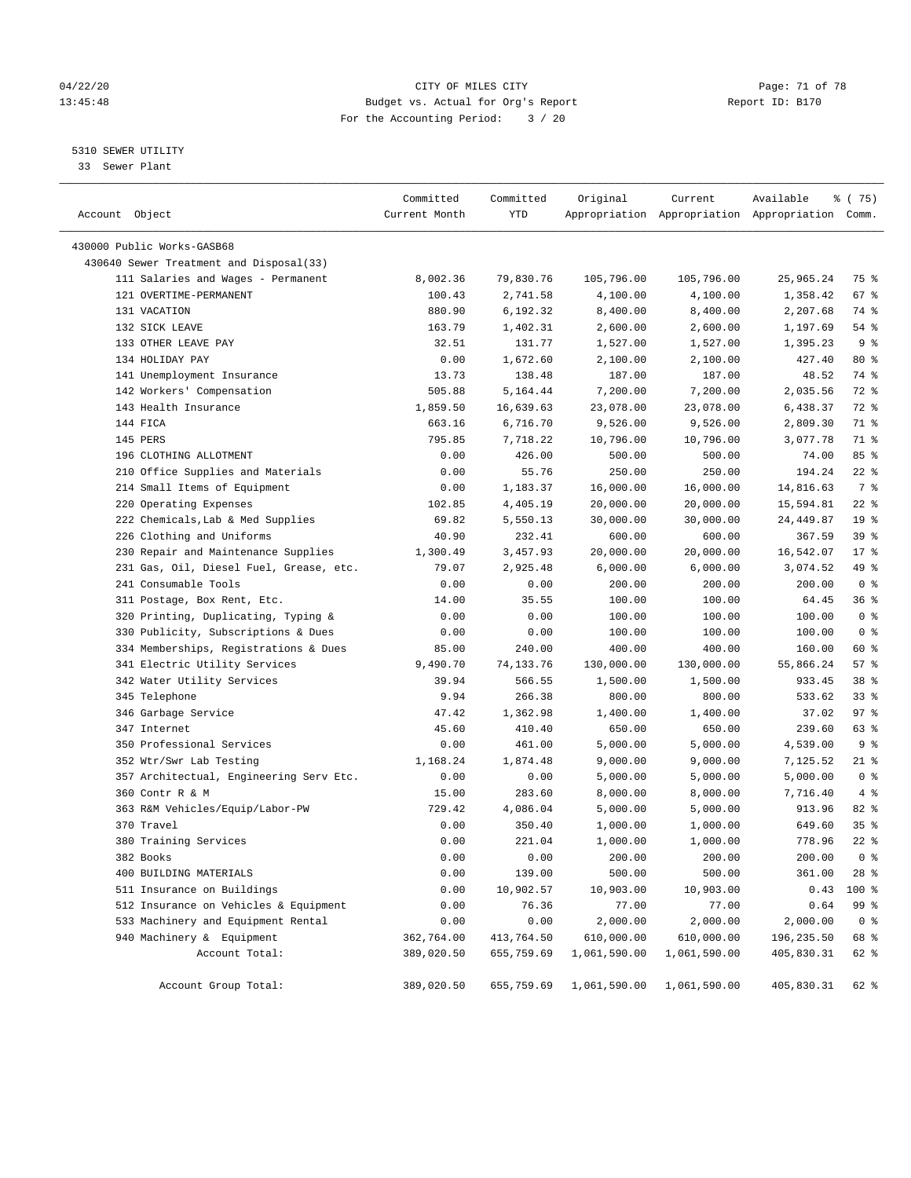# 04/22/20 **CITY OF MILES CITY CONSUMING THE PAGE:** 71 of 78 13:45:48 Budget vs. Actual for Org's Report Report ID: B170 For the Accounting Period: 3 / 20

————————————————————————————————————————————————————————————————————————————————————————————————————————————————————————————————————

# 5310 SEWER UTILITY

33 Sewer Plant

|                                             | Committed          | Committed          | Original             | Current      | Available                                       | 8 (75)          |
|---------------------------------------------|--------------------|--------------------|----------------------|--------------|-------------------------------------------------|-----------------|
| Account Object                              | Current Month      | YTD                |                      |              | Appropriation Appropriation Appropriation Comm. |                 |
| 430000 Public Works-GASB68                  |                    |                    |                      |              |                                                 |                 |
| 430640 Sewer Treatment and Disposal(33)     |                    |                    |                      |              |                                                 |                 |
| 111 Salaries and Wages - Permanent          | 8,002.36           | 79,830.76          | 105,796.00           | 105,796.00   | 25,965.24                                       | 75 %            |
| 121 OVERTIME-PERMANENT                      | 100.43             | 2,741.58           | 4,100.00             | 4,100.00     | 1,358.42                                        | 67 %            |
| 131 VACATION                                | 880.90             | 6,192.32           | 8,400.00             | 8,400.00     | 2,207.68                                        | 74 %            |
| 132 SICK LEAVE                              | 163.79             | 1,402.31           | 2,600.00             | 2,600.00     | 1,197.69                                        | $54$ %          |
| 133 OTHER LEAVE PAY                         | 32.51              | 131.77             | 1,527.00             | 1,527.00     | 1,395.23                                        | 9 %             |
| 134 HOLIDAY PAY                             | 0.00               | 1,672.60           | 2,100.00             | 2,100.00     | 427.40                                          | $80*$           |
| 141 Unemployment Insurance                  | 13.73              | 138.48             | 187.00               | 187.00       | 48.52                                           | 74 %            |
| 142 Workers' Compensation                   | 505.88             | 5,164.44           | 7,200.00             | 7,200.00     | 2,035.56                                        | 72 %            |
| 143 Health Insurance                        | 1,859.50           | 16,639.63          | 23,078.00            | 23,078.00    | 6,438.37                                        | 72 %            |
| 144 FICA                                    | 663.16             | 6,716.70           | 9,526.00             | 9,526.00     | 2,809.30                                        | 71 %            |
| 145 PERS                                    | 795.85             | 7,718.22           | 10,796.00            | 10,796.00    | 3,077.78                                        | 71 %            |
| 196 CLOTHING ALLOTMENT                      | 0.00               | 426.00             | 500.00               | 500.00       | 74.00                                           | 85%             |
| 210 Office Supplies and Materials           | 0.00               | 55.76              | 250.00               | 250.00       | 194.24                                          | $22$ %          |
| 214 Small Items of Equipment                | 0.00               | 1,183.37           | 16,000.00            | 16,000.00    | 14,816.63                                       | 7 %             |
| 220 Operating Expenses                      | 102.85             | 4,405.19           | 20,000.00            | 20,000.00    | 15,594.81                                       | $22$ %          |
| 222 Chemicals, Lab & Med Supplies           | 69.82              | 5,550.13           | 30,000.00            | 30,000.00    | 24,449.87                                       | 19 <sup>°</sup> |
| 226 Clothing and Uniforms                   | 40.90              | 232.41             | 600.00               | 600.00       | 367.59                                          | 39 %            |
| 230 Repair and Maintenance Supplies         | 1,300.49           | 3,457.93           | 20,000.00            | 20,000.00    | 16,542.07                                       | $17*$           |
| 231 Gas, Oil, Diesel Fuel, Grease, etc.     | 79.07              | 2,925.48           | 6,000.00             | 6,000.00     | 3,074.52                                        | 49 %            |
| 241 Consumable Tools                        | 0.00               | 0.00               | 200.00               | 200.00       | 200.00                                          | 0 <sup>8</sup>  |
| 311 Postage, Box Rent, Etc.                 | 14.00              | 35.55              | 100.00               | 100.00       | 64.45                                           | 36%             |
| 320 Printing, Duplicating, Typing &         | 0.00               | 0.00               | 100.00               | 100.00       | 100.00                                          | 0 <sup>8</sup>  |
| 330 Publicity, Subscriptions & Dues         | 0.00               | 0.00               | 100.00               | 100.00       | 100.00                                          | 0 <sup>8</sup>  |
| 334 Memberships, Registrations & Dues       | 85.00              | 240.00             | 400.00               | 400.00       | 160.00                                          | 60 %            |
| 341 Electric Utility Services               | 9,490.70           | 74,133.76          | 130,000.00           | 130,000.00   | 55,866.24                                       | 57%             |
| 342 Water Utility Services                  | 39.94              | 566.55             | 1,500.00             | 1,500.00     | 933.45                                          | 38 <sup>8</sup> |
| 345 Telephone                               | 9.94               | 266.38             | 800.00               | 800.00       | 533.62                                          | 33%             |
| 346 Garbage Service                         | 47.42              | 1,362.98           | 1,400.00             | 1,400.00     | 37.02                                           | 97%             |
| 347 Internet                                | 45.60              | 410.40             | 650.00               | 650.00       | 239.60                                          | 63 %            |
| 350 Professional Services                   | 0.00               | 461.00             |                      | 5,000.00     |                                                 | 9 <sup>8</sup>  |
| 352 Wtr/Swr Lab Testing                     | 1,168.24           | 1,874.48           | 5,000.00<br>9,000.00 | 9,000.00     | 4,539.00<br>7,125.52                            | $21$ %          |
| 357 Architectual, Engineering Serv Etc.     | 0.00               | 0.00               | 5,000.00             | 5,000.00     | 5,000.00                                        | 0 <sup>8</sup>  |
| 360 Contr R & M                             | 15.00              | 283.60             | 8,000.00             | 8,000.00     | 7,716.40                                        | 4%              |
| 363 R&M Vehicles/Equip/Labor-PW             | 729.42             | 4,086.04           | 5,000.00             | 5,000.00     | 913.96                                          | $82$ $%$        |
| 370 Travel                                  | 0.00               | 350.40             | 1,000.00             | 1,000.00     | 649.60                                          | 35%             |
| 380 Training Services                       | 0.00               | 221.04             | 1,000.00             | 1,000.00     | 778.96                                          | $22$ %          |
| 382 Books                                   | 0.00               | 0.00               | 200.00               | 200.00       | 200.00                                          | 0 <sup>8</sup>  |
| 400 BUILDING MATERIALS                      | 0.00               | 139.00             | 500.00               | 500.00       | 361.00                                          | $28$ %          |
| 511 Insurance on Buildings                  |                    |                    |                      |              |                                                 |                 |
| 512 Insurance on Vehicles & Equipment       | 0.00               | 10,902.57          | 10,903.00            | 10,903.00    | 0.43                                            | 100 %           |
| 533 Machinery and Equipment Rental          | 0.00               | 76.36              | 77.00                | 77.00        | 0.64                                            | 99 %            |
|                                             | 0.00<br>362,764.00 | 0.00<br>413,764.50 | 2,000.00             | 2,000.00     | 2,000.00                                        | 0 <sup>8</sup>  |
| 940 Machinery & Equipment<br>Account Total: |                    |                    | 610,000.00           | 610,000.00   | 196,235.50<br>405,830.31                        | 68 %            |
|                                             | 389,020.50         | 655,759.69         | 1,061,590.00         | 1,061,590.00 |                                                 | 62 %            |
| Account Group Total:                        | 389,020.50         | 655,759.69         | 1,061,590.00         | 1,061,590.00 | 405,830.31                                      | 62 %            |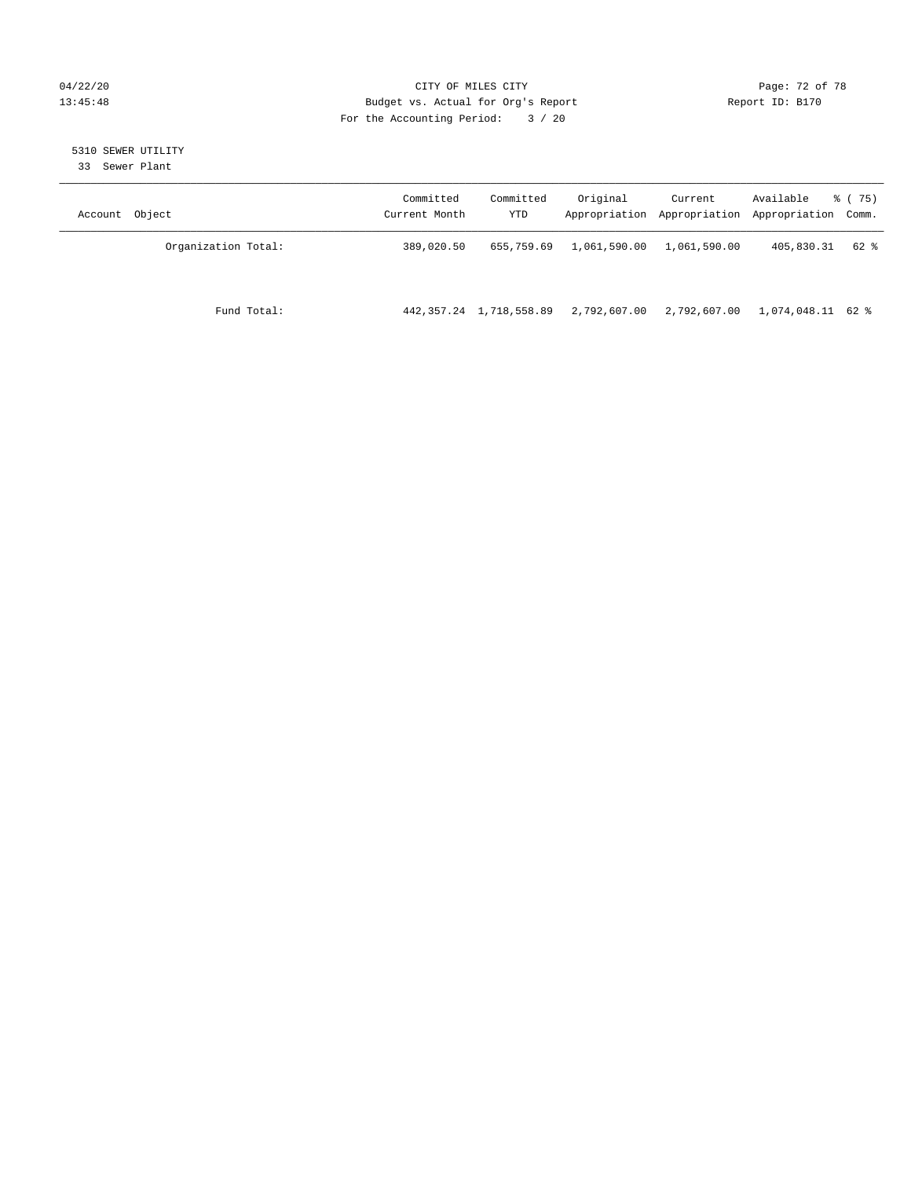# 04/22/20 Page: 72 of 78 13:45:48 Budget vs. Actual for Org's Report Report ID: B170 For the Accounting Period: 3 / 20

# 5310 SEWER UTILITY

33 Sewer Plant

| Account Object      | Committed<br>Current Month | Committed<br>YTD             | Original     | Current<br>Appropriation Appropriation | Available<br>Appropriation Comm. | 8 (75) |
|---------------------|----------------------------|------------------------------|--------------|----------------------------------------|----------------------------------|--------|
| Organization Total: | 389,020.50                 | 655,759.69                   | 1,061,590.00 | 1,061,590.00                           | 405,830.31                       | 62 %   |
| Fund Total:         |                            | 442, 357. 24 1, 718, 558. 89 | 2,792,607.00 | 2,792,607.00                           | 1,074,048.11 62 %                |        |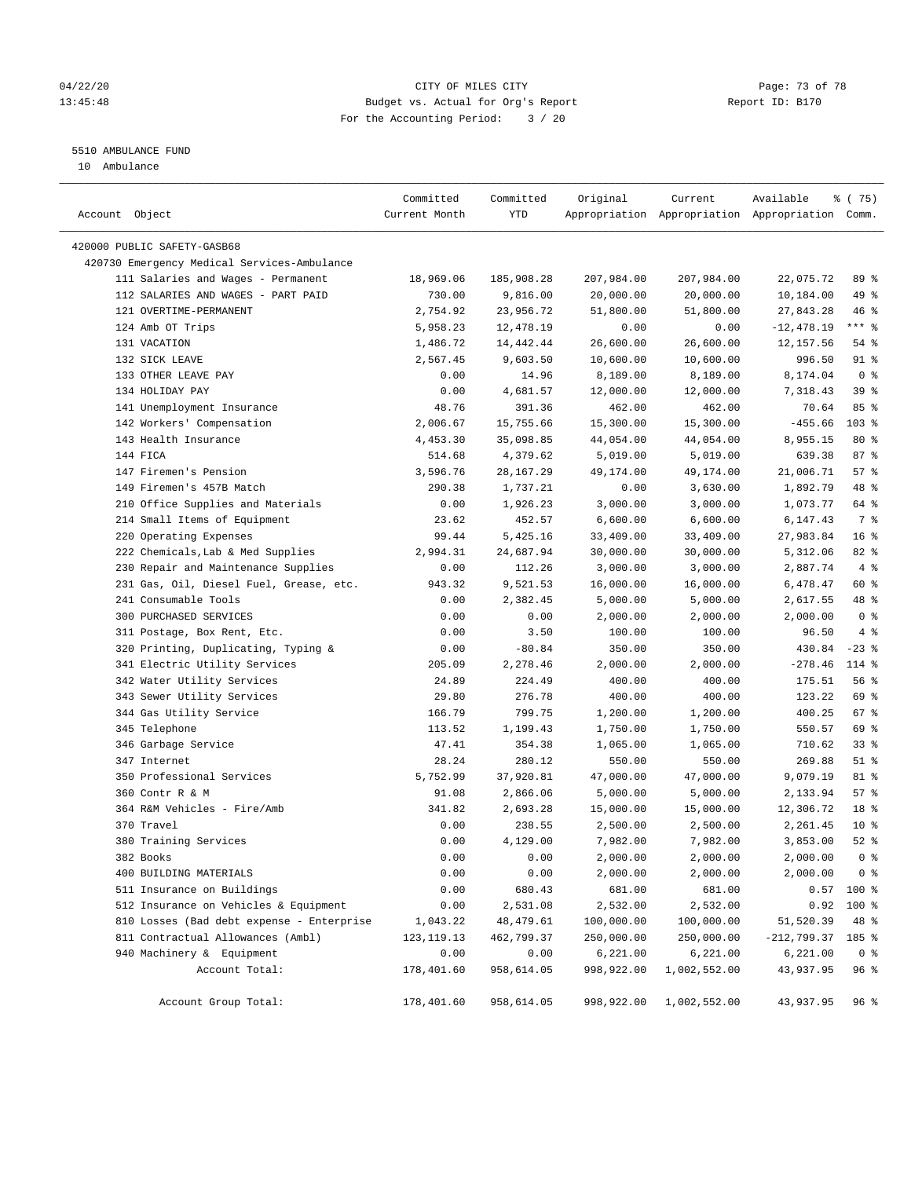## 04/22/20 Page: 73 of 78 13:45:48 Budget vs. Actual for Org's Report Report ID: B170 For the Accounting Period: 3 / 20

————————————————————————————————————————————————————————————————————————————————————————————————————————————————————————————————————

# 5510 AMBULANCE FUND

10 Ambulance

|                                             | Committed     | Committed  | Original   | Current      | Available                                       | ៖ (75)          |
|---------------------------------------------|---------------|------------|------------|--------------|-------------------------------------------------|-----------------|
| Account Object                              | Current Month | YTD        |            |              | Appropriation Appropriation Appropriation Comm. |                 |
|                                             |               |            |            |              |                                                 |                 |
| 420000 PUBLIC SAFETY-GASB68                 |               |            |            |              |                                                 |                 |
| 420730 Emergency Medical Services-Ambulance |               |            |            |              |                                                 |                 |
| 111 Salaries and Wages - Permanent          | 18,969.06     | 185,908.28 | 207,984.00 | 207,984.00   | 22,075.72                                       | 89 %            |
| 112 SALARIES AND WAGES - PART PAID          | 730.00        | 9,816.00   | 20,000.00  | 20,000.00    | 10,184.00                                       | 49 %            |
| 121 OVERTIME-PERMANENT                      | 2,754.92      | 23,956.72  | 51,800.00  | 51,800.00    | 27,843.28                                       | 46 %            |
| 124 Amb OT Trips                            | 5,958.23      | 12,478.19  | 0.00       | 0.00         | $-12,478.19$                                    | $***$ $-$       |
| 131 VACATION                                | 1,486.72      | 14,442.44  | 26,600.00  | 26,600.00    | 12,157.56                                       | $54$ %          |
| 132 SICK LEAVE                              | 2,567.45      | 9,603.50   | 10,600.00  | 10,600.00    | 996.50                                          | 91 %            |
| 133 OTHER LEAVE PAY                         | 0.00          | 14.96      | 8,189.00   | 8,189.00     | 8,174.04                                        | 0 <sup>8</sup>  |
| 134 HOLIDAY PAY                             | 0.00          | 4,681.57   | 12,000.00  | 12,000.00    | 7,318.43                                        | 39%             |
| 141 Unemployment Insurance                  | 48.76         | 391.36     | 462.00     | 462.00       | 70.64                                           | 85%             |
| 142 Workers' Compensation                   | 2,006.67      | 15,755.66  | 15,300.00  | 15,300.00    | $-455.66$                                       | $103$ %         |
| 143 Health Insurance                        | 4,453.30      | 35,098.85  | 44,054.00  | 44,054.00    | 8,955.15                                        | 80%             |
| 144 FICA                                    | 514.68        | 4,379.62   | 5,019.00   | 5,019.00     | 639.38                                          | 87%             |
| 147 Firemen's Pension                       | 3,596.76      | 28,167.29  | 49,174.00  | 49,174.00    | 21,006.71                                       | 57%             |
| 149 Firemen's 457B Match                    | 290.38        | 1,737.21   | 0.00       | 3,630.00     | 1,892.79                                        | 48 %            |
| 210 Office Supplies and Materials           | 0.00          | 1,926.23   | 3,000.00   | 3,000.00     | 1,073.77                                        | 64 %            |
| 214 Small Items of Equipment                | 23.62         | 452.57     | 6,600.00   | 6,600.00     | 6,147.43                                        | 7 %             |
| 220 Operating Expenses                      | 99.44         | 5,425.16   | 33,409.00  | 33,409.00    | 27,983.84                                       | 16 <sup>8</sup> |
| 222 Chemicals, Lab & Med Supplies           | 2,994.31      | 24,687.94  | 30,000.00  | 30,000.00    | 5,312.06                                        | $82$ $%$        |
| 230 Repair and Maintenance Supplies         | 0.00          | 112.26     | 3,000.00   | 3,000.00     | 2,887.74                                        | 4%              |
| 231 Gas, Oil, Diesel Fuel, Grease, etc.     | 943.32        | 9,521.53   | 16,000.00  | 16,000.00    | 6,478.47                                        | 60 %            |
| 241 Consumable Tools                        | 0.00          | 2,382.45   | 5,000.00   | 5,000.00     | 2,617.55                                        | 48 %            |
| 300 PURCHASED SERVICES                      | 0.00          | 0.00       | 2,000.00   | 2,000.00     | 2,000.00                                        | 0 <sup>8</sup>  |
| 311 Postage, Box Rent, Etc.                 | 0.00          | 3.50       | 100.00     | 100.00       | 96.50                                           | 4%              |
| 320 Printing, Duplicating, Typing &         | 0.00          | $-80.84$   | 350.00     | 350.00       | 430.84                                          | $-23$ %         |
| 341 Electric Utility Services               | 205.09        | 2,278.46   | 2,000.00   | 2,000.00     | $-278.46$                                       | 114 %           |
| 342 Water Utility Services                  | 24.89         | 224.49     | 400.00     | 400.00       | 175.51                                          | 56 %            |
| 343 Sewer Utility Services                  | 29.80         | 276.78     | 400.00     | 400.00       | 123.22                                          | 69 %            |
| 344 Gas Utility Service                     | 166.79        | 799.75     | 1,200.00   | 1,200.00     | 400.25                                          | 67%             |
| 345 Telephone                               | 113.52        | 1,199.43   | 1,750.00   | 1,750.00     | 550.57                                          | 69 %            |
| 346 Garbage Service                         | 47.41         | 354.38     | 1,065.00   | 1,065.00     | 710.62                                          | 33%             |
| 347 Internet                                | 28.24         | 280.12     | 550.00     | 550.00       | 269.88                                          | $51$ %          |
| 350 Professional Services                   | 5,752.99      | 37,920.81  | 47,000.00  | 47,000.00    | 9,079.19                                        | 81 %            |
| 360 Contr R & M                             | 91.08         | 2,866.06   | 5,000.00   | 5,000.00     | 2,133.94                                        | 57%             |
| 364 R&M Vehicles - Fire/Amb                 | 341.82        | 2,693.28   | 15,000.00  | 15,000.00    | 12,306.72                                       | 18 %            |
| 370 Travel                                  | 0.00          | 238.55     | 2,500.00   | 2,500.00     | 2,261.45                                        | $10*$           |
| 380 Training Services                       | 0.00          | 4,129.00   | 7,982.00   | 7,982.00     | 3,853.00                                        | $52$ $%$        |
| 382 Books                                   | 0.00          | 0.00       | 2,000.00   | 2,000.00     | 2,000.00                                        | 0 <sup>8</sup>  |
| 400 BUILDING MATERIALS                      | 0.00          | 0.00       | 2,000.00   | 2,000.00     | 2,000.00                                        | 0 <sup>8</sup>  |
| 511 Insurance on Buildings                  | 0.00          | 680.43     | 681.00     | 681.00       |                                                 | $0.57$ 100 %    |
| 512 Insurance on Vehicles & Equipment       | 0.00          | 2,531.08   | 2,532.00   | 2,532.00     | 0.92                                            | 100 %           |
| 810 Losses (Bad debt expense - Enterprise   | 1,043.22      | 48, 479.61 | 100,000.00 | 100,000.00   | 51,520.39                                       | 48 %            |
| 811 Contractual Allowances (Ambl)           | 123, 119. 13  | 462,799.37 | 250,000.00 | 250,000.00   | $-212,799.37$                                   | 185 %           |
| 940 Machinery & Equipment                   | 0.00          | 0.00       | 6,221.00   | 6, 221.00    | 6,221.00                                        | 0 <sup>8</sup>  |
| Account Total:                              | 178,401.60    | 958,614.05 | 998,922.00 | 1,002,552.00 | 43,937.95                                       | 96%             |
|                                             |               |            |            |              |                                                 |                 |
| Account Group Total:                        | 178,401.60    | 958,614.05 | 998,922.00 | 1,002,552.00 | 43,937.95                                       | $96$ %          |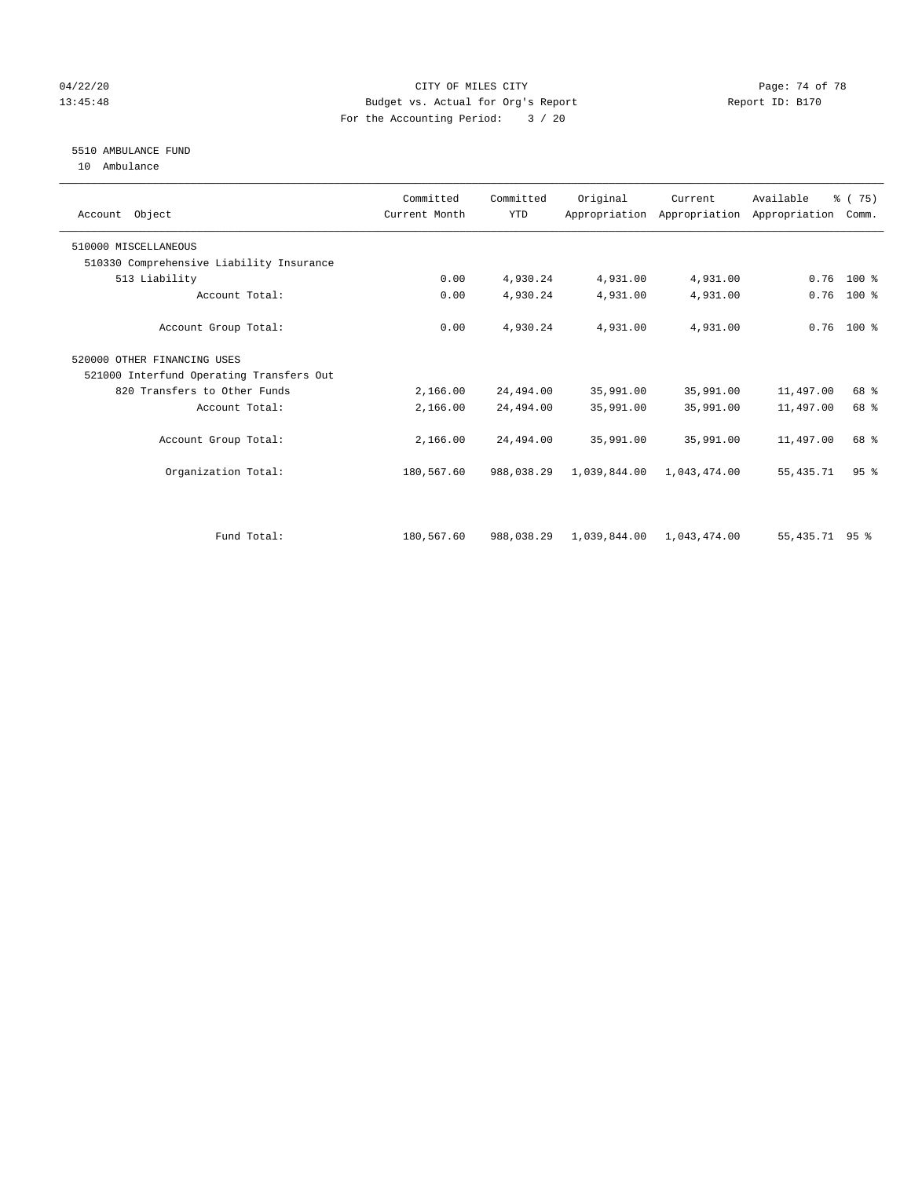## 04/22/20 Page: 74 of 78 13:45:48 Budget vs. Actual for Org's Report Report ID: B170 For the Accounting Period: 3 / 20

# 5510 AMBULANCE FUND

10 Ambulance

| Account Object                           | Committed<br>Current Month | Committed<br><b>YTD</b> | Original     | Current      | Available<br>Appropriation Appropriation Appropriation | 8 (75)<br>Comm. |  |
|------------------------------------------|----------------------------|-------------------------|--------------|--------------|--------------------------------------------------------|-----------------|--|
| 510000 MISCELLANEOUS                     |                            |                         |              |              |                                                        |                 |  |
| 510330 Comprehensive Liability Insurance |                            |                         |              |              |                                                        |                 |  |
| 513 Liability                            | 0.00                       | 4,930.24                | 4,931.00     | 4,931.00     | 0.76                                                   | $100*$          |  |
| Account Total:                           | 0.00                       | 4,930.24                | 4,931.00     | 4,931.00     | 0.76                                                   | 100 %           |  |
| Account Group Total:                     | 0.00                       | 4,930.24                | 4,931.00     | 4,931.00     |                                                        | $0.76$ 100 %    |  |
| 520000 OTHER FINANCING USES              |                            |                         |              |              |                                                        |                 |  |
| 521000 Interfund Operating Transfers Out |                            |                         |              |              |                                                        |                 |  |
| 820 Transfers to Other Funds             | 2,166.00                   | 24,494.00               | 35,991.00    | 35,991.00    | 11,497.00                                              | 68 %            |  |
| Account Total:                           | 2,166.00                   | 24,494.00               | 35,991.00    | 35,991.00    | 11,497.00                                              | 68 %            |  |
| Account Group Total:                     | 2,166.00                   | 24,494.00               | 35,991.00    | 35,991.00    | 11,497.00                                              | 68 %            |  |
| Organization Total:                      | 180,567.60                 | 988,038.29              | 1,039,844.00 | 1,043,474.00 | 55,435.71                                              | 95 <sup>8</sup> |  |
|                                          |                            |                         |              |              |                                                        |                 |  |
| Fund Total:                              | 180,567.60                 | 988,038.29              | 1,039,844.00 | 1,043,474.00 | 55, 435. 71 95 %                                       |                 |  |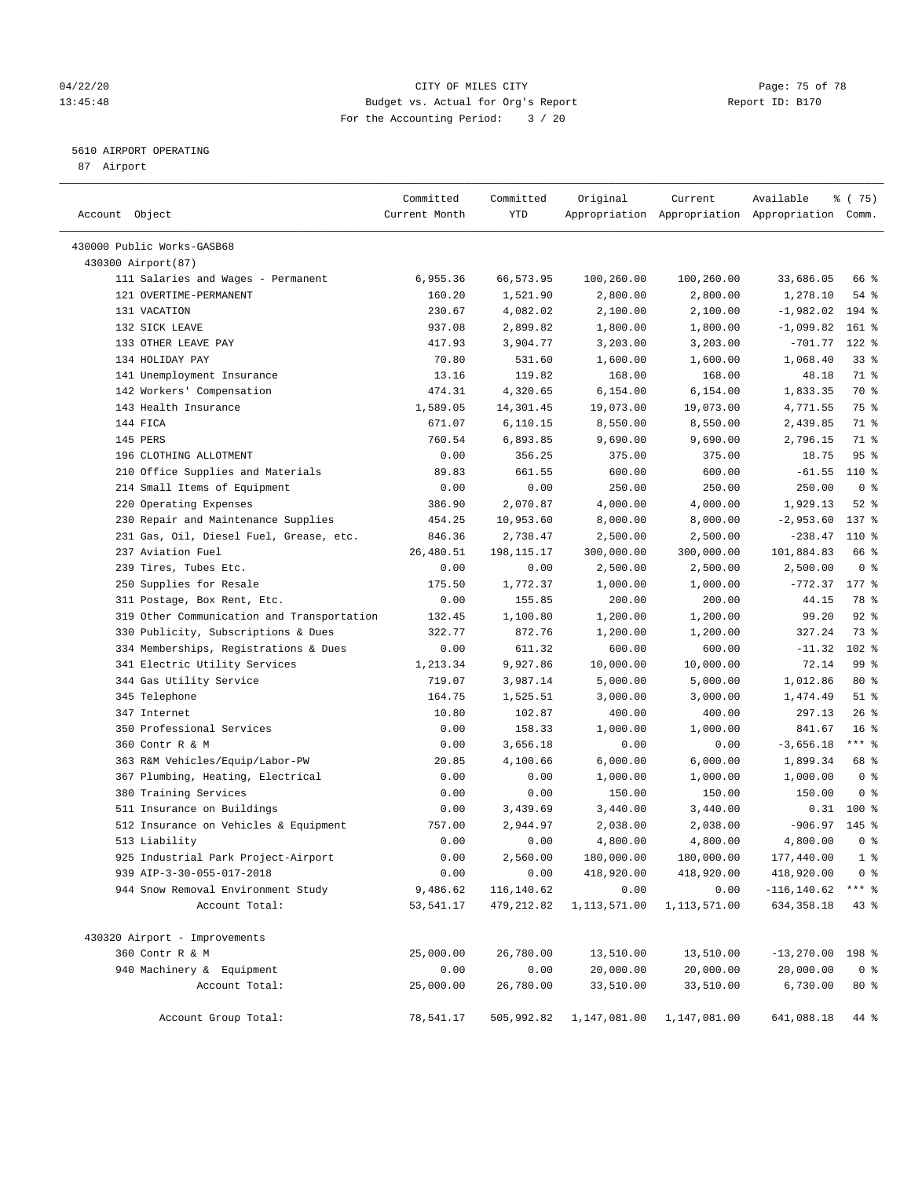#### 04/22/20 **CITY OF MILES CITY CONSUMING THE PAGE: 75 of 78** 13:45:48 Budget vs. Actual for Org's Report Changer Report ID: B170 For the Accounting Period: 3 / 20

————————————————————————————————————————————————————————————————————————————————————————————————————————————————————————————————————

## 5610 AIRPORT OPERATING

87 Airport

|                                            | Committed     | Committed   | Original     | Current      | Available                                       | ៖ (75)          |
|--------------------------------------------|---------------|-------------|--------------|--------------|-------------------------------------------------|-----------------|
| Account Object                             | Current Month | YTD         |              |              | Appropriation Appropriation Appropriation Comm. |                 |
| 430000 Public Works-GASB68                 |               |             |              |              |                                                 |                 |
| 430300 Airport(87)                         |               |             |              |              |                                                 |                 |
| 111 Salaries and Wages - Permanent         | 6,955.36      | 66,573.95   | 100,260.00   | 100,260.00   | 33,686.05                                       | 66 %            |
| 121 OVERTIME-PERMANENT                     | 160.20        | 1,521.90    | 2,800.00     | 2,800.00     | 1,278.10                                        | $54$ %          |
| 131 VACATION                               | 230.67        | 4,082.02    | 2,100.00     | 2,100.00     | $-1,982.02$                                     | $194$ %         |
| 132 SICK LEAVE                             | 937.08        | 2,899.82    | 1,800.00     | 1,800.00     | $-1,099.82$                                     | $161$ %         |
| 133 OTHER LEAVE PAY                        | 417.93        | 3,904.77    | 3,203.00     | 3,203.00     | $-701.77$                                       | 122 %           |
| 134 HOLIDAY PAY                            | 70.80         | 531.60      | 1,600.00     | 1,600.00     | 1,068.40                                        | 338             |
| 141 Unemployment Insurance                 | 13.16         | 119.82      | 168.00       | 168.00       | 48.18                                           | 71 %            |
| 142 Workers' Compensation                  | 474.31        | 4,320.65    | 6,154.00     | 6,154.00     | 1,833.35                                        | 70 %            |
| 143 Health Insurance                       | 1,589.05      | 14,301.45   | 19,073.00    | 19,073.00    | 4,771.55                                        | 75 %            |
| 144 FICA                                   | 671.07        | 6,110.15    | 8,550.00     | 8,550.00     | 2,439.85                                        | 71 %            |
| 145 PERS                                   | 760.54        | 6,893.85    | 9,690.00     | 9,690.00     | 2,796.15                                        | 71 %            |
| 196 CLOTHING ALLOTMENT                     | 0.00          | 356.25      | 375.00       | 375.00       | 18.75                                           | 95%             |
| 210 Office Supplies and Materials          | 89.83         | 661.55      | 600.00       | 600.00       | $-61.55$                                        | 110 %           |
| 214 Small Items of Equipment               | 0.00          | 0.00        | 250.00       | 250.00       | 250.00                                          | 0 <sup>8</sup>  |
| 220 Operating Expenses                     | 386.90        | 2,070.87    | 4,000.00     | 4,000.00     | 1,929.13                                        | $52$ $%$        |
| 230 Repair and Maintenance Supplies        | 454.25        | 10,953.60   | 8,000.00     | 8,000.00     | $-2,953.60$                                     | $137$ %         |
| 231 Gas, Oil, Diesel Fuel, Grease, etc.    | 846.36        | 2,738.47    | 2,500.00     | 2,500.00     | $-238.47$                                       | 110 %           |
| 237 Aviation Fuel                          | 26,480.51     | 198,115.17  | 300,000.00   | 300,000.00   | 101,884.83                                      | 66 %            |
| 239 Tires, Tubes Etc.                      | 0.00          | 0.00        | 2,500.00     | 2,500.00     | 2,500.00                                        | 0 <sup>8</sup>  |
| 250 Supplies for Resale                    | 175.50        | 1,772.37    | 1,000.00     | 1,000.00     | $-772.37$                                       | $177$ %         |
| 311 Postage, Box Rent, Etc.                | 0.00          | 155.85      | 200.00       | 200.00       | 44.15                                           | 78 %            |
| 319 Other Communication and Transportation | 132.45        | 1,100.80    | 1,200.00     | 1,200.00     | 99.20                                           | $92$ $%$        |
| 330 Publicity, Subscriptions & Dues        | 322.77        | 872.76      | 1,200.00     | 1,200.00     | 327.24                                          | 73 %            |
| 334 Memberships, Registrations & Dues      | 0.00          | 611.32      | 600.00       | 600.00       | $-11.32$                                        | $102$ %         |
| 341 Electric Utility Services              | 1,213.34      | 9,927.86    | 10,000.00    | 10,000.00    | 72.14                                           | 99 <sub>8</sub> |
| 344 Gas Utility Service                    | 719.07        | 3,987.14    | 5,000.00     | 5,000.00     | 1,012.86                                        | $80*$           |
| 345 Telephone                              | 164.75        | 1,525.51    | 3,000.00     | 3,000.00     | 1,474.49                                        | $51$ %          |
| 347 Internet                               | 10.80         | 102.87      | 400.00       | 400.00       | 297.13                                          | $26$ %          |
| 350 Professional Services                  | 0.00          | 158.33      | 1,000.00     | 1,000.00     | 841.67                                          | 16 <sup>°</sup> |
| 360 Contr R & M                            | 0.00          | 3,656.18    | 0.00         | 0.00         | $-3,656.18$                                     | $***$ $_{8}$    |
| 363 R&M Vehicles/Equip/Labor-PW            | 20.85         | 4,100.66    | 6,000.00     | 6,000.00     | 1,899.34                                        | 68 %            |
| 367 Plumbing, Heating, Electrical          | 0.00          | 0.00        | 1,000.00     | 1,000.00     | 1,000.00                                        | 0 <sup>8</sup>  |
| 380 Training Services                      | 0.00          | 0.00        | 150.00       | 150.00       | 150.00                                          | 0 <sup>8</sup>  |
| 511 Insurance on Buildings                 | 0.00          | 3,439.69    | 3,440.00     | 3,440.00     | 0.31                                            | $100$ %         |
| 512 Insurance on Vehicles & Equipment      | 757.00        | 2,944.97    | 2,038.00     | 2,038.00     | $-906.97$                                       | 145 %           |
| 513 Liability                              | 0.00          | 0.00        | 4,800.00     | 4,800.00     | 4,800.00                                        | 0 <sup>8</sup>  |
| 925 Industrial Park Project-Airport        | 0.00          | 2,560.00    | 180,000.00   | 180,000.00   | 177,440.00                                      | 1 <sup>°</sup>  |
| 939 AIP-3-30-055-017-2018                  | 0.00          | 0.00        | 418,920.00   | 418,920.00   | 418,920.00                                      | 0 <sup>8</sup>  |
| 944 Snow Removal Environment Study         | 9,486.62      | 116,140.62  | 0.00         | 0.00         | $-116, 140.62$                                  | $***$ $_{8}$    |
| Account Total:                             | 53, 541.17    | 479, 212.82 | 1,113,571.00 | 1,113,571.00 | 634, 358.18                                     | $43$ $%$        |
| 430320 Airport - Improvements              |               |             |              |              |                                                 |                 |
| 360 Contr R & M                            | 25,000.00     | 26,780.00   | 13,510.00    | 13,510.00    | $-13,270.00$ 198 %                              |                 |
| 940 Machinery & Equipment                  | 0.00          | 0.00        | 20,000.00    | 20,000.00    | 20,000.00                                       | 0 <sup>8</sup>  |
| Account Total:                             | 25,000.00     | 26,780.00   | 33,510.00    | 33,510.00    | 6,730.00                                        | $80*$           |
| Account Group Total:                       | 78,541.17     | 505,992.82  | 1,147,081.00 | 1,147,081.00 | 641,088.18                                      | 44 %            |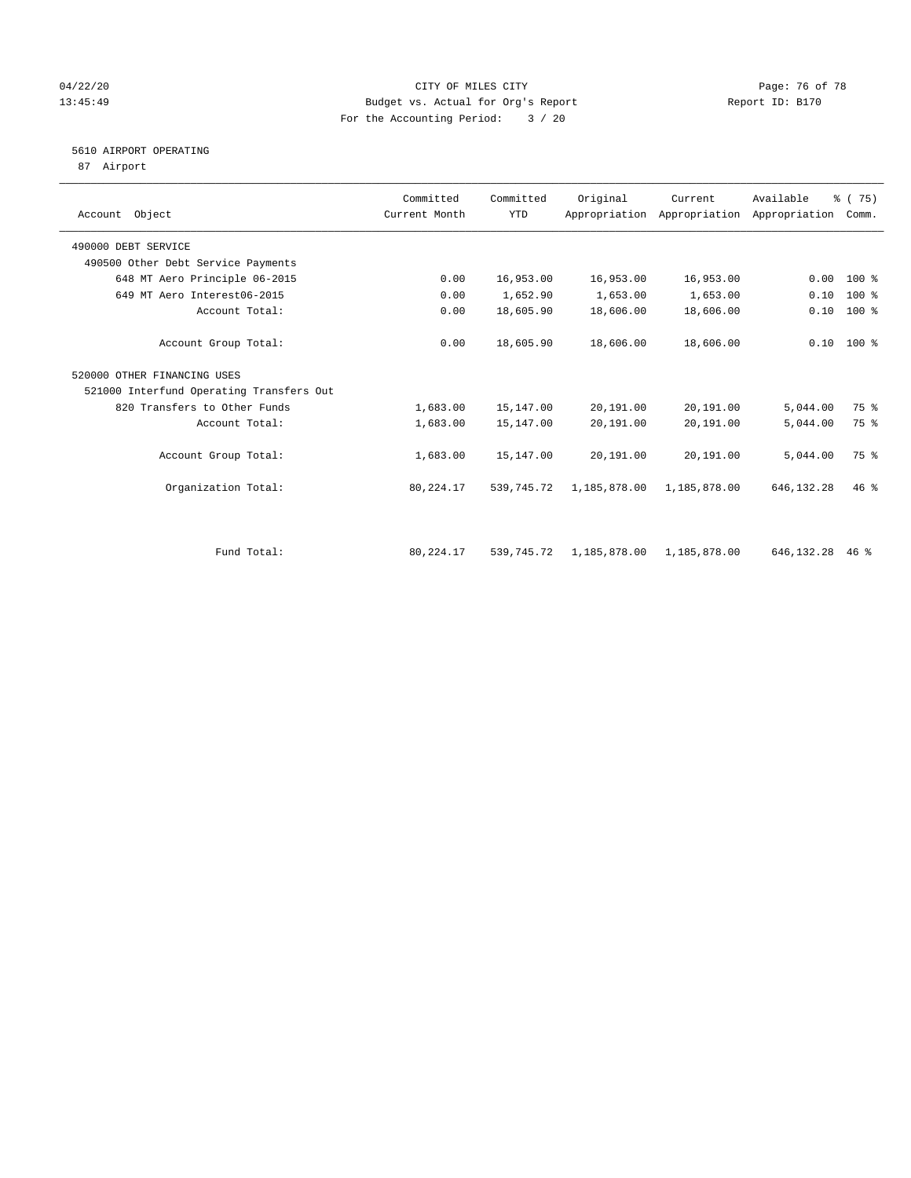#### 04/22/20 Page: 76 of 78 13:45:49 Budget vs. Actual for Org's Report Changer Report ID: B170 For the Accounting Period: 3 / 20

## 5610 AIRPORT OPERATING

87 Airport

| Account Object                           |                      | Committed<br>Current Month | Committed<br><b>YTD</b> | Original     | Current      | Available<br>Appropriation Appropriation Appropriation | % (75)<br>Comm. |  |
|------------------------------------------|----------------------|----------------------------|-------------------------|--------------|--------------|--------------------------------------------------------|-----------------|--|
| 490000 DEBT SERVICE                      |                      |                            |                         |              |              |                                                        |                 |  |
| 490500 Other Debt Service Payments       |                      |                            |                         |              |              |                                                        |                 |  |
| 648 MT Aero Principle 06-2015            |                      | 0.00                       | 16,953.00               | 16,953.00    | 16,953.00    | 0.00                                                   | $100*$          |  |
| 649 MT Aero Interest06-2015              |                      | 0.00                       | 1,652.90                | 1,653.00     | 1,653.00     | 0.10                                                   | 100 %           |  |
|                                          | Account Total:       | 0.00                       | 18,605.90               | 18,606.00    | 18,606.00    | 0.10                                                   | 100 %           |  |
|                                          | Account Group Total: | 0.00                       | 18,605.90               | 18,606.00    | 18,606.00    |                                                        | $0.10$ 100 %    |  |
| 520000 OTHER FINANCING USES              |                      |                            |                         |              |              |                                                        |                 |  |
| 521000 Interfund Operating Transfers Out |                      |                            |                         |              |              |                                                        |                 |  |
| 820 Transfers to Other Funds             |                      | 1,683.00                   | 15,147.00               | 20,191.00    | 20,191.00    | 5,044.00                                               | 75 %            |  |
|                                          | Account Total:       | 1,683.00                   | 15,147.00               | 20,191.00    | 20,191.00    | 5,044.00                                               | 75 %            |  |
|                                          | Account Group Total: | 1,683.00                   | 15,147.00               | 20,191.00    | 20,191.00    | 5,044.00                                               | 75 %            |  |
|                                          | Organization Total:  | 80,224.17                  | 539,745.72              | 1,185,878.00 | 1,185,878.00 | 646,132.28                                             | $46$ %          |  |
|                                          |                      |                            |                         |              |              |                                                        |                 |  |
|                                          | Fund Total:          | 80,224.17                  | 539,745.72              | 1,185,878.00 | 1,185,878.00 | 646,132.28                                             | $46*$           |  |